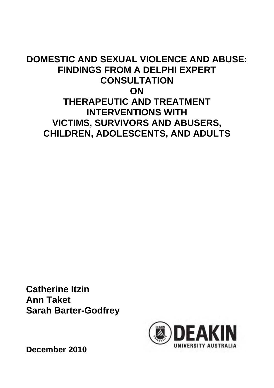# **DOMESTIC AND SEXUAL VIOLENCE AND ABUSE: FINDINGS FROM A DELPHI EXPERT CONSULTATION ON THERAPEUTIC AND TREATMENT INTERVENTIONS WITH VICTIMS, SURVIVORS AND ABUSERS, CHILDREN, ADOLESCENTS, AND ADULTS**

**Catherine Itzin Ann Taket Sarah Barter-Godfrey**



**December 2010**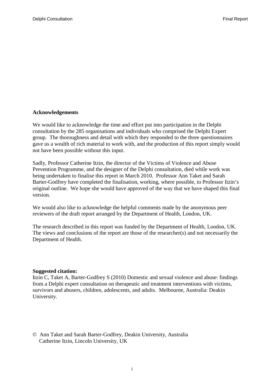#### **Acknowledgements**

We would like to acknowledge the time and effort put into participation in the Delphi consultation by the 285 organisations and individuals who comprised the Delphi Expert group. The thoroughness and detail with which they responded to the three questionnaires gave us a wealth of rich material to work with, and the production of this report simply would not have been possible without this input.

Sadly, Professor Catherine Itzin, the director of the Victims of Violence and Abuse Prevention Programme, and the designer of the Delphi consultation, died while work was being undertaken to finalise this report in March 2010. Professor Ann Taket and Sarah Barter-Godfrey have completed the finalisation, working, where possible, to Professor Itzin's original outline. We hope she would have approved of the way that we have shaped this final version.

We would also like to acknowledge the helpful comments made by the anonymous peer reviewers of the draft report arranged by the Department of Health, London, UK.

The research described in this report was funded by the Department of Health, London, UK. The views and conclusions of the report are those of the researcher(s) and not necessarily the Department of Health.

#### **Suggested citation:**

Itzin C, Taket A, Barter-Godfrey S (2010) Domestic and sexual violence and abuse: findings from a Delphi expert consultation on therapeutic and treatment interventions with victims, survivors and abusers, children, adolescents, and adults. Melbourne, Australia: Deakin University.

© Ann Taket and Sarah Barter-Godfrey, Deakin University, Australia Catherine Itzin, Lincoln University, UK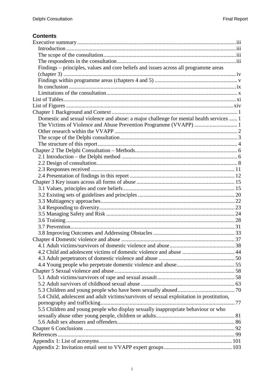### **Contents**

| Findings – principles, values and core beliefs and issues across all programme areas      |  |
|-------------------------------------------------------------------------------------------|--|
|                                                                                           |  |
|                                                                                           |  |
|                                                                                           |  |
|                                                                                           |  |
|                                                                                           |  |
|                                                                                           |  |
|                                                                                           |  |
| Domestic and sexual violence and abuse: a major challenge for mental health services  1   |  |
| The Victims of Violence and Abuse Prevention Programme (VVAPP) 1                          |  |
|                                                                                           |  |
|                                                                                           |  |
|                                                                                           |  |
|                                                                                           |  |
|                                                                                           |  |
|                                                                                           |  |
|                                                                                           |  |
|                                                                                           |  |
|                                                                                           |  |
|                                                                                           |  |
|                                                                                           |  |
|                                                                                           |  |
|                                                                                           |  |
|                                                                                           |  |
|                                                                                           |  |
|                                                                                           |  |
|                                                                                           |  |
|                                                                                           |  |
|                                                                                           |  |
|                                                                                           |  |
|                                                                                           |  |
|                                                                                           |  |
|                                                                                           |  |
|                                                                                           |  |
|                                                                                           |  |
|                                                                                           |  |
| 5.4 Child, adolescent and adult victims/survivors of sexual exploitation in prostitution, |  |
|                                                                                           |  |
| 5.5 Children and young people who display sexually inappropriate behaviour or who         |  |
|                                                                                           |  |
|                                                                                           |  |
|                                                                                           |  |
|                                                                                           |  |
|                                                                                           |  |
|                                                                                           |  |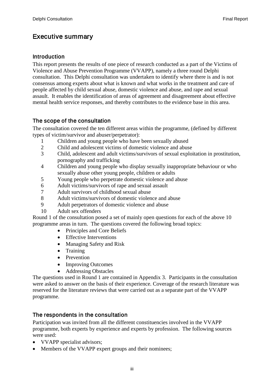# <span id="page-4-0"></span>Executive summary

### <span id="page-4-1"></span>Introduction

This report presents the results of one piece of research conducted as a part of the Victims of Violence and Abuse Prevention Programme (VVAPP), namely a three round Delphi consultation. This Delphi consultation was undertaken to identify where there is and is not consensus among experts about what is known and what works in the treatment and care of people affected by child sexual abuse, domestic violence and abuse, and rape and sexual assault. It enables the identification of areas of agreement and disagreement about effective mental health service responses, and thereby contributes to the evidence base in this area.

### <span id="page-4-2"></span>The scope of the consultation

The consultation covered the ten different areas within the programme, (defined by different types of victim/survivor and abuser/perpetrator):

- 1 Children and young people who have been sexually abused<br>2 Child and adolescent victims of domestic violence and abused
- 2 Child and adolescent victims of domestic violence and abuse
- 3 Child, adolescent and adult victims/survivors of sexual exploitation in prostitution, pornography and trafficking
- 4 Children and young people who display sexually inappropriate behaviour or who sexually abuse other young people, children or adults
- 5 Young people who perpetrate domestic violence and abuse
- 6 Adult victims/survivors of rape and sexual assault
- 7 Adult survivors of childhood sexual abuse
- 8 Adult victims/survivors of domestic violence and abuse
- 9 Adult perpetrators of domestic violence and abuse
- 10 Adult sex offenders

Round 1 of the consultation posed a set of mainly open questions for each of the above 10 programme areas in turn. The questions covered the following broad topics:

- Principles and Core Beliefs
- Effective Interventions
- Managing Safety and Risk
- Training
- Prevention
- Improving Outcomes
- Addressing Obstacles

The questions used in Round 1 are contained in Appendix 3. Participants in the consultation were asked to answer on the basis of their experience. Coverage of the research literature was reserved for the literature reviews that were carried out as a separate part of the VVAPP programme.

#### <span id="page-4-3"></span>The respondents in the consultation

Participation was invited from all the different constituencies involved in the VVAPP programme, both experts by experience and experts by profession. The following sources were used:

- VVAPP specialist advisors;
- Members of the VVAPP expert groups and their nominees;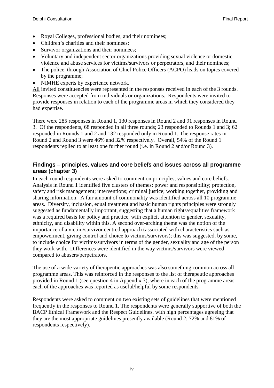- Royal Colleges, professional bodies, and their nominees;
- Children's charities and their nominees;
- Survivor organizations and their nominees;
- Voluntary and independent sector organizations providing sexual violence or domestic violence and abuse services for victims/survivors or perpetrators, and their nominees;
- The police, through Association of Chief Police Officers (ACPO) leads on topics covered by the programme;
- NIMHE experts by experience network.

All invited constituencies were represented in the responses received in each of the 3 rounds. Responses were accepted from individuals or organizations. Respondents were invited to provide responses in relation to each of the programme areas in which they considered they had expertise.

There were 285 responses in Round 1, 130 responses in Round 2 and 91 responses in Round 3. Of the respondents, 68 responded in all three rounds; 23 responded to Rounds 1 and 3; 62 responded in Rounds 1 and 2 and 132 responded only in Round 1. The response rates in Round 2 and Round 3 were 46% and 32% respectively. Overall, 54% of the Round 1 respondents replied to at least one further round (i.e. in Round 2 and/or Round 3).

### <span id="page-5-0"></span>Findings – principles, values and core beliefs and issues across all programme areas (chapter 3)

In each round respondents were asked to comment on principles, values and core beliefs. Analysis in Round 1 identified five clusters of themes: power and responsibility; protection, safety and risk management; interventions; criminal justice; working together, providing and sharing information. A fair amount of commonality was identified across all 10 programme areas. Diversity, inclusion, equal treatment and basic human rights principles were strongly suggested as fundamentally important, suggesting that a human rights/equalities framework was a required basis for policy and practice, with explicit attention to gender, sexuality, ethnicity, and disability within this. A second over-arching theme was the notion of the importance of a victim/survivor centred approach (associated with characteristics such as empowerment, giving control and choice to victims/survivors); this was suggested, by some, to include choice for victims/survivors in terms of the gender, sexuality and age of the person they work with. Differences were identified in the way victims/survivors were viewed compared to abusers/perpetrators.

The use of a wide variety of therapeutic approaches was also something common across all programme areas. This was reinforced in the responses to the list of therapeutic approaches provided in Round 1 (see question 4 in Appendix 3), where in each of the programme areas each of the approaches was reported as useful/helpful by some respondents.

Respondents were asked to comment on two existing sets of guidelines that were mentioned frequently in the responses to Round 1. The respondents were generally supportive of both the BACP Ethical Framework and the Respect Guidelines, with high percentages agreeing that they are the most appropriate guidelines presently available (Round 2; 72% and 81% of respondents respectively).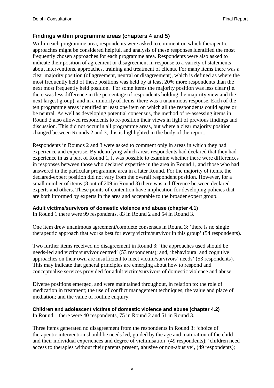### <span id="page-6-0"></span>Findings within programme areas (chapters 4 and 5)

Within each programme area, respondents were asked to comment on which therapeutic approaches might be considered helpful, and analysis of these responses identified the most frequently chosen approaches for each programme area. Respondents were also asked to indicate their position of agreement or disagreement in response to a variety of statements about interventions, approaches, training and treatment of clients. For many items there was a clear majority position (of agreement, neutral or disagreement), which is defined as where the most frequently held of these positions was held by at least 20% more respondents than the next most frequently held position. For some items the majority position was less clear (i.e. there was less difference in the percentage of respondents holding the majority view and the next largest group), and in a minority of items, there was a unanimous response. Each of the ten programme areas identified at least one item on which all the respondents could agree or be neutral. As well as developing potential consensus, the method of re-assessing items in Round 3 also allowed respondents to re-position their views in light of previous findings and discussion. This did not occur in all programme areas, but where a clear majority position changed between Rounds 2 and 3, this is highlighted in the body of the report.

Respondents in Rounds 2 and 3 were asked to comment only in areas in which they had experience and expertise. By identifying which areas respondents had declared that they had experience in as a part of Round 1, it was possible to examine whether there were differences in responses between those who declared expertise in the area in Round 1, and those who had answered in the particular programme area in a later Round. For the majority of items, the declared-expert position did not vary from the overall respondent position. However, for a small number of items (8 out of 209 in Round 3) there was a difference between declaredexperts and others. These points of contention have implication for developing policies that are both informed by experts in the area and acceptable to the broader expert group.

#### **Adult victims/survivors of domestic violence and abuse (chapter 4.1)**

In Round 1 there were 99 respondents, 83 in Round 2 and 54 in Round 3.

One item drew unanimous agreement/complete consensus in Round 3: 'there is no single therapeutic approach that works best for every victim/survivor in this group' (54 respondents).

Two further items received no disagreement in Round 3: 'the approaches used should be needs-led and victim/survivor centred' (53 respondents); and, 'behavioural and cognitive approaches on their own are insufficient to meet victim/survivors' needs' (53 respondents). This may indicate that general principles are emerging about how to respond and conceptualise services provided for adult victim/survivors of domestic violence and abuse.

Diverse positions emerged, and were maintained throughout, in relation to: the role of medication in treatment; the use of conflict management techniques; the value and place of mediation; and the value of routine enquiry.

# **Children and adolescent victims of domestic violence and abuse (chapter 4.2)**

In Round 1 there were 40 respondents, 75 in Round 2 and 51 in Round 3.

Three items generated no disagreement from the respondents in Round 3: 'choice of therapeutic intervention should be needs led, guided by the age and maturation of the child and their individual experiences and degree of victimisation' (49 respondents); 'children need access to therapies without their parents present, abusive or non-abusive', (49 respondents);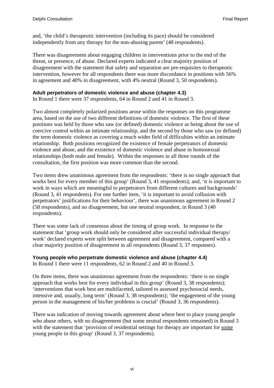and, 'the child's therapeutic intervention (including its pace) should be considered independently from any therapy for the non-abusing parent' (48 respondents).

There was disagreement about engaging children in interventions prior to the end of the threat, or presence, of abuse. Declared experts indicated a clear majority position of disagreement with the statement that safety and separation are pre-requisites to therapeutic intervention, however for all respondents there was more discordance in positions with 56% in agreement and 40% in disagreement, with 4% neutral (Round 3, 50 respondents).

#### **Adult perpetrators of domestic violence and abuse (chapter 4.3)**

In Round 1 there were 37 respondents, 64 in Round 2 and 41 in Round 3.

Two almost completely polarized positions arose within the responses on this programme area, based on the use of two different definitions of domestic violence. The first of these positions was held by those who saw (or defined) domestic violence as being about the use of coercive control within an intimate relationship, and the second by those who saw (or defined) the term domestic violence as covering a much wider field of difficulties within an intimate relationship. Both positions recognized the existence of female perpetrators of domestic violence and abuse, and the existence of domestic violence and abuse in homosexual relationships (both male and female). Within the responses in all three rounds of the consultation, the first position was more common than the second.

Two items drew unanimous agreement from the respondents: 'there is no single approach that works best for every member of this group' (Round 3, 41 respondents); and, 'it is important to work in ways which are meaningful to perpetrators from different cultures and backgrounds' (Round 3, 41 respondents). For one further item, 'it is important to avoid collusion with perpetrators' justifications for their behaviour', there was unanimous agreement in Round 2 (58 respondents), and no disagreement, but one neutral respondent, in Round 3 (40 respondents).

There was some lack of consensus about the timing of group work. In response to the statement that 'group work should only be considered after successful individual therapy/ work' declared experts were split between agreement and disagreement, compared with a clear majority position of disagreement in all respondents (Round 3, 37 responses).

#### **Young people who perpetrate domestic violence and abuse (chapter 4.4)** In Round 1 there were 11 respondents, 62 in Round 2 and 40 in Round 3.

On three items, there was unanimous agreement from the respondents: 'there is no single approach that works best for every individual in this group' (Round 3, 38 respondents); 'interventions that work best are multifaceted, tailored to assessed psychosocial needs, intensive and, usually, long term' (Round 3, 38 respondents); 'the engagement of the young person in the management of his/her problems is crucial' (Round 3, 36 respondents).

There was indication of moving towards agreement about where best to place young people who abuse others, with no disagreement (but some neutral respondents remained) in Round 3 with the statement that 'provision of residential settings for therapy are important for some young people in this group' (Round 3, 37 respondents).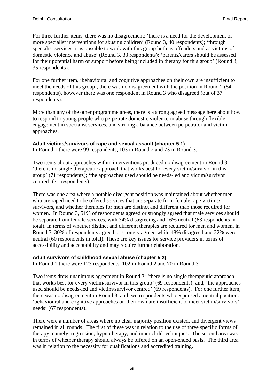For three further items, there was no disagreement: 'there is a need for the development of more specialist interventions for abusing children' (Round 3, 40 respondents); 'through specialist services, it is possible to work with this group both as offenders and as victims of domestic violence and abuse' (Round 3, 33 respondents); 'parents/carers should be assessed for their potential harm or support before being included in therapy for this group' (Round 3, 35 respondents).

For one further item, 'behavioural and cognitive approaches on their own are insufficient to meet the needs of this group', there was no disagreement with the position in Round 2 (54 respondents), however there was one respondent in Round 3 who disagreed (out of 37 respondents).

More than any of the other programme areas, there is a strong agreed message here about how to respond to young people who perpetrate domestic violence or abuse through flexible engagement in specialist services, and striking a balance between perpetrator and victim approaches.

#### **Adult victims/survivors of rape and sexual assault (chapter 5.1)**

In Round 1 there were 99 respondents, 103 in Round 2 and 73 in Round 3.

Two items about approaches within interventions produced no disagreement in Round 3: 'there is no single therapeutic approach that works best for every victim/survivor in this group' (71 respondents); 'the approaches used should be needs-led and victim/survivor centred' (71 respondents).

There was one area where a notable divergent position was maintained about whether men who are raped need to be offered services that are separate from female rape victims/ survivors, and whether therapies for men are distinct and different than those required for women. In Round 3, 51% of respondents agreed or strongly agreed that male services should be separate from female services, with 34% disagreeing and 16% neutral (63 respondents in total). In terms of whether distinct and different therapies are required for men and women, in Round 3, 30% of respondents agreed or strongly agreed while 48% disagreed and 22% were neutral (60 respondents in total). These are key issues for service providers in terms of accessibility and acceptability and may require further elaboration.

#### **Adult survivors of childhood sexual abuse (chapter 5.2)**

In Round 1 there were 123 respondents, 102 in Round 2 and 70 in Round 3.

Two items drew unanimous agreement in Round 3: 'there is no single therapeutic approach that works best for every victim/survivor in this group' (69 respondents); and, 'the approaches used should be needs-led and victim/survivor centred' (69 respondents). For one further item, there was no disagreement in Round 3, and two respondents who espoused a neutral position: 'behavioural and cognitive approaches on their own are insufficient to meet victim/survivors' needs' (67 respondents).

There were a number of areas where no clear majority position existed, and divergent views remained in all rounds. The first of these was in relation to the use of three specific forms of therapy, namely: regression, hypnotherapy, and inner child techniques. The second area was in terms of whether therapy should always be offered on an open-ended basis. The third area was in relation to the necessity for qualifications and accredited training.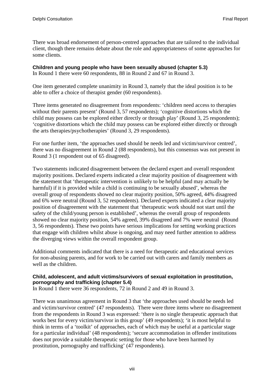There was broad endorsement of person-centred approaches that are tailored to the individual client, though there remains debate about the role and appropriateness of some approaches for some clients.

#### **Children and young people who have been sexually abused (chapter 5.3)**

In Round 1 there were 60 respondents, 88 in Round 2 and 67 in Round 3.

One item generated complete unanimity in Round 3, namely that the ideal position is to be able to offer a choice of therapist gender (60 respondents).

Three items generated no disagreement from respondents: 'children need access to therapies without their parents present' (Round 3, 57 respondents); 'cognitive distortions which the child may possess can be explored either directly or through play' (Round 3, 25 respondents); 'cognitive distortions which the child may possess can be explored either directly or through the arts therapies/psychotherapies' (Round 3, 29 respondents).

For one further item, 'the approaches used should be needs led and victim/survivor centred', there was no disagreement in Round 2 (88 respondents), but this consensus was not present in Round 3 (1 respondent out of 65 disagreed).

Two statements indicated disagreement between the declared expert and overall respondent majority positions. Declared experts indicated a clear majority position of disagreement with the statement that 'therapeutic intervention is unlikely to be helpful (and may actually be harmful) if it is provided while a child is continuing to be sexually abused', whereas the overall group of respondents showed no clear majority position, 50% agreed, 44% disagreed and 6% were neutral (Round 3, 52 respondents). Declared experts indicated a clear majority position of disagreement with the statement that 'therapeutic work should not start until the safety of the child/young person is established', whereas the overall group of respondents showed no clear majority position, 54% agreed, 39% disagreed and 7% were neutral (Round 3, 56 respondents). These two points have serious implications for setting working practices that engage with children whilst abuse is ongoing, and may need further attention to address the diverging views within the overall respondent group.

Additional comments indicated that there is a need for therapeutic and educational services for non-abusing parents, and for work to be carried out with carers and family members as well as the children.

#### **Child, adolescent, and adult victims/survivors of sexual exploitation in prostitution, pornography and trafficking (chapter 5.4)**

In Round 1 there were 36 respondents, 72 in Round 2 and 49 in Round 3.

There was unanimous agreement in Round 3 that 'the approaches used should be needs led and victim/survivor centred' (47 respondents). There were three items where no disagreement from the respondents in Round 3 was expressed: 'there is no single therapeutic approach that works best for every victim/survivor in this group' (49 respondents); 'it is most helpful to think in terms of a 'toolkit' of approaches, each of which may be useful at a particular stage for a particular individual' (48 respondents); 'secure accommodation in offender institutions does not provide a suitable therapeutic setting for those who have been harmed by prostitution, pornography and trafficking' (47 respondents).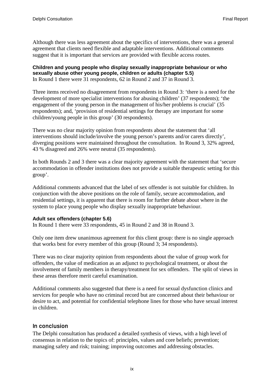Although there was less agreement about the specifics of interventions, there was a general agreement that clients need flexible and adaptable interventions. Additional comments suggest that it is important that services are provided with flexible access routes.

**Children and young people who display sexually inappropriate behaviour or who sexually abuse other young people, children or adults (chapter 5.5)** In Round 1 there were 31 respondents, 62 in Round 2 and 37 in Round 3.

Three items received no disagreement from respondents in Round 3: 'there is a need for the development of more specialist interventions for abusing children' (37 respondents); 'the engagement of the young person in the management of his/her problems is crucial' (35 respondents); and, 'provision of residential settings for therapy are important for some children/young people in this group' (30 respondents).

There was no clear majority opinion from respondents about the statement that 'all interventions should include/involve the young person's parents and/or carers directly', diverging positions were maintained throughout the consultation. In Round 3, 32% agreed, 43 % disagreed and 26% were neutral (35 respondents).

In both Rounds 2 and 3 there was a clear majority agreement with the statement that 'secure accommodation in offender institutions does not provide a suitable therapeutic setting for this group'.

Additional comments advanced that the label of sex offender is not suitable for children. In conjunction with the above positions on the role of family, secure accommodation, and residential settings, it is apparent that there is room for further debate about where in the system to place young people who display sexually inappropriate behaviour.

#### **Adult sex offenders (chapter 5.6)**

In Round 1 there were 33 respondents, 45 in Round 2 and 38 in Round 3.

Only one item drew unanimous agreement for this client group: there is no single approach that works best for every member of this group (Round 3; 34 respondents).

There was no clear majority opinion from respondents about the value of group work for offenders, the value of medication as an adjunct to psychological treatment, or about the involvement of family members in therapy/treatment for sex offenders. The split of views in these areas therefore merit careful examination.

Additional comments also suggested that there is a need for sexual dysfunction clinics and services for people who have no criminal record but are concerned about their behaviour or desire to act, and potential for confidential telephone lines for those who have sexual interest in children.

#### <span id="page-10-0"></span>In conclusion

The Delphi consultation has produced a detailed synthesis of views, with a high level of consensus in relation to the topics of: principles, values and core beliefs; prevention; managing safety and risk; training; improving outcomes and addressing obstacles.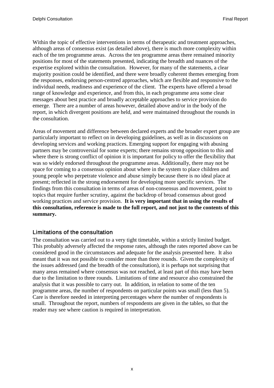Within the topic of effective interventions in terms of therapeutic and treatment approaches, although areas of consensus exist (as detailed above), there is much more complexity within each of the ten programme areas. Across the ten programme areas there remained minority positions for most of the statements presented, indicating the breadth and nuances of the expertise explored within the consultation. However, for many of the statements, a clear majority position could be identified, and there were broadly coherent themes emerging from the responses, endorsing person-centred approaches, which are flexible and responsive to the individual needs, readiness and experience of the client. The experts have offered a broad range of knowledge and experience, and from this, in each programme area some clear messages about best practice and broadly acceptable approaches to service provision do emerge. There are a number of areas however, detailed above and/or in the body of the report, in which divergent positions are held, and were maintained throughout the rounds in the consultation.

Areas of movement and difference between declared experts and the broader expert group are particularly important to reflect on in developing guidelines, as well as in discussions on developing services and working practices. Emerging support for engaging with abusing partners may be controversial for some experts; there remains strong opposition to this and where there is strong conflict of opinion it is important for policy to offer the flexibility that was so widely endorsed throughout the programme areas. Additionally, there may not be space for coming to a consensus opinion about where in the system to place children and young people who perpetrate violence and abuse simply because there is no ideal place at present; reflected in the strong endorsement for developing more specific services. The findings from this consultation in terms of areas of non-consensus and movement, point to topics that require further scrutiny, against the backdrop of broad consensus about good working practices and service provision. **It is very important that in using the results of this consultation, reference is made to the full report, and not just to the contents of this summary.**

### <span id="page-11-0"></span>Limitations of the consultation

The consultation was carried out to a very tight timetable, within a strictly limited budget. This probably adversely affected the response rates, although the rates reported above can be considered good in the circumstances and adequate for the analysis presented here. It also meant that it was not possible to consider more than three rounds. Given the complexity of the issues addressed (and the breadth of the consultation), it is perhaps not surprising that many areas remained where consensus was not reached, at least part of this may have been due to the limitation to three rounds. Limitations of time and resource also constrained the analysis that it was possible to carry out. In addition, in relation to some of the ten programme areas, the number of respondents on particular points was small (less than 5). Care is therefore needed in interpreting percentages where the number of respondents is small. Throughout the report, numbers of respondents are given in the tables, so that the reader may see where caution is required in interpretation.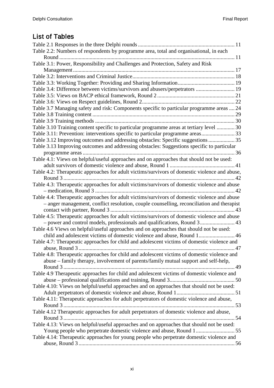# <span id="page-12-0"></span>List of Tables

| Table 2.2: Numbers of respondents by programme area, total and organisational, in each        |
|-----------------------------------------------------------------------------------------------|
|                                                                                               |
| Table 3.1: Power, Responsibility and Challenges and Protection, Safety and Risk               |
|                                                                                               |
|                                                                                               |
|                                                                                               |
| Table 3.4: Difference between victims/survivors and abusers/perpetrators  19                  |
|                                                                                               |
|                                                                                               |
| Table 3.7 Managing safety and risk: Components specific to particular programme areas  24     |
|                                                                                               |
|                                                                                               |
| Table 3.10 Training content specific to particular programme areas at tertiary level  30      |
| Table 3.11: Prevention: interventions specific to particular programme areas 33               |
| Table 3.12 Improving outcomes and addressing obstacles: Specific suggestions  35              |
| Table 3.13 Improving outcomes and addressing obstacles: Suggestions specific to particular    |
|                                                                                               |
| Table 4.1: Views on helpful/useful approaches and on approaches that should not be used:      |
|                                                                                               |
| Table 4.2: Therapeutic approaches for adult victims/survivors of domestic violence and abuse, |
|                                                                                               |
| Table 4.3: Therapeutic approaches for adult victims/survivors of domestic violence and abuse  |
|                                                                                               |
| Table 4.4: Therapeutic approaches for adult victims/survivors of domestic violence and abuse  |
| - anger management, conflict resolution, couple counselling, reconciliation and therapist     |
|                                                                                               |
| Table 4.5: Therapeutic approaches for adult victims/survivors of domestic violence and abuse  |
| - power and control models, professionals and qualifications, Round 3 43                      |
| Table 4.6 Views on helpful/useful approaches and on approaches that should not be used:       |
| child and adolescent victims of domestic violence and abuse, Round 1 46                       |
| Table 4.7: Therapeutic approaches for child and adolescent victims of domestic violence and   |
|                                                                                               |
| Table 4.8: Therapeutic approaches for child and adolescent victims of domestic violence and   |
| abuse – family therapy, involvement of parents/family mutual support and self-help,           |
|                                                                                               |
| Table 4.9 Therapeutic approaches for child and adolescent victims of domestic violence and    |
|                                                                                               |
| Table 4.10: Views on helpful/useful approaches and on approaches that should not be used:     |
|                                                                                               |
| Table 4.11: Therapeutic approaches for adult perpetrators of domestic violence and abuse,     |
|                                                                                               |
| Table 4.12 Therapeutic approaches for adult perpetrators of domestic violence and abuse,      |
|                                                                                               |
| Table 4.13: Views on helpful/useful approaches and on approaches that should not be used:     |
|                                                                                               |
|                                                                                               |
| Table 4.14: Therapeutic approaches for young people who perpetrate domestic violence and      |
|                                                                                               |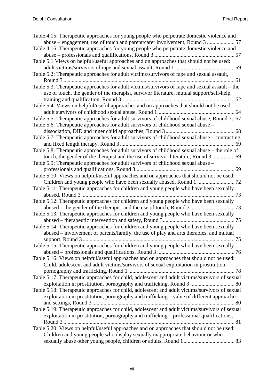| Table 4.15: Therapeutic approaches for young people who perpetrate domestic violence and                                                                                        |
|---------------------------------------------------------------------------------------------------------------------------------------------------------------------------------|
|                                                                                                                                                                                 |
| Table 4.16: Therapeutic approaches for young people who perpetrate domestic violence and                                                                                        |
|                                                                                                                                                                                 |
| Table 5.1 Views on helpful/useful approaches and on approaches that should not be used:                                                                                         |
|                                                                                                                                                                                 |
| Table 5.2: Therapeutic approaches for adult victims/survivors of rape and sexual assault,                                                                                       |
| Table 5.3: Therapeutic approaches for adult victims/survivors of rape and sexual assault – the                                                                                  |
| use of touch, the gender of the therapist, survivor literature, mutual support/self-help,                                                                                       |
|                                                                                                                                                                                 |
| Table 5.4: Views on helpful/useful approaches and on approaches that should not be used:                                                                                        |
|                                                                                                                                                                                 |
| Table 5.5: Therapeutic approaches for adult survivors of childhood sexual abuse, Round 367<br>Table 5.6: Therapeutic approaches for adult survivors of childhood sexual abuse – |
|                                                                                                                                                                                 |
| Table 5.7: Therapeutic approaches for adult survivors of childhood sexual abuse – contracting                                                                                   |
| Table 5.8: Therapeutic approaches for adult survivors of childhood sexual abuse – the role of                                                                                   |
| touch, the gender of the therapist and the use of survivor literature, Round 3  69                                                                                              |
| Table 5.9: Therapeutic approaches for adult survivors of childhood sexual abuse –                                                                                               |
|                                                                                                                                                                                 |
| Table 5.10: Views on helpful/useful approaches and on approaches that should not be used:                                                                                       |
|                                                                                                                                                                                 |
| Table 5.11: Therapeutic approaches for children and young people who have been sexually                                                                                         |
|                                                                                                                                                                                 |
| Table 5.12: Therapeutic approaches for children and young people who have been sexually                                                                                         |
|                                                                                                                                                                                 |
| Table 5.13: Therapeutic approaches for children and young people who have been sexually                                                                                         |
|                                                                                                                                                                                 |
| Table 5.14: Therapeutic approaches for children and young people who have been sexually                                                                                         |
| abused – involvement of parents/family, the use of play and arts therapies, and mutual                                                                                          |
| . 75                                                                                                                                                                            |
| Table 5.15: Therapeutic approaches for children and young people who have been sexually                                                                                         |
|                                                                                                                                                                                 |
| Table 5.16: Views on helpful/useful approaches and on approaches that should not be used:                                                                                       |
| Child, adolescent and adult victims/survivors of sexual exploitation in prostitution,                                                                                           |
|                                                                                                                                                                                 |
| Table 5.17: Therapeutic approaches for child, adolescent and adult victims/survivors of sexual                                                                                  |
| exploitation in prostitution, pornography and trafficking, Round 3  80                                                                                                          |
| Table 5.18: Therapeutic approaches for child, adolescent and adult victims/survivors of sexual                                                                                  |
| exploitation in prostitution, pornography and trafficking - value of different approaches                                                                                       |
|                                                                                                                                                                                 |
| Table 5.19: Therapeutic approaches for child, adolescent and adult victims/survivors of sexual                                                                                  |
| exploitation in prostitution, pornography and trafficking - professional qualifications,                                                                                        |
|                                                                                                                                                                                 |
| Table 5.20: Views on helpful/useful approaches and on approaches that should not be used:                                                                                       |
| Children and young people who display sexually inappropriate behaviour or who                                                                                                   |
|                                                                                                                                                                                 |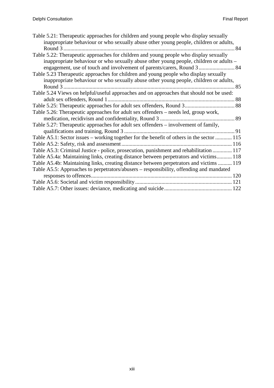| Table 5.21: Therapeutic approaches for children and young people who display sexually<br>inappropriate behaviour or who sexually abuse other young people, children or adults, |
|--------------------------------------------------------------------------------------------------------------------------------------------------------------------------------|
| Round 3<br>84                                                                                                                                                                  |
| Table 5.22: Therapeutic approaches for children and young people who display sexually                                                                                          |
| inappropriate behaviour or who sexually abuse other young people, children or adults –                                                                                         |
|                                                                                                                                                                                |
| Table 5.23 Therapeutic approaches for children and young people who display sexually                                                                                           |
| inappropriate behaviour or who sexually abuse other young people, children or adults,                                                                                          |
| Round 3<br>85                                                                                                                                                                  |
| Table 5.24 Views on helpful/useful approaches and on approaches that should not be used:                                                                                       |
| adult sex offenders, Round 1.<br>88                                                                                                                                            |
| 88                                                                                                                                                                             |
| Table 5.26: Therapeutic approaches for adult sex offenders – needs led, group work,                                                                                            |
|                                                                                                                                                                                |
| Table 5.27: Therapeutic approaches for adult sex offenders – involvement of family,                                                                                            |
|                                                                                                                                                                                |
| Table A5.1: Sector issues – working together for the benefit of others in the sector  115                                                                                      |
| Table A5.2: Safety, risk and assessment.                                                                                                                                       |
| Table A5.3: Criminal Justice - police, prosecution, punishment and rehabilitation  117                                                                                         |
| Table A5.4a: Maintaining links, creating distance between perpetrators and victims 118                                                                                         |
| Table A5.4b: Maintaining links, creating distance between perpetrators and victims  119                                                                                        |
| Table A5.5: Approaches to perpetrators/abusers – responsibility, offending and mandated                                                                                        |
|                                                                                                                                                                                |
|                                                                                                                                                                                |
|                                                                                                                                                                                |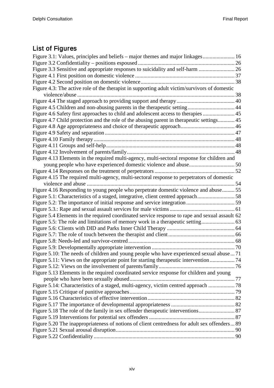# <span id="page-15-0"></span>List of Figures

| Figure 3.1: Values, principles and beliefs – major themes and major linkages 16                |  |
|------------------------------------------------------------------------------------------------|--|
|                                                                                                |  |
| Figure 3.3 Sensitive and appropriate responses to suicidality and self-harm  26                |  |
|                                                                                                |  |
|                                                                                                |  |
| Figure 4.3: The active role of the therapist in supporting adult victim/survivors of domestic  |  |
|                                                                                                |  |
|                                                                                                |  |
|                                                                                                |  |
| Figure 4.6 Safety first approaches to child and adolescent access to therapies  45             |  |
| Figure 4.7 Child protection and the role of the abusing parent in the rapeutic settings 45     |  |
|                                                                                                |  |
|                                                                                                |  |
|                                                                                                |  |
|                                                                                                |  |
|                                                                                                |  |
| Figure 4.13 Elements in the required multi-agency, multi-sectoral response for children and    |  |
|                                                                                                |  |
|                                                                                                |  |
| Figure 4.15 The required multi-agency, multi-sectoral response to perpetrators of domestic     |  |
|                                                                                                |  |
| Figure 4.16 Responding to young people who perpetrate domestic violence and abuse 55           |  |
| Figure 5.1: Characteristics of a staged, integrative, client centred approach58                |  |
|                                                                                                |  |
|                                                                                                |  |
| Figure 5.4 Elements in the required coordinated service response to rape and sexual assault 62 |  |
|                                                                                                |  |
|                                                                                                |  |
|                                                                                                |  |
|                                                                                                |  |
|                                                                                                |  |
| Figure 5.10: The needs of children and young people who have experienced sexual abuse  71      |  |
| Figure 5.11: Views on the appropriate point for starting therapeutic intervention  74          |  |
|                                                                                                |  |
| Figure 5.13 Elements in the required coordinated service response for children and young       |  |
|                                                                                                |  |
| Figure 5.14: Characteristics of a staged, multi-agency, victim centred approach  78            |  |
|                                                                                                |  |
|                                                                                                |  |
|                                                                                                |  |
| Figure 5.18 The role of the family in sex offender therapeutic interventions 87                |  |
|                                                                                                |  |
| Figure 5.20 The inappropriateness of notions of client centredness for adult sex offenders 89  |  |
|                                                                                                |  |
|                                                                                                |  |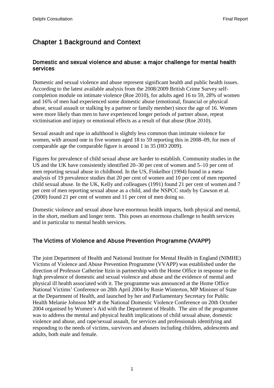# <span id="page-16-0"></span>Chapter 1 Background and Context

### <span id="page-16-1"></span>Domestic and sexual violence and abuse: a major challenge for mental health services

Domestic and sexual violence and abuse represent significant health and public health issues. According to the latest available analysis from the 2008/2009 British Crime Survey selfcompletion module on intimate violence (Roe 2010), for adults aged 16 to 59, 28% of women and 16% of men had experienced some domestic abuse (emotional, financial or physical abuse, sexual assault or stalking by a partner or family member) since the age of 16. Women were more likely than men to have experienced longer periods of partner abuse, repeat victimisation and injury or emotional effects as a result of that abuse (Roe 2010).

Sexual assault and rape in adulthood is slightly less common than intimate violence for women, with around one in five women aged 18 to 59 reporting this in 2008–09, for men of comparable age the comparable figure is around 1 in 35 (HO 2009).

Figures for prevalence of child sexual abuse are harder to establish. Community studies in the US and the UK have consistently identified 20–30 per cent of women and 5–10 per cent of men reporting sexual abuse in childhood. In the US, Finkelhor (1994) found in a metaanalysis of 19 prevalence studies that 20 per cent of women and 10 per cent of men reported child sexual abuse. In the UK, Kelly and colleagues (1991) found 21 per cent of women and 7 per cent of men reporting sexual abuse as a child, and the NSPCC study by Cawson et al. (2000) found 21 per cent of women and 11 per cent of men doing so.

Domestic violence and sexual abuse have enormous health impacts, both physical and mental, in the short, medium and longer term. This poses an enormous challenge to health services and in particular to mental health services.

### <span id="page-16-2"></span>The Victims of Violence and Abuse Prevention Programme (VVAPP)

The joint Department of Health and National Institute for Mental Health in England (NIMHE) Victims of Violence and Abuse Prevention Programme (VVAPP) was established under the direction of Professor Catherine Itzin in partnership with the Home Office in response to the high prevalence of domestic and sexual violence and abuse and the evidence of mental and physical ill health associated with it. The programme was announced at the Home Office National Victims' Conference on 28th April 2004 by Rosie Winterton, MP Minister of State at the Department of Health, and launched by her and Parliamentary Secretary for Public Health Melanie Johnson MP at the National Domestic Violence Conference on 20th October 2004 organised by Women's Aid with the Department of Health. The aim of the programme was to address the mental and physical health implications of child sexual abuse, domestic violence and abuse, and rape/sexual assault, for services and professionals identifying and responding to the needs of victims, survivors and abusers including children, adolescents and adults, both male and female.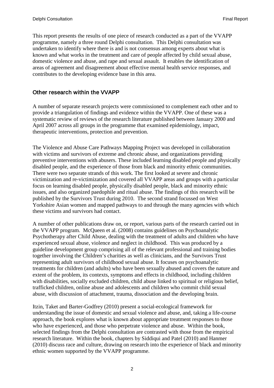This report presents the results of one piece of research conducted as a part of the VVAPP programme, namely a three round Delphi consultation. This Delphi consultation was undertaken to identify where there is and is not consensus among experts about what is known and what works in the treatment and care of people affected by child sexual abuse, domestic violence and abuse, and rape and sexual assault. It enables the identification of areas of agreement and disagreement about effective mental health service responses, and contributes to the developing evidence base in this area.

### <span id="page-17-0"></span>Other research within the VVAPP

A number of separate research projects were commissioned to complement each other and to provide a triangulation of findings and evidence within the VVAPP. One of these was a systematic review of reviews of the research literature published between January 2000 and April 2007 across all groups in the programme that examined epidemiology, impact, therapeutic interventions, protection and prevention.

The Violence and Abuse Care Pathways Mapping Project was developed in collaboration with victims and survivors of extreme and chronic abuse, and organizations providing preventive interventions with abusers. These included learning disabled people and physically disabled people, and the experience of those from black and minority ethnic communities. There were two separate strands of this work. The first looked at severe and chronic victimization and re-victimization and covered all VVAPP areas and groups with a particular focus on learning disabled people, physically disabled people, black and minority ethnic issues, and also organized paedophile and ritual abuse. The findings of this research will be published by the Survivors Trust during 2010. The second strand focussed on West Yorkshire Asian women and mapped pathways to and through the many agencies with which these victims and survivors had contact.

A number of other publications draw on, or report, various parts of the research carried out in the VVAPP program. McQueen et al. (2008) contains guidelines on Psychoanalytic Psychotherapy after Child Abuse, dealing with the treatment of adults and children who have experienced sexual abuse, violence and neglect in childhood. This was produced by a guideline development group comprising all of the relevant professional and training bodies together involving the Children's charities as well as clinicians, and the Survivors Trust representing adult survivors of childhood sexual abuse. It focuses on psychoanalytic treatments for children (and adults) who have been sexually abused and covers the nature and extent of the problem, its contexts, symptoms and effects in childhood, including children with disabilities, socially excluded children, child abuse linked to spiritual or religious belief, trafficked children, online abuse and adolescents and children who commit child sexual abuse, with discussion of attachment, trauma, dissociation and the developing brain.

Itzin, Taket and Barter-Godfrey (2010) present a social-ecological framework for understanding the issue of domestic and sexual violence and abuse, and, taking a life-course approach, the book explores what is known about appropriate treatment responses to those who have experienced, and those who perpetrate violence and abuse. Within the book, selected findings from the Delphi consultation are contrasted with those from the empirical research literature. Within the book, chapters by Siddiqui and Patel (2010) and Hanmer (2010) discuss race and culture, drawing on research into the experience of black and minority ethnic women supported by the VVAPP programme.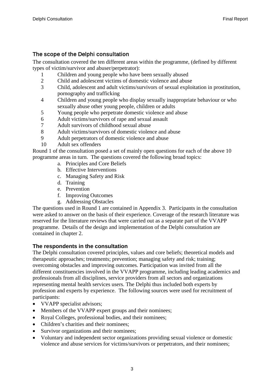### <span id="page-18-0"></span>The scope of the Delphi consultation

The consultation covered the ten different areas within the programme, (defined by different types of victim/survivor and abuser/perpetrator):

- 1 Children and young people who have been sexually abused<br>2 Child and adolescent victims of domestic violence and abused
- 2 Child and adolescent victims of domestic violence and abuse
- 3 Child, adolescent and adult victims/survivors of sexual exploitation in prostitution, pornography and trafficking
- 4 Children and young people who display sexually inappropriate behaviour or who sexually abuse other young people, children or adults
- 5 Young people who perpetrate domestic violence and abuse<br>6 Adult victims/survivors of rape and sexual assault
- Adult victims/survivors of rape and sexual assault
- 7 Adult survivors of childhood sexual abuse
- 8 Adult victims/survivors of domestic violence and abuse
- 9 Adult perpetrators of domestic violence and abuse
- 10 Adult sex offenders

Round 1 of the consultation posed a set of mainly open questions for each of the above 10 programme areas in turn. The questions covered the following broad topics:

- a. Principles and Core Beliefs
- b. Effective Interventions
- c. Managing Safety and Risk
- d. Training
- e. Prevention
- f. Improving Outcomes
- g. Addressing Obstacles

The questions used in Round 1 are contained in Appendix 3. Participants in the consultation were asked to answer on the basis of their experience. Coverage of the research literature was reserved for the literature reviews that were carried out as a separate part of the VVAPP programme. Details of the design and implementation of the Delphi consultation are contained in chapter 2.

#### **The respondents in the consultation**

The Delphi consultation covered principles, values and core beliefs; theoretical models and therapeutic approaches; treatments; prevention; managing safety and risk; training; overcoming obstacles and improving outcomes. Participation was invited from all the different constituencies involved in the VVAPP programme, including leading academics and professionals from all disciplines, service providers from all sectors and organizations representing mental health services users. The Delphi thus included both experts by profession and experts by experience. The following sources were used for recruitment of participants:

- VVAPP specialist advisors;
- Members of the VVAPP expert groups and their nominees;
- Royal Colleges, professional bodies, and their nominees;
- Children's charities and their nominees;
- Survivor organizations and their nominees;
- Voluntary and independent sector organizations providing sexual violence or domestic violence and abuse services for victims/survivors or perpetrators, and their nominees;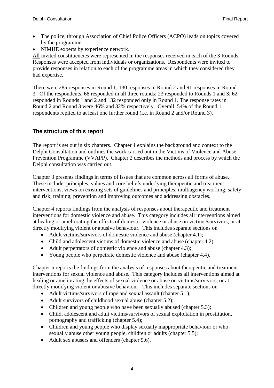- The police, through Association of Chief Police Officers (ACPO) leads on topics covered by the programme;
- NIMHE experts by experience network.

All invited constituencies were represented in the responses received in each of the 3 Rounds. Responses were accepted from individuals or organizations. Respondents were invited to provide responses in relation to each of the programme areas in which they considered they had expertise.

There were 285 responses in Round 1, 130 responses in Round 2 and 91 responses in Round 3. Of the respondents, 68 responded in all three rounds; 23 responded to Rounds 1 and 3; 62 responded in Rounds 1 and 2 and 132 responded only in Round 1. The response rates in Round 2 and Round 3 were 46% and 32% respectively. Overall, 54% of the Round 1 respondents replied to at least one further round (i.e. in Round 2 and/or Round 3).

## <span id="page-19-0"></span>The structure of this report

The report is set out in six chapters. Chapter 1 explains the background and context to the Delphi Consultation and outlines the work carried out in the Victims of Violence and Abuse Prevention Programme (VVAPP). Chapter 2 describes the methods and process by which the Delphi consultation was carried out.

Chapter 3 presents findings in terms of issues that are common across all forms of abuse. These include: principles, values and core beliefs underlying therapeutic and treatment interventions, views on existing sets of guidelines and principles; multiagency working; safety and risk; training; prevention and improving outcomes and addressing obstacles.

Chapter 4 reports findings from the analysis of responses about therapeutic and treatment interventions for domestic violence and abuse. This category includes all interventions aimed at healing or ameliorating the effects of domestic violence or abuse on victims/survivors, or at directly modifying violent or abusive behaviour. This includes separate sections on

- Adult victims/survivors of domestic violence and abuse (chapter 4.1);
- Child and adolescent victims of domestic violence and abuse (chapter 4.2);
- Adult perpetrators of domestic violence and abuse (chapter 4.3);
- Young people who perpetrate domestic violence and abuse (chapter 4.4).

Chapter 5 reports the findings from the analysis of responses about therapeutic and treatment interventions for sexual violence and abuse. This category includes all interventions aimed at healing or ameliorating the effects of sexual violence or abuse on victims/survivors, or at directly modifying violent or abusive behaviour. This includes separate sections on

- Adult victims/survivors of rape and sexual assault (chapter 5.1);
- Adult survivors of childhood sexual abuse (chapter 5.2);
- Children and young people who have been sexually abused (chapter 5.3);
- Child, adolescent and adult victims/survivors of sexual exploitation in prostitution, pornography and trafficking (chapter 5.4);
- Children and young people who display sexually inappropriate behaviour or who sexually abuse other young people, children or adults (chapter 5.5);
- Adult sex abusers and offenders (chapter 5.6).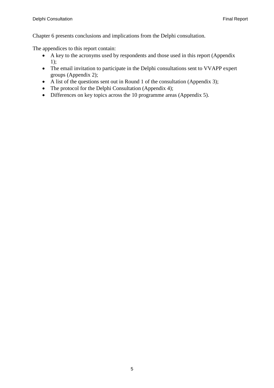Chapter 6 presents conclusions and implications from the Delphi consultation.

The appendices to this report contain:

- A key to the acronyms used by respondents and those used in this report (Appendix 1);
- The email invitation to participate in the Delphi consultations sent to VVAPP expert groups (Appendix 2);
- A list of the questions sent out in Round 1 of the consultation (Appendix 3);
- The protocol for the Delphi Consultation (Appendix 4);
- Differences on key topics across the 10 programme areas (Appendix 5).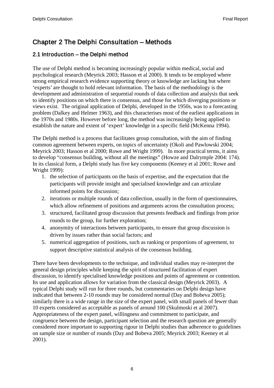# <span id="page-21-0"></span>Chapter 2 The Delphi Consultation – Methods

### <span id="page-21-1"></span>2.1 Introduction – the Delphi method

The use of Delphi method is becoming increasingly popular within medical, social and psychological research (Meyrick 2003; Hasson et al 2000). It tends to be employed where strong empirical research evidence supporting theory or knowledge are lacking but where 'experts' are thought to hold relevant information. The basis of the methodology is the development and administration of sequential rounds of data collection and analysis that seek to identify positions on which there is consensus, and those for which diverging positions or views exist. The original application of Delphi, developed in the 1950s, was to a forecasting problem (Dalkey and Helmer 1963), and this characterises most of the earliest applications in the 1970s and 1980s. However before long, the method was increasingly being applied to establish the nature and extent of 'expert' knowledge in a specific field (McKenna 1994).

The Delphi method is a process that facilitates group consultation, with the aim of finding common agreement between experts, on topics of uncertainty (Okoli and Pawlowski 2004; Meyrick 2003; Hasson et al 2000; Rowe and Wright 1999). In more practical terms, it aims to develop "consensus building, without all the meetings" (Howze and Dalrymple 2004: 174). In its classical form, a Delphi study has five key components (Keeney et al 2001; Rowe and Wright 1999):

- 1. the selection of participants on the basis of expertise, and the expectation that the participants will provide insight and specialised knowledge and can articulate informed points for discussion;
- 2. iterations or multiple rounds of data collection, usually in the form of questionnaires, which allow refinement of positions and arguments across the consultation process;
- 3. structured, facilitated group discussion that presents feedback and findings from prior rounds to the group, for further exploration;
- 4. anonymity of interactions between participants, to ensure that group discussion is driven by issues rather than social factors; and
- 5. numerical aggregation of positions, such as ranking or proportions of agreement, to support descriptive statistical analysis of the consensus building.

There have been developments to the technique, and individual studies may re-interpret the general design principles while keeping the spirit of structured facilitation of expert discussion, to identify specialised knowledge positions and points of agreement or contention. Its use and application allows for variation from the classical design (Meyrick 2003). A typical Delphi study will run for three rounds, but commentaries on Delphi design have indicated that between 2-10 rounds may be considered normal (Day and Bobeva 2005); similarly there is a wide range in the size of the expert panel, with small panels of fewer than 10 experts considered as acceptable as panels of around 100 (Skulmoski et al 2007). Appropriateness of the expert panel, willingness and commitment to participate, and congruence between the design, participant selection and the research question are generally considered more important to supporting rigour in Delphi studies than adherence to guidelines on sample size or number of rounds (Day and Bobeva 2005; Meyrick 2003; Keeney et al 2001).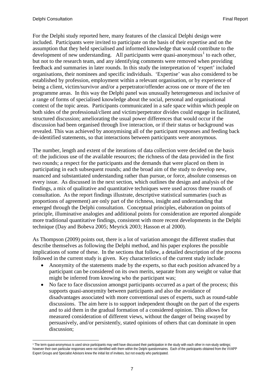-

For the Delphi study reported here, many features of the classical Delphi design were included. Participants were invited to participate on the basis of their expertise and on the assumption that they held specialised and informed knowledge that would contribute to the development of new understanding. All participants were quasi-anonymous<sup>[1](#page-22-0)</sup> to each other, but not to the research team, and any identifying comments were removed when providing feedback and summaries in later rounds. In this study the interpretation of 'expert' included organisations, their nominees and specific individuals. 'Expertise' was also considered to be established by profession, employment within a relevant organisation, or by experience of being a client, victim/survivor and/or a perpetrator/offender across one or more of the ten programme areas. In this way the Delphi panel was unusually heterogeneous and inclusive of a range of forms of specialised knowledge about the social, personal and organisational context of the topic areas. Participants communicated in a safe space within which people on both sides of the professional/client and victim/perpetrator divides could engage in facilitated, structured discussion; ameliorating the usual power differences that would occur if the discussion had been organised through live interaction, or if their status or background was revealed. This was achieved by anonymising all of the participant responses and feeding back de-identified statements, so that interactions between participants were anonymous.

The number, length and extent of the iterations of data collection were decided on the basis of: the judicious use of the available resources; the richness of the data provided in the first two rounds; a respect for the participants and the demands that were placed on them in participating in each subsequent rounds; and the broad aim of the study to develop new, nuanced and substantiated understanding rather than pursue, or force, absolute consensus on every issue. As discussed in the next section, which outlines the design and analysis of the findings, a mix of qualitative and quantitative techniques were used across three rounds of consultation. As the report findings illustrate, descriptive statistical summaries (such as proportions of agreement) are only part of the richness, insight and understanding that emerged through the Delphi consultation. Conceptual principles, elaboration on points of principle, illuminative analogies and additional points for consideration are reported alongside more traditional quantitative findings, consistent with more recent developments in the Delphi technique (Day and Bobeva 2005; Meyrick 2003; Hasson et al 2000).

As Thompson (2009) points out, there is a lot of variation amongst the different studies that describe themselves as following the Delphi method, and his paper explores the possible implications of some of these. In the sections that follow, a detailed description of the process followed in the current study is given. Key characteristics of the current study include:

- Anonymity of the statements made by the experts, so that each position advanced by a participant can be considered on its own merits, separate from any weight or value that might be inferred from knowing who the participant was;
- No face to face discussion amongst participants occurred as a part of the process; this supports quasi-anonymity between participants and also the avoidance of disadvantages associated with more conventional uses of experts, such as round-table discussions. The aim here is to support independent thought on the part of the experts and to aid them in the gradual formation of a considered opinion. This allows for measured consideration of different views, without the danger of being swayed by persuasively, and/or persistently, stated opinions of others that can dominate in open discussion;

<span id="page-22-0"></span><sup>1</sup> The term quasi-anonymous is used since participants may well have discussed their participation in the study with each other in non-study settings; however their own particular responses were not identified with them within the Delphi questionnaires. Each of the participants obtained from the VVAPP Expert Groups and Specialist Advisors knew the initial list of invitees, but not exactly who participated.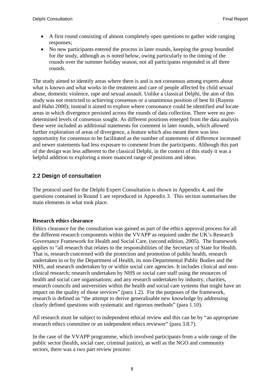- A first round consisting of almost completely open questions to gather wide ranging responses;
- No new participants entered the process in later rounds, keeping the group bounded for the study, although as is noted below, owing particularly to the timing of the rounds over the summer holiday season, not all participants responded in all three rounds.

The study aimed to identify areas where there is and is not consensus among experts about what is known and what works in the treatment and care of people affected by child sexual abuse, domestic violence, rape and sexual assault. Unlike a classical Delphi, the aim of this study was not restricted to achieving consensus or a unanimous position of best fit (Rayens and Hahn 2000); instead it aimed to explore where consonance could be identified *and* locate areas in which divergence persisted across the rounds of data collection. There were no predetermined levels of consensus sought. As different positions emerged from the data analysis these were included as additional statements for comment in later rounds, which allowed further exploration of areas of divergence, a feature which also meant there was less opportunity for consensus to be facilitated as the number of statements of difference increased and newer statements had less exposure to comment from the participants. Although this part of the design was less adherent to the classical Delphi, in the context of this study it was a helpful addition to exploring a more nuanced range of positions and ideas.

### <span id="page-23-0"></span>2.2 Design of consultation

The protocol used for the Delphi Expert Consultation is shown in Appendix 4, and the questions contained in Round 1 are reproduced in Appendix 3. This section summarises the main elements in what took place.

### **Research ethics clearance**

Ethics clearance for the consultation was gained as part of the ethics approval process for all the different research components within the VVAPP as required under the UK's Research Governance Framework for Health and Social Care, (second edition, 2005). The framework applies to "all research that relates to the responsibilities of the Secretary of State for Health. That is, research concerned with the protection and promotion of public health, research undertaken in or by the Department of Health, its non-Departmental Public Bodies and the NHS, and research undertaken by or within social care agencies. It includes clinical and nonclinical research; research undertaken by NHS or social care staff using the resources of health and social care organisations; and any research undertaken by industry, charities, research councils and universities within the health and social care systems that might have an impact on the quality of those services" (para 1.2). For the purposes of the framework, research is defined as "the attempt to derive generalisable new knowledge by addressing clearly defined questions with systematic and rigorous methods" (para 1.10).

All research must be subject to independent ethical review and this can be by "an appropriate research ethics committee or an independent ethics reviewer" (para 3.8.7).

In the case of the VVAPP programme, which involved participants from a wide range of the public sector (health, social care, criminal justice), as well as the NGO and community sectors, there was a two part review process: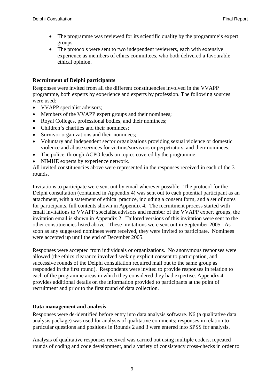- The programme was reviewed for its scientific quality by the programme's expert groups.
- The protocols were sent to two independent reviewers, each with extensive experience as members of ethics committees, who both delivered a favourable ethical opinion.

#### **Recruitment of Delphi participants**

Responses were invited from all the different constituencies involved in the VVAPP programme, both experts by experience and experts by profession. The following sources were used:

- VVAPP specialist advisors;
- Members of the VVAPP expert groups and their nominees;
- Royal Colleges, professional bodies, and their nominees;
- Children's charities and their nominees;
- Survivor organizations and their nominees;
- Voluntary and independent sector organizations providing sexual violence or domestic violence and abuse services for victims/survivors or perpetrators, and their nominees;
- The police, through ACPO leads on topics covered by the programme;
- NIMHE experts by experience network.

All invited constituencies above were represented in the responses received in each of the 3 rounds.

Invitations to participate were sent out by email wherever possible. The protocol for the Delphi consultation (contained in Appendix 4) was sent out to each potential participant as an attachment, with a statement of ethical practice, including a consent form, and a set of notes for participants, full contents shown in Appendix 4. The recruitment process started with email invitations to VVAPP specialist advisors and member of the VVAPP expert groups, the invitation email is shown in Appendix 2. Tailored versions of this invitation were sent to the other constituencies listed above. These invitations were sent out in September 2005. As soon as any suggested nominees were received, they were invited to participate. Nominees were accepted up until the end of December 2005.

Responses were accepted from individuals or organizations. No anonymous responses were allowed (the ethics clearance involved seeking explicit consent to participation, and successive rounds of the Delphi consultation required mail out to the same group as responded in the first round). Respondents were invited to provide responses in relation to each of the programme areas in which they considered they had expertise. Appendix 4 provides additional details on the information provided to participants at the point of recruitment and prior to the first round of data collection.

#### **Data management and analysis**

Responses were de-identified before entry into data analysis software. N6 (a qualitative data analysis package) was used for analysis of qualitative comments; responses in relation to particular questions and positions in Rounds 2 and 3 were entered into SPSS for analysis.

Analysis of qualitative responses received was carried out using multiple coders, repeated rounds of coding and code development, and a variety of consistency cross-checks in order to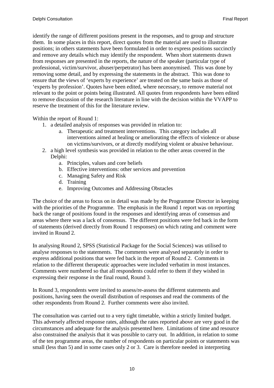identify the range of different positions present in the responses, and to group and structure them. In some places in this report, direct quotes from the material are used to illustrate positions; in others statements have been formulated in order to express positions succinctly and remove any details which may identify the respondent. When short statements drawn from responses are presented in the reports, the nature of the speaker (particular type of professional, victim/survivor, abuser/perpetrator) has been anonymised. This was done by removing some detail, and by expressing the statements in the abstract. This was done to ensure that the views of 'experts by experience' are treated on the same basis as those of 'experts by profession'. Quotes have been edited, where necessary, to remove material not relevant to the point or points being illustrated. All quotes from respondents have been edited to remove discussion of the research literature in line with the decision within the VVAPP to reserve the treatment of this for the literature review.

Within the report of Round 1:

- 1. a detailed analysis of responses was provided in relation to:
	- a. Therapeutic and treatment interventions. This category includes all interventions aimed at healing or ameliorating the effects of violence or abuse on victims/survivors, or at directly modifying violent or abusive behaviour.
- 2. a high level synthesis was provided in relation to the other areas covered in the Delphi:
	- a. Principles, values and core beliefs
	- b. Effective interventions: other services and prevention
	- c. Managing Safety and Risk
	- d. Training
	- e. Improving Outcomes and Addressing Obstacles

The choice of the areas to focus on in detail was made by the Programme Director in keeping with the priorities of the Programme. The emphasis in the Round 1 report was on reporting back the range of positions found in the responses and identifying areas of consensus and areas where there was a lack of consensus. The different positions were fed back in the form of statements (derived directly from Round 1 responses) on which rating and comment were invited in Round 2.

In analysing Round 2, SPSS (Statistical Package for the Social Sciences) was utilised to analyse responses to the statements. The comments were analysed separately in order to express additional positions that were fed back in the report of Round 2. Comments in relation to the different therapeutic approaches were included verbatim in most instances. Comments were numbered so that all respondents could refer to them if they wished in expressing their response in the final round, Round 3.

In Round 3, respondents were invited to assess/re-assess the different statements and positions, having seen the overall distribution of responses and read the comments of the other respondents from Round 2. Further comments were also invited.

The consultation was carried out to a very tight timetable, within a strictly limited budget. This adversely affected response rates, although the rates reported above are very good in the circumstances and adequate for the analysis presented here. Limitations of time and resource also constrained the analysis that it was possible to carry out. In addition, in relation to some of the ten programme areas, the number of respondents on particular points or statements was small (less than 5) and in some cases only 2 or 3. Care is therefore needed in interpreting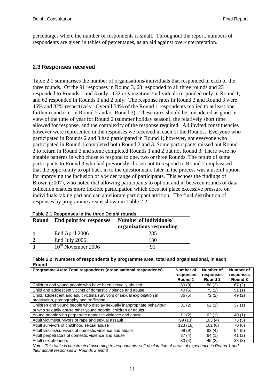percentages where the number of respondents is small. Throughout the report, numbers of respondents are given in tables of percentages, as an aid against over-interpretation.

### <span id="page-26-0"></span>2.3 Responses received

Table 2.1 summarises the number of organisations/individuals that responded in each of the three rounds. Of the 91 responses in Round 3, 68 responded to all three rounds and 23 responded to Rounds 1 and 3 only. 132 organizations/individuals responded only in Round 1, and 62 responded in Rounds 1 and 2 only. The response rates in Round 2 and Round 3 were 46% and 32% respectively. Overall 54% of the Round 1 respondents replied to at least one further round (i.e. in Round 2 and/or Round 3). These rates should be considered as good in view of the time of year for Round 2 (summer holiday season), the relatively short time allowed for response, and the complexity of the response required. All invited constituencies however were represented in the responses we received in each of the Rounds. Everyone who participated in Rounds 2 and 3 had participated in Round 1; however, not everyone who participated in Round 1 completed both Round 2 and 3. Some participants missed out Round 2 to return in Round 3 and some completed Rounds 1 and 2 but not Round 3. There were no notable patterns in who chose to respond to one, two or three Rounds. The return of some participants to Round 3 who had previously chosen not to respond to Round 2 emphasised that the opportunity to opt back in to the questionnaire later in the process was a useful option for improving the inclusion of a wider range of participants. This echoes the findings of Brown (2007), who noted that allowing participants to opt out and in between rounds of data collection enables more flexible participation which does not place excessive pressure on individuals taking part and can ameliorate participant attrition. The final distribution of responses by programme area is shown in Table 2.2.

| Round | End point for responses | Number of individuals/<br>organizations responding |
|-------|-------------------------|----------------------------------------------------|
|       | End April 2006          | 285                                                |
|       | End July 2006           | 130                                                |
|       | $10^{th}$ November 2006 |                                                    |

<span id="page-26-1"></span>

| Table 2.1 Responses in the three Delphi rounds |  |
|------------------------------------------------|--|
|------------------------------------------------|--|

<span id="page-26-2"></span>

| Table 2.2: Numbers of respondents by programme area, total and organisational, in each |  |
|----------------------------------------------------------------------------------------|--|
| Round                                                                                  |  |

| Programme Area: Total respondents (organisational respondents)          | Number of | Number of | Number of |
|-------------------------------------------------------------------------|-----------|-----------|-----------|
|                                                                         | responses | responses | responses |
|                                                                         | Round 1   | Round 2   | Round 3   |
| Children and young people who have been sexually abused                 | 60(9)     | 88(2)     | 67(2)     |
| Child and adolescent victims of domestic violence and abuse             | 40(5)     | 75(2)     | 51(1)     |
| Child, adolescent and adult victims/survivors of sexual exploitation in | 36(5)     | 72(2)     | 49 (2)    |
| prostitution, pornography and trafficking                               |           |           |           |
| Children and young people who display sexually inappropriate behaviour  | 31(2)     | 62(1)     | 37(1)     |
| or who sexually abuse other young people, children or adults            |           |           |           |
| Young people who perpetrate domestic violence and abuse                 | 11 $(2)$  | 62(1)     | 40(1)     |
| Adult victims/survivors of rape and sexual assault                      | 99(13)    | 103(4)    | 73 (5)    |
| Adult survivors of childhood sexual abuse                               | 123 (16)  | 102(6)    | 70 (6)    |
| Adult victims/survivors of domestic violence and abuse                  | 99(9)     | 83(4)     | 54 (5)    |
| Adult perpetrators of domestic violence and abuse                       | 37(4)     | 64(1)     | 41 $(2)$  |
| Adult sex offenders                                                     | 33(4)     | 45(2)     | 38(3)     |

*Note: This table is constructed according to respondents' self-declaration of areas of experience in Round 1 and their actual responses in Rounds 2 and 3*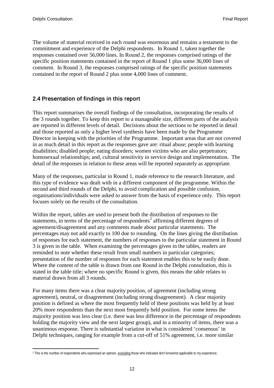-

The volume of material received in each round was enormous and remains a testament to the commitment and experience of the Delphi respondents. In Round 1, taken together the responses contained over 56,000 lines. In Round 2, the responses comprised ratings of the specific position statements contained in the report of Round 1 plus some 36,000 lines of comment. In Round 3, the responses comprised ratings of the specific position statements contained in the report of Round 2 plus some 4,000 lines of comment.

### <span id="page-27-0"></span>2.4 Presentation of findings in this report

This report summarises the overall findings of the consultation, incorporating the results of the 3 rounds together. To keep this report to a manageable size, different parts of the analysis are reported in different levels of detail. Decisions about the sections to be reported in detail and those reported as only a higher level synthesis have been made by the Programme Director in keeping with the priorities of the Programme. Important areas that are not covered in as much detail in this report as the responses gave are: ritual abuse; people with learning disabilities; disabled people; eating disorders; women victims who are also perpetrators; homosexual relationships; and, cultural sensitivity in service design and implementation. The detail of the responses in relation to these areas will be reported separately as appropriate.

Many of the responses, particular in Round 1, made reference to the research literature, and this type of evidence was dealt with in a different component of the programme. Within the second and third rounds of the Delphi, to avoid complication and possible confusion, organisations/individuals were asked to answer from the basis of experience only. This report focuses solely on the results of the consultation.

Within the report, tables are used to present both the distribution of responses to the statements, in terms of the percentage of respondents<sup>[2](#page-27-1)</sup> affirming different degrees of agreement/disagreement and any comments made about particular statements. The percentages may not add exactly to 100 due to rounding. On the lines giving the distribution of responses for each statement, the numbers of responses to the particular statement in Round 3 is given in the table. When examining the percentages given in the tables, readers are reminded to note whether these result from small numbers in particular categories; presentation of the number of responses for each statement enables this to be easily done. Where the content of the table is drawn from one Round in the Delphi consultation, this is stated in the table title; where no specific Round is given, this means the table relates to material drawn from all 3 rounds.

For many items there was a clear majority position, of agreement (including strong agreement), neutral, or disagreement (including strong disagreement). A clear majority position is defined as where the most frequently held of these positions was held by at least 20% more respondents than the next most frequently held position. For some items the majority position was less clear (i.e. there was less difference in the percentage of respondents holding the majority view and the next largest group), and in a minority of items, there was a unanimous response. There is substantial variation in what is considered 'consensus' in Delphi techniques, ranging for example from a cut-off of 51% agreement, i.e. more similar

<span id="page-27-1"></span><sup>&</sup>lt;sup>2</sup> This is the number of respondents who expressed an opinion, excluding those who indicated don't know/not applicable to my experience.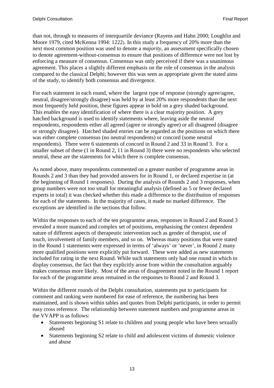than not, through to measures of interquartile deviance (Rayens and Hahn 2000; Loughlin and Moore 1979, cited McKenna 1994: 1222). In this study a frequency of 20% more than the next most common position was used to denote a *majority*, an assessment specifically chosen to denote agreement-without-consensus to ensure that positions of difference were not lost by enforcing a measure of consensus. Consensus was only perceived if there was a unanimous agreement. This places a slightly different emphasis on the role of consensus in the analysis compared to the classical Delphi; however this was seen as appropriate given the stated aims of the study, to identify both consensus and divergence.

For each statement in each round, where the largest type of response (strongly agree/agree, neutral, disagree/strongly disagree) was held by at least 20% more respondents than the next most frequently held position, these figures appear in bold on a grey shaded background. This enables the easy identification of where there is a clear majority position. A grey hatched background is used to identify statements where, leaving aside the neutral respondents, respondents either all agreed (agree or strongly agree) or all disagreed (disagree or strongly disagree). Hatched shaded entries can be regarded as the positions on which there was either complete consensus (no neutral respondents) or concord (some neutral respondents). There were 6 statements of concord in Round 2 and 33 in Round 3. For a smaller subset of these (1 in Round 2, 11 in Round 3) there were no respondents who selected neutral, these are the statements for which there is complete consensus.

As noted above, many respondents commented on a greater number of programme areas in Rounds 2 and 3 than they had provided answers for in Round 1, or declared expertise in (at the beginning of Round 1 responses). During the analysis of Rounds 2 and 3 responses, when group numbers were not too small for meaningful analysis (defined as 5 or fewer declared experts in total) it was checked whether this made a difference to the distribution of responses for each of the statements. In the majority of cases, it made no marked difference. The exceptions are identified in the sections that follow.

Within the responses to each of the ten programme areas, responses in Round 2 and Round 3 revealed a more nuanced and complex set of positions, emphasising the context dependent nature of different aspects of therapeutic intervention such as gender of therapist, use of touch, involvement of family members, and so on. Whereas many positions that were stated in the Round 1 statements were expressed in terms of 'always' or 'never', in Round 2 many more qualified positions were explicitly put forward. These were added as new statements included for rating in the next Round. While such statements only had one round in which to display consensus, the fact that they explicitly arose from within the consultation arguably makes consensus more likely. Most of the areas of disagreement noted in the Round 1 report for each of the programme areas remained in the responses to Round 2 and Round 3.

Within the different rounds of the Delphi consultation, statements put to participants for comment and ranking were numbered for ease of reference, the numbering has been maintained, and is shown within tables and quotes from Delphi participants, in order to permit easy cross reference. The relationship between statement numbers and programme areas in the VVAPP is as follows:

- Statements beginning S1 relate to children and young people who have been sexually abused
- Statements beginning S2 relate to child and adolescent victims of domestic violence and abuse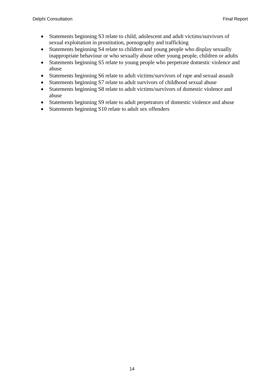- Statements beginning S3 relate to child, adolescent and adult victims/survivors of sexual exploitation in prostitution, pornography and trafficking
- Statements beginning S4 relate to children and young people who display sexually inappropriate behaviour or who sexually abuse other young people, children or adults
- Statements beginning S5 relate to young people who perpetrate domestic violence and abuse
- Statements beginning S6 relate to adult victims/survivors of rape and sexual assault
- Statements beginning S7 relate to adult survivors of childhood sexual abuse
- Statements beginning S8 relate to adult victims/survivors of domestic violence and abuse
- Statements beginning S9 relate to adult perpetrators of domestic violence and abuse
- Statements beginning S10 relate to adult sex offenders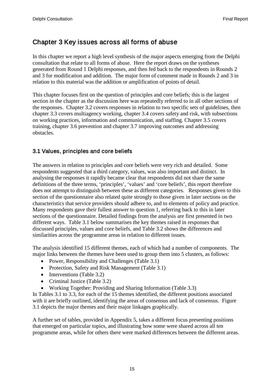# <span id="page-30-0"></span>Chapter 3 Key issues across all forms of abuse

In this chapter we report a high level synthesis of the major aspects emerging from the Delphi consultation that relate to all forms of abuse. Here the report draws on the syntheses generated from Round 1 Delphi responses, and then fed back to the respondents in Rounds 2 and 3 for modification and addition. The major form of comment made in Rounds 2 and 3 in relation to this material was the addition or amplification of points of detail.

This chapter focuses first on the question of principles and core beliefs; this is the largest section in the chapter as the discussion here was repeatedly referred to in all other sections of the responses. Chapter 3.2 covers responses in relation to two specific sets of guidelines, then chapter 3.3 covers multiagency working, chapter 3.4 covers safety and risk, with subsections on working practices, information and communication, and staffing. Chapter 3.5 covers training, chapter 3.6 prevention and chapter 3.7 improving outcomes and addressing obstacles.

### <span id="page-30-1"></span>3.1 Values, principles and core beliefs

The answers in relation to principles and core beliefs were very rich and detailed. Some respondents suggested that a third category, values, was also important and distinct. In analysing the responses it rapidly became clear that respondents did not share the same definitions of the three terms, 'principles', 'values' and 'core beliefs', this report therefore does not attempt to distinguish between these as different categories. Responses given to this section of the questionnaire also related quite strongly to those given in later sections on the characteristics that service providers should adhere to, and to elements of policy and practice. Many respondents gave their fullest answer to question 1, referring back to this in later sections of the questionnaire. Detailed findings from the analysis are first presented in two different ways. Table 3.1 below summarises the key themes raised in responses that discussed principles, values and core beliefs, and Table 3.2 shows the differences and similarities across the programme areas in relation to different issues.

The analysis identified 15 different themes, each of which had a number of components. The major links between the themes have been used to group them into 5 clusters, as follows:

- Power, Responsibility and Challenges (Table 3.1)
- Protection, Safety and Risk Management (Table 3.1)
- Interventions (Table 3.2)
- Criminal Justice (Table 3.2)
- Working Together: Providing and Sharing Information (Table 3.3)

In Tables 3.1 to 3.3, for each of the 15 themes identified, the different positions associated with it are briefly outlined, identifying the areas of consensus and lack of consensus. Figure 3.1 depicts the major themes and their major linkages graphically.

A further set of tables, provided in Appendix 5, takes a different focus presenting positions that emerged on particular topics, and illustrating how some were shared across all ten programme areas, while for others there were marked differences between the different areas.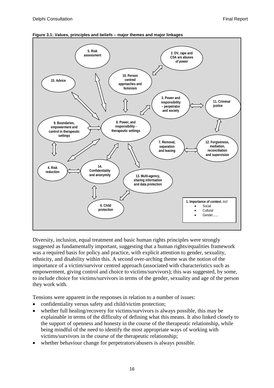

<span id="page-31-0"></span>

Diversity, inclusion, equal treatment and basic human rights principles were strongly suggested as fundamentally important, suggesting that a human rights/equalities framework was a required basis for policy and practice, with explicit attention to gender, sexuality, ethnicity, and disability within this. A second over-arching theme was the notion of the importance of a victim/survivor centred approach (associated with characteristics such as empowerment, giving control and choice to victims/survivors); this was suggested, by some, to include choice for victims/survivors in terms of the gender, sexuality and age of the person they work with.

Tensions were apparent in the responses in relation to a number of issues:

- confidentiality versus safety and child/victim protection;
- whether full healing/recovery for victims/survivors is always possible, this may be explainable in terms of the difficulty of defining what this means. It also linked closely to the support of openness and honesty in the course of the therapeutic relationship, while being mindful of the need to identify the most appropriate ways of working with victims/survivors in the course of the therapeutic relationship;
- whether behaviour change for perpetrators/abusers is always possible.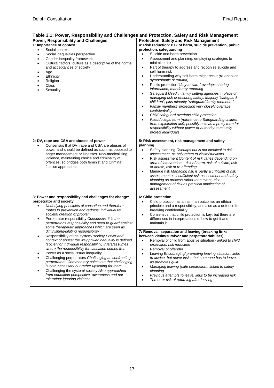#### <span id="page-32-0"></span>**Table 3.1: Power, Responsibility and Challenges and Protection, Safety and Risk Management**

| rabic o.r. rower, neoponoibility and Onalicityco              | and Frotochon, barcty and mon-management                               |
|---------------------------------------------------------------|------------------------------------------------------------------------|
| Power, Responsibility and Challenges                          | <b>Protection, Safety and Risk Management</b>                          |
| 1: Importance of context                                      | 4: Risk reduction: risk of harm, suicide prevention, public            |
| Social context                                                | protection, safeguarding                                               |
| Social inequalities perspective                               | Suicide and harm prevention<br>$\bullet$                               |
| Gender inequality framework                                   | Assessment and planning, employing strategies to<br>$\bullet$          |
| Cultural factors, culture as a descriptive of the norms       | minimize risk                                                          |
| and acceptances of society                                    | Part of therapy to address and recognise suicide and<br>$\bullet$      |
| Age                                                           | self harm risk                                                         |
| Ethnicity                                                     | Understanding why self harm might occur (re-enact or<br>$\bullet$      |
| Religion                                                      | symptomatic of trauma)                                                 |
| Class                                                         | Public protection "duty to warn" overlaps sharing<br>$\bullet$         |
| Sexuality                                                     | information, mandatory reporting                                       |
|                                                               | Safeguard Used in family setting agencies in place of<br>$\bullet$     |
|                                                               | managing risk or ensuring safety. Majority "safeguard                  |
|                                                               | children", plus minority "safeguard family members".                   |
|                                                               | Family members' protection very closely overlaps<br>$\bullet$          |
|                                                               | confidentiality                                                        |
|                                                               | Child safeguard overlaps child protection.<br>$\bullet$                |
|                                                               | Pseudo legal term (reference to Safeguarding children<br>$\bullet$     |
|                                                               | from exploitation act), possibly acts as a proxy term for              |
|                                                               | responsibility without power or authority to actually                  |
|                                                               | protect individuals                                                    |
|                                                               |                                                                        |
| 2: DV, rape and CSA are abuses of power                       | 5: Risk assessment, risk management and safety                         |
| Consensus that DV, rape and CSA are abuses of<br>$\bullet$    | planning                                                               |
| power and should be defined as such, as opposed to            | Safety planning Overlaps but is not identical to risk<br>$\bullet$     |
| anger management or illnesses. Non-medicalising               | assessment, as only refers to victim/survivors                         |
| violence, maintaining choice and criminality of               | Risk assessment Content of risk varies depending on<br>$\bullet$       |
| offences, so bridges both feminist and Criminal               | area of intervention - risk of harm, risk of suicide, risk             |
| Justice approaches                                            | of abuse, risk of re-offending                                         |
|                                                               | Manage risk Managing risk is partly a criticism of risk<br>$\bullet$   |
|                                                               | assessment as insufficient risk assessment and safety                  |
|                                                               | planning as process rather than event, also                            |
|                                                               | management of risk as practical application of                         |
|                                                               | assessment                                                             |
|                                                               |                                                                        |
| 3: Power and responsibility and challenges for change:        | 6: Child protection                                                    |
| perpetrator and society                                       | Child protection as an aim, an outcome, an ethical<br>$\bullet$        |
| Underlying principles of causation and therefore<br>$\bullet$ | principle and a responsibility, and also as a defence for              |
| routes to prevention and redress: individual vs               | breaking confidentiality                                               |
| societal creation of problem.                                 | Consensus that child protection is key, but there are<br>$\bullet$     |
| Perpetrator responsibility Consensus, it is the               | differences in interpretations of how to get it and                    |
| perpetrator's responsibility and need to guard against        | maintain it                                                            |
| some therapeutic approaches which are seen as                 |                                                                        |
| diminishing/diluting responsibility                           | 7: Removal, separation and leaving (breaking links                     |
| Responsibility of the system/ society Power and               | between victim/survivor and perpetrator/abuser)                        |
| context of abuse: the way power inequality is defined         | Removal of child from abusive situation - linked to child<br>$\bullet$ |
| (society or individual responsibility) infers/assumes         | protection, risk reduction                                             |
| where the responsibility for causation comes from             | Removal of offender                                                    |
| Power as a social issue/ inequality                           | Leaving Encouraging/ promoting leaving situation, links<br>$\bullet$   |
| Challenging perpetrators Challenging as confronting           | to advice: but never insist that someone has to leave                  |
| perpetrators. Commentary points out that challenging          | as promotes guilt                                                      |
| is both necessary but rather upsetting for them               | Managing leaving (safe separation), linked to safety<br>$\bullet$      |
| Challenging the system/ society Also approached               | planning                                                               |
| from education perspective, awareness and not                 | Previous attempts to leave, links to be increased risk<br>٠            |
| tolerating/ ignoring violence                                 | Threat or risk of returning after leaving                              |
|                                                               |                                                                        |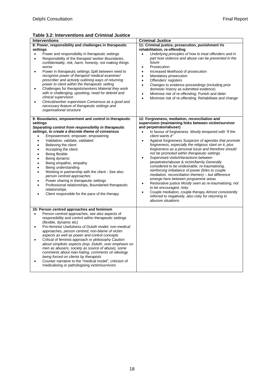#### <span id="page-33-0"></span>**Table 3.2: Interventions and Criminal Justice**

| <b>Interventions</b>                                                                                                                                                                                                                                                                                                                                                                                                                                                                                                                                                                                                                                                                                                                      | <b>Criminal Justice</b>                                                                                                                                                                                                                                                                                                                                                                                                                                                                                                                                                                                                                                                                                                                                                                                                                                                                                                                                                                                                             |
|-------------------------------------------------------------------------------------------------------------------------------------------------------------------------------------------------------------------------------------------------------------------------------------------------------------------------------------------------------------------------------------------------------------------------------------------------------------------------------------------------------------------------------------------------------------------------------------------------------------------------------------------------------------------------------------------------------------------------------------------|-------------------------------------------------------------------------------------------------------------------------------------------------------------------------------------------------------------------------------------------------------------------------------------------------------------------------------------------------------------------------------------------------------------------------------------------------------------------------------------------------------------------------------------------------------------------------------------------------------------------------------------------------------------------------------------------------------------------------------------------------------------------------------------------------------------------------------------------------------------------------------------------------------------------------------------------------------------------------------------------------------------------------------------|
| 8: Power, responsibility and challenges in therapeutic                                                                                                                                                                                                                                                                                                                                                                                                                                                                                                                                                                                                                                                                                    | 11: Criminal justice, prosecution, punishment Vs                                                                                                                                                                                                                                                                                                                                                                                                                                                                                                                                                                                                                                                                                                                                                                                                                                                                                                                                                                                    |
| settings<br>Power and responsibility in therapeutic settings<br>$\bullet$<br>Responsibility of the therapist/ worker Boundaries,<br>$\bullet$<br>confidentiality, risk, harm, honesty, not making things<br>worse                                                                                                                                                                                                                                                                                                                                                                                                                                                                                                                         | rehabilitation, re-offending<br>Underlying principles of how to treat offenders and in<br>$\bullet$<br>part how violence and abuse can be prevented in the<br>future<br>Prosecution<br>$\bullet$                                                                                                                                                                                                                                                                                                                                                                                                                                                                                                                                                                                                                                                                                                                                                                                                                                    |
| Power in therapeutic settings Split between need to<br>$\bullet$<br>recognise power of therapist/ medical examiner/<br>prescriber and actively outlining ways of returning<br>power to client within the therapeutic setting<br>Challenges for therapists/workers Material they work<br>with is challenging, upsetting; need for debrief and<br>clinical supervision<br>Clinical/worker supervision Consensus as a good and<br>necessary feature of therapeutic settings and<br>organisational structure                                                                                                                                                                                                                                  | Increased likelihood of prosecution<br>$\bullet$<br>Mandatory prosecution<br>$\bullet$<br>Offenders' registers<br>$\bullet$<br>Changes to evidence proceedings (including prior<br>$\bullet$<br>domestic history as submitted evidence)<br>Minimise risk of re-offending: Punish and deter<br>$\bullet$<br>Minimise risk of re-offending: Rehabilitate and change<br>$\bullet$                                                                                                                                                                                                                                                                                                                                                                                                                                                                                                                                                                                                                                                      |
| 9: Boundaries, empowerment and control in therapeutic<br>settinas<br>Separating control from responsibility in therapeutic<br>settings, to create a discrete theme of consensus<br>Empowerment, empower, empowering<br>Validation, validate, validated<br>Believing the client<br>Accepting the client<br>Being flexible<br>Being dynamic<br>Being empathic, empathy<br>Being understanding<br>Working in partnership with the client - See also<br>person centred approaches<br>Power sharing in therapeutic settings<br>Professional relationships, Boundaried therapeutic<br>relationships<br>Client responsible for the pace of the therapy                                                                                           | 12: Forgiveness, mediation, reconciliation and<br>supervision (maintaining links between victim/survivor<br>and perpetrator/abuser)<br>In favour of forgiveness Mostly tempered with "if the<br>$\bullet$<br>client wants it"<br>Against forgiveness Suspicion of agendas that promote<br>$\bullet$<br>forgiveness, especially the religious slant on it, plus<br>forgiveness as a personal issue and therefore should<br>not be promoted within therapeutic settings<br>Supervised visits/interactions between<br>$\bullet$<br>perpetrator/abuser & victim/family Generally<br>considered to be undesirable, re-traumatising,<br>reinforcing imbalance of power (links to couple<br>mediation, reconciliation themes) - but difference<br>emerge here between programme areas<br>Restorative justice Mostly seen as re-traumatising, not<br>$\bullet$<br>to be encouraged, risky<br>Couple mediation, couple therapy Almost consistently<br>$\bullet$<br>referred to negatively, also risky for returning to<br>abusive situations |
| 10: Person centred approaches and feminism<br>Person centred approaches, see also aspects of<br>responsibility and control within therapeutic settings<br>(flexible, dynamic etc)<br>Pro-feminist Usefulness of Duluth model, non-medical<br>approaches, person centred, non-blame of victim<br>aspects as well as power and control concepts<br>Critical of feminist approach or philosophy Caution<br>$\bullet$<br>about simplistic aspects (esp. Duluth, over emphasis on<br>men as abusers, society as source of abuse), some<br>comments about man-hating, comments on ideology<br>being forced on clients by therapists<br>Counter narrative to the "medical model", criticism of<br>medicalising or pathologising victim/survivors |                                                                                                                                                                                                                                                                                                                                                                                                                                                                                                                                                                                                                                                                                                                                                                                                                                                                                                                                                                                                                                     |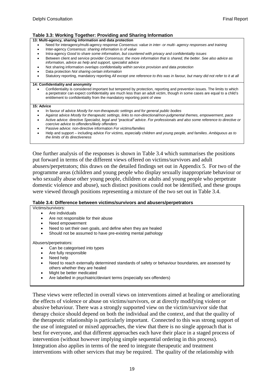#### <span id="page-34-0"></span>**Table 3.3: Working Together: Providing and Sharing Information**

**13: Multi-agency, sharing information and data protection**

- Need for interagency/multi-agency response *Consensus: value in inter- or multi- agency responses and training*
- Inter-agency *Consensus: sharing information is of value*
- Intra-agency *Good to share some information, but countered with privacy and confidentiality issues*
- Between client and service provider *Consensus: the more information that is shared, the better. See also advice as information, advice as help and support, specialist advice*
- Not sharing information *overlaps confidentiality within service provision and data protection*
- Data protection *Not sharing certain information*
- Statutory reporting, mandatory reporting *All except one reference to this was in favour, but many did not refer to it at all*

#### **14: Confidentiality and anonymity**

• Confidentiality is considered important but tempered by protection, reporting and prevention issues. The limits to which a perpetrator can expect confidentiality are much less than an adult victim, though in some cases are equal to a child's entitlement to confidentiality from the mandatory reporting point of view

#### **15: Advice**

- In favour of advice *Mostly for non-therapeutic settings and for general public bodies*
- Against advice *Mostly for therapeutic settings, links to non-directional/non-judgmental themes, empowerment, pace*
- Active advice: directive *Specialist, legal and "practical" advice*. *For professionals and also some reference to directive or coercive advice to offenders/likely offenders*
- Passive advice: non-directive information *For victims/families*
- Help and support including advice *For victims, especially children and young people, and families*. *Ambiguous as to the limits of its directiveness*

One further analysis of the responses is shown in Table 3.4 which summarises the positions put forward in terms of the different views offered on victims/survivors and adult abusers/perpetrators; this draws on the detailed findings set out in Appendix 5. For two of the programme areas (children and young people who display sexually inappropriate behaviour or who sexually abuse other young people, children or adults and young people who perpetrate domestic violence and abuse), such distinct positions could not be identified, and these groups were viewed through positions representing a mixture of the two set out in Table 3.4.

#### <span id="page-34-1"></span>**Table 3.4: Difference between victims/survivors and abusers/perpetrators**

Victims/survivors:

- Are individuals
- Are not responsible for their abuse
- Need empowerment
- Need to set their own goals, and define when they are healed
- Should not be assumed to have pre-existing mental pathology

Abusers/perpetrators:

- Can be categorised into types
- Are fully responsible
- Need help
- Need to reach externally determined standards of safety or behaviour boundaries, are assessed by others whether they are healed
- Might be better medicated
- Are labelled in psychiatric/deviant terms (especially sex offenders)

These views were reflected in overall views on interventions aimed at healing or ameliorating the effects of violence or abuse on victims/survivors, or at directly modifying violent or abusive behaviour. There was a strongly supported view on the victim/survivor side that therapy choice should depend on both the individual and the context, and that the quality of the therapeutic relationship is particularly important. Connected to this was strong support of the use of integrated or mixed approaches, the view that there is no single approach that is best for everyone, and that different approaches each have their place in a staged process of intervention (without however implying simple sequential ordering in this process). Integration also applies in terms of the need to integrate therapeutic and treatment interventions with other services that may be required. The quality of the relationship with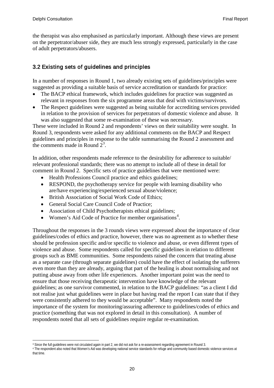the therapist was also emphasised as particularly important. Although these views are present on the perpetrator/abuser side, they are much less strongly expressed, particularly in the case of adult perpetrators/abusers.

### <span id="page-35-0"></span>3.2 Existing sets of guidelines and principles

In a number of responses in Round 1, two already existing sets of guidelines/principles were suggested as providing a suitable basis of service accreditation or standards for practice:

- The BACP ethical framework, which includes guidelines for practice was suggested as relevant in responses from the six programme areas that deal with victims/survivors.
- The Respect guidelines were suggested as being suitable for accrediting services provided in relation to the provision of services for perpetrators of domestic violence and abuse. It was also suggested that some re-examination of these was necessary.

These were included in Round 2 and respondents' views on their suitability were sought. In Round 3, respondents were asked for any additional comments on the BACP and Respect guidelines and principles in response to the table summarising the Round 2 assessment and the comments made in Round  $2^3$  $2^3$ .

In addition, other respondents made reference to the desirability for adherence to suitable/ relevant professional standards; there was no attempt to include all of these in detail for comment in Round 2. Specific sets of practice guidelines that were mentioned were:

- Health Professions Council practice and ethics guidelines;
- RESPOND, the psychotherapy service for people with learning disability who are/have experiencing/experienced sexual abuse/violence;
- British Association of Social Work Code of Ethics:
- General Social Care Council Code of Practice;
- Association of Child Psychotherapists ethical guidelines;
- Women's Aid Code of Practice for member organisations<sup>[4](#page-35-2)</sup>.

Throughout the responses in the 3 rounds views were expressed about the importance of clear guidelines/codes of ethics and practice, however, there was no agreement as to whether these should be profession specific and/or specific to violence and abuse, or even different types of violence and abuse. Some respondents called for specific guidelines in relation to different groups such as BME communities. Some respondents raised the concern that treating abuse as a separate case (through separate guidelines) could have the effect of isolating the sufferers even more than they are already, arguing that part of the healing is about normalising and not putting abuse away from other life experiences. Another important point was the need to ensure that those receiving therapeutic intervention have knowledge of the relevant guidelines; as one survivor commented, in relation to the BACP guidelines: "as a client I did not realise just what guidelines were in place but having read the report I can state that if they were consistently adhered to they would be acceptable". Many respondents noted the importance of the system for monitoring/assuring adherence to guidelines/codes of ethics and practice (something that was not explored in detail in this consultation). A number of respondents noted that all sets of guidelines require regular re-examination.

<span id="page-35-1"></span><sup>-</sup><sup>3</sup> Since the full guidelines were not circulated again in part 2, we did not ask for a re-assessment regarding agreement in Round 3.

<span id="page-35-2"></span><sup>4</sup> The respondent also noted that Women's Aid was developing national service standards for refuge and community based domestic violence services at that time.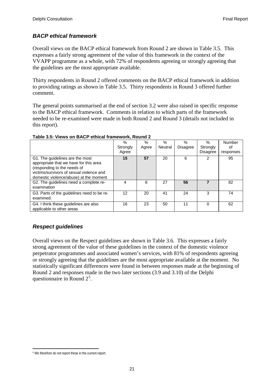## *BACP ethical framework*

Overall views on the BACP ethical framework from Round 2 are shown in Table 3.5. This expresses a fairly strong agreement of the value of this framework in the context of the VVAPP programme as a whole, with 72% of respondents agreeing or strongly agreeing that the guidelines are the most appropriate available.

Thirty respondents in Round 2 offered comments on the BACP ethical framework in addition to providing ratings as shown in Table 3.5. Thirty respondents in Round 3 offered further comment.

The general points summarised at the end of section 3.2 were also raised in specific response to the BACP ethical framework. Comments in relation to which parts of the framework needed to be re-examined were made in both Round 2 and Round 3 (details not included in this report).

|                                                                                                                                                                                                | $\%$<br>Strongly<br>Agree | $\frac{0}{0}$<br>Agree | $\%$<br>Neutral | $\%$<br>Disagree | $\%$<br>Strongly<br><b>Disagree</b> | Number<br>οt<br>responses |
|------------------------------------------------------------------------------------------------------------------------------------------------------------------------------------------------|---------------------------|------------------------|-----------------|------------------|-------------------------------------|---------------------------|
| G1. The guidelines are the most<br>appropriate that we have for this area<br>(responding to the needs of<br>victims/survivors of sexual violence and<br>domestic violence/abuse) at the moment | 15                        | 57                     | 20              | 6                | 2                                   | 95                        |
| G2. The guidelines need a complete re-<br>examination                                                                                                                                          | 4                         | 6                      | 27              | 56               |                                     | 82                        |
| G3. Parts of the guidelines need to be re-<br>examined.                                                                                                                                        | 12                        | 20                     | 41              | 24               | 3                                   | 74                        |
| G4. I think these guidelines are also<br>applicable to other areas                                                                                                                             | 16                        | 23                     | 50              | 11               | $\Omega$                            | 62                        |

## **Table 3.5: Views on BACP ethical framework, Round 2**

## *Respect guidelines*

Overall views on the Respect guidelines are shown in Table 3.6. This expresses a fairly strong agreement of the value of these guidelines in the context of the domestic violence perpetrator programmes and associated women's services, with 81% of respondents agreeing or strongly agreeing that the guidelines are the most appropriate available at the moment. No statistically significant differences were found in between responses made at the beginning of Round 2 and responses made in the two later sections (3.9 and 3.10) of the Delphi questionnaire in Round 2<sup>[5](#page-36-0)</sup>.

<span id="page-36-0"></span><sup>-</sup><sup>5</sup> We therefore do not report these in the current report.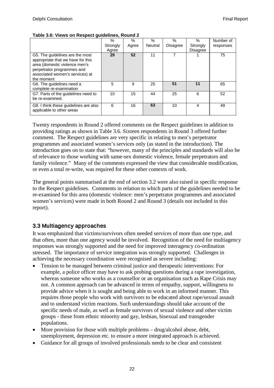|                                                                                                                                                                                      | $\%$<br>Strongly | $\%$<br>Agree | ℅<br>Neutral | %<br><b>Disagree</b> | ℅<br>Strongly   | Number of<br>responses |
|--------------------------------------------------------------------------------------------------------------------------------------------------------------------------------------|------------------|---------------|--------------|----------------------|-----------------|------------------------|
|                                                                                                                                                                                      | Agree            |               |              |                      | <b>Disagree</b> |                        |
| G5. The guidelines are the most<br>appropriate that we have for this<br>area (domestic violence men's<br>perpetrator programmes and<br>associated women's services) at<br>the moment | 29               | 52            | 11           | 7                    |                 | 75                     |
| G6. The guidelines need a<br>complete re-examination                                                                                                                                 | 5                | 9             | 25           | 51                   | 11              | 65                     |
| G7. Parts of the guidelines need to<br>be re-examined.                                                                                                                               | 10               | 15            | 44           | 25                   | 6               | 52                     |
| G8. I think these guidelines are also<br>applicable to other areas                                                                                                                   | 6                | 16            | 63           | 10                   | 4               | 49                     |

### **Table 3.6: Views on Respect guidelines, Round 2**

Twenty respondents in Round 2 offered comments on the Respect guidelines in addition to providing ratings as shown in Table 3.6. Sixteen respondents in Round 3 offered further comment. The Respect guidelines are very specific in relating to men's perpetrator programmes and associated women's services only (as stated in the introduction). The introduction goes on to state that: "however, many of the principles and standards will also be of relevance to those working with same-sex domestic violence, female perpetrators and family violence." Many of the comments expressed the view that considerable modification, or even a total re-write, was required for these other contexts of work.

The general points summarised at the end of section 3.2 were also raised in specific response to the Respect guidelines. Comments in relation to which parts of the guidelines needed to be re-examined for this area (domestic violence: men's perpetrator programmes and associated women's services) were made in both Round 2 and Round 3 (details not included in this report).

## 3.3 Multiagency approaches

It was emphasized that victims/survivors often needed services of more than one type, and that often, more than one agency would be involved. Recognition of the need for multiagency responses was strongly supported and the need for improved interagency co-ordination stressed. The importance of service integration was strongly supported. Challenges in achieving the necessary coordination were recognised as severe including:

- Tension to be managed between criminal justice and therapeutic interventions: For example, a police officer may have to ask probing questions during a rape investigation, whereas someone who works as a counsellor or an organisation such as Rape Crisis may not. A common approach can be advanced in terms of empathy, support, willingness to provide advice when it is sought and being able to work in an informed manner. This requires those people who work with survivors to be educated about rape/sexual assault and to understand victim reactions. Such understandings should take account of the specific needs of male, as well as female survivors of sexual violence and other victim groups - those from ethnic minority and gay, lesbian, bisexual and transgender populations.
- More provision for those with multiple problems drug/alcohol abuse, debt, unemployment, depression etc. to ensure a more integrated approach is achieved.
- Guidance for all groups of involved professionals needs to be clear and consistent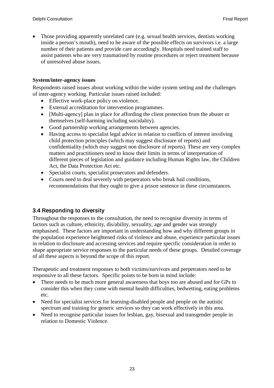• Those providing apparently unrelated care (e.g. sexual health services, dentists working inside a person's mouth), need to be aware of the possible effects on survivors i.e. a large number of their patients and provide care accordingly. Hospitals need trained staff to assist patients who are very traumatised by routine procedures or reject treatment because of unresolved abuse issues.

## **System/inter-agency issues**

Respondents raised issues about working within the wider system setting and the challenges of inter-agency working. Particular issues raised included:

- Effective work-place policy on violence.
- External accreditation for intervention programmes.
- [Multi-agency] plan in place for affording the client protection from the abuser or themselves (self-harming including suicidality).
- Good partnership working arrangements between agencies.
- Having access to specialist legal advice in relation to conflicts of interest involving child protection principles (which may suggest disclosure of reports) and confidentiality (which may suggest non disclosure of reports). These are very complex matters and practitioners need to know their limits in terms of interpretation of different pieces of legislation and guidance including Human Rights law, the Children Act, the Data Protection Act etc.
- Specialist courts, specialist prosecutors and defenders.
- Courts need to deal severely with perpetrators who break bail conditions, recommendations that they ought to give a prison sentence in these circumstances.

## 3.4 Responding to diversity

Throughout the responses to the consultation, the need to recognise diversity in terms of factors such as culture, ethnicity, dis/ability, sexuality, age and gender was strongly emphasised. These factors are important in understanding how and why different groups in the population experience heightened risks of violence and abuse, experience particular issues in relation to disclosure and accessing services and require specific consideration in order to shape appropriate service responses to the particular needs of these groups. Detailed coverage of all these aspects is beyond the scope of this report.

Therapeutic and treatment responses to both victims/survivors and perpetrators need to be responsive to all these factors. Specific points to be born in mind include:

- There needs to be much more general awareness that boys too are abused and for GPs to consider this when they come with mental health difficulties, bedwetting, eating problems etc.
- Need for specialist services for learning-disabled people and people on the autistic spectrum and training for generic services so they can work effectively in this area.
- Need to recognise particular issues for lesbian, gay, bisexual and transgender people in relation to Domestic Violence.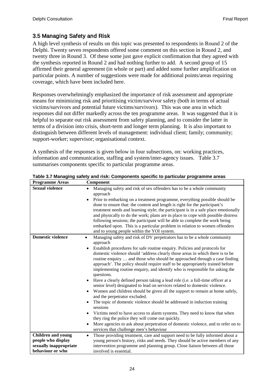## 3.5 Managing Safety and Risk

A high level synthesis of results on this topic was presented to respondents in Round 2 of the Delphi. Twenty seven respondents offered some comment on this section in Round 2, and twenty three in Round 3. Of these some just gave explicit confirmation that they agreed with the synthesis reported in Round 2 and had nothing further to add. A second group of 15 affirmed their general agreement (in whole or part) and added some further amplification on particular points. A number of suggestions were made for additional points/areas requiring coverage, which have been included here.

Responses overwhelmingly emphasized the importance of risk assessment and appropriate means for minimizing risk and prioritising victim/survivor safety (both in terms of actual victims/survivors and potential future victims/survivors). This was one area in which responses did not differ markedly across the ten programme areas. It was suggested that it is helpful to separate out risk assessment from safety planning, and to consider the latter in terms of a division into crisis, short-term and longer term planning. It is also important to distinguish between different levels of management: individual client; family; community; support-worker; supervisor; organisational context.

A synthesis of the responses is given below in four subsections, on: working practices, information and communication, staffing and system/inter-agency issues. Table 3.7 summarises components specific to particular programme areas.

| <b>Programme Areas</b>    | Component                                                                                                                                                                                                                                                                                                                                                                                                                                                                                                                                                                                                                                                                                                                                                                                                                                                                                                                                                                                                                                                                                                                                                                          |
|---------------------------|------------------------------------------------------------------------------------------------------------------------------------------------------------------------------------------------------------------------------------------------------------------------------------------------------------------------------------------------------------------------------------------------------------------------------------------------------------------------------------------------------------------------------------------------------------------------------------------------------------------------------------------------------------------------------------------------------------------------------------------------------------------------------------------------------------------------------------------------------------------------------------------------------------------------------------------------------------------------------------------------------------------------------------------------------------------------------------------------------------------------------------------------------------------------------------|
| <b>Sexual violence</b>    | Managing safety and risk of sex offenders has to be a whole community<br>approach<br>Prior to embarking on a treatment programme, everything possible should be<br>done to ensure that: the content and length is right for the participant's<br>treatment needs and learning style; the participant is in a safe place emotionally<br>and physically to do the work; plans are in place to cope with possible distress<br>following sessions; the participant will be able to complete the work being<br>embarked upon. This is a particular problem in relation to women offenders<br>and to young people within the YOI system.                                                                                                                                                                                                                                                                                                                                                                                                                                                                                                                                                 |
| <b>Domestic violence</b>  | Managing safety and risk of DV perpetrators has to be a whole community<br>approach<br>Establish procedures for safe routine enquiry. Policies and protocols for<br>domestic violence should 'address clearly those areas in which there is to be<br>routine enquiry  and those who should be approached through a case finding<br>approach'. The policy should require staff to be appropriately trained before<br>implementing routine enquiry, and identify who is responsible for asking the<br>questions.<br>Have a clearly defined person taking a lead role (i.e. a full-time officer at a<br>senior level) designated to lead on services related to domestic violence.<br>Women and children should be given all the support to remain at home safely,<br>$\bullet$<br>and the perpetrator excluded.<br>The topic of domestic violence should be addressed in induction training<br>sessions<br>Victims need to have access to alarm systems. They need to know that when<br>they ring the police they will come out quickly.<br>More agencies to ask about perpetration of domestic violence, and to refer on to<br>$\bullet$<br>services that challenge men's behaviour |
| <b>Children and young</b> | Those providing treatment, care and support need to be fully informed about a<br>$\bullet$                                                                                                                                                                                                                                                                                                                                                                                                                                                                                                                                                                                                                                                                                                                                                                                                                                                                                                                                                                                                                                                                                         |
| people who display        | young person's history, risks and needs. They should be active members of any                                                                                                                                                                                                                                                                                                                                                                                                                                                                                                                                                                                                                                                                                                                                                                                                                                                                                                                                                                                                                                                                                                      |
| sexually inappropriate    | intervention programme and planning group. Close liaison between all those                                                                                                                                                                                                                                                                                                                                                                                                                                                                                                                                                                                                                                                                                                                                                                                                                                                                                                                                                                                                                                                                                                         |
| behaviour or who          | involved is essential.                                                                                                                                                                                                                                                                                                                                                                                                                                                                                                                                                                                                                                                                                                                                                                                                                                                                                                                                                                                                                                                                                                                                                             |

**Table 3.7 Managing safety and risk: Components specific to particular programme areas**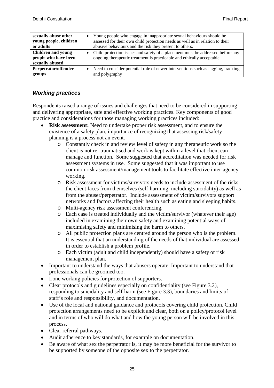| sexually abuse other<br>young people, children<br>or adults          | • Young people who engage in inappropriate sexual behaviours should be<br>assessed for their own child protection needs as well as in relation to their<br>abusive behaviours and the risk they present to others. |
|----------------------------------------------------------------------|--------------------------------------------------------------------------------------------------------------------------------------------------------------------------------------------------------------------|
| <b>Children and young</b><br>people who have been<br>sexually abused | Child protection issues and safety of a placement must be addressed before any<br>ongoing therapeutic treatment is practicable and ethically acceptable                                                            |
| Perpetrator/offender<br>groups                                       | Need to consider potential role of newer interventions such as tagging, tracking<br>and polygraphy                                                                                                                 |

## *Working practices*

Respondents raised a range of issues and challenges that need to be considered in supporting and delivering appropriate, safe and effective working practices. Key components of good practice and considerations for those managing working practices included:

- **Risk assessment:** Need to undertake proper risk assessment, and to ensure the existence of a safety plan, importance of recognizing that assessing risk/safety planning is a process not an event.
	- o Constantly check in and review level of safety in any therapeutic work so the client is not re- traumatised and work is kept within a level that client can manage and function. Some suggested that accreditation was needed for risk assessment systems in use. Some suggested that it was important to use common risk assessment/management tools to facilitate effective inter-agency working.
	- o Risk assessment for victims/survivors needs to include assessment of the risks the client faces from themselves (self-harming, including suicidality) as well as from the abuser/perpetrator. Include assessment of victim/survivors support networks and factors affecting their health such as eating and sleeping habits.
	- o Multi-agency risk assessment conferencing.
	- o Each case is treated individually and the victim/survivor (whatever their age) included in examining their own safety and examining potential ways of maximising safety and minimising the harm to others.
	- o All public protection plans are centred around the person who is the problem. It is essential that an understanding of the needs of that individual are assessed in order to establish a problem profile.
	- o Each victim (adult and child independently) should have a safety or risk management plan.
- Important to understand the ways that abusers operate. Important to understand that professionals can be groomed too.
- Lone working policies for protection of supporters.
- Clear protocols and guidelines especially on confidentiality (see Figure 3.2), responding to suicidality and self-harm (see Figure 3.3), boundaries and limits of staff's role and responsibility, and documentation.
- Use of the local and national guidance and protocols covering child protection. Child protection arrangements need to be explicit and clear, both on a policy/protocol level and in terms of who will do what and how the young person will be involved in this process.
- Clear referral pathways.
- Audit adherence to key standards, for example on documentation.
- Be aware of what sex the perpetrator is, it may be more beneficial for the survivor to be supported by someone of the opposite sex to the perpetrator.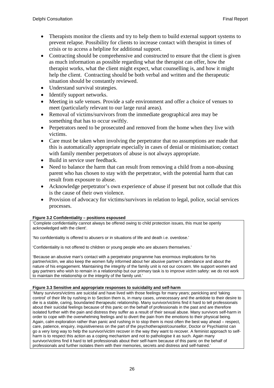- Therapists monitor the clients and try to help them to build external support systems to prevent relapse. Possibility for clients to increase contact with therapist in times of crisis or to access a helpline for additional support.
- Contracting should be comprehensive and constructed to ensure that the client is given as much information as possible regarding what the therapist can offer, how the therapist works, what the client might expect, what counselling is, and how it might help the client. Contracting should be both verbal and written and the therapeutic situation should be constantly reviewed.
- Understand survival strategies.
- Identify support networks.
- Meeting in safe venues. Provide a safe environment and offer a choice of venues to meet (particularly relevant to our large rural areas).
- Removal of victims/survivors from the immediate geographical area may be something that has to occur swiftly.
- Perpetrators need to be prosecuted and removed from the home when they live with victims.
- Care must be taken when involving the perpetrator that no assumptions are made that this is automatically appropriate especially in cases of denial or minimisation; contact with family member perpetrators of abuse is not always appropriate.
- Build in service user feedback.
- Need to balance the harm that can result from removing a child from a non-abusing parent who has chosen to stay with the perpetrator, with the potential harm that can result from exposure to abuse.
- Acknowledge perpetrator's own experience of abuse if present but not collude that this is the cause of their own violence.
- Provision of advocacy for victims/survivors in relation to legal, police, social services processes.

## **Figure 3.2 Confidentiality – positions espoused**

'Complete confidentiality cannot always be offered owing to child protection issues, this must be openly acknowledged with the client'.

'No confidentiality is offered to abusers or in situations of life and death i.e. overdose.'

'Confidentiality is not offered to children or young people who are abusers themselves.'

'Because an abusive man's contact with a perpetrator programme has enormous implications for his partner/victim, we also keep the women fully informed about her abusive partner's attendance and about the nature of his engagement. Maintaining the integrity of the family unit is not our concern. We support women and gay partners who wish to remain in a relationship but our primary task is to improve victim safety: we do not work to maintain the relationship or the integrity of the family unit.'

## **Figure 3.3 Sensitive and appropriate responses to suicidality and self-harm**

'Many survivors/victims are suicidal and have lived with those feelings for many years; panicking and 'taking control' of their life by rushing in to Section them is, in many cases, unnecessary and the antidote to their desire to die is a stable, caring, boundaried therapeutic relationship. Many survivor/victims find it hard to tell professionals about their suicidal feelings because of this panic on the behalf of professionals in the past and are therefore isolated further with the pain and distress they suffer as a result of their sexual abuse. Many survivors self-harm in order to cope with the overwhelming feelings and to divert the pain from the emotions to their physical being. Again, calm exploration rather than panic and rushing in to stop them is most often the best way ahead – respect, care, patience, enquiry, inquisitiveness on the part of the psychotherapist/counsellor, Doctor or Psychiatrist can go a very long way to help the survivor/victim recover in the way they want to recover. A feminist approach to selfharm is to respect this action as a coping mechanism and not to pathologise it as such. Again many survivor/victims find it hard to tell professionals about their self-harm because of this panic on the behalf of professionals and further isolates them with their memories, secrets and distress and self-hatred.'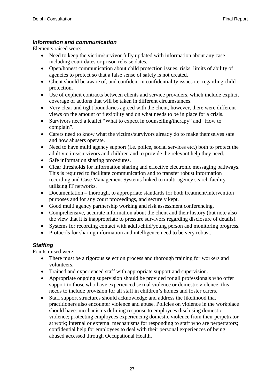## *Information and communication*

Elements raised were:

- Need to keep the victim/survivor fully updated with information about any case including court dates or prison release dates.
- Open/honest communication about child protection issues, risks, limits of ability of agencies to protect so that a false sense of safety is not created.
- Client should be aware of, and confident in confidentiality issues i.e. regarding child protection.
- Use of explicit contracts between clients and service providers, which include explicit coverage of actions that will be taken in different circumstances.
- Very clear and tight boundaries agreed with the client, however, there were different views on the amount of flexibility and on what needs to be in place for a crisis.
- Survivors need a leaflet "What to expect in counselling/therapy" and "How to complain".
- Carers need to know what the victims/survivors already do to make themselves safe and how abusers operate.
- Need to have multi agency support (i.e. police, social services etc.) both to protect the adult victims/survivors and children and to provide the relevant help they need.
- Safe information sharing procedures.
- Clear thresholds for information sharing and effective electronic messaging pathways. This is required to facilitate communication and to transfer robust information recording and Case Management Systems linked to multi-agency search facility utilising IT networks.
- Documentation thorough, to appropriate standards for both treatment/intervention purposes and for any court proceedings, and securely kept.
- Good multi agency partnership working and risk assessment conferencing.
- Comprehensive, accurate information about the client and their history (but note also the view that it is inappropriate to pressure survivors regarding disclosure of details).
- Systems for recording contact with adult/child/young person and monitoring progress.
- Protocols for sharing information and intelligence need to be very robust.

## *Staffing*

Points raised were:

- There must be a rigorous selection process and thorough training for workers and volunteers.
- Trained and experienced staff with appropriate support and supervision.
- Appropriate ongoing supervision should be provided for all professionals who offer support to those who have experienced sexual violence or domestic violence; this needs to include provision for all staff in children's homes and foster carers.
- Staff support structures should acknowledge and address the likelihood that practitioners also encounter violence and abuse. Policies on violence in the workplace should have: mechanisms defining response to employees disclosing domestic violence; protecting employees experiencing domestic violence from their perpetrator at work; internal or external mechanisms for responding to staff who are perpetrators; confidential help for employees to deal with their personal experiences of being abused accessed through Occupational Health.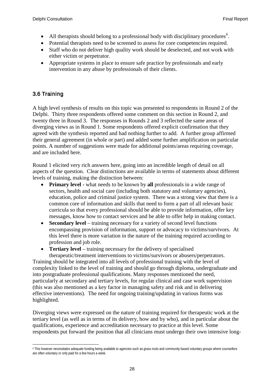- All therapists should belong to a professional body with disciplinary procedures<sup>[6](#page-43-0)</sup>.
- Potential therapists need to be screened to assess for core competencies required.
- Staff who do not deliver high quality work should be deselected, and not work with either victim or perpetrator.
- Appropriate systems in place to ensure safe practice by professionals and early intervention in any abuse by professionals of their clients.

# 3.6 Training

A high level synthesis of results on this topic was presented to respondents in Round 2 of the Delphi. Thirty three respondents offered some comment on this section in Round 2, and twenty three in Round 3. The responses in Rounds 2 and 3 reflected the same areas of diverging views as in Round 1. Some respondents offered explicit confirmation that they agreed with the synthesis reported and had nothing further to add. A further group affirmed their general agreement (in whole or part) and added some further amplification on particular points. A number of suggestions were made for additional points/areas requiring coverage, and are included here.

Round 1 elicited very rich answers here, going into an incredible length of detail on all aspects of the question. Clear distinctions are available in terms of statements about different levels of training, making the distinction between:

- **Primary level** what needs to be known by **all** professionals in a wide range of sectors, health and social care (including both statutory and voluntary agencies), education, police and criminal justice system. There was a strong view that there is a common core of information and skills that need to form a part of all relevant basic curricula so that every professional should be able to provide information, offer key messages, know how to contact services and be able to offer help in making contact.
- **Secondary level** training necessary for a variety of second level functions encompassing provision of information, support or advocacy to victims/survivors. At this level there is more variation in the nature of the training required according to profession and job role.
- **Tertiary level** training necessary for the delivery of specialised therapeutic/treatment interventions to victims/survivors or abusers/perpetrators.

Training should be integrated into all levels of professional training with the level of complexity linked to the level of training and should go through diploma, undergraduate and into postgraduate professional qualifications. Many responses mentioned the need, particularly at secondary and tertiary levels, for regular clinical and case work supervision (this was also mentioned as a key factor in managing safety and risk and in delivering effective interventions). The need for ongoing training/updating in various forms was highlighted.

Diverging views were expressed on the nature of training required for therapeutic work at the tertiary level (as well as in terms of its delivery, how and by who), and in particular about the qualifications, experience and accreditation necessary to practice at this level. Some respondents put forward the position that all clinicians must undergo their own intensive long-

<span id="page-43-0"></span><sup>-</sup><sup>6</sup> This however necessitates adequate funding being available to agencies such as grass roots and community based voluntary groups where counsellors are often voluntary or only paid for a few hours a week.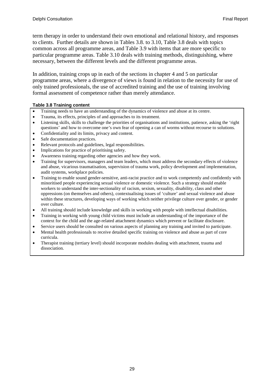term therapy in order to understand their own emotional and relational history, and responses to clients. Further details are shown in Tables 3.8. to 3.10, Table 3.8 deals with topics common across all programme areas, and Table 3.9 with items that are more specific to particular programme areas. Table 3.10 deals with training methods, distinguishing, where necessary, between the different levels and the different programme areas.

In addition, training crops up in each of the sections in chapter 4 and 5 on particular programme areas, where a divergence of views is found in relation to the necessity for use of only trained professionals, the use of accredited training and the use of training involving formal assessment of competence rather than merely attendance.

### **Table 3.8 Training content**

- Training needs to have an understanding of the dynamics of violence and abuse at its centre.
- Trauma, its effects, principles of and approaches to its treatment.
- Listening skills, skills to challenge the priorities of organisations and institutions, patience, asking the 'right questions' and how to overcome one's own fear of opening a can of worms without recourse to solutions.
- Confidentiality and its limits, privacy and content.
- Safe documentation practices.
- Relevant protocols and guidelines, legal responsibilities.
- Implications for practice of prioritising safety.
- Awareness training regarding other agencies and how they work.
- Training for supervisors, managers and team leaders, which must address the secondary effects of violence and abuse, vicarious traumatisation, supervision of trauma work, policy development and implementation, audit systems, workplace policies.
- Training to enable sound gender-sensitive, anti-racist practice and to work competently and confidently with minoritised people experiencing sexual violence or domestic violence. Such a strategy should enable workers to understand the inter-sectionality of racism, sexism, sexuality, disability, class and other oppressions (on themselves and others), contextualising issues of 'culture' and sexual violence and abuse within these structures, developing ways of working which neither privilege culture over gender, or gender over culture.
- All training should include knowledge and skills in working with people with intellectual disabilities.
- Training in working with young child victims must include an understanding of the importance of the context for the child and the age-related attachment dynamics which prevent or facilitate disclosure.
- Service users should be consulted on various aspects of planning any training and invited to participate.
- Mental health professionals to receive detailed specific training on violence and abuse as part of core curricula.
- Therapist training (tertiary level) should incorporate modules dealing with attachment, trauma and dissociation.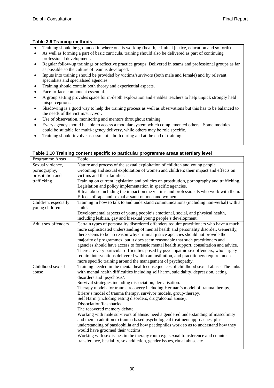## **Table 3.9 Training methods**

- Training should be grounded in where one is working (health, criminal justice, education and so forth)
- As well as forming a part of basic curricula, training should also be delivered as part of continuing professional development.
- Regular follow-up trainings or reflective practice groups. Delivered in teams and professional groups as far as possible so the culture of team is developed.
- Inputs into training should be provided by victims/survivors (both male and female) and by relevant specialists and specialised agencies.
- Training should contain both theory and experiential aspects.
- Face-to-face component essential.
- A group setting provides space for in-depth exploration and enables teachers to help unpick strongly held misperceptions.
- Shadowing is a good way to help the training process as well as observations but this has to be balanced to the needs of the victim/survivor.
- Use of observation, monitoring and mentors throughout training.
- Every agency should be able to access a modular system which complemented others. Some modules could be suitable for multi-agency delivery, while others may be role specific.
- Training should involve assessment both during and at the end of training.

| Programme Areas      | Topic                                                                                                                   |
|----------------------|-------------------------------------------------------------------------------------------------------------------------|
| Sexual violence,     | Nature and process of the sexual exploitation of children and young people.                                             |
| pornography,         | Grooming and sexual exploitation of women and children; their impact and effects on                                     |
| prostitution and     | victims and their families.                                                                                             |
| trafficking          | Training on current legislation and policies on prostitution, pornography and trafficking.                              |
|                      | Legislation and policy implementation in specific agencies.                                                             |
|                      | Ritual abuse including the impact on the victims and professionals who work with them.                                  |
|                      | Effects of rape and sexual assault on men and women.                                                                    |
| Children, especially | Training in how to talk to and understand communications (including non-verbal) with a                                  |
| young children       | child.                                                                                                                  |
|                      | Developmental aspects of young people's emotional, social, and physical health,                                         |
|                      | including lesbian, gay and bisexual young people's development.                                                         |
| Adult sex offenders  | Certain types of personality disordered offenders require practitioners who have a much                                 |
|                      | more sophisticated understanding of mental health and personality disorder. Generally,                                  |
|                      | there seems to be no reason why criminal justice agencies should not provide the                                        |
|                      | majority of programmes, but it does seem reasonable that such practitioners and                                         |
|                      | agencies should have access to forensic mental health support, consultation and advice.                                 |
|                      | There are very particular difficulties posed by psychopathic sex offenders, who largely                                 |
|                      | require interventions delivered within an institution, and practitioners require much                                   |
|                      | more specific training around the management of psychopathy.                                                            |
| Childhood sexual     | Training needed in the mental health consequences of childhood sexual abuse. The links                                  |
| abuse                | with mental health difficulties including self harm, suicidality, depression, eating                                    |
|                      | disorders and 'psychosis'.                                                                                              |
|                      | Survival strategies including dissociation, derealisation.                                                              |
|                      | Therapy models for trauma recovery including Herman's model of trauma therapy,                                          |
|                      | Briere's model of trauma therapy, survivor models, group-therapy.                                                       |
|                      | Self Harm (including eating disorders, drug/alcohol abuse).                                                             |
|                      | Dissociation/flashbacks.                                                                                                |
|                      | The recovered memory debate.                                                                                            |
|                      | Working with male survivors of abuse: need a gendered understanding of masculinity                                      |
|                      | and men in addition to trauma based psychological treatment approaches, plus                                            |
|                      | understanding of paedophilia and how paedophiles work so as to understand how they<br>would have groomed their victims. |
|                      | Working with sex issues in the therapy room e.g. sexual transference and counter                                        |
|                      | transference, bestiality, sex addiction, gender issues, ritual abuse etc.                                               |
|                      |                                                                                                                         |

## **Table 3.10 Training content specific to particular programme areas at tertiary level**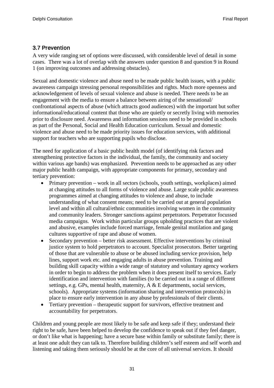## 3.7 Prevention

A very wide ranging set of options were discussed, with considerable level of detail in some cases. There was a lot of overlap with the answers under question 8 and question 9 in Round 1 (on improving outcomes and addressing obstacles).

Sexual and domestic violence and abuse need to be made public health issues, with a public awareness campaign stressing personal responsibilities and rights. Much more openness and acknowledgement of levels of sexual violence and abuse is needed. There needs to be an engagement with the media to ensure a balance between airing of the sensational/ confrontational aspects of abuse (which attracts good audiences) with the important but softer informational/educational content that those who are quietly or secretly living with memories prior to disclosure need. Awareness and information sessions need to be provided in schools as part of the Personal, Social and Health Education curriculum. Sexual and domestic violence and abuse need to be made priority issues for education services, with additional support for teachers who are supporting pupils who disclose.

The need for application of a basic public health model (of identifying risk factors and strengthening protective factors in the individual, the family, the community and society within various age bands) was emphasized. Prevention needs to be approached as any other major public health campaign, with appropriate components for primary, secondary and tertiary prevention:

- Primary prevention work in all sectors (schools, youth settings, workplaces) aimed at changing attitudes to all forms of violence and abuse. Large scale public awareness programmes aimed at changing attitudes to violence and abuse, to include understanding of what consent means; need to be carried out at general population level and within all cultural/ethnic communities involving women in the community and community leaders. Stronger sanctions against perpetrators. Perpetrator focussed media campaigns. Work within particular groups upholding practices that are violent and abusive, examples include forced marriage, female genital mutilation and gang cultures supportive of rape and abuse of women.
- Secondary prevention better risk assessment. Effective interventions by criminal justice system to hold perpetrators to account. Specialist prosecutors. Better targeting of those that are vulnerable to abuse or be abused including service provision, help lines, support work etc. and engaging adults in abuse prevention. Training and building skill capacity within a wide range of statutory and voluntary agency workers in order to begin to address the problem when it does present itself to services. Early identification and intervention with families (to be carried out in a range of different settings, e.g. GPs, mental health, maternity,  $A \& E$  departments, social services, schools). Appropriate systems (information sharing and intervention protocols) in place to ensure early intervention in any abuse by professionals of their clients.
- Tertiary prevention therapeutic support for survivors, effective treatment and accountability for perpetrators.

Children and young people are most likely to be safe and keep safe if they; understand their right to be safe, have been helped to develop the confidence to speak out if they feel danger, or don't like what is happening; have a secure base within family or substitute family; there is at least one adult they can talk to. Therefore building children's self esteem and self worth and listening and taking them seriously should be at the core of all universal services. It should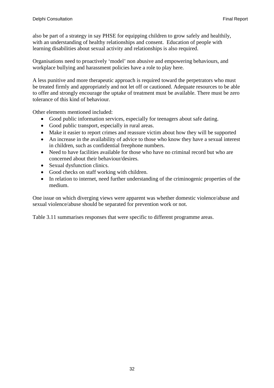also be part of a strategy in say PHSE for equipping children to grow safely and healthily, with an understanding of healthy relationships and consent. Education of people with learning disabilities about sexual activity and relationships is also required.

Organisations need to proactively 'model' non abusive and empowering behaviours, and workplace bullying and harassment policies have a role to play here.

A less punitive and more therapeutic approach is required toward the perpetrators who must be treated firmly and appropriately and not let off or cautioned. Adequate resources to be able to offer and strongly encourage the uptake of treatment must be available. There must be zero tolerance of this kind of behaviour.

Other elements mentioned included:

- Good public information services, especially for teenagers about safe dating.
- Good public transport, especially in rural areas.
- Make it easier to report crimes and reassure victim about how they will be supported
- An increase in the availability of advice to those who know they have a sexual interest in children, such as confidential freephone numbers.
- Need to have facilities available for those who have no criminal record but who are concerned about their behaviour/desires.
- Sexual dysfunction clinics.
- Good checks on staff working with children.
- In relation to internet, need further understanding of the criminogenic properties of the medium.

One issue on which diverging views were apparent was whether domestic violence/abuse and sexual violence/abuse should be separated for prevention work or not.

Table 3.11 summarises responses that were specific to different programme areas.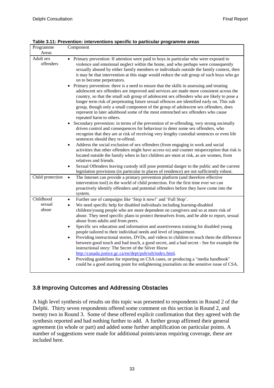| Programme              | Component                                                                                                                                                                                                                                                                                                                                                                                                                                                                                                                                                                                                                                                                                                                                                                                                                                                                                                                                                                                                        |
|------------------------|------------------------------------------------------------------------------------------------------------------------------------------------------------------------------------------------------------------------------------------------------------------------------------------------------------------------------------------------------------------------------------------------------------------------------------------------------------------------------------------------------------------------------------------------------------------------------------------------------------------------------------------------------------------------------------------------------------------------------------------------------------------------------------------------------------------------------------------------------------------------------------------------------------------------------------------------------------------------------------------------------------------|
| Areas                  |                                                                                                                                                                                                                                                                                                                                                                                                                                                                                                                                                                                                                                                                                                                                                                                                                                                                                                                                                                                                                  |
| Adult sex<br>offenders | • Primary prevention: If attention were paid to boys in particular who were exposed to<br>violence and emotional neglect within the home, and who perhaps were consequently<br>sexually abused by either family members or individuals outside the family context, then<br>it may be that intervention at this stage would reduce the sub group of such boys who go<br>on to become perpetrators.                                                                                                                                                                                                                                                                                                                                                                                                                                                                                                                                                                                                                |
|                        | • Primary prevention: there is a need to ensure that the skills in assessing and treating<br>adolescent sex offenders are improved and services are made more consistent across the<br>country, so that the small sub group of adolescent sex offenders who are likely to pose a<br>longer term risk of perpetrating future sexual offences are identified early on. This sub<br>group, though only a small component of the group of adolescent sex offenders, does<br>represent in later adulthood some of the most entrenched sex offenders who cause<br>repeated harm to others.                                                                                                                                                                                                                                                                                                                                                                                                                             |
|                        | • Secondary prevention: in terms of the prevention of re-offending, very strong societally<br>driven control and consequences for behaviour to deter some sex offenders, who<br>recognise that they are at risk of receiving very lengthy custodial sentences or even life<br>sentences should they re-offend.                                                                                                                                                                                                                                                                                                                                                                                                                                                                                                                                                                                                                                                                                                   |
|                        | Address the social exclusion of sex offenders (from engaging in work and social<br>$\bullet$<br>activities that other offenders might have access to) and counter misperception that risk is<br>located outside the family when in fact children are most at risk, as are women, from<br>relatives and friends.                                                                                                                                                                                                                                                                                                                                                                                                                                                                                                                                                                                                                                                                                                  |
|                        | Sexual Offenders leaving custody still pose potential danger to the public and the current<br>$\bullet$<br>legislation provisions (in particular to places of residence) are not sufficiently robust.                                                                                                                                                                                                                                                                                                                                                                                                                                                                                                                                                                                                                                                                                                                                                                                                            |
| Child protection       | The Internet can provide a primary prevention platform (and therefore effective<br>$\bullet$<br>intervention tool) in the world of child protection. For the first time ever we can<br>proactively identify offenders and potential offenders before they have come into the<br>system.                                                                                                                                                                                                                                                                                                                                                                                                                                                                                                                                                                                                                                                                                                                          |
| Childhood              | Further use of campaigns like 'Stop it now!' and 'Full Stop'.<br>$\bullet$                                                                                                                                                                                                                                                                                                                                                                                                                                                                                                                                                                                                                                                                                                                                                                                                                                                                                                                                       |
| sexual<br>abuse        | We need specific help for disabled individuals including learning-disabled<br>$\bullet$<br>children/young people who are more dependent on caregivers and so at more risk of<br>abuse. They need specific plans to protect themselves from, and be able to report, sexual<br>abuse from adults and from peers.<br>Specific sex education and information and assertiveness training for disabled young<br>$\bullet$<br>people tailored to their individual needs and level of impairment.<br>Providing instructional stories, DVDs, and videos to children to teach them the difference<br>$\bullet$<br>between good touch and bad touch, a good secret, and a bad secret - See for example the<br>instructional story: The Secret of the Silver Horse<br>http://canada.justice.gc.ca/en/dept/pub/ssh/index.html.<br>Providing guidelines for reporting on CSA cases, or producing a "media handbook"<br>$\bullet$<br>could be a good starting point for enlightening journalists on the sensitive issue of CSA. |
|                        |                                                                                                                                                                                                                                                                                                                                                                                                                                                                                                                                                                                                                                                                                                                                                                                                                                                                                                                                                                                                                  |

**Table 3.11: Prevention: interventions specific to particular programme areas** 

## 3.8 Improving Outcomes and Addressing Obstacles

A high level synthesis of results on this topic was presented to respondents in Round 2 of the Delphi. Thirty seven respondents offered some comment on this section in Round 2, and twenty two in Round 3. Some of these offered explicit confirmation that they agreed with the synthesis reported and had nothing further to add. A further group affirmed their general agreement (in whole or part) and added some further amplification on particular points. A number of suggestions were made for additional points/areas requiring coverage, these are included here.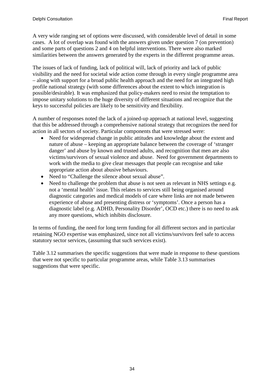A very wide ranging set of options were discussed, with considerable level of detail in some cases. A lot of overlap was found with the answers given under question 7 (on prevention) and some parts of questions 2 and 4 on helpful interventions. There were also marked similarities between the answers generated by the experts in the different programme areas.

The issues of lack of funding, lack of political will, lack of priority and lack of public visibility and the need for societal wide action come through in every single programme area – along with support for a broad public health approach and the need for an integrated high profile national strategy (with some differences about the extent to which integration is possible/desirable). It was emphasized that policy-makers need to resist the temptation to impose unitary solutions to the huge diversity of different situations and recognize that the keys to successful policies are likely to be sensitivity and flexibility.

A number of responses noted the lack of a joined-up approach at national level, suggesting that this be addressed through a comprehensive national strategy that recognizes the need for action in all sectors of society. Particular components that were stressed were:

- Need for widespread change in public attitudes and knowledge about the extent and nature of abuse – keeping an appropriate balance between the coverage of 'stranger danger' and abuse by known and trusted adults, and recognition that men are also victims/survivors of sexual violence and abuse. Need for government departments to work with the media to give clear messages that people can recognise and take appropriate action about abusive behaviours.
- Need to "Challenge the silence about sexual abuse".
- Need to challenge the problem that abuse is not seen as relevant in NHS settings e.g. not a 'mental health' issue. This relates to services still being organised around diagnostic categories and medical models of care where links are not made between experience of abuse and presenting distress or 'symptoms'. Once a person has a diagnostic label (e.g. ADHD, Personality Disorder', OCD etc.) there is no need to ask any more questions, which inhibits disclosure.

In terms of funding, the need for long term funding for all different sectors and in particular retaining NGO expertise was emphasized, since not all victims/survivors feel safe to access statutory sector services, (assuming that such services exist).

Table 3.12 summarises the specific suggestions that were made in response to these questions that were not specific to particular programme areas, while Table 3.13 summarises suggestions that were specific.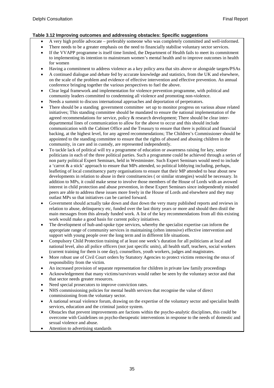## **Table 3.12 Improving outcomes and addressing obstacles: Specific suggestions**

- A very high profile advocate preferably someone who was completely committed and well-informed.
- There needs to be a greater emphasis on the need to financially stabilise voluntary sector services.
- If the VVAPP programme is itself time limited, the Department of Health fails to meet its commitment to implementing its intention to mainstream women's mental health and to improve outcomes in health for women
- Having a commitment to address violence as a key policy area that sits above or alongside targets/PSAs
- A continued dialogue and debate fed by accurate knowledge and statistics, from the UK and elsewhere, on the scale of the problem and evidence of effective intervention and effective prevention. An annual conference bringing together the various perspectives to fuel the above.
- Clear legal framework and implementation for violence prevention programme, with political and community leaders committed to condemning all violence and promoting non-violence.
- Needs a summit to discuss international approaches and deportation of perpetrators.
- There should be a standing government committee set up to monitor progress on various abuse related initiatives; This standing committee should be mandated to ensure the national implementation of the agreed recommendations for service, policy & research development; There should be clear interdepartmental lines of communication to allow for the above to occur and this should include communication with the Cabinet Office and the Treasury to ensure that there is political and financial backing, at the highest level, for any agreed recommendations; The Children's Commissioner should be appointed to the standing committee to ensure that the rights of abused and abusing children in the community, in care and in custody, are represented independently.
- To tackle lack of political will try a programme of education or awareness raising for key, senior politicians in each of the three political parties. Such a programme could be achieved through a series of non party political Expert Seminars, held in Westminster. Such Expert Seminars would need to include a 'carrot  $\&$  a stick' approach to ensure that MPs attended, so political lobbying including, perhaps, leafleting of local constituency party organisations to ensure that their MP attended to hear about new developments in relation to abuse in their constituencies ( or similar strategies) would be necessary. In addition to MPs, it could make sense to involve those members of the House of Lords with an avowed interest in child protection and abuse prevention, in these Expert Seminars since independently minded peers are able to address these issues more freely in the House of Lords and elsewhere and they may outlast MPs so that initiatives can be carried forward.
- Government should actually take down and dust down the very many published reports and reviews in relation to abuse, delinquency etc, funded over the last thirty years or more and should then distil the main messages from this already funded work. A list of the key recommendations from all this existing work would make a good basis for current policy initiatives.
- The development of hub-and-spoke type services, whereby the specialist expertise can inform the appropriate range of community services in maintaining (often intensive) effective intervention and support with young people over the long term and in different life situations.
- Compulsory Child Protection training of at least one week's duration for all politicians at local and national level, also all police officers (not just specific units), all health staff, teachers, social workers (current training for them is one day), counsellors, youth workers, judges and magistrates.
- More robust use of Civil Court orders by Statutory Agencies to protect victims removing the onus of responsibility from the victim.
- An increased provision of separate representation for children in private law family proceedings
- Acknowledgement that many victims/survivors would rather be seen by the voluntary sector and that that sector needs greater resources.
- Need special prosecutors to improve conviction rates.
- NHS commissioning policies for mental health services that recognise the value of direct commissioning from the voluntary sector.
- A national sexual violence forum, drawing on the expertise of the voluntary sector and specialist health services, education and the criminal justice system.
- Obstacles that prevent improvements are factions within the psycho-analytic disciplines, this could be overcome with Guidelines on psycho-therapeutic interventions in response to the needs of domestic and sexual violence and abuse.
- Attention to advertising standards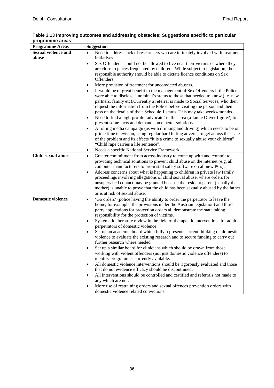| <b>Programme Areas</b>     | <b>Suggestion</b>                                                                                                                                                                                                                                                                                                                                                                                                                                                                                                                                                                                                                                                                                                                                                                                                                                                                                     |
|----------------------------|-------------------------------------------------------------------------------------------------------------------------------------------------------------------------------------------------------------------------------------------------------------------------------------------------------------------------------------------------------------------------------------------------------------------------------------------------------------------------------------------------------------------------------------------------------------------------------------------------------------------------------------------------------------------------------------------------------------------------------------------------------------------------------------------------------------------------------------------------------------------------------------------------------|
| <b>Sexual violence and</b> | Need to address lack of researchers who are intimately involved with treatment<br>$\bullet$                                                                                                                                                                                                                                                                                                                                                                                                                                                                                                                                                                                                                                                                                                                                                                                                           |
| abuse                      | initiatives.                                                                                                                                                                                                                                                                                                                                                                                                                                                                                                                                                                                                                                                                                                                                                                                                                                                                                          |
|                            | Sex Offenders should not be allowed to live near their victims or where they<br>$\bullet$                                                                                                                                                                                                                                                                                                                                                                                                                                                                                                                                                                                                                                                                                                                                                                                                             |
|                            | are close to places frequented by children. While subject to legislation, the                                                                                                                                                                                                                                                                                                                                                                                                                                                                                                                                                                                                                                                                                                                                                                                                                         |
|                            | responsible authority should be able to dictate licence conditions on Sex                                                                                                                                                                                                                                                                                                                                                                                                                                                                                                                                                                                                                                                                                                                                                                                                                             |
|                            | Offenders.                                                                                                                                                                                                                                                                                                                                                                                                                                                                                                                                                                                                                                                                                                                                                                                                                                                                                            |
|                            | More provision of treatment for unconvicted abusers.<br>٠                                                                                                                                                                                                                                                                                                                                                                                                                                                                                                                                                                                                                                                                                                                                                                                                                                             |
|                            | It would be of great benefit to the management of Sex Offenders if the Police<br>$\bullet$<br>were able to disclose a nominal's status to those that needed to know (i.e. new<br>partners, family etc). Currently a referral is made to Social Services, who then<br>request the information from the Police before visiting the person and then<br>pass on the details of their Schedule 1 status. This may take weeks/months.<br>Need to find a high-profile 'advocate' in this area (a Jamie Oliver figure?) to<br>$\bullet$<br>present some facts and demand some better solutions.<br>A rolling media campaign (as with drinking and driving) which needs to be on<br>$\bullet$<br>prime time television, using regular hard hitting adverts, to get across the scale<br>of the problem and its effects "it is a crime to sexually abuse your children"<br>"Child rape carries a life sentence". |
|                            | Needs a specific National Service Framework.<br>$\bullet$                                                                                                                                                                                                                                                                                                                                                                                                                                                                                                                                                                                                                                                                                                                                                                                                                                             |
| Child sexual abuse         | Greater commitment from across industry to come up with and commit to<br>$\bullet$<br>providing technical solutions to prevent child abuse on the internet (e.g. all<br>computer manufacturers to pre-install safety software on all new PCs).<br>Address concerns about what is happening to children in private law family<br>$\bullet$<br>proceedings involving allegations of child sexual abuse, where orders for<br>unsupervised contact may be granted because the resident parent (usually the<br>mother) is unable to prove that the child has been sexually abused by the father<br>or is at risk of sexual abuse.                                                                                                                                                                                                                                                                          |
| <b>Domestic violence</b>   | 'Go orders' (police having the ability to order the perpetrator to leave the<br>$\bullet$<br>home, for example, the provisions under the Austrian legislation) and third<br>party applications for protection orders all demonstrate the state taking<br>responsibility for the protection of victims.                                                                                                                                                                                                                                                                                                                                                                                                                                                                                                                                                                                                |
|                            | Systematic literature review in the field of therapeutic interventions for adult<br>٠<br>perpetrators of domestic violence.                                                                                                                                                                                                                                                                                                                                                                                                                                                                                                                                                                                                                                                                                                                                                                           |
|                            | Set up an academic board which fully represents current thinking on domestic<br>$\bullet$<br>violence to evaluate the existing research and to secure funding to carry out<br>further research where needed.                                                                                                                                                                                                                                                                                                                                                                                                                                                                                                                                                                                                                                                                                          |
|                            | Set up a similar board for clinicians which should be drawn from those<br>working with violent offenders (not just domestic violence offenders) to<br>identify programmes currently available.                                                                                                                                                                                                                                                                                                                                                                                                                                                                                                                                                                                                                                                                                                        |
|                            | All domestic violence interventions should be rigorously evaluated and those<br>$\bullet$<br>that do not evidence efficacy should be discontinued.                                                                                                                                                                                                                                                                                                                                                                                                                                                                                                                                                                                                                                                                                                                                                    |
|                            | All interventions should be controlled and certified and referrals not made to<br>$\bullet$<br>any which are not.                                                                                                                                                                                                                                                                                                                                                                                                                                                                                                                                                                                                                                                                                                                                                                                     |
|                            | More use of restraining orders and sexual offences prevention orders with<br>$\bullet$<br>domestic violence related convictions.                                                                                                                                                                                                                                                                                                                                                                                                                                                                                                                                                                                                                                                                                                                                                                      |

**Table 3.13 Improving outcomes and addressing obstacles: Suggestions specific to particular programme areas**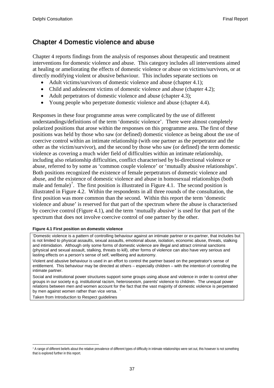# Chapter 4 Domestic violence and abuse

Chapter 4 reports findings from the analysis of responses about therapeutic and treatment interventions for domestic violence and abuse. This category includes all interventions aimed at healing or ameliorating the effects of domestic violence or abuse on victims/survivors, or at directly modifying violent or abusive behaviour. This includes separate sections on

- Adult victims/survivors of domestic violence and abuse (chapter 4.1);
- Child and adolescent victims of domestic violence and abuse (chapter 4.2);
- Adult perpetrators of domestic violence and abuse (chapter 4.3);
- Young people who perpetrate domestic violence and abuse (chapter 4.4).

Responses in these four programme areas were complicated by the use of different understandings/definitions of the term 'domestic violence'. There were almost completely polarized positions that arose within the responses on this programme area. The first of these positions was held by those who saw (or defined) domestic violence as being about the use of coercive control within an intimate relationship (with one partner as the perpetrator and the other as the victim/survivor), and the second by those who saw (or defined) the term domestic violence as covering a much wider field of difficulties within an intimate relationship, including also relationship difficulties, conflict characterised by bi-directional violence or abuse, referred to by some as 'common couple violence' or 'mutually abusive relationships'. Both positions recognized the existence of female perpetrators of domestic violence and abuse, and the existence of domestic violence and abuse in homosexual relationships (both male and female)<sup>[7](#page-52-0)</sup>. The first position is illustrated in Figure 4.1. The second position is illustrated in Figure 4.2. Within the respondents in all three rounds of the consultation, the first position was more common than the second. Within this report the term 'domestic violence and abuse' is reserved for that part of the spectrum where the abuse is characterised by coercive control (Figure 4.1), and the term 'mutually abusive' is used for that part of the spectrum that does not involve coercive control of one partner by the other.

### **Figure 4.1 First position on domestic violence**

'Domestic violence is a pattern of controlling behaviour against an intimate partner or ex-partner, that includes but is not limited to physical assaults, sexual assaults, emotional abuse, isolation, economic abuse, threats, stalking and intimidation. Although only some forms of domestic violence are illegal and attract criminal sanctions (physical and sexual assault, stalking, threats to kill), other forms of violence can also have very serious and lasting effects on a person's sense of self, wellbeing and autonomy.

Violent and abusive behaviour is used in an effort to control the partner based on the perpetrator's sense of entitlement. This behaviour may be directed at others – especially children – with the intention of controlling the intimate partner.

Social and institutional power structures support some groups using abuse and violence in order to control other groups in our society e.g. institutional racism, heterosexism, parents' violence to children. The unequal power relations between men and women account for the fact that the vast majority of domestic violence is perpetrated by men against women rather than vice versa.

Taken from Introduction to Respect guidelines

-

<span id="page-52-0"></span><sup>7</sup> A range of different beliefs about the relative prevalence of different types of difficulty in intimate relationships were set out, this however is not something that is explored further in this report.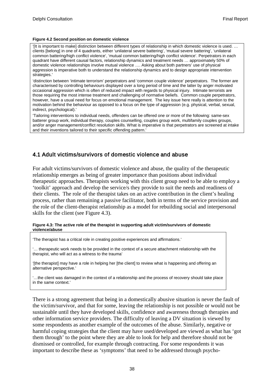### **Figure 4.2 Second position on domestic violence**

'[It is important to make] distinction between different types of relationship in which domestic violence is used. … clients [belong] in one of 4 quadrants, either 'unilateral severe battering', 'mutual severe battering', 'unilateral common battering/high conflict violence', 'mutual common battering/high conflict violence'. Perpetrators in each quadrant have different causal factors, relationship dynamics and treatment needs … approximately 50% of domestic violence relationships involve mutual violence …. Asking about both partners' use of physical aggression is imperative both to understand the relationship dynamics and to design appropriate intervention strategies.'

'distinction between 'intimate terrorism' perpetrators and 'common couple violence' perpetrators. The former are characterised by controlling behaviours displayed over a long period of time and the latter by anger motivated occasional aggression which is often of reduced impact with regards to physical injury. Intimate terrorists are those requiring the most intense treatment and challenging of normative beliefs. Common couple perpetrators, however, have a usual need for focus on emotional management. The key issue here really is attention to the motivation behind the behaviour as opposed to a focus on the type of aggression (e.g. physical, verbal, sexual, indirect, psychological).'

'Tailoring interventions to individual needs, offenders can be offered one or more of the following: same-sex batterer group work, individual therapy, couples counselling, couples group work, multifamily couples groups, and/or anger management/conflict resolution skills. What is imperative is that perpetrators are screened at intake and their inventions tailored to their specific offending pattern.'

## 4.1 Adult victims/survivors of domestic violence and abuse

For adult victims/survivors of domestic violence and abuse, the quality of the therapeutic relationship emerges as being of greater importance than positions about individual therapeutic approaches. Therapists working with this client group need to be able to employ a 'toolkit' approach and develop the service/s they provide to suit the needs and readiness of their clients. The role of the therapist takes on an active contribution in the client's healing process, rather than remaining a passive facilitator, both in terms of the service provision and the role of the client-therapist relationship as a model for rebuilding social and interpersonal skills for the client (see Figure 4.3).

#### **Figure 4.3: The active role of the therapist in supporting adult victim/survivors of domestic violence/abuse**

'The therapist has a critical role in creating positive experiences and affirmations.'

'… therapeutic work needs to be provided in the context of a secure attachment relationship with the therapist, who will act as a witness to the trauma'

'[the therapist] may have a role in helping her [the client] to review what is happening and offering an alternative perspective.'

'…the client was damaged in the context of a relationship and the process of recovery should take place in the same context.'

There is a strong agreement that being in a domestically abusive situation is never the fault of the victim/survivor, and that for some, leaving the relationship is not possible or would not be sustainable until they have developed skills, confidence and awareness through therapies and other information service providers. The difficulty of leaving a DV situation is viewed by some respondents as another example of the outcomes of the abuse. Similarly, negative or harmful coping strategies that the client may have used/developed are viewed as what has 'got them through' to the point where they are able to look for help and therefore should not be dismissed or controlled, for example through contracting. For some respondents it was important to describe these as 'symptoms' that need to be addressed through psycho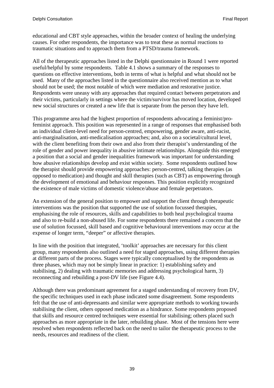educational and CBT style approaches, within the broader context of healing the underlying causes. For other respondents, the importance was to treat these as normal reactions to traumatic situations and to approach them from a PTSD/trauma framework.

All of the therapeutic approaches listed in the Delphi questionnaire in Round 1 were reported useful/helpful by some respondents. Table 4.1 shows a summary of the responses to questions on effective interventions, both in terms of what is helpful and what should not be used. Many of the approaches listed in the questionnaire also received mention as to what should not be used; the most notable of which were mediation and restorative justice. Respondents were uneasy with any approaches that required contact between perpetrators and their victims, particularly in settings where the victim/survivor has moved location, developed new social structures or created a new life that is separate from the person they have left.

This programme area had the highest proportion of respondents advocating a feminist/profeminist approach. This position was represented in a range of responses that emphasised both an individual client-level need for person-centred, empowering, gender aware, anti-racist, anti-marginalisation, anti-medicalisation approaches; and, also on a societal/cultural level, with the client benefiting from their own and also from their therapist's understanding of the role of gender and power inequality in abusive intimate relationships. Alongside this emerged a position that a social and gender inequalities framework was important for understanding how abusive relationships develop and exist within society. Some respondents outlined how the therapist should provide empowering approaches: person-centred, talking therapies (as opposed to medication) and thought and skill therapies (such as CBT) as empowering through the development of emotional and behaviour responses. This position explicitly recognized the existence of male victims of domestic violence/abuse and female perpetrators.

An extension of the general position to empower and support the client through therapeutic interventions was the position that supported the use of solution focussed therapies, emphasising the role of resources, skills and capabilities to both heal psychological trauma and also to re-build a non-abused life. For some respondents there remained a concern that the use of solution focussed, skill based and cognitive behavioural interventions may occur at the expense of longer term, "deeper" or affective therapies.

In line with the position that integrated, 'toolkit' approaches are necessary for this client group, many respondents also outlined a need for staged approaches, using different therapies at different parts of the process. Stages were typically conceptualised by the respondents as three phases, which may not be simply linear in practice: 1) establishing safety and stabilising, 2) dealing with traumatic memories and addressing psychological harm, 3) reconnecting and rebuilding a post-DV life (see Figure 4.4).

Although there was predominant agreement for a staged understanding of recovery from DV, the specific techniques used in each phase indicated some disagreement. Some respondents felt that the use of anti-depressants and similar were appropriate methods to working towards stabilising the client, others opposed medication as a hindrance. Some respondents proposed that skills and resource centred techniques were essential for stabilising; others placed such approaches as more appropriate in the later, rebuilding phase. Most of the tensions here were resolved when respondents reflected back on the need to tailor the therapeutic process to the needs, resources and readiness of the client.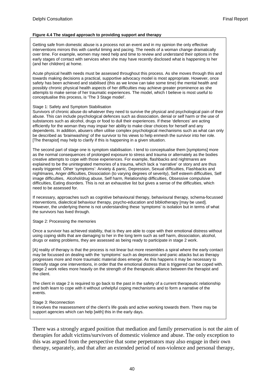### **Figure 4.4 The staged approach to providing support and therapy**

Getting safe from domestic abuse is a process not an event and in my opinion the only effective interventions mirrors this with careful timing and pacing. The needs of a woman change dramatically over time. For example, women may need help and time to review and understand their options in the early stages of contact with services when she may have recently disclosed what is happening to her (and her children) at home.

Acute physical health needs must be assessed throughout this process. As she moves through this and towards making decisions a practical, supportive advocacy model is most appropriate. However, once safety has been achieved and stabilised (this as we know can take some time) the mental health and possibly chronic physical health aspects of her difficulties may achieve greater prominence as she attempts to make sense of her traumatic experiences. The model, which I believe is most useful to conceptualise this process, is 'The 3 Stage model'.

#### Stage 1: Safety and Symptom Stabilisation

Survivors of chronic abuse do whatever they need to survive the physical and psychological pain of their abuse. This can include psychological defences such as dissociation, denial or self harm or the use of substances such as alcohol, drugs or food to dull their experiences. If these 'defences' are acting efficiently for the woman they may impair her ability to make clear choices for herself and any dependents. In addition, abusers often utilise complex psychological mechanisms such as what can only be described as 'brainwashing' of the survivor to his views to help enmesh the survivor into her role. [The therapist] may help to clarify if this is happening in a given situation.

The second part of stage one is symptom stabilisation. I tend to conceptualise them [symptoms] more as the normal consequences of prolonged exposure to stress and trauma or alternately as the bodies creative attempts to cope with those experiences. For example, flashbacks and nightmares are explained to be the unintegrated memories of a trauma, which lack a 'narrative' or story and are thus easily triggered. Other 'symptoms': Anxiety & panic, Depression, Sexual difficulties, Flashbacks and nightmares, Anger difficulties, Dissociation (to varying degrees of severity), Self esteem difficulties, Self image difficulties, Alcohol/drug abuse, Self harm, Relationship difficulties, Obsessive compulsive difficulties, Eating disorders. This is not an exhaustive list but gives a sense of the difficulties, which need to be assessed for.

If necessary, approaches such as cognitive behavioural therapy, behavioural therapy, schema-focussed interventions, dialectical behaviour therapy, psycho-education and bibliotherapy [may be used]. However, the underlying theme is not understanding these 'symptoms' is isolation but in terms of what the survivors has lived through.

#### Stage 2: Processing the memories

Once a survivor has achieved stability, that is they are able to cope with their emotional distress without using coping skills that are damaging to her in the long term such as self harm, dissociation, alcohol, drugs or eating problems, they are assessed as being ready to participate in stage 2 work.

[A] reality of therapy is that the process is not linear but more resembles a spiral where the early contact may be focussed on dealing with the 'symptoms' such as depression and panic attacks but as therapy progresses more and more traumatic material does emerge. As this happens it may be necessary to intensify stage one interventions, in order that the emotional distress that is triggered can be coped with. Stage 2 work relies more heavily on the strength of the therapeutic alliance between the therapist and the client.

The client in stage 2 is required to go back to the past in the safety of a current therapeutic relationship and both learn to cope with it without unhelpful coping mechanisms and to form a narrative of the events.

#### Stage 3: Reconnection

It involves the reassessment of the client's life goals and active working towards them. There may be support agencies which can help [with] this in the early days.

There was a strongly argued position that mediation and family preservation is not the aim of therapies for adult victims/survivors of domestic violence and abuse. The only exception to this was argued from the perspective that some perpetrators may also engage in their own therapy, separately, and that after an extended period of non-violence and personal therapy,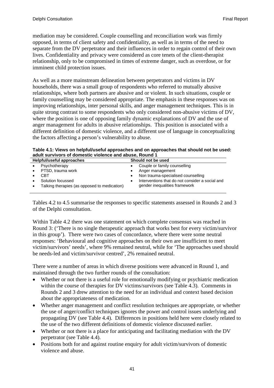mediation may be considered. Couple counselling and reconciliation work was firmly opposed, in terms of client safety and confidentiality, as well as in terms of the need to separate from the DV perpetrator and their influences in order to regain control of their own lives. Confidentiality and privacy were considered as core tenets of the client-therapist relationship, only to be compromised in times of extreme danger, such as overdose, or for imminent child protection issues.

As well as a more mainstream delineation between perpetrators and victims in DV households, there was a small group of respondents who referred to mutually abusive relationships, where both partners are abusive and or violent. In such situations, couple or family counselling may be considered appropriate. The emphasis in these responses was on improving relationships, inter personal skills, and anger management techniques. This is in quite strong contrast to some respondents who only considered non-abusive victims of DV, where the position is one of opposing family dynamic explanations of DV and the use of anger management for adults in abusive relationships. This position is associated with a different definition of domestic violence, and a different use of language in conceptualizing the factors affecting a person's vulnerability to abuse.

**Table 4.1: Views on helpful/useful approaches and on approaches that should not be used: adult survivors of domestic violence and abuse, Round 1**

| Helpful/useful approaches |                                              |  | Should not be used                              |  |  |  |
|---------------------------|----------------------------------------------|--|-------------------------------------------------|--|--|--|
|                           | Psychotherapy                                |  | Couple or family counselling                    |  |  |  |
| $\bullet$                 | PTSD, trauma work                            |  | Anger management                                |  |  |  |
|                           | CBT                                          |  | Non trauma-specialised counselling              |  |  |  |
|                           | Solution focussed                            |  | Interventions that do not consider a social and |  |  |  |
| $\bullet$                 | Talking therapies (as opposed to medication) |  | gender inequalities framework                   |  |  |  |

Tables 4.2 to 4.5 summarise the responses to specific statements assessed in Rounds 2 and 3 of the Delphi consultation.

Within Table 4.2 there was one statement on which complete consensus was reached in Round 3: ('There is no single therapeutic approach that works best for every victim/survivor in this group'). There were two cases of concordance, where there were some neutral responses: 'Behavioural and cognitive approaches on their own are insufficient to meet victim/survivors' needs', where 9% remained neutral, while for 'The approaches used should be needs-led and victim/survivor centred', 2% remained neutral.

There were a number of areas in which diverse positions were advanced in Round 1, and maintained through the two further rounds of the consultation:

- Whether or not there is a useful role for emotionally modifying or psychiatric medication within the course of therapies for DV victims/survivors (see Table 4.3). Comments in Rounds 2 and 3 drew attention to the need for an individual and context based decision about the appropriateness of medication.
- Whether anger management and conflict resolution techniques are appropriate, or whether the use of anger/conflict techniques ignores the power and control issues underlying and propagating DV (see Table 4.4). Differences in positions held here were closely related to the use of the two different definitions of domestic violence discussed earlier.
- Whether or not there is a place for anticipating and facilitating mediation with the DV perpetrator (see Table 4.4).
- Positions both for and against routine enquiry for adult victim/survivors of domestic violence and abuse.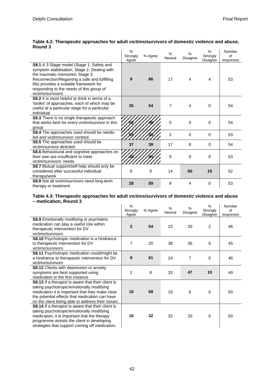|                                                                                                                                                                                                                                                                                           | $\%$<br>Strongly<br>Agree | % Agree | $\frac{9}{6}$<br>Neutral | $\%$<br>Disagree | %<br>Strongly<br>Disagree | Number<br>of<br>responses |
|-------------------------------------------------------------------------------------------------------------------------------------------------------------------------------------------------------------------------------------------------------------------------------------------|---------------------------|---------|--------------------------|------------------|---------------------------|---------------------------|
| S8.1 A 3 Stage model (Stage 1: Safety and<br>symptom stabilisation; Stage 2: Dealing with<br>the traumatic memories; Stage 3:<br>Reconnection/Regaining a safe and fulfilling<br>life) provides a suitable framework for<br>responding to the needs of this group of<br>victims/survivors | 9                         | 66      | 17                       | 4                | 4                         | 53                        |
| S8.2 It is most helpful to think in terms of a<br>'toolkit' of approaches, each of which may be<br>useful at a particular stage for a particular<br>individual                                                                                                                            | 35                        | 54      | $\overline{7}$           | 4                | 0                         | 54                        |
| <b>S8.3</b> There is no single therapeutic approach<br>that works best for every victim/survivor in this<br>group                                                                                                                                                                         |                           |         | $\Omega$                 | $\mathbf 0$      | 0                         | 54                        |
| S8.4 The approaches used should be needs-<br>led and victim/survivor centred                                                                                                                                                                                                              |                           |         | $\mathfrak{p}$           | $\Omega$         | $\Omega$                  | 53                        |
| <b>S8.5</b> The approaches used should be<br>victim/survivor directed                                                                                                                                                                                                                     | 37                        | 39      | 17                       | 8                | 0                         | 54                        |
| S8.6 Behavioural and cognitive approaches on<br>their own are insufficient to meet<br>victim/survivors' needs                                                                                                                                                                             |                           |         | 9                        | 0                | 0                         | 53                        |
| <b>S8.7</b> Mutual support/self-help should only be<br>considered after successful individual<br>therapy/work                                                                                                                                                                             | 6                         | 6       | 14                       | 60               | 15                        | 52                        |
| <b>S8.8</b> Not all victim/survivors need long-term<br>therapy or treatment                                                                                                                                                                                                               | 28                        | 59      | 9                        | 4                | 0                         | 53                        |

## **Table 4.2: Therapeutic approaches for adult victims/survivors of domestic violence and abuse, Round 3**

### **Table 4.3: Therapeutic approaches for adult victims/survivors of domestic violence and abuse – medication, Round 3**

|                                                                                                                                                                                                                                                                  | $\%$<br>Strongly<br>Agree | % Agree | $\%$<br>Neutral | $\frac{0}{0}$<br>Disagree | $\%$<br>Strongly<br>Disagree | Number<br>0f<br>responses |
|------------------------------------------------------------------------------------------------------------------------------------------------------------------------------------------------------------------------------------------------------------------|---------------------------|---------|-----------------|---------------------------|------------------------------|---------------------------|
| <b>S8.9</b> Emotionally modifying or psychiatric<br>medication can play a useful role within<br>therapeutic intervention for DV<br>victims/survivors                                                                                                             | $\overline{2}$            | 54      | 22              | 20                        | 2                            | 46                        |
| <b>S8.10</b> Psychotropic medication is a hindrance<br>to therapeutic intervention for DV<br>victims/survivors                                                                                                                                                   | 7                         | 20      | 38              | 36                        | 0                            | 45                        |
| <b>S8.11</b> Psychotropic medication could/might be<br>a hindrance to therapeutic intervention for DV<br>victims/survivors                                                                                                                                       | 9                         | 61      | 24              | 7                         | $\Omega$                     | 46                        |
| <b>S8.12</b> Clients with depression or anxiety<br>symptoms are best supported using<br>medication in the first instance                                                                                                                                         | $\overline{2}$            | 8       | 33              | 47                        | 10                           | 49                        |
| <b>S8.13</b> If a therapist is aware that their client is<br>taking psychotropic/emotionally modifying<br>medication it is important that they make clear<br>the potential effects that medication can have<br>on the client being able to address their issues. | 16                        | 68      | 10              | 6                         | $\Omega$                     | 50                        |
| <b>S8.14</b> If a therapist is aware that their client is<br>taking psychotropic/emotionally modifying<br>medication, it is important that the therapy<br>programme assists the client in developing<br>strategies that support coming off medication.           | 16                        | 32      | 32              | 20                        | $\Omega$                     | 50                        |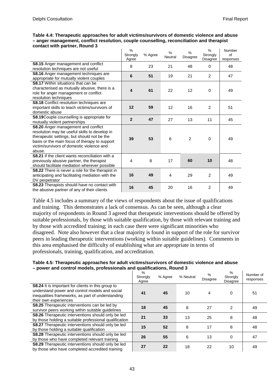| Table 4.4: Therapeutic approaches for adult victims/survivors of domestic violence and abuse |  |
|----------------------------------------------------------------------------------------------|--|
| – anger management, conflict resolution, couple counselling, reconciliation and therapist    |  |
| contact with partner, Round 3                                                                |  |

|                                                                                                                                                                                                                                                    | $\frac{0}{0}$<br>Strongly<br>Agree | % Agree | $\%$<br>Neutral | %<br><b>Disagree</b> | $\%$<br>Strongly<br>Disagree | Number<br>of<br>responses |
|----------------------------------------------------------------------------------------------------------------------------------------------------------------------------------------------------------------------------------------------------|------------------------------------|---------|-----------------|----------------------|------------------------------|---------------------------|
| <b>S8.15 Anger management and conflict</b><br>resolution techniques are not useful                                                                                                                                                                 | 8                                  | 23      | 21              | 48                   | $\Omega$                     | 48                        |
| S8.16 Anger management techniques are<br>appropriate for mutually violent couples                                                                                                                                                                  | 6                                  | 51      | 19              | 21                   | $\overline{2}$               | 47                        |
| <b>S8.17</b> Within situations that can be<br>characterised as mutually abusive, there is a<br>role for anger management or conflict<br>resolution techniques                                                                                      | 4                                  | 61      | 22              | 12                   | 0                            | 49                        |
| <b>S8.18</b> Conflict resolution techniques are<br>important skills to teach victims/survivors of<br>domestic abuse                                                                                                                                | 12                                 | 59      | 12              | 16                   | 2                            | 51                        |
| S8.19Couple counselling is appropriate for<br>mutually violent partnerships                                                                                                                                                                        | $\overline{2}$                     | 47      | 27              | 13                   | 11                           | 45                        |
| <b>S8.20</b> Anger management and conflict<br>resolution may be useful skills to develop in<br>therapeutic settings, but should not be the<br>basis or the main focus of therapy to support<br>victim/survivors of domestic violence and<br>abuse. | 39                                 | 53      | 6               | $\overline{2}$       | $\Omega$                     | 49                        |
| <b>S8.21</b> If the client wants reconciliation with a<br>previously abusive partner, the therapist<br>should facilitate mediation wherever possible                                                                                               | 4                                  | 8       | 17              | 60                   | 10                           | 48                        |
| <b>S8.22</b> There is never a role for the therapist in<br>anticipating and facilitating mediation with the<br>DV perpetrator                                                                                                                      | 16                                 | 49      | 4               | 29                   | 2                            | 49                        |
| S8.23 Therapists should have no contact with<br>the abusive partner of any of their clients                                                                                                                                                        | 16                                 | 45      | 20              | 16                   | $\overline{2}$               | 49                        |

Table 4.5 includes a summary of the views of respondents about the issue of qualifications and training. This demonstrates a lack of consensus. As can be seen, although a clear majority of respondents in Round 3 agreed that therapeutic interventions should be offered by suitable professionals, by those with suitable qualification, by those with relevant training and by those with accredited training; in each case there were significant minorities who disagreed. Note also however that a clear majority is found in support of the role for survivor peers in leading therapeutic interventions (working within suitable guidelines). Comments in this area emphasised the difficulty of establishing what are appropriate in terms of professionals, training, qualification, and accreditation.

| Table 4.5: Therapeutic approaches for adult victims/survivors of domestic violence and abuse |  |
|----------------------------------------------------------------------------------------------|--|
| - power and control models, professionals and qualifications, Round 3                        |  |
|                                                                                              |  |

|                                                                                                                                                                                           | $\%$<br>Strongly<br>Agree | % Agree | % Neutral | %<br>Disagree | %<br>Strongly<br><b>Disagree</b> | Number of<br>responses |
|-------------------------------------------------------------------------------------------------------------------------------------------------------------------------------------------|---------------------------|---------|-----------|---------------|----------------------------------|------------------------|
| <b>S8.24</b> It is important for clients in this group to<br>understand power and control models and social<br>inequalities frameworks, as part of understanding<br>their own experiences | 41                        | 45      | 10        | 4             | 0                                | 51                     |
| <b>S8.25</b> Therapeutic interventions can be led by<br>survivor peers working within suitable guidelines                                                                                 | 18                        | 45      | 8         | 27            | $\overline{2}$                   | 49                     |
| <b>S8.26</b> Therapeutic interventions should only be led<br>by those holding a suitable professional qualification                                                                       | 21                        | 33      | 13        | 25            | 8                                | 48                     |
| <b>S8.27</b> Therapeutic interventions should only be led<br>by those holding a suitable qualification                                                                                    | 15                        | 52      | 8         | 17            | 8                                | 48                     |
| <b>S8.28</b> Therapeutic interventions should only be led<br>by those who have completed relevant training                                                                                | 26                        | 55      | 6         | 13            | 0                                | 47                     |
| <b>S8.29</b> Therapeutic interventions should only be led<br>by those who have completed accredited training                                                                              | 27                        | 22      | 18        | 22            | 10                               | 49                     |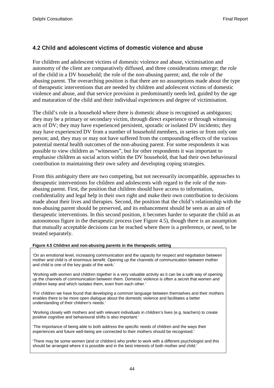## 4.2 Child and adolescent victims of domestic violence and abuse

For children and adolescent victims of domestic violence and abuse, victimisation and autonomy of the client are comparatively diffused, and three considerations emerge; the role of the child in a DV household; the role of the non-abusing parent; and, the role of the abusing parent. The overarching position is that there are no assumptions made about the type of therapeutic interventions that are needed by children and adolescent victims of domestic violence and abuse, and that service provision is predominantly needs led, guided by the age and maturation of the child and their individual experiences and degree of victimisation.

The child's role in a household where there is domestic abuse is recognised as ambiguous; they may be a primary or secondary victim, through direct experience or through witnessing acts of DV; they may have experienced persistent, sporadic or isolated DV incidents; they may have experienced DV from a number of household members, in series or from only one person; and, they may or may not have suffered from the compounding effects of the various potential mental health outcomes of the non-abusing parent. For some respondents it was possible to view children as "witnesses", but for other respondents it was important to emphasise children as social actors within the DV household, that had their own behavioural contribution to maintaining their own safety and developing coping strategies.

From this ambiguity there are two competing, but not necessarily incompatible, approaches to therapeutic interventions for children and adolescents with regard to the role of the nonabusing parent. First, the position that children should have access to information, confidentiality and legal help in their own right and make their own contribution to decisions made about their lives and therapies. Second, the position that the child's relationship with the non-abusing parent should be preserved, and its enhancement should be seen as an aim of therapeutic interventions. In this second position, it becomes harder to separate the child as an autonomous figure in the therapeutic process (see Figure 4.5), though there is an assumption that mutually acceptable decisions can be reached where there is a preference, or need, to be treated separately.

### **Figure 4.5 Children and non-abusing parents in the therapeutic setting**

'On an emotional level, increasing communication and the capacity for respect and negotiation between mother and child is of enormous benefit. Opening up the channels of communication between mother and child is one of the key goals of the work.'

'Working with women and children together is a very valuable activity as it can be a safe way of opening up the channels of communication between them. Domestic violence is often a secret that women and children keep and which isolates them, even from each other.'

'For children we have found that developing a common language between themselves and their mothers enables there to be more open dialogue about the domestic violence and facilitates a better understanding of their children's needs.'

'Working closely with mothers and with relevant individuals in children's lives (e.g. teachers) to create positive cognitive and behavioural shifts is also important.'

'The importance of being able to both address the specific needs of children and the ways their experiences and future well-being are connected to their mothers should be recognised.'

'There may be some women (and or children) who prefer to work with a different psychologist and this should be arranged where it is possible and in the best interests of both mother and child.'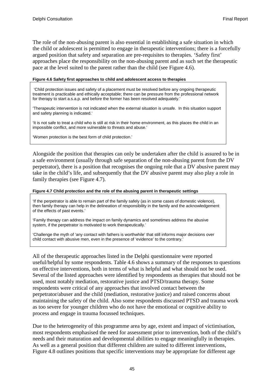The role of the non-abusing parent is also essential in establishing a safe situation in which the child or adolescent is permitted to engage in therapeutic interventions; there is a forcefully argued position that safety and separation are pre-requisites to therapies. 'Safety first' approaches place the responsibility on the non-abusing parent and as such set the therapeutic pace at the level suited to the parent rather than the child (see Figure 4.6).

## **Figure 4.6 Safety first approaches to child and adolescent access to therapies**

'Child protection issues and safety of a placement must be resolved before any ongoing therapeutic treatment is practicable and ethically acceptable; there can be pressure from the professional network for therapy to start a.s.a.p. and before the former has been resolved adequately.'

'Therapeutic intervention is not indicated when the external situation is unsafe. In this situation support and safety planning is indicated.'

'It is not safe to treat a child who is still at risk in their home environment, as this places the child in an impossible conflict, and more vulnerable to threats and abuse.'

'Women protection is the best form of child protection.'

Alongside the position that therapies can only be undertaken after the child is assured to be in a safe environment (usually through safe separation of the non-abusing parent from the DV perpetrator), there is a position that recognises the ongoing role that a DV abusive parent may take in the child's life, and subsequently that the DV abusive parent may also play a role in family therapies (see Figure 4.7).

## **Figure 4.7 Child protection and the role of the abusing parent in therapeutic settings**

'If the perpetrator is able to remain part of the family safely (as in some cases of domestic violence), then family therapy can help in the delineation of responsibility in the family and the acknowledgement of the effects of past events.'

'Family therapy can address the impact on family dynamics and sometimes address the abusive system, if the perpetrator is motivated to work therapeutically.'

'Challenge the myth of 'any contact with fathers is worthwhile' that still informs major decisions over child contact with abusive men, even in the presence of 'evidence' to the contrary.'

All of the therapeutic approaches listed in the Delphi questionnaire were reported useful/helpful by some respondents. Table 4.6 shows a summary of the responses to questions on effective interventions, both in terms of what is helpful and what should not be used. Several of the listed approaches were identified by respondents as therapies that should not be used, most notably mediation, restorative justice and PTSD/trauma therapy. Some respondents were critical of any approaches that involved contact between the perpetrator/abuser and the child (mediation, restorative justice) and raised concerns about maintaining the safety of the child. Also some respondents discussed PTSD and trauma work as too severe for younger children who do not have the emotional or cognitive ability to process and engage in trauma focussed techniques.

Due to the heterogeneity of this programme area by age, extent and impact of victimisation, most respondents emphasised the need for assessment prior to intervention, both of the child's needs and their maturation and developmental abilities to engage meaningfully in therapies. As well as a general position that different children are suited to different interventions, Figure 4.8 outlines positions that specific interventions may be appropriate for different age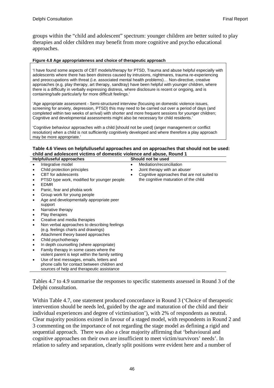groups within the "child and adolescent" spectrum: younger children are better suited to play therapies and older children may benefit from more cognitive and psycho educational approaches.

### **Figure 4.8 Age appropriateness and choice of therapeutic approach**

'I have found some aspects of CBT models/therapy for PTSD, Trauma and abuse helpful especially with adolescents where there has been distress caused by intrusions, nightmares, trauma re-experiencing and preoccupations with threat (i.e. associated mental health problems)… Non-directive, creative approaches (e.g. play therapy, art therapy, sandtray) have been helpful with younger children, where there is a difficulty in verbally expressing distress, where disclosure is recent or ongoing, and is containing/safe particularly for more difficult feelings.'

'Age appropriate assessment - Semi-structured interview (focusing on domestic violence issues, screening for anxiety, depression, PTSD) this may need to be carried out over a period of days (and completed within two weeks of arrival) with shorter and more frequent sessions for younger children; Cognitive and developmental assessments might also be necessary for child residents.'

'Cognitive behaviour approaches with a child [should not be used] (anger management or conflict resolution) when a child is not sufficiently cognitively developed and where therefore a play approach may be more appropriate.'

## **Table 4.6 Views on helpful/useful approaches and on approaches that should not be used: child and adolescent victims of domestic violence and abuse, Round 1**

| <b>Helpful/useful approaches</b>                                                                                                                                                                                                                                                                                                                                                                                                                                                                                                                                                                                                                                                                                                                                                     | Should not be used                                                                                                                               |
|--------------------------------------------------------------------------------------------------------------------------------------------------------------------------------------------------------------------------------------------------------------------------------------------------------------------------------------------------------------------------------------------------------------------------------------------------------------------------------------------------------------------------------------------------------------------------------------------------------------------------------------------------------------------------------------------------------------------------------------------------------------------------------------|--------------------------------------------------------------------------------------------------------------------------------------------------|
| Integrative model<br>Child protection principles<br>CBT for adolescents<br>PTSD type work, modified for younger people<br>٠<br><b>EDMR</b><br>Panic, fear and phobia work<br>Group work for young people<br>Age and developmentally appropriate peer<br>support<br>Narrative therapy<br>Play therapies<br>Creative and media therapies<br>Non verbal approaches to describing feelings<br>(e.g. feelings charts and drawings)<br>Attachment theory based approaches<br>Child psychotherapy<br>In depth counselling (where appropriate)<br>٠<br>Family therapy in some cases where the<br>violent parent is kept within the family setting<br>Use of text messages, emails, letters and<br>phone calls for contact between children and<br>sources of help and therapeutic assistance | Mediation/reconciliation<br>Joint therapy with an abuser<br>Cognitive approaches that are not suited to<br>the cognitive maturation of the child |

Tables 4.7 to 4.9 summarise the responses to specific statements assessed in Round 3 of the Delphi consultation.

Within Table 4.7, one statement produced concordance in Round 3 ('Choice of therapeutic intervention should be needs led, guided by the age and maturation of the child and their individual experiences and degree of victimisation'), with 2% of respondents as neutral. Clear majority positions existed in favour of a staged model, with respondents in Round 2 and 3 commenting on the importance of not regarding the stage model as defining a rigid and sequential approach. There was also a clear majority affirming that 'behavioural and cognitive approaches on their own are insufficient to meet victim/survivors' needs'. In relation to safety and separation, clearly split positions were evident here and a number of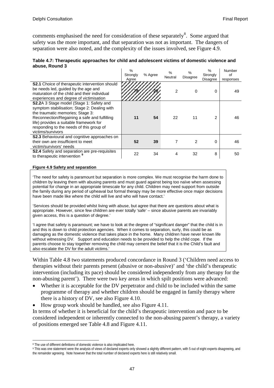comments emphasised the need for consideration of these separately $\delta$ . Some argued that safety was the more important, and that separation was not as important. The dangers of separation were also noted, and the complexity of the issues involved, see Figure 4.9.

### **Table 4.7: Therapeutic approaches for child and adolescent victims of domestic violence and abuse, Round 3**

|                                                                                                                                                                                                                                                                                                  | $\%$<br>Strongly<br>Agree | % Agree | $\%$<br>Neutral | $\frac{9}{6}$<br>Disagree | $\%$<br>Strongly<br><b>Disagree</b> | Number<br>οf<br>responses |
|--------------------------------------------------------------------------------------------------------------------------------------------------------------------------------------------------------------------------------------------------------------------------------------------------|---------------------------|---------|-----------------|---------------------------|-------------------------------------|---------------------------|
| <b>S2.1</b> Choice of therapeutic intervention should<br>be needs led, quided by the age and<br>maturation of the child and their individual<br>experiences and degree of victimisation                                                                                                          |                           |         |                 |                           | Ω                                   | 49                        |
| <b>S2.2</b> A 3 Stage model (Stage 1: Safety and<br>symptom stabilisation; Stage 2: Dealing with<br>the traumatic memories; Stage 3:<br>Reconnection/Regaining a safe and fulfilling<br>life) provides a suitable framework for<br>responding to the needs of this group of<br>victims/survivors | 11                        | 54      | 22              | 11                        | 2                                   | 46                        |
| S2.3 Behavioural and cognitive approaches on<br>their own are insufficient to meet<br>victim/survivors' needs                                                                                                                                                                                    | 52                        | 39      | 7               | 2                         | O                                   | 46                        |
| <b>S2.4</b> Safety and separation are pre-requisites<br>to therapeutic intervention                                                                                                                                                                                                              | 22                        | 34      | 4               | 32                        | 8                                   | 50                        |

### **Figure 4.9 Safety and separation**

'The need for safety is paramount but separation is more complex. We must recognise the harm done to children by leaving them with abusing parents and must guard against being too naïve when assessing potential for change in an appropriate timescale for any child. Children may need support from outside the family during any period of upheaval but formal therapy may be more effective once major decisions have been made like where the child will live and who will have contact.'

'Services should be provided whilst living with abuse, but agree that there are questions about what is appropriate. However, since few children are ever totally 'safe' – since abusive parents are invariably given access, this is a question of degree.'

'I agree that safety is paramount; we have to look at the degree of "significant danger" that the child is in and this is down to child protection agencies. When it comes to separation, surly, this could be as damaging as the domestic violence that takes place in the home. Many children have never known life without witnessing DV. Support and education needs to be provided to help the child cope. If the parents choose to stay together removing the child may cement the belief that it is the Child's fault and also escalate the DV for the adult victims.'

Within Table 4.8 two statements produced concordance in Round 3 ('Children need access to therapies without their parents present (abusive or non-abusive)' and 'the child's therapeutic intervention (including its pace) should be considered independently from any therapy for the non-abusing parent'). There were two key areas in which spilt positions were advanced:

- Whether it is acceptable for the DV perpetrator and child to be included within the same programme of therapy and whether children should be engaged in family therapy where there is a history of DV, see also Figure 4.10.
- How group work should be handled, see also Figure 4.11.

In terms of whether it is beneficial for the child's therapeutic intervention and pace to be considered independent or inherently connected to the non-abusing parent's therapy, a variety of positions emerged see Table 4.8 and Figure 4.11.

-

<span id="page-62-0"></span><sup>&</sup>lt;sup>8</sup> The use of different definitions of domestic violence is also implicated here.

<span id="page-62-1"></span><sup>9</sup> This was one statement were the analysis of views of declared experts only showed a slightly different pattern, with 5 out of eight experts disagreeing, and the remainder agreeing. Note however that the total number of declared experts here is still relatively small.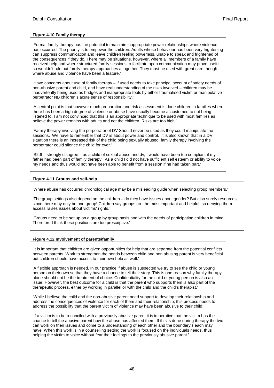### **Figure 4.10 Family therapy**

'Formal family therapy has the potential to maintain inappropriate power relationships where violence has occurred. The priority is to empower the children. Adults whose behaviour has been very frightening can suppress communication and leave children feeling powerless, unable to speak and frightened of the consequences if they do. There may be situations, however, where all members of a family have received help and where structured family sessions to facilitate open communication may prove useful so wouldn't rule out family therapy approaches altogether. They must be used with great care though where abuse and violence have been a feature.'

'Have concerns about use of family therapy – if used needs to take principal account of safety needs of non-abusive parent and child, and have real understanding of the risks involved – children may be inadvertently being used as bridges and inappropriate tools by either traumatised victim or manipulative perpetrator NB children's acute sense of responsibility.'

'A central point is that however much preparation and risk assessment is done children in families where there has been a high degree of violence or abuse have usually become accustomed to not being listened to. I am not convinced that this is an appropriate technique to be used with most families as I believe the power remains with adults and not the children. Risks are too high.'

'Family therapy involving the perpetrator of DV Should never be used as they could manipulate the sessions. We have to remember that DV is about power and control. It is also known that in a DV situation there is an increased risk of the child being sexually abused, family therapy involving the perpetrator could silence the child for ever.'

'S2.6 – strongly disagree – as a child of sexual abuse and dv, I would have been too compliant if my father had been part of family therapy. As a child I did not have sufficient self esteem or ability to voice my needs and thus would not have been able to benefit from a session if he had taken part.'

#### **Figure 4.11 Groups and self-help**

'Where abuse has occurred chronological age may be a misleading guide when selecting group members.'

'The group settings also depend on the children – do they have issues about gender? But also surely resources, since there may only be one group! Children say groups are the most important and helpful, so denying them access raises issues about victims' rights.'

'Groups need to be set up on a group by group basis and with the needs of participating children in mind. Therefore I think these positions are too prescriptive.'

#### **Figure 4.12 Involvement of parents/family**

'It is important that children are given opportunities for help that are separate from the potential conflicts between parents. Work to strengthen the bonds between child and non abusing parent is very beneficial but children should have access to their own help as well.'

'A flexible approach is needed. In our practice if abuse is suspected we try to see the child or young person on their own so that they have a chance to tell their story. This is one reason why family therapy alone should not be the treatment of choice. Confidentiality for the child or young person is also an issue. However, the best outcome for a child is that the parent who supports them is also part of the therapeutic process, either by working in parallel or with the child and the child's therapist.'

'While I believe the child and the non-abusive parent need support to develop their relationship and address the consequences of violence for each of them and their relationship, this process needs to address the possibility that the parent victim of violence may have been abusive to their child.'

'If a victim is to be reconciled with a previously abusive parent it is imperative that the victim has the chance to tell the abusive parent how the abuse has affected them. If this is done during therapy the two can work on their issues and come to a understanding of each other and the boundary's each may have. When this work is in a counselling setting the work is focused on the individuals needs, thus helping the victim to voice without fear their feelings to the previously abusive parent.'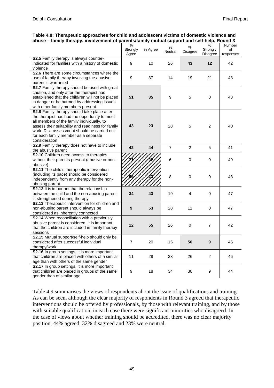| Table 4.8: Therapeutic approaches for child and adolescent victims of domestic violence and |
|---------------------------------------------------------------------------------------------|
| abuse - family therapy, involvement of parents/family mutual support and self-help, Round 3 |

|                                                               | %<br>Strongly | % Agree | %<br>Neutral   | %<br><b>Disagree</b> | %<br>Strongly  | Number<br>of |
|---------------------------------------------------------------|---------------|---------|----------------|----------------------|----------------|--------------|
| S2.5 Family therapy is always counter-                        | Agree         |         |                |                      | Disagree       | responses    |
|                                                               | 9             | 10      | 26             | 43                   | 12             | 42           |
| indicated for families with a history of domestic<br>violence |               |         |                |                      |                |              |
| <b>S2.6</b> There are some circumstances where the            |               |         |                |                      |                |              |
| use of family therapy involving the abusive                   | 9             | 37      | 14             | 19                   | 21             | 43           |
| parent is warranted                                           |               |         |                |                      |                |              |
| S2.7 Family therapy should be used with great                 |               |         |                |                      |                |              |
| caution, and only after the therapist has                     |               |         |                |                      |                |              |
| established that the child/ren will not be placed             | 51            | 35      | 9              | 5                    | 0              | 43           |
| in danger or be harmed by addressing issues                   |               |         |                |                      |                |              |
| with other family members present.                            |               |         |                |                      |                |              |
| S2.8 Family therapy should take place after                   |               |         |                |                      |                |              |
| the therapist has had the opportunity to meet                 |               |         |                |                      |                |              |
| all members of the family individually, to                    |               |         |                |                      |                |              |
| assess their suitability and readiness for family             | 43            | 23      | 28             | 5                    | 2              | 40           |
| work. Risk assessment should be carried out                   |               |         |                |                      |                |              |
| for each family member as a separate                          |               |         |                |                      |                |              |
| consideration                                                 |               |         |                |                      |                |              |
| S2.9 Family therapy does not have to include                  |               |         |                |                      |                |              |
| the abusive parent                                            | 42            | 44      | $\overline{7}$ | $\overline{2}$       | 5              | 41           |
| S2.10 Children need access to therapies                       |               |         |                |                      |                |              |
| without their parents present (abusive or non-                |               |         | 6              | 0                    | 0              | 49           |
| abusive)                                                      |               |         |                |                      |                |              |
| <b>S2.11</b> The child's therapeutic intervention             |               |         |                |                      |                |              |
| (including its pace) should be considered                     |               |         |                |                      |                |              |
| independently from any therapy for the non-                   |               |         | 8              | 0                    | 0              | 48           |
| abusing parent                                                |               |         |                |                      |                |              |
| <b>S2.12</b> It is important that the relationship            |               |         |                |                      |                |              |
| between the child and the non-abusing parent                  | 34            | 43      | 19             | 4                    | 0              | 47           |
| is strengthened during therapy                                |               |         |                |                      |                |              |
| S2.13 Therapeutic intervention for children and               |               |         |                |                      |                |              |
| non-abusing parent should always be                           | 9             | 53      | 28             | 11                   | 0              | 47           |
| considered as inherently connected                            |               |         |                |                      |                |              |
| S2.14 When reconciliation with a previously                   |               |         |                |                      |                |              |
| abusive parent is considered, it is important                 | 12            | 55      | 26             | 0                    | $\overline{7}$ | 42           |
| that the children are included in family therapy              |               |         |                |                      |                |              |
| sessions                                                      |               |         |                |                      |                |              |
| S2.15 Mutual support/self-help should only be                 |               |         |                |                      |                |              |
| considered after successful individual                        | 7             | 20      | 15             | 50                   | 9              | 46           |
| therapy/work                                                  |               |         |                |                      |                |              |
| S2.16 In group settings, it is more important                 |               |         |                |                      |                |              |
| that children are placed with others of a similar             | 11            | 28      | 33             | 26                   | 2              | 46           |
| age than with others of the same gender                       |               |         |                |                      |                |              |
| S2.17 In group settings, it is more important                 |               |         |                |                      |                |              |
| that children are placed in groups of the same                | 9             | 18      | 34             | 30                   | 9              | 44           |
| gender than of similar age                                    |               |         |                |                      |                |              |

Table 4.9 summarises the views of respondents about the issue of qualifications and training. As can be seen, although the clear majority of respondents in Round 3 agreed that therapeutic interventions should be offered by professionals, by those with relevant training, and by those with suitable qualification, in each case there were significant minorities who disagreed. In the case of views about whether training should be accredited, there was no clear majority position, 44% agreed, 32% disagreed and 23% were neutral.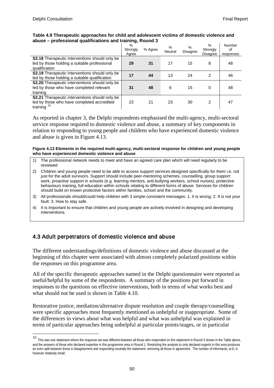|                                                                                                       | %<br>Strongly<br>Agree | % Agree | $\%$<br>Neutral | %<br>Disagree | $\%$<br>Strongly<br><b>Disagree</b> | Number<br>of<br>responses |
|-------------------------------------------------------------------------------------------------------|------------------------|---------|-----------------|---------------|-------------------------------------|---------------------------|
| <b>S2.18</b> Therapeutic interventions should only be<br>led by those holding a suitable professional | 29                     | 31      | 17              | 15            | 8                                   | 48                        |
| qualification                                                                                         |                        |         |                 |               |                                     |                           |
| S2.19 Therapeutic interventions should only be                                                        | 17                     | 44      | 13              | 24            | 2                                   | 46                        |
| led by those holding a suitable qualification                                                         |                        |         |                 |               |                                     |                           |
| S2.20 Therapeutic interventions should only be                                                        |                        |         |                 |               |                                     |                           |
| led by those who have completed relevant                                                              | 31                     | 48      | 6               | 15            | 0                                   | 48                        |
| training                                                                                              |                        |         |                 |               |                                     |                           |
| <b>S2.21</b> Therapeutic interventions should only be                                                 |                        |         |                 |               |                                     |                           |
| led by those who have completed accredited                                                            | 23                     | 21      | 23              | 30            | 2                                   | 47                        |
| training $10$                                                                                         |                        |         |                 |               |                                     |                           |

#### **Table 4.9 Therapeutic approaches for child and adolescent victims of domestic violence and abuse – professional qualifications and training, Round 3**

As reported in chapter 3, the Delphi respondents emphasised the multi-agency, multi-sectoral service response required to domestic violence and abuse, a summary of key components in relation to responding to young people and children who have experienced domestic violence and abuse is given in Figure 4.13.

#### **Figure 4.13 Elements in the required multi-agency, multi-sectoral response for children and young people who have experienced domestic violence and abuse**

- 1) The professional network needs to meet and have an agreed care plan which will need regularly to be reviewed
- 2) Children and young people need to be able to access support services designed specifically for them i.e. not just for the adult survivors. Support should include peer-mentoring schemes, counselling, group support work, proactive support in schools (e.g. learning mentors, anti-bullying workers, school nurses), protective behaviours training, full education within schools relating to different forms of abuse. Services for children should build on known protective factors within families, school and the community.
- 3) All professionals should/could help children with 3 simple consistent messages: 1. It is wrong; 2. It is not your fault: 3. How to stay safe.
- 4) It is important to ensure that children and young people are actively involved in designing and developing interventions.

## 4.3 Adult perpetrators of domestic violence and abuse

The different understandings/definitions of domestic violence and abuse discussed at the beginning of this chapter were associated with almost completely polarized positions within the responses on this programme area.

All of the specific therapeutic approaches named in the Delphi questionnaire were reported as useful/helpful by some of the respondents. A summary of the positions put forward in responses to the questions on effective interventions, both in terms of what works best and what should not be used is shown in Table 4.10.

Restorative justice, mediation/alternative dispute resolution and couple therapy/counselling were specific approaches most frequently mentioned as unhelpful or inappropriate. Some of the differences in views about what was helpful and what was unhelpful was explained in terms of particular approaches being unhelpful at particular points/stages, or in particular

<span id="page-65-0"></span><sup>10</sup> This was one statement where the response set was different between all those who responded on this statement in Round 3 shown in the Table above, and the answers of those who declared expertise in this programme area in Round 1. Restricting the analysis to only declared experts in this area produces an even split between those in disagreement and responding neutrally the statement, removing all those in agreement. The number of informants, at 8, is however relatively small.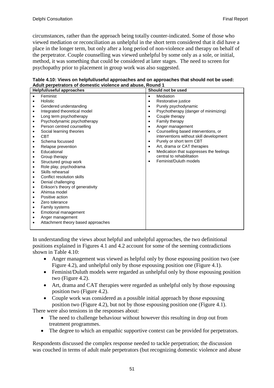circumstances, rather than the approach being totally counter-indicated. Some of those who viewed mediation or reconciliation as unhelpful in the short term considered that it did have a place in the longer term, but only after a long period of non-violence and therapy on behalf of the perpetrator. Couple counselling was viewed unhelpful by some only as a sole, or initial, method, it was something that could be considered at later stages. The need to screen for psychopathy prior to placement in group work was also suggested.

| Table 4.10: Views on helpful/useful approaches and on approaches that should not be used: |  |
|-------------------------------------------------------------------------------------------|--|
| Adult perpetrators of domestic violence and abuse, Round 1                                |  |

|           | <b>Helpful/useful approaches</b>   |           | Should not be used                      |
|-----------|------------------------------------|-----------|-----------------------------------------|
| $\bullet$ | Feminist                           | $\bullet$ | Mediation                               |
| ٠         | Holistic                           | $\bullet$ | Restorative justice                     |
| ٠         | Gendered understanding             | $\bullet$ | Purely psychodynamic                    |
| $\bullet$ | Integrated theoretical model       | $\bullet$ | Psychotherapy (danger of minimizing)    |
|           | Long term psychotherapy            | $\bullet$ | Couple therapy                          |
| ٠         | Psychodynamic psychotherapy        | $\bullet$ | Family therapy                          |
| $\bullet$ | Person centred counselling         | $\bullet$ | Anger management                        |
|           | Social learning theories           | $\bullet$ | Counselling based interventions, or     |
| ٠         | <b>CBT</b>                         |           | interventions without skill development |
| ٠         | Schema focussed                    | $\bullet$ | Purely or short term CBT                |
| ٠         | Relapse prevention                 | $\bullet$ | Art, drama or CAT therapies             |
| $\bullet$ | Educational                        | $\bullet$ | Medication that suppresses the feelings |
|           | Group therapy                      |           | central to rehabilitation               |
| ٠         | Structured group work              | $\bullet$ | Feminist/Duluth models                  |
| ٠         | Role play, psychodrama             |           |                                         |
|           | Skills rehearsal                   |           |                                         |
| $\bullet$ | Conflict resolution skills         |           |                                         |
| ٠         | Denial challenging                 |           |                                         |
| ٠         | Erikson's theory of generativity   |           |                                         |
| $\bullet$ | Ahimsa model                       |           |                                         |
| ٠         | Positive action                    |           |                                         |
| ٠         | Zero tolerance                     |           |                                         |
| $\bullet$ | Family systems                     |           |                                         |
| ٠         | Emotional management               |           |                                         |
| ٠         | Anger management                   |           |                                         |
|           | Attachment theory based approaches |           |                                         |
|           |                                    |           |                                         |

In understanding the views about helpful and unhelpful approaches, the two definitional positions explained in Figures 4.1 and 4.2 account for some of the seeming contradictions shown in Table 4.10:

- Anger management was viewed as helpful only by those espousing position two (see Figure 4.2), and unhelpful only by those espousing position one (Figure 4.1).
- Feminist/Duluth models were regarded as unhelpful only by those espousing position two (Figure 4.2).
- Art, drama and CAT therapies were regarded as unhelpful only by those espousing position two (Figure 4.2).
- Couple work was considered as a possible initial approach by those espousing position two (Figure 4.2), but not by those espousing position one (Figure 4.1).

There were also tensions in the responses about:

- The need to challenge behaviour without however this resulting in drop out from treatment programmes.
- The degree to which an empathic supportive context can be provided for perpetrators.

Respondents discussed the complex response needed to tackle perpetration; the discussion was couched in terms of adult male perpetrators (but recognizing domestic violence and abuse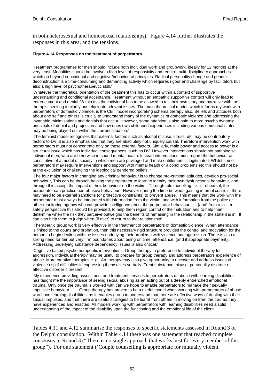in both heterosexual and homosexual relationships). Figure 4.14 further illustrates the responses in this area, and the tensions.

#### **Figure 4.14 Responses on the treatment of perpetrators**

'Treatment programmes for men should include both individual work and groupwork, ideally for 12 months at the very least. Modalities should be involve a high level of responsivity and require multi-disciplinary approaches which go beyond educational and cognitive/behavioural principles. Radical personality change and gender deconstruction is a time-consuming and demanding activity which requires rigour and challenge by facilitators but also a high level of psychotherapeutic skill.'

'Whatever the theoretical orientation of the treatment this has to occur within a context of supportive understanding and conditional acceptance. Treatment without an empathic supportive context will only lead to entrenchment and denial. Within this the individual has to be allowed to tell their own story and narrative with the therapist seeking to clarify and elucidate relevant issues. The main theoretical model, which informs my work with perpetrators of domestic violence, is the CBT model incorporating schema therapy also. Beliefs and attitudes both about one self and others is crucial to understand many of the dynamics of domestic violence and addressing the invariable minimisations and denials that occur. However, some attention is also paid to more psycho dynamic principals of denial and projection and how ones own childhood experiences including various emotional states may be being played out within the current situation.'

'The feminist model recognises that external factors such as alcohol misuse, stress, etc may be contributory factors to DV, it is also emphasised that they are absolutely not uniquely causal. Therefore intervention work with perpetrators must not concentrate only on these external factors. Similarly, male power and access to power is a structural issue which has individual consequences, such as DV. However interventions should not pathologise individual men, who are otherwise in sound mental health. Instead interventions must regard the behaviour as constitutive of a model of society in which men are privileged and male entitlement is legitimated. Whilst some perpetrators may require interventions and support with mental health or alcohol problems etc this should not be at the exclusion of challenging the ideological gendered beliefs. '

'The four major factors in changing any criminal behaviour is to change pro-criminal attitudes, develop pro-social behaviour, This can be through helping the perpetrator to learn to identify their own dysfunctional behaviour, and through this accept the impact of their behaviour on the victim. Through role modelling, skills rehearsal, the perpetrator can practice non-abusive behaviour. However during the time between gaining internal controls, there may need to be external sanctions (or protective constraints) to prevent abuse. This means that the work with the perpetrator must always be integrated with information from the victim, and with information from the police or other monitoring agency who can provide intelligence about the perpetrator behaviour. ….[and] from a victim safety perspective this should be provided, to help them regain control of their situation and to help them determine when the risk they perceive outweighs the benefits of remaining in the relationship in the state it is in. It can also help them to judge when (if ever) to return to that relationship'

'Therapeutic group work is very effective in the treatment of perpetrators of domestic violence. When attendance is linked to the courts and probation, then this necessary rigid structure provides the control and motivation for the person to begin dealing with the issues underlying their problems with violence and aggression. There is also a strong need for fair but very firm boundaries about being on time, attendance, (and if appropriate payment). Addressing underlying substance dependency issues is also critical.'

'Cognitive based psychotherapeutic interventions. Group therapy in preference to individual therapy for aggression. Individual therapy may be useful to prepare for group therapy and address perpetrators experience of abuse. More creative therapies e. g. Art therapy may also give opportunity to uncover and address issues of violence esp if difficulties in expressing themselves verbally. Treat substance misuse, personality disorder or affective disorder if present.'

'My experience providing assessment and treatment services to perpetrators of abuse with learning disabilities has taught me the importance of seeing sexual abusing as an acting out of a deeply entrenched emotional trauma. Only once the trauma is worked with can we hope to enable perpetrators to manage their sexually impulsive behaviour. ….. Group therapy has proven to be a useful model when working with perpetrators of abuse who have learning disabilities, as it enables group to understand that there are effective ways of dealing with their sexual impulses, and that there are useful strategies to be learnt from others in moving on from the trauma they have experienced and enacted. All models working with perpetrators with learning disabilities need a solid understanding of the impact of the disability upon the functioning and the emotional life of the client.'

Tables 4.11 and 4.12 summarise the responses to specific statements assessed in Round 3 of the Delphi consultation. Within Table 4.11 there was one statement that reached complete consensus in Round 3 ("There is no single approach that works best for every member of this group"). For one statement ('Couple counselling is appropriate for mutually violent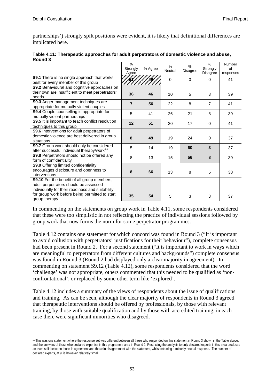-

partnerships') strongly spilt positions were evident, it is likely that definitional differences are implicated here.

| RUUIIU J                                                                                                                                                                                          |                        |         |                          |                  |                              |                           |
|---------------------------------------------------------------------------------------------------------------------------------------------------------------------------------------------------|------------------------|---------|--------------------------|------------------|------------------------------|---------------------------|
|                                                                                                                                                                                                   | %<br>Strongly<br>Agree | % Agree | $\frac{0}{0}$<br>Neutral | $\%$<br>Disagree | $\%$<br>Strongly<br>Disagree | Number<br>of<br>responses |
| <b>S9.1</b> There is no single approach that works<br>best for every member of this group                                                                                                         |                        |         | 0                        | $\Omega$         | $\Omega$                     | 41                        |
| S9.2 Behavioural and cognitive approaches on<br>their own are insufficient to meet perpetrators'<br>needs                                                                                         | 36                     | 46      | 10                       | 5                | 3                            | 39                        |
| S9.3 Anger management techniques are<br>appropriate for mutually violent couples                                                                                                                  | $\overline{7}$         | 56      | 22                       | 8                | $\overline{7}$               | 41                        |
| <b>S9.4</b> Couple counselling is appropriate for<br>mutually violent partnerships                                                                                                                | 5                      | 41      | 26                       | 21               | 8                            | 39                        |
| S9.5 It is important to teach conflict resolution<br>techniques to this group                                                                                                                     | 12                     | 51      | 20                       | 17               | $\Omega$                     | 41                        |
| S9.6 Interventions for adult perpetrators of<br>domestic violence are best delivered in group<br>situations                                                                                       | 8                      | 49      | 19                       | 24               | $\Omega$                     | 37                        |
| S9.7 Group work should only be considered<br>after successful individual therapy/work <sup>11</sup>                                                                                               | 5                      | 14      | 19                       | 60               | 3                            | 37                        |
| <b>S9.8</b> Perpetrators should not be offered any<br>form of confidentiality                                                                                                                     | 8                      | 13      | 15                       | 56               | 8                            | 39                        |
| <b>S9.9</b> Offering limited confidentiality<br>encourages disclosure and openness to<br>interventions                                                                                            | 8                      | 66      | 13                       | 8                | 5                            | 38                        |
| <b>S9.10</b> For the benefit of all group members,<br>adult perpetrators should be assessed<br>individually for their readiness and suitability<br>for group work before being permitted to start | 35                     | 54      | 5                        | 3                | 3                            | 37                        |
| group therapy.                                                                                                                                                                                    |                        |         |                          |                  |                              |                           |

|         | Table 4.11: Therapeutic approaches for adult perpetrators of domestic violence and abuse, |  |
|---------|-------------------------------------------------------------------------------------------|--|
| Round 3 |                                                                                           |  |

In commenting on the statements on group work in Table 4.11, some respondents considered that these were too simplistic in not reflecting the practice of individual sessions followed by group work that now forms the norm for some perpetrator programmes.

Table 4.12 contains one statement for which concord was found in Round 3 ("It is important to avoid collusion with perpetrators' justifications for their behaviour"), complete consensus had been present in Round 2. For a second statement ("It is important to work in ways which are meaningful to perpetrators from different cultures and backgrounds") complete consensus was found in Round 3 (Round 2 had displayed only a clear majority in agreement). In commenting on statement S9.12 (Table 4.12), some respondents considered that the word 'challenge' was not appropriate, others commented that this needed to be qualified as 'nonconfrontational', or replaced by some other term like 'explored'.

Table 4.12 includes a summary of the views of respondents about the issue of qualifications and training. As can be seen, although the clear majority of respondents in Round 3 agreed that therapeutic interventions should be offered by professionals, by those with relevant training, by those with suitable qualification and by those with accredited training, in each case there were significant minorities who disagreed.

<span id="page-68-0"></span><sup>11</sup> This was one statement where the response set was different between all those who responded on this statement in Round 3 shown in the Table above, and the answers of those who declared expertise in this programme area in Round 1. Restricting the analysis to only declared experts in this area produces an even split between those in agreement and those in disagreement with the statement, whilst retaining a minority neutral response. The number of declared experts, at 9, is however relatively small.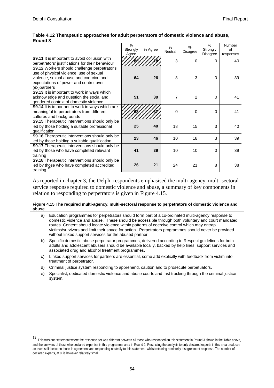|                                                                                                                                                                                                     | $\%$<br>Strongly<br>Agree | % Agree | $\%$<br>Neutral | %<br>Disagree  | $\%$<br>Strongly<br>Disagree | Number<br>of<br>responses |
|-----------------------------------------------------------------------------------------------------------------------------------------------------------------------------------------------------|---------------------------|---------|-----------------|----------------|------------------------------|---------------------------|
| <b>S9.11</b> It is important to avoid collusion with<br>perpetrators' justifications for their behaviour                                                                                            |                           |         | 3               | $\Omega$       | $\Omega$                     | 40                        |
| <b>S9.12</b> Workers should challenge perpetrator's<br>use of physical violence, use of sexual<br>violence, sexual abuse and coercion and<br>expectations of power and control over<br>(ex)partners | 64                        | 26      | 8               | 3              | 0                            | 39                        |
| <b>S9.13</b> It is important to work in ways which<br>acknowledge and question the social and<br>gendered context of domestic violence                                                              | 51                        | 39      | 7               | $\overline{2}$ | $\Omega$                     | 41                        |
| <b>S9.14</b> It is important to work in ways which are<br>meaningful to perpetrators from different<br>cultures and backgrounds                                                                     |                           |         | $\mathbf 0$     | $\mathbf 0$    | $\Omega$                     | 41                        |
| <b>S9.15</b> Therapeutic interventions should only be<br>led by those holding a suitable professional<br>qualification                                                                              | 25                        | 40      | 18              | 15             | 3                            | 40                        |
| <b>S9.16</b> Therapeutic interventions should only be<br>led by those holding a suitable qualification                                                                                              | 23                        | 46      | 10              | 18             | 3                            | 39                        |
| <b>S9.17</b> Therapeutic interventions should only be<br>led by those who have completed relevant<br>training                                                                                       | 41                        | 39      | 10              | 10             | $\Omega$                     | 39                        |
| <b>S9.18</b> Therapeutic interventions should only be<br>led by those who have completed accredited<br>training $12$                                                                                | 26                        | 21      | 24              | 21             | 8                            | 38                        |

#### **Table 4.12 Therapeutic approaches for adult perpetrators of domestic violence and abuse, Round 3**

As reported in chapter 3, the Delphi respondents emphasised the multi-agency, multi-sectoral service response required to domestic violence and abuse, a summary of key components in relation to responding to perpetrators is given in Figure 4.15.

#### **Figure 4.15 The required multi-agency, multi-sectoral response to perpetrators of domestic violence and abuse**

- a) Education programmes for perpetrators should form part of a co-ordinated multi-agency response to domestic violence and abuse. These should be accessible through both voluntary and court mandated routes. Content should locate violence within patterns of coercive control which may entrap victims/survivors and limit their space for action. Perpetrators programmes should never be provided without linked support services for the abused partner.
- b) Specific domestic abuse perpetrator programmes, delivered according to Respect guidelines for both adults and adolescent abusers should be available locally, backed by help lines, support services and associated drug and alcohol treatment programmes.
- c) Linked support services for partners are essential, some add explicitly with feedback from victim into treatment of perpetrator.
- d) Criminal justice system responding to apprehend, caution and to prosecute perpetuators.
- e) Specialist, dedicated domestic violence and abuse courts and fast tracking through the criminal justice system.

<span id="page-69-0"></span><sup>12</sup> This was one statement where the response set was different between all those who responded on this statement in Round 3 shown in the Table above, and the answers of those who declared expertise in this programme area in Round 1. Restricting the analysis to only declared experts in this area produces an even split between those in agreement and responding neutrally to this statement, whilst retaining a minority disagreement response. The number of declared experts, at 8, is however relatively small.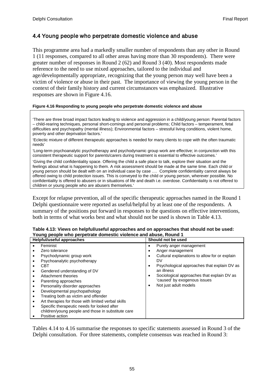## 4.4 Young people who perpetrate domestic violence and abuse

This programme area had a markedly smaller number of respondents than any other in Round 1 (11 responses, compared to all other areas having more than 30 respondents). There were greater number of responses in Round 2 (62) and Round 3 (40). Most respondents made reference to the need to use mixed approaches, tailored to the individual and age/developmentally appropriate, recognizing that the young person may well have been a victim of violence or abuse in their past. The importance of viewing the young person in the context of their family history and current circumstances was emphasized. Illustrative responses are shown in Figure 4.16.

### **Figure 4.16 Responding to young people who perpetrate domestic violence and abuse**

'There are three broad impact factors leading to violence and aggression in a child/young person: Parental factors – child-rearing techniques, personal short-comings and personal problems; Child factors – temperament, fetal difficulties and psychopathy (mental illness); Environmental factors – stressful living conditions, violent home, poverty and other deprivation factors.'

'Eclectic mixture of different therapeutic approaches is needed for many clients to cope with the often traumatic needs'

'Long-term psychoanalytic psychotherapy and psychodynamic group work are effective; in conjunction with this consistent therapeutic support for parents/carers during treatment is essential to effective outcomes.'

'Giving the child confidentiality space. Offering the child a safe place to talk, explore their situation and the feelings about what is happening to them. A risk assessment should be made at the same time. Each child or young person should be dealt with on an individual case by case …. Complete confidentiality cannot always be offered owing to child protection issues. This is conveyed to the child or young person, wherever possible. No confidentiality is offered to abusers or in situations of life and death i.e. overdose. Confidentiality is not offered to children or young people who are abusers themselves.'

Except for relapse prevention, all of the specific therapeutic approaches named in the Round 1 Delphi questionnaire were reported as useful/helpful by at least one of the respondents. A summary of the positions put forward in responses to the questions on effective interventions, both in terms of what works best and what should not be used is shown in Table 4.13.

| <b>Helpful/useful approaches</b> |                                                    | Should not be used |                                               |  |  |
|----------------------------------|----------------------------------------------------|--------------------|-----------------------------------------------|--|--|
|                                  | Feminist                                           | ٠                  | Purely anger management                       |  |  |
|                                  | Zero tolerance                                     | ٠                  | Anger management                              |  |  |
|                                  | Psychodynamic group work                           | ٠                  | Cultural explanations to allow for or explain |  |  |
|                                  | Psychoanalytic psychotherapy                       |                    | DV.                                           |  |  |
|                                  | CBT                                                | ٠                  | Psychological approaches that explain DV as   |  |  |
|                                  | Gendered understanding of DV                       |                    | an illness                                    |  |  |
|                                  | Attachment theories                                | ٠                  | Sociological approaches that explain DV as    |  |  |
|                                  | Parenting approaches                               |                    | 'caused' by exogenous issues                  |  |  |
|                                  | Personality disorder approaches                    | ٠                  | Not just adult models                         |  |  |
|                                  | Developmental psychopathology                      |                    |                                               |  |  |
|                                  | Treating both as victim and offender               |                    |                                               |  |  |
|                                  | Art therapies for those with limited verbal skills |                    |                                               |  |  |
|                                  | Specific therapeutic needs for looked after        |                    |                                               |  |  |
|                                  | children/young people and those in substitute care |                    |                                               |  |  |
|                                  | Positive action                                    |                    |                                               |  |  |

| Table 4.13: Views on helpful/useful approaches and on approaches that should not be used: |  |
|-------------------------------------------------------------------------------------------|--|
| Young people who perpetrate domestic violence and abuse, Round 1                          |  |
|                                                                                           |  |

Tables 4.14 to 4.16 summarise the responses to specific statements assessed in Round 3 of the Delphi consultation. For three statements, complete consensus was reached in Round 3: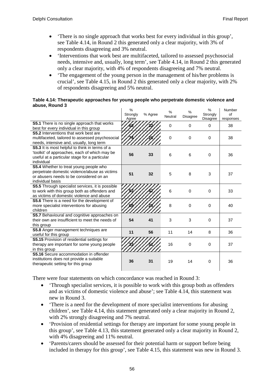- There is no single approach that works best for every individual in this group', see Table 4.14, in Round 2 this generated only a clear majority, with 3% of respondents disagreeing and 3% neutral.
- 'Interventions that work best are multifaceted, tailored to assessed psychosocial needs, intensive and, usually, long term', see Table 4.14, in Round 2 this generated only a clear majority, with 4% of respondents disagreeing and 7% neutral.
- The engagement of the young person in the management of his/her problems is crucial', see Table 4.15, in Round 2 this generated only a clear majority, with 2% of respondents disagreeing and 5% neutral.

## **Table 4.14: Therapeutic approaches for young people who perpetrate domestic violence and abuse, Round 3**

|                                                                                                                                                                | $\%$<br>Strongly<br>Agree | % Agree | %<br>Neutral | %<br><b>Disagree</b> | $\%$<br>Strongly<br><b>Disagree</b> | Number<br>of<br>responses |
|----------------------------------------------------------------------------------------------------------------------------------------------------------------|---------------------------|---------|--------------|----------------------|-------------------------------------|---------------------------|
| <b>S5.1</b> There is no single approach that works<br>best for every individual in this group                                                                  |                           |         | $\Omega$     | $\Omega$             | $\Omega$                            | 38                        |
| <b>S5.2</b> Interventions that work best are<br>multifaceted, tailored to assessed psychosocial<br>needs, intensive and, usually, long term                    |                           |         | $\Omega$     | 0                    | 0                                   | 38                        |
| S5.3 It is most helpful to think in terms of a<br>'toolkit' of approaches, each of which may be<br>useful at a particular stage for a particular<br>individual | 56                        | 33      | 6            | 6                    | 0                                   | 36                        |
| <b>S5.4</b> Whether to treat young people who<br>perpetrate domestic violence/abuse as victims<br>or abusers needs to be considered on an<br>individual basis  | 51                        | 32      | 5            | 8                    | 3                                   | 37                        |
| <b>S5.5</b> Through specialist services, it is possible<br>to work with this group both as offenders and<br>as victims of domestic violence and abuse          |                           |         | 6            | 0                    | $\Omega$                            | 33                        |
| S5.6 There is a need for the development of<br>more specialist interventions for abusing<br>children                                                           |                           |         | 8            | 0                    | 0                                   | 40                        |
| S5.7 Behavioural and cognitive approaches on<br>their own are insufficient to meet the needs of<br>this group                                                  | 54                        | 41      | 3            | 3                    | $\Omega$                            | 37                        |
| S5.8 Anger management techniques are<br>useful for this group                                                                                                  | 11                        | 56      | 11           | 14                   | 8                                   | 36                        |
| <b>S5.15</b> Provision of residential settings for<br>therapy are important for some young people<br>in this group                                             |                           |         | 16           | 0                    | 0                                   | 37                        |
| <b>S5.16</b> Secure accommodation in offender<br>institutions does not provide a suitable<br>therapeutic setting for this group                                | 36                        | 31      | 19           | 14                   | 0                                   | 36                        |

There were four statements on which concordance was reached in Round 3:

- Through specialist services, it is possible to work with this group both as offenders and as victims of domestic violence and abuse'; see Table 4.14, this statement was new in Round 3.
- There is a need for the development of more specialist interventions for abusing children', see Table 4.14, this statement generated only a clear majority in Round 2, with 2% strongly disagreeing and 7% neutral.
- 'Provision of residential settings for therapy are important for some young people in this group', see Table 4.13, this statement generated only a clear majority in Round 2, with 4% disagreeing and 11% neutral.
- 'Parents/carers should be assessed for their potential harm or support before being included in therapy for this group', see Table 4.15, this statement was new in Round 3.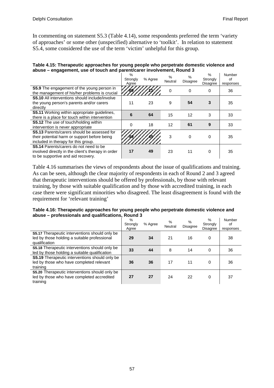In commenting on statement S5.3 (Table 4.14), some respondents preferred the term 'variety of approaches' or some other (unspecified) alternative to 'toolkit'. In relation to statement S5.4, some considered the use of the term 'victim' unhelpful for this group.

#### **Table 4.15: Therapeutic approaches for young people who perpetrate domestic violence and abuse – engagement, use of touch and parent/carer involvement, Round 3**

|                                                                                                                                           | $\%$<br>Strongly<br>Agree | % Agree | %<br>Neutral | %<br>Disagree | $\%$<br>Strongly<br><b>Disagree</b> | Number<br>οf<br>responses |
|-------------------------------------------------------------------------------------------------------------------------------------------|---------------------------|---------|--------------|---------------|-------------------------------------|---------------------------|
| <b>S5.9</b> The engagement of the young person in<br>the management of his/her problems is crucial                                        |                           |         | 0            | 0             | 0                                   | 36                        |
| <b>S5.10</b> All interventions should include/involve<br>the young person's parents and/or carers<br>directly                             | 11                        | 23      | 9            | 54            | 3                                   | 35                        |
| <b>S5.11</b> Working within appropriate guidelines,<br>there is a place for touch within intervention                                     | 6                         | 64      | 15           | 12            | 3                                   | 33                        |
| <b>S5.12</b> The use of touch/holding within<br>intervention is never appropriate                                                         | O                         | 18      | 12           | 61            | 9                                   | 33                        |
| <b>S5.13</b> Parents/carers should be assessed for<br>their potential harm or support before being<br>included in therapy for this group. |                           |         | 3            | 0             | 0                                   | 35                        |
| <b>S5.14</b> Parents/carers do not need to be<br>involved directly in the client's therapy in order<br>to be supportive and aid recovery. | 17                        | 49      | 23           | 11            | $\Omega$                            | 35                        |

Table 4.16 summarises the views of respondents about the issue of qualifications and training. As can be seen, although the clear majority of respondents in each of Round 2 and 3 agreed that therapeutic interventions should be offered by professionals, by those with relevant training, by those with suitable qualification and by those with accredited training, in each case there were significant minorities who disagreed. The least disagreement is found with the requirement for 'relevant training'

| Table 4.16: Therapeutic approaches for young people who perpetrate domestic violence and |  |
|------------------------------------------------------------------------------------------|--|
| abuse – professionals and qualifications, Round 3                                        |  |

|                                                                                                                        | %<br>Strongly<br>Agree | % Agree | $\%$<br>Neutral | %<br>Disagree | %<br>Strongly<br>Disagree | Number<br>οf<br>responses |
|------------------------------------------------------------------------------------------------------------------------|------------------------|---------|-----------------|---------------|---------------------------|---------------------------|
| <b>S5.17</b> Therapeutic interventions should only be<br>led by those holding a suitable professional<br>qualification | 29                     | 34      | 21              | 16            | 0                         | 38                        |
| <b>S5.18</b> Therapeutic interventions should only be<br>led by those holding a suitable qualification                 | 33                     | 44      | 8               | 14            | 0                         | 36                        |
| <b>S5.19</b> Therapeutic interventions should only be<br>led by those who have completed relevant<br>training          | 36                     | 36      | 17              | 11            | 0                         | 36                        |
| <b>S5.20</b> Therapeutic interventions should only be<br>led by those who have completed accredited<br>training        | 27                     | 27      | 24              | 22            | 0                         | 37                        |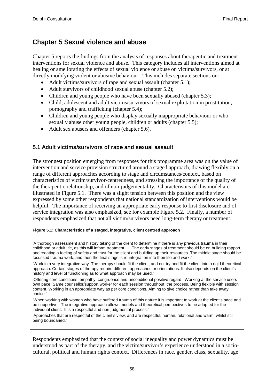# Chapter 5 Sexual violence and abuse

Chapter 5 reports the findings from the analysis of responses about therapeutic and treatment interventions for sexual violence and abuse. This category includes all interventions aimed at healing or ameliorating the effects of sexual violence or abuse on victims/survivors, or at directly modifying violent or abusive behaviour. This includes separate sections on:

- Adult victims/survivors of rape and sexual assault (chapter 5.1);
- Adult survivors of childhood sexual abuse (chapter 5.2);
- Children and young people who have been sexually abused (chapter 5.3);
- Child, adolescent and adult victims/survivors of sexual exploitation in prostitution, pornography and trafficking (chapter 5.4);
- Children and young people who display sexually inappropriate behaviour or who sexually abuse other young people, children or adults (chapter 5.5);
- Adult sex abusers and offenders (chapter 5.6).

## 5.1 Adult victims/survivors of rape and sexual assault

The strongest position emerging from responses for this programme area was on the value of intervention and service provision structured around a staged approach, drawing flexibly on a range of different approaches according to stage and circumstances/context, based on characteristics of victim/survivor-centredness, and stressing the importance of the quality of the therapeutic relationship, and of non-judgementality. Characteristics of this model are illustrated in Figure 5.1. There was a slight tension between this position and the view expressed by some other respondents that national standardization of interventions would be helpful. The importance of receiving an appropriate early response to first disclosure and of service integration was also emphasized, see for example Figure 5.2. Finally, a number of respondents emphasized that not all victim/survivors need long-term therapy or treatment.

## **Figure 5.1: Characteristics of a staged, integrative, client centred approach**

'A thorough assessment and history taking of the client to determine if there is any previous trauma in their childhood or adult life, as this will inform treatment. ….The early stages of treatment should be on building rapport and creating a feeling of safety and trust for the client and building up their resources. The middle stage should be focussed trauma work, and then the final stage is re-integration into their life and work.'

'Work in a very integrative way. The therapy should fit the client, and not try and fit the client into a rigid theoretical approach. Certain stages of therapy require different approaches or orientations. It also depends on the client's history and level of functioning as to what approach may be used.'

'Offering core conditions, empathy, congruence and unconditional positive regard. Working at the service users own pace. Same counsellor/support worker for each session throughout the process. Being flexible with session content. Working in an appropriate way as per core conditions. Aiming to give choice rather than take away choice.'

'When working with women who have suffered trauma of this nature it is important to work at the client's pace and be supportive. The integrative approach allows models and theoretical perspectives to be adapted for the individual client. It is a respectful and non-judgmental process.'

'Approaches that are respectful of the client's view, and are respectful, human, relational and warm, whilst still being boundaried.'

Respondents emphasized that the context of social inequality and power dynamics must be understood as part of the therapy, and the victim/survivor's experience understood in a sociocultural, political and human rights context. Differences in race, gender, class, sexuality, age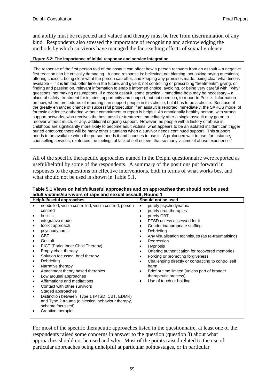and ability must be respected and valued and therapy must be free from discrimination of any kind. Respondents also stressed the importance of recognising and acknowledging the methods by which survivors have managed the far-reaching effects of sexual violence.

## **Figure 5.2: The importance of initial response and service integration**

'The response of the first person told of the assault can affect how a person recovers from an assault – a negative first reaction can be critically damaging. A good response is: believing; not blaming; not asking prying questions; offering choices; being clear what the person can offer, and keeping any promises made; being clear what time is available – if it is limited, offer time in the future, and give it; not controlling or prescribing "treatments"; giving, or finding and passing on, relevant information to enable informed choice; avoiding, or being very careful with, "why" questions; not making assumptions. If a recent assault, some practical, immediate help may be necessary - a place of safety, treatment for injuries, opportunity and support, but not coercion, to report to Police. Information on how, when, procedures of reporting can support people in this choice, but it has to be a choice. Because of the greatly enhanced chance of successful prosecution if an assault is reported immediately, the SARCS model of forensic evidence-gathering without commitment to report is helpful. An emotionally healthy person, with strong support networks, who receives the best possible treatment immediately after a single assault may go on to recover without much, or any, additional ongoing support. However, as people with a history of abuse in childhood are significantly more likely to become adult victims, what appears to be an isolated incident can trigger buried emotions; there will be many other situations when a survivor needs continued support. This support needs to be available when the person needs it and chooses to use it. A prolonged wait to use, for instance, counselling services, reinforces the feelings of lack of self esteem that so many victims of abuse experience.'

All of the specific therapeutic approaches named in the Delphi questionnaire were reported as useful/helpful by some of the respondents. A summary of the positions put forward in responses to the questions on effective interventions, both in terms of what works best and what should not be used is shown in Table 5.1.

| Table 5.1 Views on helpful/useful approaches and on approaches that should not be used: |  |
|-----------------------------------------------------------------------------------------|--|
| adult victims/survivors of rape and sexual assault, Round 1                             |  |
|                                                                                         |  |

| needs led, victim controlled, victim centred, person<br>purely psychodynamic<br>$\bullet$<br>centred<br>purely drug therapies<br>$\bullet$<br>holistic<br>purely CBT<br>٠<br>$\bullet$<br>integrative model<br>PTSD unless assessed for it<br>٠<br>$\bullet$<br>$\bullet$                                                                                                                                                                                                                                                                                                                                                                                                                              | <b>Helpful/useful approaches</b> | Should not be used                                                                                                                                                                          |  |
|--------------------------------------------------------------------------------------------------------------------------------------------------------------------------------------------------------------------------------------------------------------------------------------------------------------------------------------------------------------------------------------------------------------------------------------------------------------------------------------------------------------------------------------------------------------------------------------------------------------------------------------------------------------------------------------------------------|----------------------------------|---------------------------------------------------------------------------------------------------------------------------------------------------------------------------------------------|--|
| psychodynamic<br>Debriefing<br><b>CBT</b><br>Gestalt<br>Regression<br>PICT (Parks Inner Child Therapy)<br><b>Hypnosis</b><br>Empty chair therapy<br>Solution focussed, brief therapy<br>Forcing or promoting forgiveness<br>$\bullet$<br>Debriefing<br>Narrative therapy<br>harm<br>٠<br>Attachment theory based therapies<br>Brief or time limited (unless part of broader<br>therapeutic process)<br>Low arousal approaches<br>Affirmations and meditations<br>Use of touch or holding<br>Contact with other survivors<br>٠<br>Staged approaches<br>٠<br>Distinction between Type 1 (PTSD, CBT, EDMR)<br>and Type 2 trauma (dialectical behaviour therapy,<br>schema focussed)<br>Creative therapies | toolkit approach                 | Gender inappropriate staffing<br>Any visualisation techniques (as re-traumatising)<br>Offering authentication for recovered memories<br>Challenging directly or contracting to control self |  |

For most of the specific therapeutic approaches listed in the questionnaire, at least one of the respondents raised some concerns in answer to the question (question 3) about what approaches should not be used and why. Most of the points raised related to the use of particular approaches being unhelpful at particular points/stages, or in particular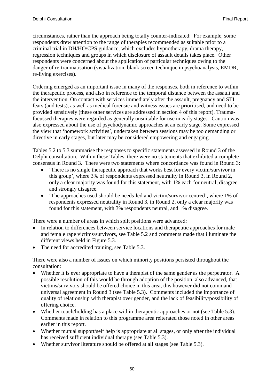circumstances, rather than the approach being totally counter-indicated: For example, some respondents drew attention to the range of therapies recommended as suitable prior to a criminal trial in DH/HO/CPS guidance, which excludes hypnotherapy, drama therapy, regression techniques and groups in which disclosure of assault details takes place. Other respondents were concerned about the application of particular techniques owing to the danger of re-traumatisation (visualization, blank screen technique in psychoanalysis, EMDR, re-living exercises).

Ordering emerged as an important issue in many of the responses, both in reference to within the therapeutic process, and also in reference to the temporal distance between the assault and the intervention. On contact with services immediately after the assault, pregnancy and STI fears (and tests), as well as medical forensic and witness issues are prioritised, and need to be provided sensitively (these other services are addressed in section 4 of this report). Traumafocussed therapies were regarded as generally unsuitable for use in early stages. Caution was also expressed about the use of psychodynamic approaches at an early stage. Some expressed the view that 'homework activities', undertaken between sessions may be too demanding or directive in early stages, but later may be considered empowering and engaging.

Tables 5.2 to 5.3 summarise the responses to specific statements assessed in Round 3 of the Delphi consultation. Within these Tables, there were no statements that exhibited a complete consensus in Round 3. There were two statements where concordance was found in Round 3:

- 'There is no single therapeutic approach that works best for every victim/survivor in this group', where 3% of respondents expressed neutrality in Round 3, in Round 2, only a clear majority was found for this statement, with 1% each for neutral, disagree and strongly disagree.
- 'The approaches used should be needs-led and victim/survivor centred', where 1% of respondents expressed neutrality in Round 3, in Round 2, only a clear majority was found for this statement, with 3% respondents neutral, and 1% disagree.

There were a number of areas in which split positions were advanced:

- In relation to differences between service locations and therapeutic approaches for male and female rape victims/survivors, see Table 5.2 and comments made that illuminate the different views held in Figure 5.3.
- The need for accredited training, see Table 5.3.

There were also a number of issues on which minority positions persisted throughout the consultation:

- Whether it is ever appropriate to have a therapist of the same gender as the perpetrator. A possible resolution of this would be through adoption of the position, also advanced, that victims/survivors should be offered choice in this area, this however did not command universal agreement in Round 3 (see Table 5.3). Comments included the importance of quality of relationship with therapist over gender, and the lack of feasibility/possibility of offering choice.
- Whether touch/holding has a place within therapeutic approaches or not (see Table 5.3). Comments made in relation to this programme area reiterated those noted in other areas earlier in this report.
- Whether mutual support/self help is appropriate at all stages, or only after the individual has received sufficient individual therapy (see Table 5.3).
- Whether survivor literature should be offered at all stages (see Table 5.3).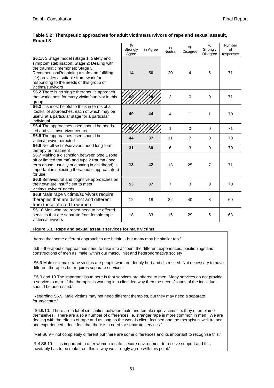| Table 5.2: Therapeutic approaches for adult victims/survivors of rape and sexual assault, |  |
|-------------------------------------------------------------------------------------------|--|
| Round 3                                                                                   |  |

|                                                                                                                                                                                                                                                                                          | $\%$<br>Strongly<br>Agree | % Agree | %<br>Neutral   | %<br><b>Disagree</b> | %<br>Strongly<br>Disagree | Number<br>of<br>responses |
|------------------------------------------------------------------------------------------------------------------------------------------------------------------------------------------------------------------------------------------------------------------------------------------|---------------------------|---------|----------------|----------------------|---------------------------|---------------------------|
| S6.1A 3 Stage model (Stage 1: Safety and<br>symptom stabilisation; Stage 2: Dealing with<br>the traumatic memories; Stage 3:<br>Reconnection/Regaining a safe and fulfilling<br>life) provides a suitable framework for<br>responding to the needs of this group of<br>victims/survivors | 14                        | 56      | 20             | 4                    | 6                         | 71                        |
| S6.2 There is no single therapeutic approach<br>that works best for every victim/survivor in this<br>group                                                                                                                                                                               |                           |         | 3              | 0                    | 0                         | 71                        |
| S6.3 It is most helpful to think in terms of a<br>'toolkit' of approaches, each of which may be<br>useful at a particular stage for a particular<br>individual                                                                                                                           | 49                        | 44      | 4              | 1                    | 1                         | 70                        |
| S6.4 The approaches used should be needs-<br>led and victim/survivor centred                                                                                                                                                                                                             |                           |         | 1              | 0                    | 0                         | 71                        |
| S6.5 The approaches used should be<br>victim/survivor directed                                                                                                                                                                                                                           | 44                        | 37      | 11             | $\overline{7}$       | 0                         | 70                        |
| S6.6 Not all victim/survivors need long-term<br>therapy or treatment                                                                                                                                                                                                                     | 31                        | 60      | 6              | 3                    | $\mathbf 0$               | 70                        |
| S6.7 Making a distinction between type 1 (one<br>off or limited trauma) and type 2 trauma (long<br>term abuse, usually originating in childhood) is<br>important in selecting therapeutic approach(es)<br>for use                                                                        | 13                        | 42      | 13             | 25                   | $\overline{7}$            | 71                        |
| S6.8 Behavioural and cognitive approaches on<br>their own are insufficient to meet<br>victim/survivors' needs                                                                                                                                                                            | 53                        | 37      | $\overline{7}$ | 3                    | $\Omega$                  | 70                        |
| <b>S6.9</b> Male rape victims/survivors require<br>therapies that are distinct and different<br>from those offered to women                                                                                                                                                              | 12                        | 18      | 22             | 40                   | 8                         | 60                        |
| S6.10 Men who are raped need to be offered<br>services that are separate from female rape<br>victims/survivors                                                                                                                                                                           | 18                        | 33      | 16             | 29                   | 5                         | 63                        |

#### **Figure 5.3.: Rape and sexual assault services for male victims**

'Agree that some different approaches are helpful - but many may be similar too.'

'6.9 – therapeutic approaches need to take into account the different experiences, positionings and constructions of men as 'male' within our masculinist and heteronormative society

'S6.9 Male or female rape victims are people who are deeply hurt and distressed. Not necessary to have different therapies but requires separate services.'

'S6.9 and 10 The important issue here is that services are offered to men. Many services do not provide a service to men. If the therapist is working in a client led way then the needs/issues of the individual should be addressed.'

'Regarding S6.9: Male victims may not need different therapies, but they may need a separate forum/centre.'

'S6.9/10. There are a lot of similarities between male and female rape victims i.e. they often blame themselves. There are also a number of differences i.e. stranger rape is more common in men. We are dealing with the effects of rape and as long as the work is client focused and the therapist is well trained and experienced I don't feel that there is a need for separate services.'

'Ref S6.9 – not completely different but there are some differences and its important to recognise this.'

'Ref S6.10 – it is important to offer women a safe, secure environment to receive support and this inevitably has to be male free, this is why we strongly agree with this point.'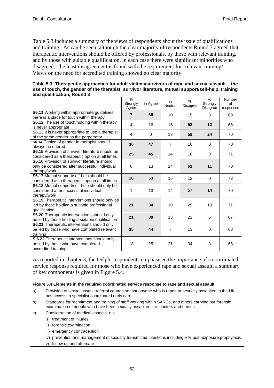Table 5.3 includes a summary of the views of respondents about the issue of qualifications and training. As can be seen, although the clear majority of respondents Round 3 agreed that therapeutic interventions should be offered by professionals, by those with relevant training, and by those with suitable qualification, in each case there were significant minorities who disagreed. The least disagreement is found with the requirement for 'relevant training'. Views on the need for accredited training showed no clear majority.

| and qualification, Kound 5                                                                                             |                        |         |                 |               |                                     |                           |
|------------------------------------------------------------------------------------------------------------------------|------------------------|---------|-----------------|---------------|-------------------------------------|---------------------------|
|                                                                                                                        | %<br>Strongly<br>Agree | % Agree | $\%$<br>Neutral | %<br>Disagree | $\%$<br>Strongly<br><b>Disagree</b> | Number<br>οf<br>responses |
| <b>S6.11</b> Working within appropriate guidelines,<br>there is a place for touch within therapy                       | $\overline{7}$         | 65      | 10              | 15            | 3                                   | 69                        |
| <b>S6.12</b> The use of touch/holding within therapy<br>is never appropriate                                           | 4                      | 16      | 16              | 52            | 12                                  | 68                        |
| S6.13 It is never appropriate to use a therapist<br>of the same gender as the perpetrator                              | 4                      | 0       | 13              | 59            | 24                                  | 70                        |
| S6.14 Choice of gender in therapist should<br>always be offered                                                        | 36                     | 47      | $\overline{7}$  | 10            | 0                                   | 70                        |
| <b>S6.15</b> Provision of survivor literature should be<br>considered as a therapeutic option at all times             | 25                     | 45      | 14              | 16            | $\Omega$                            | 71                        |
| <b>S6.16</b> Provision of survivor literature should<br>only be considered after successful individual<br>therapy/work | 0                      | 13      | 14              | 61            | 11                                  | 70                        |
| S6.17 Mutual support/self-help should be<br>considered as a therapeutic option at all times                            | 18                     | 53      | 16              | 12            | 0                                   | 73                        |
| S6.18 Mutual support/self-help should only be<br>considered after successful individual<br>therapy/work                | 1                      | 13      | 14              | 57            | 14                                  | 70                        |
| S6.19 Therapeutic interventions should only be<br>led by those holding a suitable professional<br>qualification        | 21                     | 34      | 10              | 25            | 10                                  | 71                        |
| S6.20 Therapeutic interventions should only<br>be led by those holding a suitable qualification                        | 21                     | 39      | 13              | 21            | 6                                   | 67                        |
| <b>S6.21</b> Therapeutic interventions should only<br>be led by those who have completed relevant<br>training          | 35                     | 44      | $\overline{7}$  | 13            | $\Omega$                            | 68                        |
| S 6.22 Therapeutic interventions should only<br>be led by those who have completed<br>accredited training              | 18                     | 25      | 21              | 34            | 3                                   | 68                        |

| Table 5.3: Therapeutic approaches for adult victims/survivors of rape and sexual assault – the     |  |
|----------------------------------------------------------------------------------------------------|--|
| use of touch, the gender of the therapist, survivor literature, mutual support/self-help, training |  |
| and qualification, Round 3                                                                         |  |

As reported in chapter 3, the Delphi respondents emphasised the importance of a coordinated service response required for those who have experienced rape and sexual assault, a summary of key components is given in Figure 5.4.

#### **Figure 5.4 Elements in the required coordinated service response to rape and sexual assault**

- a) Provision of sexual assault referral centres so that anyone who is raped or sexually assaulted in the UK has access to specialist coordinated early care
- b) Standards for recruitment and training of staff working within SARCs, and others carrying out forensic examination of people who have been sexually assaulted, i.e. doctors and nurses
- c) Consideration of medical aspects, e.g.
	- i) treatment of injuries
	- ii) forensic examination
	- iii) emergency contraception
	- iv) prevention and management of sexually transmitted infections including HIV post-exposure prophylaxis
	- v) follow up and aftercare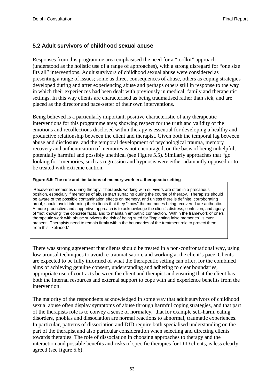## 5.2 Adult survivors of childhood sexual abuse

Responses from this programme area emphasised the need for a "toolkit" approach (understood as the holistic use of a range of approaches), with a strong disregard for "one size fits all" interventions. Adult survivors of childhood sexual abuse were considered as presenting a range of issues; some as direct consequences of abuse, others as coping strategies developed during and after experiencing abuse and perhaps others still in response to the way in which their experiences had been dealt with previously in medical, family and therapeutic settings. In this way clients are characterised as being traumatised rather than sick, and are placed as the director and pace-setter of their own interventions.

Being believed is a particularly important, positive characteristic of any therapeutic interventions for this programme area; showing respect for the truth and validity of the emotions and recollections disclosed within therapy is essential for developing a healthy and productive relationship between the client and therapist. Given both the temporal lag between abuse and disclosure, and the temporal development of psychological trauma, memory recovery and authentication of memories is not encouraged, on the basis of being unhelpful, potentially harmful and possibly unethical (see Figure 5.5). Similarly approaches that "go looking for" memories, such as regression and hypnosis were either adamantly opposed or to be treated with extreme caution.

## **Figure 5.5: The role and limitations of memory work in a therapeutic setting**

'Recovered memories during therapy: Therapists working with survivors are often in a precarious position, especially if memories of abuse start surfacing during the course of therapy. Therapists should be aware of the possible contamination effects on memory, and unless there is definite, corroborating proof, should avoid informing their clients that they "know" the memories being recovered are authentic. A more productive and supportive approach is to acknowledge the client's distress, confusion, and agony of "not knowing" the concrete facts, and to maintain empathic connection. Within the framework of one's therapeutic work with abuse survivors the risk of being sued for "implanting false memories" is ever present. Therapists need to remain firmly within the boundaries of the treatment role to protect them from this likelihood.'

There was strong agreement that clients should be treated in a non-confrontational way, using low-arousal techniques to avoid re-traumatisation, and working at the client's pace. Clients are expected to be fully informed of what the therapeutic setting can offer, for the combined aims of achieving genuine consent, understanding and adhering to clear boundaries, appropriate use of contracts between the client and therapist and ensuring that the client has both the internal resources and external support to cope with and experience benefits from the intervention.

The majority of the respondents acknowledged in some way that adult survivors of childhood sexual abuse often display symptoms of abuse through harmful coping strategies, and that part of the therapists role is to convey a sense of normalcy, that for example self-harm, eating disorders, phobias and dissociation are normal reactions to abnormal, traumatic experiences. In particular, patterns of dissociation and DID require both specialised understanding on the part of the therapist and also particular consideration when selecting and directing clients towards therapies. The role of dissociation in choosing approaches to therapy and the interaction and possible benefits and risks of specific therapies for DID clients, is less clearly agreed (see figure 5.6).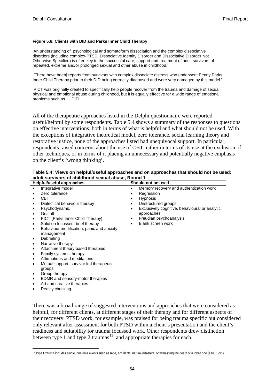### **Figure 5.6: Clients with DID and Parks Inner Child Therapy**

'An understanding of psychological and somatoform dissociation and the complex dissociative disorders (including complex-PTSD, Dissociative Identity Disorder and Dissociative Disorder Not Otherwise Specified) is often key to the successful care, support and treatment of adult survivors of repeated, extreme and/or prolonged sexual and other abuse in childhood.'

'[There have been] reports from survivors with complex dissociate distress who underwent Penny Parks Inner Child Therapy prior to their DID being correctly diagnosed and were very damaged by this model.'

'PICT was originally created to specifically help people recover from the trauma and damage of sexual, physical and emotional abuse during childhood, but it is equally effective for a wide range of emotional problems such as … DID'

All of the therapeutic approaches listed in the Delphi questionnaire were reported useful/helpful by some respondents. Table 5.4 shows a summary of the responses to questions on effective interventions, both in terms of what is helpful and what should not be used. With the exceptions of integrative theoretical model, zero tolerance, social learning theory and restorative justice, none of the approaches listed had unequivocal support. In particular, respondents raised concerns about the use of CBT, either in terms of its use at the exclusion of other techniques, or in terms of it placing an unnecessary and potentially negative emphasis on the client's 'wrong thinking'.

|           | aaan survivors of childhood scxual abusc, nound T |   |                                                |
|-----------|---------------------------------------------------|---|------------------------------------------------|
|           | Helpful/useful approaches                         |   | Should not be used                             |
| $\bullet$ | Integrative model                                 | ٠ | Memory recovery and authentication work        |
|           | Zero tolerance                                    |   | Regression                                     |
|           | <b>CBT</b>                                        | ٠ | <b>Hypnosis</b>                                |
|           | Dialectical behaviour therapy                     |   | Unstructured groups                            |
|           | Psychodynamic                                     | ٠ | Exclusively cognitive, behavioural or analytic |
| ٠         | Gestalt                                           |   | approaches                                     |
|           | PICT (Parks Inner Child Therapy)                  | ٠ | Freudian psychoanalysis                        |
| ٠         | Solution focussed, brief therapy                  | ٠ | Blank screen work                              |
| ٠         | Behaviour modification, panic and anxiety         |   |                                                |
|           | management                                        |   |                                                |
| ٠         | Debriefing                                        |   |                                                |
|           | Narrative therapy                                 |   |                                                |
| ٠         | Attachment theory based therapies                 |   |                                                |
|           | Family systems therapy                            |   |                                                |
|           | Affirmations and meditations                      |   |                                                |
| ٠         | Mutual support, survivor led therapeutic          |   |                                                |
|           | groups                                            |   |                                                |
|           | Group therapy                                     |   |                                                |
| ٠         | EDMR and sensory-motor therapies                  |   |                                                |
|           | Art and creative therapies                        |   |                                                |
|           | Reality checking                                  |   |                                                |
|           |                                                   |   |                                                |

**Table 5.4: Views on helpful/useful approaches and on approaches that should not be used: adult survivors of childhood sexual abuse, Round 1**

There was a broad range of suggested interventions and approaches that were considered as helpful, for different clients, at different stages of their therapy and for different aspects of their recovery. PTSD work, for example, was praised for being trauma specific but considered only relevant after assessment for both PTSD within a client's presentation and the client's readiness and suitability for trauma focussed work. Other respondents drew distinction between type 1 and type 2 traumas<sup>[13](#page-79-0)</sup>, and appropriate therapies for each.

<span id="page-79-0"></span><sup>-</sup><sup>13</sup> Type I trauma includes single, one-time events such as rape, accidents, natural disasters, or witnessing the death of a loved one (Terr, 1991).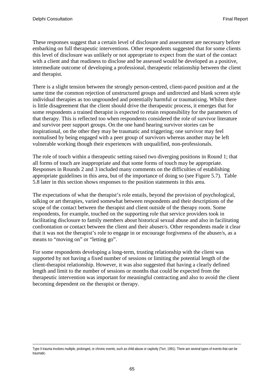These responses suggest that a certain level of disclosure and assessment are necessary before embarking on full therapeutic interventions. Other respondents suggested that for some clients this level of disclosure was unlikely or not appropriate to expect from the start of the contact with a client and that readiness to disclose and be assessed would be developed as a positive, intermediate outcome of developing a professional, therapeutic relationship between the client and therapist.

There is a slight tension between the strongly person-centred, client-paced position and at the same time the common rejection of unstructured groups and undirected and blank screen style individual therapies as too ungrounded and potentially harmful or traumatising. Whilst there is little disagreement that the client should drive the therapeutic process, it emerges that for some respondents a trained therapist is expected to retain responsibility for the parameters of that therapy. This is reflected too when respondents considered the role of survivor literature and survivor peer support groups. On the one hand hearing survivor stories can be inspirational, on the other they may be traumatic and triggering; one survivor may feel normalised by being engaged with a peer group of survivors whereas another may be left vulnerable working though their experiences with unqualified, non-professionals.

The role of touch within a therapeutic setting raised two diverging positions in Round 1; that all forms of touch are inappropriate and that some forms of touch may be appropriate. Responses in Rounds 2 and 3 included many comments on the difficulties of establishing appropriate guidelines in this area, but of the importance of doing so (see Figure 5.7). Table 5.8 later in this section shows responses to the position statements in this area.

The expectations of what the therapist's role entails, beyond the provision of psychological, talking or art therapies, varied somewhat between respondents and their descriptions of the scope of the contact between the therapist and client outside of the therapy room. Some respondents, for example, touched on the supporting role that service providers took in facilitating disclosure to family members about historical sexual abuse and also in facilitating confrontation or contact between the client and their abuser/s. Other respondents made it clear that it was not the therapist's role to engage in or encourage forgiveness of the abuser/s, as a means to "moving on" or "letting go".

For some respondents developing a long-term, trusting relationship with the client was supported by not having a fixed number of sessions or limiting the potential length of the client-therapist relationship. However, it was also suggested that having a clearly defined length and limit to the number of sessions or months that could be expected from the therapeutic intervention was important for meaningful contracting and also to avoid the client becoming dependent on the therapist or therapy.

<sup>-</sup>Type II trauma involves multiple, prolonged, or chronic events, such as child abuse or captivity (Terr, 1991). There are several types of events that can be traumatic.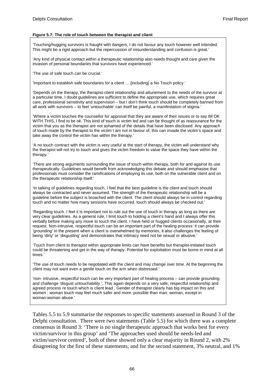### **Figure 5.7: The role of touch between the therapist and client**

'Touching/hugging survivors is fraught with dangers, I do not favour any touch however well intended. This might be a rigid approach but the repercussion of misunderstanding and confusion is great.'

'Any kind of physical contact within a therapeutic relationship also needs thought and care given the invasion of personal boundaries that survivors have experienced.'

'The use of safe touch can be crucial.'

'Important to establish safe boundaries for a client … [including] a No Touch policy.'

'Depends on the therapy, the therapist-client relationship and attunement to the needs of the survivor at a particular time. I doubt guidelines are sufficient to define the appropriate use, which requires great care, professional sensitivity and supervision – but I don't think touch should be completely banned from all work with survivors – to feel 'untouchable' can itself be painful, a manifestation of stigma.'

'Where a victim touches the counsellor for approval that they are aware of their issues or to say IM OK WITH THIS, I find to be ok. This kind of touch is victim led and can be thought of as reassurance for the victim that you as the therapist are not ashamed of the details that have been disclosed. Any approach of touch made by the therapist to the victim I am not in favour of, this can invade the victim's space and take away the control the victim has within the therapy.'

'A no touch contract with the victim is very useful at the start of therapy, the victim will understand why the therapist will not try to touch and gives the victim freedom to value the space they have within the therapy.'

'There are strong arguments surrounding the issue of touch within therapy, both for and against its use therapeutically. Guidelines would benefit from acknowledging this debate and should emphasise that professionals must consider the ramifications of employing its use, both on the vulnerable client and on the therapeutic relationship itself.'

'In talking of guidelines regarding touch, I feel that the best guideline is the client and touch should always be contracted and never assumed. The strength of the therapeutic relationship will be a guideline before the subject is broached with the client. The client should always be in control regarding touch and no matter how many sessions have occurred, touch should always be checked out.'

'Regarding touch. I feel it is important not to rule out the use of touch in therapy as long as there are very clear guidelines. As a general rule, I limit touch to holding a client's hand and I always offer this verbally before making any move to touch the client. I have held or hugged clients occasionally, at their request. Non-intrusive, respectful touch can be an important part of the healing process: it can provide 'grounding' in the present when a client is overwhelmed by memories, it also challenges the feeling of being 'dirty' or 'disgusting' and demonstrates that intimacy need not be sexual or abusive.'

'Touch from client to therapist within appropriate limits can have benefits but therapist-initiated touch could be threatening and get in the way of therapy. Potential for exploitation must be borne in mind at all times.'

'The use of touch needs to be negotiated with the client and may change over time. At the beginning the client may not want even a gentle touch on the arm when distressed.'

'non- intrusive, respectful touch can be very important part of healing process – can provide grounding and challenge 'disgust untouchability '. This again depends on a very safe, respectful relationship and agreed process re touch which is client lead . Gender of therapist clearly has big impact on this and women : woman touch may feel much safer and more possible than man: woman, except in woman:woman abuse.'

Tables 5.5 to 5.9 summarise the responses to specific statements assessed in Round 3 of the Delphi consultation. There were two statements (Table 5.5) for which there was a complete consensus in Round 3: 'There is no single therapeutic approach that works best for every victim/survivor in this group' and 'The approaches used should be needs-led and victim/survivor centred', both of these showed only a clear majority in Round 2, with 2% disagreeing for the first of these statements, and for the second statement, 3% neutral, and 1%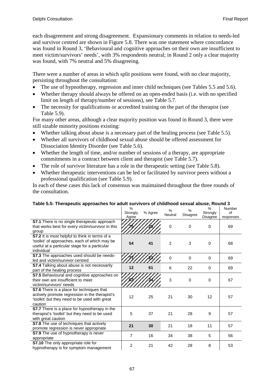each disagreement and strong disagreement. Expansionary comments in relation to needs-led and survivor centred are shown in Figure 5.8. There was one statement where concordance was found in Round 3, 'Behavioural and cognitive approaches on their own are insufficient to meet victim/survivors' needs', with 3% respondents neutral; in Round 2 only a clear majority was found, with 7% neutral and 5% disagreeing.

There were a number of areas in which split positions were found, with no clear majority, persisting throughout the consultation:

- The use of hypnotherapy, regression and inner child techniques (see Tables 5.5 and 5.6).
- Whether therapy should always be offered on an open-ended basis (i.e. with no specified limit on length of therapy/number of sessions), see Table 5.7.
- The necessity for qualifications or accredited training on the part of the therapist (see Table 5.9).

For many other areas, although a clear majority position was found in Round 3, there were still sizable minority positions existing:

- Whether talking about abuse is a necessary part of the healing process (see Table 5.5).
- Whether all survivors of childhood sexual abuse should be offered assessment for Dissociation Identity Disorder (see Table 5.6).
- Whether the length of time, and/or number of sessions of a therapy, are appropriate commitments in a contract between client and therapist (see Table 5.7).
- The role of survivor literature has a role in the therapeutic setting (see Table 5.8).
- Whether therapeutic interventions can be led or facilitated by survivor peers without a professional qualification (see Table 5.9).

In each of these cases this lack of consensus was maintained throughout the three rounds of the consultation.

| Table 5.5: Therapeutic approaches for adult survivors of childhood sexual abuse, Round 3 |  |  |
|------------------------------------------------------------------------------------------|--|--|
|                                                                                          |  |  |

|                                                                                                                                                                | %<br>Strongly<br>Agree | % Agree | $\%$<br>Neutral | %<br><b>Disagree</b> | $\%$<br>Strongly<br>Disagree | Number<br>of<br>responses |
|----------------------------------------------------------------------------------------------------------------------------------------------------------------|------------------------|---------|-----------------|----------------------|------------------------------|---------------------------|
| S7.1 There is no single therapeutic approach<br>that works best for every victim/survivor in this<br>group                                                     |                        |         | $\Omega$        | 0                    | $\Omega$                     | 69                        |
| S7.2 It is most helpful to think in terms of a<br>'toolkit' of approaches, each of which may be<br>useful at a particular stage for a particular<br>individual | 54                     | 41      | 2               | 3                    | 0                            | 68                        |
| S7.3 The approaches used should be needs-<br>led and victim/survivor centred                                                                                   |                        |         | $\Omega$        | 0                    | $\Omega$                     | 69                        |
| S7.4 Talking about abuse is not necessarily<br>part of the healing process                                                                                     | 12                     | 61      | 6               | 22                   | 0                            | 69                        |
| S7.5 Behavioural and cognitive approaches on<br>their own are insufficient to meet<br>victim/survivors' needs                                                  |                        |         | 3               | 0                    | 0                            | 67                        |
| S7.6 There is a place for techniques that<br>actively promote regression in the therapist's<br>'toolkit' but they need to be used with great<br>caution        | 12                     | 25      | 21              | 30                   | 12                           | 57                        |
| S7.7 There is a place for hypnotherapy in the<br>therapist's 'toolkit' but they need to be used<br>with great caution                                          | 5                      | 37      | 21              | 28                   | 9                            | 57                        |
| S7.8 The use of techniques that actively<br>promote regression is never appropriate                                                                            | 21                     | 30      | 21              | 18                   | 11                           | 57                        |
| S7.9 The use of hypnotherapy is never<br>appropriate                                                                                                           | 7                      | 16      | 34              | 38                   | 5                            | 56                        |
| S7.10 The only appropriate role for<br>hypnotherapy is for symptom management                                                                                  | $\overline{c}$         | 21      | 42              | 28                   | 8                            | 53                        |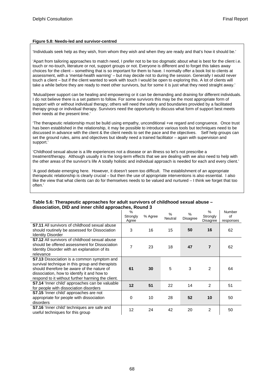#### **Figure 5.8: Needs-led and survivor-centred**

'Individuals seek help as they wish, from whom they wish and when they are ready and that's how it should be.'

'Apart from tailoring approaches to match need, I prefer not to be too dogmatic about what is best for the client i.e. touch or no-touch, literature or not, support groups or not. Everyone is different and to forget this takes away choices for the client – something that is so important for them to have. I normally offer a book list to clients at assessment, with a 'mental-health warning' – but may decide not to during the session. Generally I would never touch a client – but if the client wanted to work with touch I would be open to exploring this. A lot of clients will take a while before they are ready to meet other survivors, but for some it is just what they need straight away.'

'Mutual/peer support can be healing and empowering or it can be demanding and draining for different individuals. I do not believe there is a set pattern to follow. For some survivors this may be the most appropriate form of support with or without individual therapy; others will need the safety and boundaries provided by a facilitated therapy group or individual therapy. Survivors need the opportunity to discuss what form of support best meets their needs at the present time.'

'The therapeutic relationship must be build using empathy, unconditional +ve regard and congruence. Once trust has been established in the relationship, it may be possible to introduce various tools but techniques need to be discussed in advance with the client & the client needs to set the pace and the objectives. Self help groups can set the ground rules, aims and objectives but ideally need a trained facilitator – again with supervision and support.'

'Childhood sexual abuse is a life experiences not a disease or an illness so let's not prescribe a treatment/therapy. Although usually it is the long-term effects that we are dealing with we also need to help with the other areas of the survivor's life A totally holistic and individual approach is needed for each and every client.'

'A good debate emerging here. However, it doesn't seem too difficult. The establishment of an appropriate therapeutic relationship is clearly crucial – but then the use of appropriate interventions is also essential. I also like the view that what clients can do for themselves needs to be valued and nurtured – I think we forget that too often.'

#### **Table 5.6: Therapeutic approaches for adult survivors of childhood sexual abuse – dissociation, DID and inner child approaches, Round 3**

|                                                                                                                                                                                                                                                        | $\%$<br>Strongly<br>Agree | % Agree | $\%$<br>Neutral | $\%$<br><b>Disagree</b> | $\frac{0}{0}$<br>Strongly<br>Disagree | Number<br>of<br>responses |
|--------------------------------------------------------------------------------------------------------------------------------------------------------------------------------------------------------------------------------------------------------|---------------------------|---------|-----------------|-------------------------|---------------------------------------|---------------------------|
| <b>S7.11</b> All survivors of childhood sexual abuse<br>should routinely be assessed for Dissociation<br><b>Identity Disorder</b>                                                                                                                      | 3                         | 16      | 15              | 50                      | 16                                    | 62                        |
| <b>S7.12</b> All survivors of childhood sexual abuse<br>should be offered assessment for Dissociation<br>Identity Disorder with an explanation of its<br>relevance                                                                                     | 7                         | 23      | 18              | 47                      | 7                                     | 62                        |
| <b>S7.13</b> Dissociation is a common symptom and<br>survival technique in this group and therapists<br>should therefore be aware of the nature of<br>dissociation, how to identify it and how to<br>respond to it without further harming the client. | 61                        | 30      | 5               | 3                       | 2                                     | 64                        |
| S7.14 'Inner child' approaches can be valuable<br>for people with dissociation disorders                                                                                                                                                               | 12                        | 51      | 22              | 14                      | 2                                     | 51                        |
| S7.15 'Inner child' approaches are not<br>appropriate for people with dissociation<br>disorders                                                                                                                                                        | 0                         | 10      | 28              | 52                      | 10                                    | 50                        |
| <b>S7.16</b> 'Inner child' techniques are safe and<br>useful techniques for this group                                                                                                                                                                 | 12                        | 24      | 42              | 20                      | 2                                     | 50                        |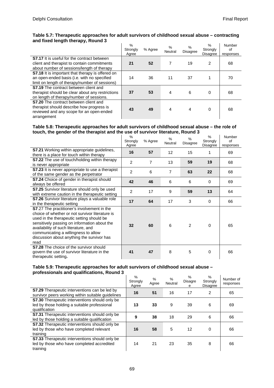|                                                                                                                                                          | %<br>Strongly<br>Agree | % Agree | $\%$<br>Neutral | %<br>Disagree | %<br>Strongly<br>Disagree | Number<br>of<br>responses |
|----------------------------------------------------------------------------------------------------------------------------------------------------------|------------------------|---------|-----------------|---------------|---------------------------|---------------------------|
| <b>S7.17</b> It is useful for the contract between<br>client and therapist to contain commitments<br>about number of sessions/length of therapy          | 21                     | 52      |                 | 19            | 2                         | 68                        |
| <b>S7.18</b> It is important that therapy is offered on<br>an open-ended basis (i.e. with no specified<br>limit on length of therapy/number of sessions) | 14                     | 36      | 11              | 37            |                           | 70                        |
| <b>S7.19</b> The contract between client and<br>therapist should be clear about any restrictions<br>on length of therapy/number of sessions.             | 37                     | 53      | 4               | 6             | 0                         | 68                        |
| <b>S7.20</b> The contract between client and<br>therapist should describe how progress is<br>reviewed and any scope for an open-ended<br>arrangement     | 43                     | 49      | 4               | 4             | 0                         | 68                        |

### **Table 5.7: Therapeutic approaches for adult survivors of childhood sexual abuse – contracting and fixed length therapy, Round 3**

### **Table 5.8: Therapeutic approaches for adult survivors of childhood sexual abuse – the role of touch, the gender of the therapist and the use of survivor literature, Round 3**

|                                                                                                                                                                                                                                                                                                                                          | $\%$<br>Strongly<br>Agree | % Agree | $\frac{0}{0}$<br>Neutral | %<br>Disagree | $\%$<br>Strongly<br>Disagree | Number<br>of<br>responses |
|------------------------------------------------------------------------------------------------------------------------------------------------------------------------------------------------------------------------------------------------------------------------------------------------------------------------------------------|---------------------------|---------|--------------------------|---------------|------------------------------|---------------------------|
| <b>S7.21</b> Working within appropriate guidelines,<br>there is a place for touch within therapy                                                                                                                                                                                                                                         | 16                        | 57      | 12                       | 15            | 1                            | 69                        |
| <b>S7.22</b> The use of touch/holding within therapy<br>is never appropriate                                                                                                                                                                                                                                                             | $\overline{2}$            | 7       | 13                       | 59            | 19                           | 68                        |
| S7.23 It is never appropriate to use a therapist<br>of the same gender as the perpetrator                                                                                                                                                                                                                                                | $\overline{2}$            | 6       | 7                        | 63            | 22                           | 68                        |
| S7.24 Choice of gender in therapist should<br>always be offered                                                                                                                                                                                                                                                                          | 42                        | 46      | 6                        | 6             | $\Omega$                     | 69                        |
| <b>S7.25</b> Survivor literature should only be used<br>with extreme caution in the therapeutic setting                                                                                                                                                                                                                                  | $\overline{2}$            | 17      | 9                        | 59            | 13                           | 64                        |
| <b>S7.26</b> Survivor literature plays a valuable role<br>in the therapeutic setting                                                                                                                                                                                                                                                     | 17                        | 64      | 17                       | 3             | 0                            | 66                        |
| <b>S7.27</b> The practitioner's involvement in the<br>choice of whether or not survivor literature is<br>used in the therapeutic setting should be<br>sensitively passing on information about the<br>availability of such literature, and<br>communicating a willingness to allow<br>discussion about anything the survivor has<br>read | 32                        | 60      | 6                        | 2             | $\Omega$                     | 65                        |
| <b>S7.28</b> The choice of the survivor should<br>govern the use of survivor literature in the<br>therapeutic setting.                                                                                                                                                                                                                   | 41                        | 47      | 8                        | 5             | 0                            | 66                        |

### **Table 5.9: Therapeutic approaches for adult survivors of childhood sexual abuse – professionals and qualifications, Round 3**

|                                                                                                                        | $\%$<br>Strongly<br>Agree | %<br>Agree | %<br>Neutral | $\%$<br>Disagre<br>е | $\%$<br>Strongly<br>Disagree | Number of<br>responses |
|------------------------------------------------------------------------------------------------------------------------|---------------------------|------------|--------------|----------------------|------------------------------|------------------------|
| <b>S7.29</b> Therapeutic interventions can be led by<br>survivor peers working within suitable guidelines              | 16                        | 51         | 16           | 17                   | 2                            | 65                     |
| <b>S7.30</b> Therapeutic interventions should only be<br>led by those holding a suitable professional<br>qualification | 13                        | 33         | 9            | 39                   | 6                            | 69                     |
| <b>S7.31</b> Therapeutic interventions should only be<br>led by those holding a suitable qualification                 | 9                         | 38         | 18           | 29                   | 6                            | 66                     |
| <b>S7.32</b> Therapeutic interventions should only be<br>led by those who have completed relevant<br>training          | 16                        | 58         | 5            | 12                   | 0                            | 66                     |
| <b>S7.33</b> Therapeutic interventions should only be<br>led by those who have completed accredited<br>training        | 14                        | 21         | 23           | 35                   | 8                            | 66                     |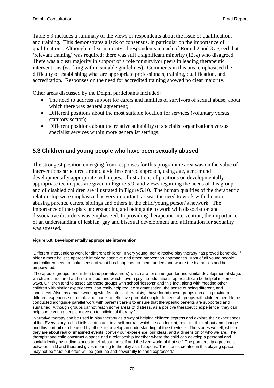Table 5.9 includes a summary of the views of respondents about the issue of qualifications and training. This demonstrates a lack of consensus, in particular on the importance of qualifications. Although a clear majority of respondents in each of Round 2 and 3 agreed that 'relevant training' was required; there was still a significant minority (12%) who disagreed. There was a clear majority in support of a role for survivor peers in leading therapeutic interventions (working within suitable guidelines). Comments in this area emphasised the difficulty of establishing what are appropriate professionals, training, qualification, and accreditation. Responses on the need for accredited training showed no clear majority.

Other areas discussed by the Delphi participants included:

- The need to address support for carers and families of survivors of sexual abuse, about which there was general agreement;
- Different positions about the most suitable location for services (voluntary versus statutory sector);
- Different positions about the relative suitability of specialist organizations versus specialist services within more generalist settings.

## 5.3 Children and young people who have been sexually abused

The strongest position emerging from responses for this programme area was on the value of interventions structured around a victim centred approach, using age, gender and developmentally appropriate techniques. Illustrations of positions on developmentally appropriate techniques are given in Figure 5.9, and views regarding the needs of this group and of disabled children are illustrated in Figure 5.10. The human qualities of the therapeutic relationship were emphasized as very important, as was the need to work with the nonabusing parents, carers, siblings and others in the child/young person's network. The importance of therapists understanding and being able to work with dissociation and dissociative disorders was emphasized. In providing therapeutic intervention, the importance of an understanding of lesbian, gay and bisexual development and affirmation for sexuality was stressed.

## **Figure 5.9: Developmentally appropriate intervention**

'Different interventions work for different children. If very young, non-directive play therapy has proved beneficial if older a more holistic approach involving cognitive and other intervention approaches. Most of all young people and children need to make sense of what has happened to them, understand where the blame lies and be empowered.'

'Therapeutic groups for children (and parents/carers) which are for same gender and similar developmental stage, which are structured and time-limited, and which have a psycho-educational approach can be helpful in some ways. Children tend to associate these groups with school 'lessons' and this fact, along with meeting other children with similar experiences, can really help reduce stigmatisation, the sense of being different, and loneliness. Also, as a male working with female co-therapists, I have found these groups can also provide a different experience of a male and model an effective parental couple. In general, groups with children need to be conducted alongside parallel work with parents/carers to ensure that therapeutic benefits are supported and sustained. Although groups cannot reach some areas of distress, as a positive therapeutic experience, they can help some young people move on to individual therapy.'

'Narrative therapy can be used in play therapy as a way of helping children express and explore their experiences of life. Every story a child tells contributes to a self-portrait which he can look at, refer to, think about and change and this portrait can be used by others to develop an understanding of the storyteller. The stories we tell, whether they are about real or imagined events, convey our experience, our ideas, and a dimension of who we are. The therapist and child construct a space and a relationship together where the child can develop a personal and social identity by finding stories to tell about the self and the lived world of that self. The partnership agreement between child and therapist gives meaning to the play as it happens. The stories created in this playing space may not be 'true' but often will be genuine and powerfully felt and expressed.'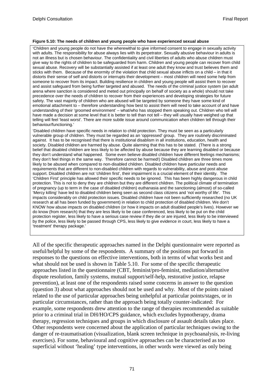### **Figure 5.10: The needs of children and young people who have experienced sexual abuse**

'Children and young people do not have the wherewithal to give informed consent to engage in sexually activity with adults. The responsibility for abuse always lies with its perpetrator. Sexually abusive behaviour in adults is not an illness but is chosen behaviour. The confidentiality and civil liberties of adults who abuse children must give way to the rights of children to be safeguarded from harm. Children and young people can recover from child sexual abuse. Recovery will be substantially assisted if at least one adult they know and trust believes them and sticks with them. Because of the enormity of the violation that child sexual abuse inflicts on a child – in that it distorts their sense of self and distorts or interrupts their development – most children will need some help from someone to recover from its impact. Building resilience in children and young people will assist them to recover and assist safeguard from being further targeted and abused. The needs of the criminal justice system (an adult arena where sanction is considered and meted out principally on behalf of society as a whole) should not take precedence over the needs of children to recover from their experiences and developing strategies for future safety. The vast majority of children who are abused will be targeted by someone they have some kind of emotional attachment to – therefore understanding how best to assist them will need to take account of and have understanding of their 'groomed environment' – what/who has stopped them speaking out. Children who tell will have made a decision at some level that it is better to tell than not tell – they will usually have weighed up that telling will feel 'least worst'. There are more subtle issue around communication when children tell through their behaviour/functioning.'

'Disabled children have specific needs in relation to child protection. They must be seen as a particularly vulnerable group of children. They must be regarded as an 'oppressed' group. They are routinely discriminated against. It has to be recognised that there is institutional disablism in all institutions, education, health and society. Disabled children are harmed by abuse. Quite alarming that this has to be stated. (There is a strong belief that disabled children are less likely to be affected by abuse because they are learning disabled or because they don't understand what happened. Some even believe disabled children have different feelings mechanisms; they don't feel things in the same way. Therefore cannot be harmed!) Disabled children are three times more likely to be abused when compared to non-disabled children. Disabled children have particular needs and requirements that are different to non-disabled children with regards to vulnerability, abuse and post abuse support. Disabled children are not 'children first', their impairment is a crucial element of their identity. The 'Children First' principle has allowed their specific needs to be ignored. This has been highly dangerous in child protection. This is not to deny they are children but they are different children. The political climate of termination of pregnancy (up to term in the case of disabled children) euthanasia and the sanctioning (almost) of so-called 'Mercy killing' have led to disabled children being seen as second class citizens and 'not worthy of life'. This impacts considerably on child protection issues. Disabled children have not been sufficiently researched (no UK research at all has been funded by government) in relation to child protection of disabled children. We don't KNOW how abuse impacts on disabled children (or how it impacts on adult disabled people's lives). However we do know (from research) that they are less likely to be case conferenced, less likely to be put on the child protection register, less likely to have a serious case review if they die or are injured, less likely to be interviewed by the police, less likely to be passed through CPS, less likely to give evidence in court, less likely to have a 'treatment' therapy package.'

All of the specific therapeutic approaches named in the Delphi questionnaire were reported as useful/helpful by some of the respondents. A summary of the positions put forward in responses to the questions on effective interventions, both in terms of what works best and what should not be used is shown in Table 5.10. For some of the specific therapeutic approaches listed in the questionnaire (CBT, feminist/pro-feminist, mediation/alternative dispute resolution, family systems, mutual support/self-help, restorative justice, relapse prevention), at least one of the respondents raised some concerns in answer to the question (question 3) about what approaches should not be used and why. Most of the points raised related to the use of particular approaches being unhelpful at particular points/stages, or in particular circumstances, rather than the approach being totally counter-indicated: For example, some respondents drew attention to the range of therapies recommended as suitable prior to a criminal trial in DH/HO/CPS guidance, which excludes hypnotherapy, drama therapy, regression techniques and groups in which disclosure of assault details takes place. Other respondents were concerned about the application of particular techniques owing to the danger of re-traumatisation (visualization, blank screen technique in psychoanalysis, re-living exercises). For some, behavioural and cognitive approaches can be characterised as too superficial without 'healing' type interventions, in other words were viewed as only being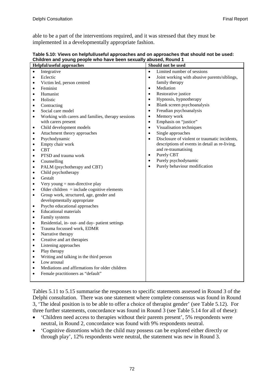able to be a part of the interventions required, and it was stressed that they must be implemented in a developmentally appropriate fashion.

**Table 5.10: Views on helpful/useful approaches and on approaches that should not be used: Children and young people who have been sexually abused, Round 1**

|           | Helpful/useful approaches                          |           | Should not be used                             |
|-----------|----------------------------------------------------|-----------|------------------------------------------------|
| $\bullet$ | Integrative                                        | $\bullet$ | Limited number of sessions                     |
| $\bullet$ | Eclectic                                           | $\bullet$ | Joint working with abusive parents/siblings,   |
| $\bullet$ | Victim led, person centred                         |           | family therapy                                 |
| $\bullet$ | Feminist                                           | $\bullet$ | Mediation                                      |
| $\bullet$ | Humanist                                           | $\bullet$ | Restorative justice                            |
| $\bullet$ | Holistic                                           | $\bullet$ | Hypnosis, hypnotherapy                         |
| $\bullet$ | Contracting                                        | $\bullet$ | Blank screen psychoanalysis                    |
| $\bullet$ | Social care model                                  | $\bullet$ | Freudian psychoanalysis                        |
| $\bullet$ | Working with carers and families, therapy sessions | $\bullet$ | Memory work                                    |
|           | with carers present                                | $\bullet$ | Emphasis on "justice"                          |
| $\bullet$ | Child development models                           | $\bullet$ | Visualisation techniques                       |
| $\bullet$ | Attachment theory approaches                       | $\bullet$ | Single approaches                              |
| $\bullet$ | Psychodynamic                                      | $\bullet$ | Disclosure of violent or traumatic incidents,  |
| $\bullet$ | Empty chair work                                   |           | descriptions of events in detail as re-living, |
| $\bullet$ | <b>CBT</b>                                         |           | and re-traumatising                            |
| $\bullet$ | PTSD and trauma work                               | $\bullet$ | Purely CBT                                     |
| $\bullet$ | Counselling                                        | $\bullet$ | Purely psychodynamic                           |
| $\bullet$ | PALM (psychotherapy and CBT)                       | $\bullet$ | Purely behaviour modification                  |
| $\bullet$ | Child psychotherapy                                |           |                                                |
| $\bullet$ | Gestalt                                            |           |                                                |
| $\bullet$ | Very young = non-directive play                    |           |                                                |
| $\bullet$ | Older children = include cognitive elements        |           |                                                |
| $\bullet$ | Group work, structured, age, gender and            |           |                                                |
|           | developmentally appropriate                        |           |                                                |
| $\bullet$ | Psycho educational approaches                      |           |                                                |
| $\bullet$ | <b>Educational materials</b>                       |           |                                                |
| ٠         | Family systems                                     |           |                                                |
| $\bullet$ | Residential, in- out- and day- patient settings    |           |                                                |
| $\bullet$ | Trauma focussed work, EDMR                         |           |                                                |
| ٠         | Narrative therapy                                  |           |                                                |
| $\bullet$ | Creative and art therapies                         |           |                                                |
| ٠         | Listening approaches                               |           |                                                |
| $\bullet$ | Play therapy                                       |           |                                                |
| ٠         | Writing and talking in the third person            |           |                                                |
| $\bullet$ | Low arousal                                        |           |                                                |
| $\bullet$ | Mediations and affirmations for older children     |           |                                                |
| $\bullet$ | Female practitioners as "default"                  |           |                                                |
|           |                                                    |           |                                                |

Tables 5.11 to 5.15 summarise the responses to specific statements assessed in Round 3 of the Delphi consultation. There was one statement where complete consensus was found in Round 3, 'The ideal position is to be able to offer a choice of therapist gender' (see Table 5.12). For three further statements, concordance was found in Round 3 (see Table 5.14 for all of these):

- Children need access to therapies without their parents present', 5% respondents were neutral, in Round 2, concordance was found with 9% respondents neutral.
- 'Cognitive distortions which the child may possess can be explored either directly or through play', 12% respondents were neutral, the statement was new in Round 3.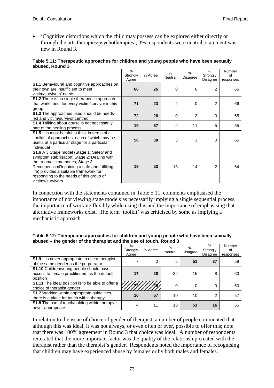• 'Cognitive distortions which the child may possess can be explored either directly or through the arts therapies/psychotherapies', 3% respondents were neutral, statement was new in Round 3.

## **Table 5.11: Therapeutic approaches for children and young people who have been sexually abused, Round 3**

|                                                                                                                                                                                                                                                                                                  | $\%$<br>Strongly<br>Agree | % Agree | $\%$<br>Neutral | %<br>Disagree | $\%$<br>Strongly<br>Disagree | Number<br>of<br>responses |
|--------------------------------------------------------------------------------------------------------------------------------------------------------------------------------------------------------------------------------------------------------------------------------------------------|---------------------------|---------|-----------------|---------------|------------------------------|---------------------------|
| <b>S1.1</b> Behavioural and cognitive approaches on<br>their own are insufficient to meet<br>victim/survivors' needs                                                                                                                                                                             | 66                        | 26      | $\Omega$        | 6             | 2                            | 65                        |
| <b>S1.2</b> There is no single therapeutic approach<br>that works best for every victim/survivor in this<br>group                                                                                                                                                                                | 71                        | 23      | 2               | $\Omega$      | 2                            | 66                        |
| <b>S1.3</b> The approaches used should be needs-<br>led and victim/survivor centred                                                                                                                                                                                                              | 72                        | 26      | $\Omega$        | 2             | $\Omega$                     | 65                        |
| <b>S1.4</b> Talking about abuse is not necessarily<br>part of the healing process                                                                                                                                                                                                                | 19                        | 57      | 9               | 11            | 5                            | 65                        |
| <b>S1.5</b> It is most helpful to think in terms of a<br>'toolkit' of approaches, each of which may be<br>useful at a particular stage for a particular<br>individual                                                                                                                            | 56                        | 38      | 3               | 3             | 0                            | 66                        |
| <b>S1.6</b> A 3 Stage model (Stage 1: Safety and<br>symptom stabilisation; Stage 2: Dealing with<br>the traumatic memories; Stage 3:<br>Reconnection/Regaining a safe and fulfilling<br>life) provides a suitable framework for<br>responding to the needs of this group of<br>victims/survivors | 19                        | 53      | 13              | 14            | $\overline{2}$               | 64                        |

In connection with the statements contained in Table 5.11, comments emphasised the importance of not viewing stage models as necessarily implying a single sequential process, the importance of working flexibly while using this and the importance of emphasising that alternative frameworks exist. The term 'toolkit' was criticised by some as implying a mechanistic approach.

| Table 5.12: Therapeutic approaches for children and young people who have been sexually |  |
|-----------------------------------------------------------------------------------------|--|
| abused – the gender of the therapist and the use of touch, Round 3                      |  |

|                                                                                                      | $\%$<br>Strongly<br>Agree | % Agree | %<br>Neutral | %<br>Disagree | %<br>Strongly<br><b>Disagree</b> | Number<br>οf<br>responses |
|------------------------------------------------------------------------------------------------------|---------------------------|---------|--------------|---------------|----------------------------------|---------------------------|
| <b>S1.9</b> It is never appropriate to use a therapist<br>of the same gender as the perpetrator      |                           | 0       | 5            | 51            | 37                               | 59                        |
| S1.10 Children/young people should have<br>access to female practitioners as the default<br>position | 17                        | 28      | 32           | 15            | 8                                | 60                        |
| <b>S1.11</b> The ideal position is to be able to offer a<br>choice of therapist gender.              |                           |         | $\Omega$     | 0             | 0                                | 60                        |
| <b>S1.7</b> Working within appropriate guidelines,<br>there is a place for touch within therapy      | 10                        | 67      | 10           | 10            | 2                                | 57                        |
| <b>S1.8 The use of touch/holding within therapy is</b><br>never appropriate                          | 4                         | 11      | 18           | 51            | 16                               | 55                        |

In relation to the issue of choice of gender of therapist, a number of people commented that although this was ideal, it was not always, or even often or ever, possible to offer this; note that there was 100% agreement in Round 3 that choice was ideal. A number of respondents reiterated that the more important factor was the quality of the relationship created with the therapist rather than the therapist's gender. Respondents noted the importance of recognising that children may have experienced abuse by females or by both males and females.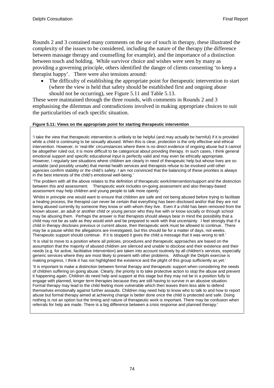Rounds 2 and 3 contained many comments on the use of touch in therapy, these illustrated the complexity of the issues to be considered, including the nature of the therapy (the difference between massage therapy and counselling for example), and the importance of a distinction between touch and holding. While survivor choice and wishes were seen by many as providing a governing principle, others identified the danger of clients consenting 'to keep a therapist happy'. There were also tensions around:

• The difficulty of establishing the appropriate point for therapeutic intervention to start (where the view is held that safety should be established first and ongoing abuse should not be occurring), see Figure 5.11 and Table 5.13.

These were maintained through the three rounds, with comments in Rounds 2 and 3 emphasising the dilemmas and contradictions involved in making appropriate choices to suit the particularities of each specific situation.

## **Figure 5.11: Views on the appropriate point for starting therapeutic intervention**

'I take the view that therapeutic intervention is unlikely to be helpful (and may actually be harmful) if it is provided while a child is continuing to be sexually abused. When this is clear, protection is the only effective and ethical intervention. However, in 'real-life' circumstances where there is no direct evidence of ongoing abuse but it cannot be altogether ruled out, it is more difficult to be categorical about providing therapy. In such cases, I think general emotional support and specific educational input is perfectly valid and may even be ethically appropriate. However, I regularly see situations where children are clearly in need of therapeutic help but whose lives are so unstable (and possibly unsafe) that mental health services and therapists refuse to be involved until other agencies confirm stability or the child's safety. I am not convinced that the balancing of these priorities is always in the best interests of the child's emotional well-being.'

'The problem with all the above relates to the definition of therapeutic work/intervention/support and the distinction between this and assessment. Therapeutic work includes on-going assessment and also therapy-based assessment may help children and young people to talk more openly.'

'Whilst in principle one would want to ensure that children are safe and not being abused before trying to facilitate a healing process, the therapist can never be certain that everything has been disclosed and/or that they are not being abused currently by someone they know or with whom they live. Even if a child has been removed from the known abuser, an adult or another child or young person who they live with or know socially or through school may be abusing them. Perhaps the answer is that therapists should always bear in mind the possibility that a child may not be as safe as they would wish and be prepared to work with that uncertainty. I feel strongly that if a child in therapy discloses previous or current abuse, then therapeutic work must be allowed to continue. There may be a pause whilst the allegations are investigated, but this should be for a matter of days, not weeks. Therapeutic support should continue. If it is stopped it gives the child a message that it was wrong to tell.'

'It is vital to move to a position where all policies, procedures and therapeutic approaches are based on the assumption that the majority of abused children are silenced and unable to disclose and their existence and their needs (e.g. for active, facilitative intervention) are taken into account routinely by all children's services, especially generic services where they are most likely to present with other problems. Although the Delphi exercise is making progress, I think it has not highlighted the existence and the plight of this group sufficiently as yet.'

'It is important to make a distinction between formal therapy and therapeutic support when considering the needs of children suffering on going abuse. Clearly, the priority is to take protective action to stop the abuse and prevent it happening again. Children do need help and support at this stage but they may not be in a position fully to engage with planned, longer term therapies because they are still having to survive in an abusive situation. Formal therapy may lead to the child feeling more vulnerable which then leaves them less able to defend themselves emotionally against further assaults. Children may need help to know who to talk to and how to report abuse but formal therapy aimed at achieving change is better done once the child is protected and safe. Doing nothing is not an option but the timing and nature of therapeutic work is important. There may be confusion when referrals for help are made. There is a big difference between a crisis response and planned therapy.'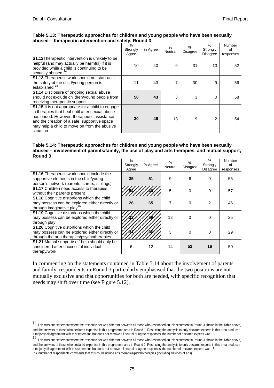|                                                                                                                                                                                                                                                                         | $\%$<br>Strongly<br>Agree | % Agree | $\%$<br>Neutral | $\%$<br>Disagree | %<br>Strongly<br><b>Disagree</b> | Number<br>of<br>responses |
|-------------------------------------------------------------------------------------------------------------------------------------------------------------------------------------------------------------------------------------------------------------------------|---------------------------|---------|-----------------|------------------|----------------------------------|---------------------------|
| <b>S1.12Therapeutic intervention is unlikely to be</b><br>helpful (and may actually be harmful) if it is<br>provided while a child is continuing to be<br>sexually abused 14                                                                                            | 10                        | 40      | 6               | 31               | 13                               | 52                        |
| S1.13 Therapeutic work should not start until<br>the safety of the child/young person is<br>established <sup>15</sup>                                                                                                                                                   | 11                        | 43      |                 | 30               | 9                                | 56                        |
| <b>S1.14</b> Disclosure of ongoing sexual abuse<br>should not exclude children/young people from<br>receiving therapeutic support                                                                                                                                       | 50                        | 43      | 3               | 3                | $\Omega$                         | 58                        |
| <b>S1.15</b> It is not appropriate for a child to engage<br>in therapies that heal until after sexual abuse<br>has ended. However, therapeutic assistance<br>and the creation of a safe, supportive space<br>may help a child to move on from the abusive<br>situation. | 30                        | 46      | 13              | 9                | 2                                | 54                        |

## **Table 5.13: Therapeutic approaches for children and young people who have been sexually abused – therapeutic intervention and safety, Round 3**

## **Table 5.14: Therapeutic approaches for children and young people who have been sexually abused – involvement of parents/family, the use of play and arts therapies, and mutual support, Round 3**

|                                                                                                                                                    | %<br>Strongly<br>Agree | % Agree | $\%$<br>Neutral | $\frac{9}{6}$<br>Disagree | $\%$<br>Strongly<br>Disagree | Number<br>of<br>responses |
|----------------------------------------------------------------------------------------------------------------------------------------------------|------------------------|---------|-----------------|---------------------------|------------------------------|---------------------------|
| <b>S1.16</b> Therapeutic work should include the<br>supportive elements in the child/young<br>person's network (parents, carers, siblings)         | 35                     | 51      | 9               | 6                         | 0                            | 55                        |
| <b>S1.17</b> Children need access to therapies<br>without their parents present                                                                    |                        |         | 5               | 0                         | 0                            | 57                        |
| <b>S1.18</b> Cognitive distortions which the child<br>may possess can be explored either directly or<br>through imaginative play <sup>16</sup>     | 26                     | 65      |                 | 0                         | 2                            | 46                        |
| <b>S1.19</b> Cognitive distortions which the child<br>may possess can be explored either directly or<br>through play                               |                        |         | 12              | 0                         | 0                            | 25                        |
| <b>S1.20</b> Cognitive distortions which the child<br>may possess can be explored either directly or<br>through the arts therapies/psychotherapies |                        |         | 3               | 0                         | 0                            | 29                        |
| S1.21 Mutual support/self-help should only be<br>considered after successful individual<br>therapy/work                                            | 6                      | 12      | 14              | 52                        | 16                           | 50                        |

In commenting on the statements contained in Table 5.14 about the involvement of parents and family, respondents in Round 3 particularly emphasised that the two positions are not mutually exclusive and that opportunities for both are needed, with specific recognition that needs may shift over time (see Figure 5.12).

<span id="page-90-0"></span><sup>14</sup> This was one statement where the response set was different between all those who responded on this statement in Round 3 shown in the Table above, and the answers of those who declared expertise in this programme area in Round 1. Restricting the analysis to only declared experts in this area produces a majority disagreement with this statement, but does not remove all neutral or agree responses; the number of declared experts was 15.<br>This was one statement where the response set was different between all those who resp

<span id="page-90-2"></span><span id="page-90-1"></span>and the answers of those who declared expertise in this programme area in Round 1. Restricting the analysis to only declared experts in this area produces a majority disagreement with this statement, but does not remove all neutral or agree responses; the number of declared experts was 15. <sup>16</sup> A number of respondents comments that this could include arts therapies/psychotherapies (including all kinds of arts).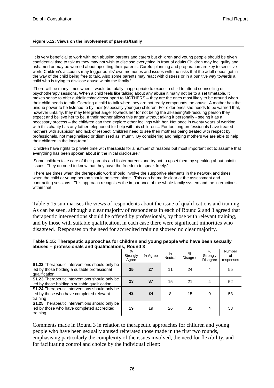## **Figure 5.12: Views on the involvement of parents/family**

'It is very beneficial to work with non abusing parents and carers but children and young people should be given confidential time to talk as they may not wish to disclose everything in front of adults Children may feel guilty and ashamed or may be worried about upsetting their parents. Careful planning and preparation are key to sensitive work. Children's accounts may trigger adults' own memories and issues with the risks that the adult needs get in the way of the child being free to talk. Also some parents may react with distress or in a punitive way towards a child who is trying to disclose abuse within the family.'

'There will be many times when it would be totally inappropriate to expect a child to attend counselling or psychotherapy sessions. When a child feels like talking about any abuse it many not be to a set timetable. It makes sense to offer guidelines/advice/support to MOTHERS – they are the ones most likely to be around when their child needs to talk. Coercing a child to talk when they are not ready compounds the abuse. A mother has the unique power to be listened to by their (especially younger) children. For older ones she needs to be warned that, however unfairly. they may feel great anger towards her for not being the all-seeing/all-rescuing person they expect and believe her to be. If their mother allows this anger without taking it personally - seeing it as a necessary process – the child/ren can then explore other feelings with her. Not once in twenty years of working with this charity has any father telephoned for help with his children.... For too long professionals have treated mothers with suspicion and lack of respect. Children need to see their mothers being treated with respect by professionals, not marginalised or dismissed as "mum". By considering and helping mothers we are able to help their children in the long-term.'

'Children have rights to private time with therapists for a number of reasons but most important not to assume that everything has been spoken about in the initial disclosure.'

'Some children take care of their parents and foster parents and try not to upset them by speaking about painful issues. They do need to know that they have the freedom to speak freely.'

'There are times when the therapeutic work should involve the supportive elements in the network and times when the child or young person should be seen alone. This can be made clear at the assessment and contracting sessions. This approach recognises the importance of the whole family system and the interactions within that.'

Table 5.15 summarises the views of respondents about the issue of qualifications and training. As can be seen, although a clear majority of respondents in each of Round 2 and 3 agreed that therapeutic interventions should be offered by professionals, by those with relevant training, and by those with suitable qualification, in each case there were significant minorities who disagreed. Responses on the need for accredited training showed no clear majority.

| anusuu<br>professionals and gualinuations, itound 5                                                                    |                        |         |                 |                      |                                              |                           |
|------------------------------------------------------------------------------------------------------------------------|------------------------|---------|-----------------|----------------------|----------------------------------------------|---------------------------|
|                                                                                                                        | %<br>Strongly<br>Agree | % Agree | $\%$<br>Neutral | %<br><b>Disagree</b> | $\frac{0}{2}$<br>Strongly<br><b>Disagree</b> | Number<br>of<br>responses |
| <b>S1.22</b> Therapeutic interventions should only be<br>led by those holding a suitable professional<br>qualification | 35                     | 27      | 11              | 24                   | 4                                            | 55                        |
| <b>S1.23</b> Therapeutic interventions should only be<br>led by those holding a suitable qualification                 | 23                     | 37      | 15              | 21                   | 4                                            | 52                        |
| <b>S1.24</b> Therapeutic interventions should only be<br>led by those who have completed relevant<br>training          | 43                     | 34      | 8               | 15                   | 0                                            | 53                        |
| <b>S1.25</b> Therapeutic interventions should only be<br>led by those who have completed accredited<br>training        | 19                     | 19      | 26              | 32                   | 4                                            | 53                        |

| Table 5.15: Therapeutic approaches for children and young people who have been sexually |  |
|-----------------------------------------------------------------------------------------|--|
| abused – professionals and qualifications, Round 3                                      |  |

Comments made in Round 3 in relation to therapeutic approaches for children and young people who have been sexually abused reiterated those made in the first two rounds, emphasising particularly the complexity of the issues involved, the need for flexibility, and for facilitating control and choice by the individual client: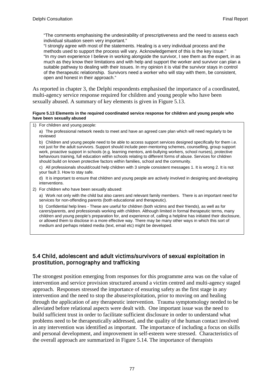"The comments emphasising the undesirability of prescriptiveness and the need to assess each individual situation seem very important."

"I strongly agree with most of the statements. Healing is a very individual process and the methods used to support the process will vary. Acknowledgement of this is the key issue." "In my own experience I believe in working alongside the survivor, I see them as the expert, in as much as they know their limitations and with help and support the worker and survivor can plan a suitable pathway to dealing with their issues. In my opinion it is vital the survivor stays in control of the therapeutic relationship. Survivors need a worker who will stay with them, be consistent, open and honest in their approach."

As reported in chapter 3, the Delphi respondents emphasised the importance of a coordinated, multi-agency service response required for children and young people who have been sexually abused. A summary of key elements is given in Figure 5.13.

#### **Figure 5.13 Elements in the required coordinated service response for children and young people who have been sexually abused**

1) For children and young people:

a) The professional network needs to meet and have an agreed care plan which will need regularly to be reviewed

b) Children and young people need to be able to access support services designed specifically for them i.e. not just for the adult survivors. Support should include peer-mentoring schemes, counselling, group support work, proactive support in schools (e.g. learning mentors, anti-bullying workers, school nurses), protective behaviours training, full education within schools relating to different forms of abuse. Services for children should build on known protective factors within families, school and the community.

c) All professionals should/could help children with 3 simple consistent messages 1. It is wrong 2. It is not your fault 3. How to stay safe.

d) It is important to ensure that children and young people are actively involved in designing and developing interventions.

2) For children who have been sexually abused:

a) Work not only with the child but also carers and relevant family members. There is an important need for services for non-offending parents (both educational and therapeutic).

b) Confidential help lines - These are useful for children (both victims and their friends), as well as for carers/parents, and professionals working with children. Although limited in formal therapeutic terms, many children and young people's preparation for, and experience of, calling a helpline has initiated their disclosure, or allowed them to disclose in a more effective way. There may be many other ways in which this sort of medium and perhaps related media (text, email etc) might be developed.

## 5.4 Child, adolescent and adult victims/survivors of sexual exploitation in prostitution, pornography and trafficking

The strongest position emerging from responses for this programme area was on the value of intervention and service provision structured around a victim centred and multi-agency staged approach. Responses stressed the importance of ensuring safety as the first stage in any intervention and the need to stop the abuse/exploitation, prior to moving on and healing through the application of any therapeutic intervention. Trauma symptomology needed to be alleviated before relational aspects were dealt with. One important issue was the need to build sufficient trust in order to facilitate sufficient disclosure in order to understand what problems need to be therapeutically addressed, and the quality of the human contact involved in any intervention was identified as important. The importance of including a focus on skills and personal development, and improvement in self-esteem were stressed.Characteristics of the overall approach are summarized in Figure 5.14. The importance of therapists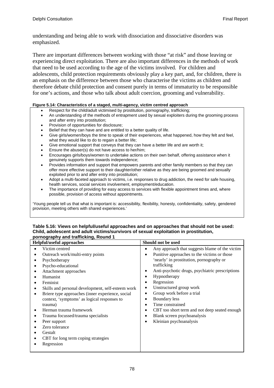understanding and being able to work with dissociation and dissociative disorders was emphasized.

There are important differences between working with those "at risk" and those leaving or experiencing direct exploitation. There are also important differences in the methods of work that need to be used according to the age of the victims involved. For children and adolescents, child protection requirements obviously play a key part, and, for children, there is an emphasis on the difference between those who characterise the victims as children and therefore debate child protection and consent purely in terms of immaturity to be responsible for one's actions, and those who talk about adult coercion, grooming and vulnerability.

## **Figure 5.14: Characteristics of a staged, multi-agency, victim centred approach**

- Respect for the child/adult victimised by prostitution, pornography, trafficking;
	- An understanding of the methods of entrapment used by sexual exploiters during the grooming process and after entry into prostitution;
	- Provision of opportunities for disclosure;
	- Belief that they can have and are entitled to a better quality of life.
	- Give girls/women/boys the time to speak of their experiences, what happened, how they felt and feel, what they would like to do to regain a better life;
	- Give emotional support that conveys that they can have a better life and are worth it:
	- Ensure the abuser(s) do not have access to her/him;
	- Encourages girls/boys/women to undertake actions on their own behalf, offering assistance when it genuinely supports them towards independence;
	- Provides information and support that empowers parents and other family members so that they can offer more effective support to their daughter/other relative as they are being groomed and sexually exploited prior to and after entry into prostitution;
	- Adopt a multi-faceted approach to victims, i.e. responses to drug addiction, the need for safe housing, health services, social services involvement, employment/education.
	- The importance of providing for easy access to services with flexible appointment times and, where possible, provision of access without appointments.

'Young people tell us that what is important is: accessibility, flexibility, honesty, confidentiality, safety, gendered provision, meeting others with shared experiences.'

### **Table 5.16: Views on helpful/useful approaches and on approaches that should not be used: Child, adolescent and adult victims/survivors of sexual exploitation in prostitution, pornography and trafficking, Round 1**

| <b>Helpful/useful approaches</b>                                                                                                                                                                                                                                                                                                                                                                                                                                                                        | Should not be used                                                                                                                                                                                                                                                                                                                                                                                                                                                                                                               |
|---------------------------------------------------------------------------------------------------------------------------------------------------------------------------------------------------------------------------------------------------------------------------------------------------------------------------------------------------------------------------------------------------------------------------------------------------------------------------------------------------------|----------------------------------------------------------------------------------------------------------------------------------------------------------------------------------------------------------------------------------------------------------------------------------------------------------------------------------------------------------------------------------------------------------------------------------------------------------------------------------------------------------------------------------|
| Victim centred<br>$\bullet$<br>Outreach work/multi-entry points<br>Psychotherapy<br>Psycho-educational<br>Attachment approaches<br>Humanist<br>Feminist<br>٠<br>Skills and personal development, self-esteem work<br>٠<br>Briere type approaches (inner experience, social<br>context, 'symptoms' as logical responses to<br>trauma)<br>Herman trauma framework<br>Trauma focussed/trauma specialists<br>Peer support<br>Zero tolerance<br>Gestalt<br>CBT for long term coping strategies<br>Regression | Any approach that suggests blame of the victim<br>٠<br>Punitive approaches to the victims or those<br>$\bullet$<br>'nearly' in prostitution, pornography or<br>trafficking<br>Anti-psychotic drugs, psychiatric prescriptions<br>٠<br>Hypnotherapy<br>٠<br>Regression<br>٠<br>Unstructured group work<br>٠<br>Group work before a trial<br>٠<br>Boundary less<br>٠<br>Time constrained<br>CBT too short term and not deep seated enough<br>$\bullet$<br>Blank screen psychoanalysis<br>٠<br>Kleinian psychoanalysis<br>$\bullet$ |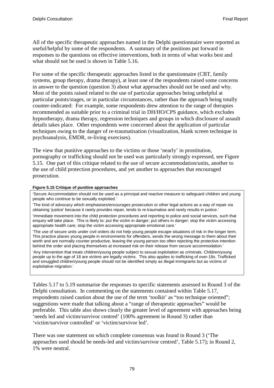All of the specific therapeutic approaches named in the Delphi questionnaire were reported as useful/helpful by some of the respondents. A summary of the positions put forward in responses to the questions on effective interventions, both in terms of what works best and what should not be used is shown in Table 5.16.

For some of the specific therapeutic approaches listed in the questionnaire (CBT, family systems, group therapy, drama therapy), at least one of the respondents raised some concerns in answer to the question (question 3) about what approaches should not be used and why. Most of the points raised related to the use of particular approaches being unhelpful at particular points/stages, or in particular circumstances, rather than the approach being totally counter-indicated: For example, some respondents drew attention to the range of therapies recommended as suitable prior to a criminal trial in DH/HO/CPS guidance, which excludes hypnotherapy, drama therapy, regression techniques and groups in which disclosure of assault details takes place. Other respondents were concerned about the application of particular techniques owing to the danger of re-traumatisation (visualization, blank screen technique in psychoanalysis, EMDR, re-living exercises).

The view that punitive approaches to the victims or those 'nearly' in prostitution, pornography or trafficking should not be used was particularly strongly expressed, see Figure 5.15. One part of this critique related to the use of secure accommodation/units, another to the use of child protection procedures, and yet another to approaches that encouraged prosecution.

## **Figure 5.15 Critique of punitive approaches**

'Secure Accommodation should not be used as a principal and reactive measure to safeguard children and young people who continue to be sexually exploited.'

'The kind of advocacy which emphasises/encourages prosecution or other legal actions as a way of repair via obtaining 'justice' because it rarely provides repair, tends to re-traumatise and rarely results in justice.'

'Immediate movement into the child protection procedures and reporting to police and social services, such that enquiry will take place. This is likely to: put the victim in danger; put others in danger; stop the victim accessing appropriate health care; stop the victim accessing appropriate emotional care.'

'The use of secure units under civil orders do not help young people escape situations of risk in the longer term. This practice places young people in environments for offenders, sends the wrong message to them about their worth and are normally counter productive, leaving the young person too often rejecting the protective intention behind the order and placing themselves at increased risk on their release from secure accommodation.'

'Any intervention that treats children/young people subject to sexual exploitation as criminals. Children/young people up to the age of 18 are victims are legally victims. This also applies to trafficking of over-18s. Trafficked and smuggled children/young people should not be identified simply as illegal immigrants but as victims of exploitative migration.'

Tables 5.17 to 5.19 summarise the responses to specific statements assessed in Round 3 of the Delphi consultation. In commenting on the statements contained within Table 5.17, respondents raised caution about the use of the term 'toolkit' as "too technique oriented"; suggestions were made that talking about a "range of therapeutic approaches" would be preferable. This table also shows clearly the greater level of agreement with approaches being 'needs led and victim/survivor centred' (100% agreement in Round 3) rather than 'victim/survivor controlled' or 'victim/survivor led'.

There was one statement on which complete consensus was found in Round 3 ('The approaches used should be needs-led and victim/survivor centred', Table 5.17); in Round 2, 1% were neutral.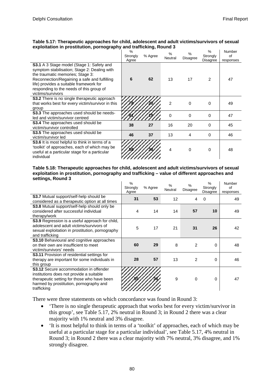| Table 5.17: Therapeutic approaches for child, adolescent and adult victims/survivors of sexual |  |
|------------------------------------------------------------------------------------------------|--|
| exploitation in prostitution, pornography and trafficking, Round 3                             |  |

|                                                                                                                                                                                                                                                                                                  | $\%$<br>Strongly<br>Agree | % Agree | $\%$<br>Neutral | %<br>Disagree | $\%$<br>Strongly<br>Disagree | Number<br>of<br>responses |
|--------------------------------------------------------------------------------------------------------------------------------------------------------------------------------------------------------------------------------------------------------------------------------------------------|---------------------------|---------|-----------------|---------------|------------------------------|---------------------------|
| <b>S3.1</b> A 3 Stage model (Stage 1: Safety and<br>symptom stabilisation; Stage 2: Dealing with<br>the traumatic memories; Stage 3:<br>Reconnection/Regaining a safe and fulfilling<br>life) provides a suitable framework for<br>responding to the needs of this group of<br>victims/survivors | 6                         | 62      | 13              | 17            | 2                            | 47                        |
| S3.2 There is no single therapeutic approach<br>that works best for every victim/survivor in this<br>group                                                                                                                                                                                       |                           |         | 2               | 0             | 0                            | 49                        |
| <b>S3.3</b> The approaches used should be needs-<br>led and victim/survivor centred                                                                                                                                                                                                              |                           |         | $\Omega$        | 0             | $\Omega$                     | 47                        |
| <b>S3.4</b> The approaches used should be<br>victim/survivor controlled                                                                                                                                                                                                                          | 38                        | 27      | 16              | 20            | 0                            | 45                        |
| <b>S3.5</b> The approaches used should be<br>victim/survivor led                                                                                                                                                                                                                                 | 46                        | 37      | 13              | 4             | 0                            | 46                        |
| <b>S3.6</b> It is most helpful to think in terms of a<br>'toolkit' of approaches, each of which may be<br>useful at a particular stage for a particular<br>individual                                                                                                                            |                           |         | 4               | 0             | 0                            | 48                        |

## **Table 5.18: Therapeutic approaches for child, adolescent and adult victims/survivors of sexual exploitation in prostitution, pornography and trafficking – value of different approaches and settings, Round 3**

|                                                                                                                                                                                                    | $\%$<br>Strongly<br>Agree | % Agree | $\frac{0}{0}$<br>Neutral | $\%$<br>Disagree | $\%$<br>Strongly<br>Disagree | Number<br>of<br>responses |
|----------------------------------------------------------------------------------------------------------------------------------------------------------------------------------------------------|---------------------------|---------|--------------------------|------------------|------------------------------|---------------------------|
| <b>S3.7</b> Mutual support/self-help should be<br>considered as a therapeutic option at all times                                                                                                  | 31                        | 53      | $12 \overline{ }$        | 4                | $\Omega$                     | 49                        |
| <b>S3.8</b> Mutual support/self-help should only be<br>considered after successful individual<br>therapy/work                                                                                      | 4                         | 14      | 14                       | 57               | 10                           | 49                        |
| S3.9 Regression is a useful approach for child,<br>adolescent and adult victims/survivors of<br>sexual exploitation in prostitution, pornography<br>and trafficking                                | 5                         | 17      | 21                       | 31               | 26                           | 42                        |
| <b>S3.10</b> Behavioural and cognitive approaches<br>on their own are insufficient to meet<br>victim/survivors' needs                                                                              | 60                        | 29      | 8                        | $\overline{2}$   | 0                            | 48                        |
| <b>S3.11</b> Provision of residential settings for<br>therapy are important for some individuals in<br>this group                                                                                  | 28                        | 57      | 13                       | $\overline{2}$   | 0                            | 46                        |
| <b>S3.12</b> Secure accommodation in offender<br>institutions does not provide a suitable<br>therapeutic setting for those who have been<br>harmed by prostitution, pornography and<br>trafficking |                           |         | 9                        | $\Omega$         | 0                            | 47                        |

There were three statements on which concordance was found in Round 3:

- There is no single therapeutic approach that works best for every victim/survivor in this group', see Table 5.17, 2% neutral in Round 3; in Round 2 there was a clear majority with 1% neutral and 3% disagree.
- 'It is most helpful to think in terms of a 'toolkit' of approaches, each of which may be useful at a particular stage for a particular individual', see Table 5.17, 4% neutral in Round 3; in Round 2 there was a clear majority with 7% neutral, 3% disagree, and 1% strongly disagree.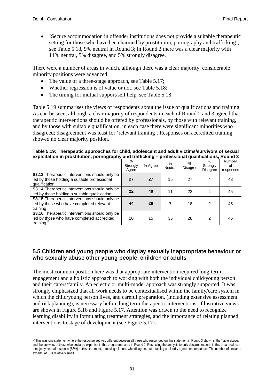-

• 'Secure accommodation in offender institutions does not provide a suitable therapeutic setting for those who have been harmed by prostitution, pornography and trafficking', see Table 5.18, 9% neutral in Round 3; in Round 2 there was a clear majority with 11% neutral, 5% disagree, and 5% strongly disagree.

There were a number of areas in which, although there was a clear majority, considerable minority positions were advanced:

- The value of a three-stage approach, see Table 5.17;
- Whether regression is of value or not, see Table 5.18;
- The timing for mutual support/self help, see Table 5.18.

Table 5.19 summarises the views of respondents about the issue of qualifications and training. As can be seen, although a clear majority of respondents in each of Round 2 and 3 agreed that therapeutic interventions should be offered by professionals, by those with relevant training, and by those with suitable qualification, in each case there were significant minorities who disagreed; disagreement was least for 'relevant training'. Responses on accredited training showed no clear majority position.

## **Table 5.19: Therapeutic approaches for child, adolescent and adult victims/survivors of sexual exploitation in prostitution, pornography and trafficking – professional qualifications, Round 3**

|                                                                                                                        | <b>WITH MAILBOATH</b>  |         | prorocoronar quamnounon requia o |                      |                                  |                           |
|------------------------------------------------------------------------------------------------------------------------|------------------------|---------|----------------------------------|----------------------|----------------------------------|---------------------------|
|                                                                                                                        | %<br>Strongly<br>Agree | % Agree | $\%$<br>Neutral                  | %<br><b>Disagree</b> | ℅<br>Strongly<br><b>Disagree</b> | Number<br>οf<br>responses |
| <b>S3.13</b> Therapeutic interventions should only be<br>led by those holding a suitable professional<br>qualification | 27                     | 27      | 15                               | 27                   | 4                                | 48                        |
| <b>S3.14</b> Therapeutic interventions should only be<br>led by those holding a suitable qualification                 | 22                     | 40      | 11                               | 22                   | 4                                | 45                        |
| <b>S3.15</b> Therapeutic interventions should only be<br>led by those who have completed relevant<br>training          | 44                     | 29      |                                  | 18                   | 2                                | 45                        |
| <b>S3.16</b> Therapeutic interventions should only be<br>led by those who have completed accredited<br>training        | 20                     | 15      | 35                               | 28                   | 2                                | 46                        |

## 5.5 Children and young people who display sexually inappropriate behaviour or who sexually abuse other young people, children or adults

The most common position here was that appropriate intervention required long-term engagement and a holistic approach to working with both the individual child/young person and their carers/family. An eclectic or multi-model approach was strongly supported. It was strongly emphasized that all work needs to be contextualised within the family/care system in which the child/young person lives, and careful preparation, (including extensive assessment and risk planning), is necessary before long term therapeutic interventions. Illustrative views are shown in Figure 5.16 and Figure 5.17. Attention was drawn to the need to recognize learning disability in formulating treatment strategies, and the importance of relating planned interventions to stage of development (see Figure 5.17).

<span id="page-96-0"></span><sup>17</sup> This was one statement where the response set was different between all those who responded on this statement in Round 3 shown in the Table above, and the answers of those who declared expertise in this programme area in Round 1. Restricting the analysis to only declared experts in this area produces a majority neutral response (88%) to this statement, removing all those who disagree, but retaining a minority agreement response. The number of declared experts, at 8, is relatively small.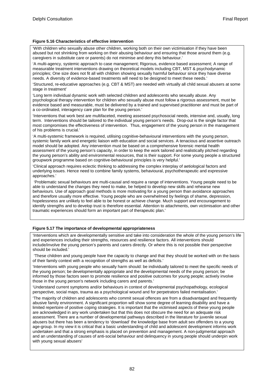## **Figure 5.16 Characteristics of effective intervention**

'With children who sexually abuse other children, working both on their own victimisation if they have been abused but not shrinking from working on their abusing behaviour and ensuring that those around them (e.g. caregivers in substitute care or parents) do not minimise and deny this behaviour.'

'A multi-agency, systemic approach to case management; Rigorous, evidence based assessment; A range of measurable treatment interventions drawing on theoretical models including CBT, MST & psychodynamic principles; One size does not fit all with children showing sexually harmful behaviour since they have diverse needs. A diversity of evidence-based treatments will need to be designed to meet these needs.'

'Structured, re-educative approaches (e.g. CBT & MST) are needed with virtually all child sexual abusers at some stage in treatment'

'Long term individual dynamic work with selected children and adolescents who sexually abuse. Any psychological therapy intervention for children who sexually abuse must follow a rigorous assessment, must be evidence based and measurable, must be delivered by a trained and supervised practitioner and must be part of a co-ordinated, interagency care plan for the young person.'

'Interventions that work best are multifaceted, meeting assessed psychosocial needs, intensive and, usually, long term. Interventions should be tailored to the individual young person's needs. Drop-out is the single factor that most compromises the effectiveness of intervention. Thus, engagement of the young person in the management of his problems is crucial.'

'A multi-systemic framework is required, utilising cognitive-behavioural interventions with the young person, systemic family work and energetic liaison with education and social services. A tenacious and assertive outreach model should be adopted. Any intervention must be based on a comprehensive forensic mental health assessment of the young person's capacity, in order to keep the work tailored and realistically pitched regarding the young person's ability and environmental resources, that is their support. For some young people a structured groupwork programme based on cognitive-behavioural principles is very helpful.'

'Clinical approach requires eclectic thinking to addressing the complex interplay of aetiological factors and underlying issues. Hence need to combine family systems, behavioural, psychotherapeutic and expressive approaches.'

'Problematic sexual behaviours are multi-causal and require a range of interventions. Young people need to be able to understand the changes they need to make, be helped to develop new skills and rehearse new behaviours. Use of approach goal methods is more motivating for a young person than avoidance approaches and therefore usually more effective. Young people who are overwhelmed by feelings of shame, depression, hopelessness are unlikely to feel able to be honest or achieve change. Much support and encouragement to identify strengths and to develop trust is therefore essential. Attention to attachments, own victimisation and other traumatic experiences should form an important part of therapeutic plan.'

## **Figure 5.17 The importance of developmental appropriateness**

'Interventions which are developmentally sensitive and take into consideration the whole of the young person's life and experiences including their strengths, resources and resilience factors. All interventions should include/involve the young person's parents and carers directly. Or where this is not possible their perspective should be included.'

'These children and young people have the capacity to change and that they should be worked with on the basis of their family context with a recognition of strengths as well as deficits.'

'Interventions with young people who sexually harm should: be individually tailored to meet the specific needs of the young person; be developmentally appropriate and the developmental needs of the young person; be informed by those factors seen to promote resilience and positive outcomes for young people; actively involve those in the young person's network including carers and parents.'

'Understand current symptoms and/or behaviours in context of developmental psychopathology, ecological perspective, social maps, trauma as a psychological wound and for perpetrators failed mentalisation.'

'The majority of children and adolescents who commit sexual offences are from a disadvantaged and frequently abusive family environment. A significant proportion will show some degree of learning disability and have a limited repertoire of positive coping strategies. It is important that the victimised aspects of these young people are acknowledged in any work undertaken but that this does not obscure the need for an adequate risk assessment. There are a number of developmental pathways described in the literature for juvenile sexual abusers but there has been a tendency to 'download' the knowledge base from adult sex offenders to a young age-group. In my view it is critical that a basic understanding of child and adolescent development informs work undertaken and that a strong emphasis is placed on prevention and management. A non-judgmental approach and an understanding of causes of anti-social behaviour and delinquency in young people should underpin work with young sexual abusers'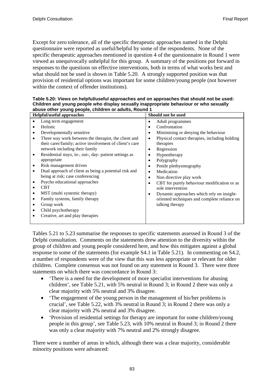Except for zero tolerance, all of the specific therapeutic approaches named in the Delphi questionnaire were reported as useful/helpful by some of the respondents. None of the specific therapeutic approaches mentioned in question 4 of the questionnaire in Round 1 were viewed as unequivocally unhelpful for this group. A summary of the positions put forward in responses to the questions on effective interventions, both in terms of what works best and what should not be used is shown in Table 5.20. A strongly supported position was that provision of residential options was important for some children/young people (not however within the context of offender institutions).

| Table 5.20: Views on helpful/useful approaches and on approaches that should not be used: |
|-------------------------------------------------------------------------------------------|
| Children and young people who display sexually inappropriate behaviour or who sexually    |
| abuse other young people, children or adults, Round 1                                     |

| Helpful/useful approaches                                                                                                                                                                                                                                                                                                                                                                                                                           | Should not be used                                                                                                                                                                                                                                                                                                         |
|-----------------------------------------------------------------------------------------------------------------------------------------------------------------------------------------------------------------------------------------------------------------------------------------------------------------------------------------------------------------------------------------------------------------------------------------------------|----------------------------------------------------------------------------------------------------------------------------------------------------------------------------------------------------------------------------------------------------------------------------------------------------------------------------|
| Long term engagement<br>Holistic<br>Developmentally sensitive<br>٠<br>Three way work between the therapist, the client and<br>٠<br>their carer/family; active involvement of client's care<br>network including their family<br>Residential stays, in-, out-, day- patient settings as<br>٠<br>appropriate<br>Risk management driven<br>$\bullet$<br>Dual approach of client as being a potential risk and<br>٠<br>being at risk; case conferencing | Adult programmes<br>٠<br>Confrontation<br>$\bullet$<br>Minimising or denying the behaviour<br>٠<br>Physical contact therapies, including holding<br>٠<br>therapies<br>Regression<br>٠<br>Hypnotherapy<br>٠<br>Polygraphy<br>$\bullet$<br>Penile plethysmography<br>$\bullet$<br>Medication<br>Non directive play work<br>٠ |
| Psycho educational approaches<br><b>CBT</b><br>MST (multi systemic therapy)<br>٠<br>Family systems, family therapy<br>Group work<br>Child psychotherapy<br>Creative, art and play therapies                                                                                                                                                                                                                                                         | CBT for purely behaviour modification or as<br>$\bullet$<br>sole intervention<br>Dynamic approaches which rely on insight-<br>٠<br>oriented techniques and complete reliance on<br>talking therapy                                                                                                                         |

Tables 5.21 to 5.23 summarise the responses to specific statements assessed in Round 3 of the Delphi consultation. Comments on the statements drew attention to the diversity within the group of children and young people considered here, and how this mitigates against a global response to some of the statements (for example S4.1 in Table 5.21). In commenting on S4.2, a number of respondents were of the view that this was less appropriate or relevant for older children. Complete consensus was not found on any statement in Round 3. There were three statements on which there was concordance in Round 3:

- 'There is a need for the development of more specialist interventions for abusing children', see Table 5.21, with 5% neutral in Round 3; in Round 2 there was only a clear majority with 5% neutral and 3% disagree.
- The engagement of the young person in the management of his/her problems is crucial', see Table 5.22, with 3% neutral in Round 3; in Round 2 there was only a clear majority with 2% neutral and 3% disagree.
- Provision of residential settings for therapy are important for some children/young people in this group', see Table 5.23, with 10% neutral in Round 3; in Round 2 there was only a clear majority with 7% neutral and 2% strongly disagree.

There were a number of areas in which, although there was a clear majority, considerable minority positions were advanced: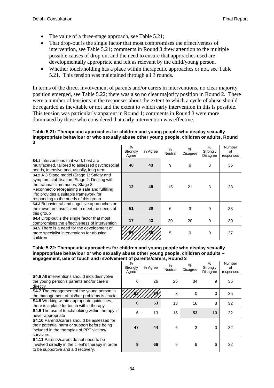- The value of a three-stage approach, see Table 5.21;
- That drop-out is the single factor that most compromises the effectiveness of intervention, see Table 5.21; comments in Round 3 drew attention to the multiple possible causes of drop out and the need to ensure that approaches used are developmentally appropriate and felt as relevant by the child/young person.
- Whether touch/holding has a place within therapeutic approaches or not, see Table 5.21. This tension was maintained through all 3 rounds.

In terms of the direct involvement of parents and/or carers in interventions, no clear majority position emerged, see Table 5.22; there was also no clear majority position in Round 2. There were a number of tensions in the responses about the extent to which a cycle of abuse should be regarded as inevitable or not and the extent to which early intervention in this is possible. This tension was particularly apparent in Round 1; comments in Round 3 were more dominated by those who considered that early intervention was effective.

### **Table 5.21: Therapeutic approaches for children and young people who display sexually inappropriate behaviour or who sexually abuse other young people, children or adults, Round 3**

|                                                                                                                                                                                                                                                                          | %<br>Strongly<br>Agree | % Agree | $\%$<br>Neutral | %<br>Disagree | $\%$<br>Strongly<br>Disagree | Number<br>οf<br>responses |
|--------------------------------------------------------------------------------------------------------------------------------------------------------------------------------------------------------------------------------------------------------------------------|------------------------|---------|-----------------|---------------|------------------------------|---------------------------|
| <b>S4.1</b> Interventions that work best are<br>multifaceted, tailored to assessed psychosocial<br>needs, intensive and, usually, long term                                                                                                                              | 40                     | 43      | 9               | 6             | 3                            | 35                        |
| <b>S4.2</b> A 3 Stage model (Stage 1: Safety and<br>symptom stabilisation; Stage 2: Dealing with<br>the traumatic memories; Stage 3:<br>Reconnection/Regaining a safe and fulfilling<br>life) provides a suitable framework for<br>responding to the needs of this group | 12                     | 49      | 15              | 21            | 3                            | 33                        |
| \$4.3 Behavioural and cognitive approaches on<br>their own are insufficient to meet the needs of<br>this group                                                                                                                                                           | 61                     | 30      | 6               | 3             | 0                            | 33                        |
| <b>S4.4</b> Drop-out is the single factor that most<br>compromises the effectiveness of intervention                                                                                                                                                                     | 17                     | 43      | 20              | 20            | 0                            | 30                        |
| <b>S4.5</b> There is a need for the development of<br>more specialist interventions for abusing<br>children                                                                                                                                                              |                        |         | 5               | 0             | 0                            | 37                        |

**Table 5.22: Therapeutic approaches for children and young people who display sexually inappropriate behaviour or who sexually abuse other young people, children or adults – engagement, use of touch and involvement of parents/carers, Round 3**

|                                                                                                                                                               | $\%$<br>Strongly<br>Agree | % Agree | $\%$<br>Neutral | %<br>Disagree | $\%$<br>Strongly<br>Disagree | Number<br>of<br>responses |
|---------------------------------------------------------------------------------------------------------------------------------------------------------------|---------------------------|---------|-----------------|---------------|------------------------------|---------------------------|
| <b>S4.6</b> All interventions should include/involve<br>the young person's parents and/or carers<br>directly                                                  | 6                         | 26      | 26              | 34            | 9                            | 35                        |
| <b>S4.7</b> The engagement of the young person in<br>the management of his/her problems is crucial                                                            |                           |         | 3               | 0             | 0                            | 35                        |
| <b>S4.8</b> Working within appropriate guidelines,<br>there is a place for touch within therapy                                                               | 6                         | 63      | 13              | 16            | 3                            | 32                        |
| <b>S4.9</b> The use of touch/holding within therapy is<br>never appropriate                                                                                   | 6                         | 13      | 16              | 53            | 13                           | 32                        |
| <b>S4.10</b> Parents/carers should be assessed for<br>their potential harm or support before being<br>included in the therapies of PPT victims/<br>survivors. | 47                        | 44      | 6               | 3             | 0                            | 32                        |
| <b>S4.11</b> Parents/carers do not need to be<br>involved directly in the client's therapy in order<br>to be supportive and aid recovery.                     | 9                         | 66      | 9               | 9             | 6                            | 32                        |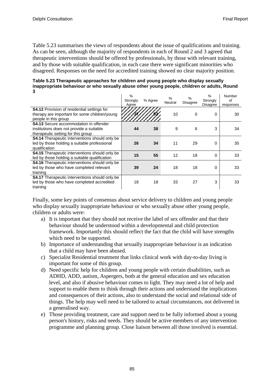Table 5.23 summarises the views of respondents about the issue of qualifications and training. As can be seen, although the majority of respondents in each of Round 2 and 3 agreed that therapeutic interventions should be offered by professionals, by those with relevant training, and by those with suitable qualification, in each case there were significant minorities who disagreed. Responses on the need for accredited training showed no clear majority position.

**Table 5.23 Therapeutic approaches for children and young people who display sexually inappropriate behaviour or who sexually abuse other young people, children or adults, Round 3**

|                                                                                                                                 | $\%$<br>Strongly<br>Agree | % Agree | $\%$<br>Neutral | $\%$<br>Disagree | $\%$<br>Strongly<br>Disagree | Number<br>of<br>responses |
|---------------------------------------------------------------------------------------------------------------------------------|---------------------------|---------|-----------------|------------------|------------------------------|---------------------------|
| <b>S4.12</b> Provision of residential settings for<br>therapy are important for some children/young<br>people in this group     |                           |         | 10              | 0                | 0                            | 30                        |
| <b>S4.13</b> Secure accommodation in offender<br>institutions does not provide a suitable<br>therapeutic setting for this group | 44                        | 38      | 9               | 6                | 3                            | 34                        |
| <b>S4.14</b> Therapeutic interventions should only be<br>led by those holding a suitable professional<br>qualification          | 26                        | 34      | 11              | 29               | 0                            | 35                        |
| <b>S4.15</b> Therapeutic interventions should only be<br>led by those holding a suitable qualification                          | 15                        | 55      | 12              | 18               | 0                            | 33                        |
| <b>S4.16</b> Therapeutic interventions should only be<br>led by those who have completed relevant<br>training                   | 39                        | 24      | 18              | 18               | 0                            | 33                        |
| <b>S4.17</b> Therapeutic interventions should only be<br>led by those who have completed accredited<br>training                 | 18                        | 18      | 33              | 27               | 3                            | 33                        |

Finally, some key points of consensus about service delivery to children and young people who display sexually inappropriate behaviour or who sexually abuse other young people, children or adults were:

- a) It is important that they should not receive the label of sex offender and that their behaviour should be understood within a developmental and child protection framework. Importantly this should reflect the fact that the child will have strengths which need to be supported.
- b) Importance of understanding that sexually inappropriate behaviour is an indication that a child may have been abused.
- c) Specialist Residential treatment that links clinical work with day-to-day living is important for some of this group.
- d) Need specific help for children and young people with certain disabilities, such as ADHD, ADD, autism, Aspergers, both at the general education and sex education level, and also if abusive behaviour comes to light. They may need a lot of help and support to enable them to think through their actions and understand the implications and consequences of their actions, also to understand the social and relational side of things. The help may well need to be tailored to actual circumstances, not delivered in a generalised way.
- e) Those providing treatment, care and support need to be fully informed about a young person's history, risks and needs. They should be active members of any intervention programme and planning group. Close liaison between all those involved is essential.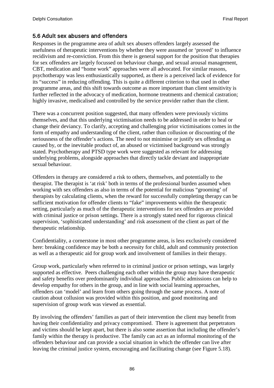## 5.6 Adult sex abusers and offenders

Responses in the programme area of adult sex abusers offenders largely assessed the usefulness of therapeutic interventions by whether they were assumed or 'proved' to influence recidivism and re-conviction. From this there is general support for the position that therapies for sex offenders are largely focussed on behaviour change, and sexual arousal management, CBT, medication and "home work" approaches were all advocated. For similar reasons, psychotherapy was less enthusiastically supported, as there is a perceived lack of evidence for its "success" in reducing offending. This is quite a different criterion to that used in other programme areas, and this shift towards outcome as more important than client sensitivity is further reflected in the advocacy of medication, hormone treatments and chemical castration; highly invasive, medicalised and controlled by the service provider rather than the client.

There was a concurrent position suggested, that many offenders were previously victims themselves, and that this underlying victimisation needs to be addressed in order to heal or change their deviancy. To clarify, accepting and challenging prior victimisations comes in the form of empathy and understanding of the client, rather than collusion or discounting of the seriousness of the offender's actions. The need to not minimise or justify sex offending as caused by, or the inevitable product of, an abused or victimised background was strongly stated. Psychotherapy and PTSD type work were suggested as relevant for addressing underlying problems, alongside approaches that directly tackle deviant and inappropriate sexual behaviour.

Offenders in therapy are considered a risk to others, themselves, and potentially to the therapist. The therapist is 'at risk' both in terms of the professional burden assumed when working with sex offenders as also in terms of the potential for malicious "grooming' of therapists by calculating clients, when the reward for successfully completing therapy can be sufficient motivation for offender clients to "fake" improvements within the therapeutic setting, particularly as much of the therapeutic interventions for sex offenders are provided with criminal justice or prison settings. There is a strongly stated need for rigorous clinical supervision, 'sophisticated understanding' and risk assessment of the client as part of the therapeutic relationship.

Confidentiality, a cornerstone in most other programme areas, is less exclusively considered here: breaking confidence may be both a necessity for child, adult and community protection as well as a therapeutic aid for group work and involvement of families in their therapy.

Group work, particularly when referred to in criminal justice or prison settings, was largely supported as effective. Peers challenging each other within the group may have therapeutic and safety benefits over predominantly individual approaches. Public admissions can help to develop empathy for others in the group, and in line with social learning approaches, offenders can 'model' and learn from others going through the same process. A note of caution about collusion was provided within this position, and good monitoring and supervision of group work was viewed as essential.

By involving the offenders' families as part of their intervention the client may benefit from having their confidentiality and privacy compromised. There is agreement that perpetrators and victims should be kept apart, but there is also some assertion that including the offender's family within the therapy is productive. The family can act as an informal monitoring of the offenders behaviour and can provide a social situation in which the offender can live after leaving the criminal justice system, encouraging and facilitating change (see Figure 5.18).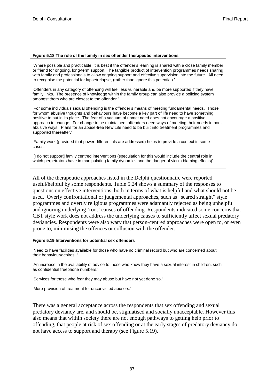### **Figure 5.18 The role of the family in sex offender therapeutic interventions**

'Where possible and practicable, it is best if the offender's learning is shared with a close family member or friend for ongoing, long-term support. The tangible product of intervention programmes needs sharing with family and professionals to allow ongoing support and effective supervision into the future. All need to recognise the potential for lapse/relapse, (rather than ignore this potential).'

'Offenders in any category of offending will feel less vulnerable and be more supported if they have family links. The presence of knowledge within the family group can also provide a policing system amongst them who are closest to the offender.'

'For some individuals sexual offending is the offender's means of meeting fundamental needs. Those for whom abusive thoughts and behaviours have become a key part of life need to have something positive to put in its place. The fear of a vacuum of unmet need does not encourage a positive approach to change. For change to be maintained, offenders need ways of meeting their needs in nonabusive ways. Plans for an abuse-free New Life need to be built into treatment programmes and supported thereafter.'

'Family work (provided that power differentials are addressed) helps to provide a context in some cases.'

'[I do not support] family centred interventions (speculation for this would include the central role in which perpetrators have in manipulating family dynamics and the danger of victim blaming effects)'

All of the therapeutic approaches listed in the Delphi questionnaire were reported useful/helpful by some respondents. Table 5.24 shows a summary of the responses to questions on effective interventions, both in terms of what is helpful and what should not be used. Overly confrontational or judgemental approaches, such as "scared straight" style programmes and overtly religious programmes were adamantly rejected as being unhelpful and ignoring underlying 'root' causes of offending. Respondents indicated some concerns that CBT style work does not address the underlying causes to sufficiently affect sexual predatory deviancies. Respondents were also wary that person-centred approaches were open to, or even prone to, minimising the offences or collusion with the offender.

## **Figure 5.19 Interventions for potential sex offenders**

'Need to have facilities available for those who have no criminal record but who are concerned about their behaviour/desires. '

'An increase in the availability of advice to those who know they have a sexual interest in children, such as confidential freephone numbers.'

'Services for those who fear they may abuse but have not yet done so.'

'More provision of treatment for unconvicted abusers.'

There was a general acceptance across the respondents that sex offending and sexual predatory deviancy are, and should be, stigmatised and socially unacceptable. However this also means that within society there are not enough pathways to getting help prior to offending, that people at risk of sex offending or at the early stages of predatory deviancy do not have access to support and therapy (see Figure 5.19).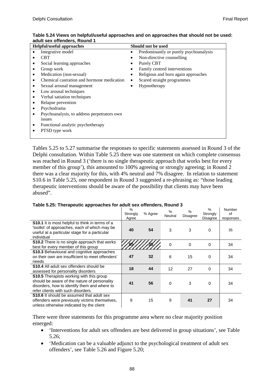|   | <b>Helpful/useful approaches</b>            |           | Should not be used                     |
|---|---------------------------------------------|-----------|----------------------------------------|
|   | Integrative model                           |           | Predominantly or purely psychoanalysis |
|   | <b>CBT</b>                                  |           | Non-directive counselling              |
| ٠ | Social learning approaches                  |           | Purely CBT                             |
|   | Group work                                  |           | Family centred interventions           |
| ٠ | Medication (non-sexual)                     |           | Religious and born again approaches    |
|   | Chemical castration and hormone medication  | $\bullet$ | Scared straight programmes             |
| ٠ | Sexual arousal management                   | $\bullet$ | Hypnotherapy                           |
| ٠ | Low arousal techniques                      |           |                                        |
| ٠ | Verbal satiation techniques                 |           |                                        |
| ٠ | Relapse prevention                          |           |                                        |
| ٠ | Psychodrama                                 |           |                                        |
|   | Psychoanalysis, to address perpetrators own |           |                                        |
|   | issues                                      |           |                                        |
| ٠ | Functional analytic psychotherapy           |           |                                        |
|   | <b>PTSD</b> type work                       |           |                                        |
|   |                                             |           |                                        |

## **Table 5.24 Views on helpful/useful approaches and on approaches that should not be used: adult sex offenders, Round 1**

Tables 5.25 to 5.27 summarise the responses to specific statements assessed in Round 3 of the Delphi consultation. Within Table 5.25 there was one statement on which complete consensus was reached in Round 3 ('there is no single therapeutic approach that works best for every member of this group'), this amounted to 100% agreeing or strongly agreeing; in Round 2 there was a clear majority for this, with 4% neutral and 7% disagree. In relation to statement S10.6 in Table 5.25, one respondent in Round 3 suggested a re-phrasing as: "those leading therapeutic interventions should be aware of the possibility that clients may have been abused".

## **Table 5.25: Therapeutic approaches for adult sex offenders, Round 3**

|                                                                                                                                                                                       | $\%$<br>Strongly<br>Agree | % Agree | $\%$<br>Neutral | %<br>Disagree | $\%$<br>Strongly<br>Disagree | <b>Number</b><br>Ωf<br>responses |
|---------------------------------------------------------------------------------------------------------------------------------------------------------------------------------------|---------------------------|---------|-----------------|---------------|------------------------------|----------------------------------|
| <b>S10.1</b> It is most helpful to think in terms of a<br>'toolkit' of approaches, each of which may be<br>useful at a particular stage for a particular<br>individual                | 40                        | 54      | 3               | 3             | $\Omega$                     | 35                               |
| <b>S10.2</b> There is no single approach that works<br>best for every member of this group                                                                                            |                           |         | $\Omega$        | $\Omega$      | $\Omega$                     | 34                               |
| <b>S10.3</b> Behavioural and cognitive approaches<br>on their own are insufficient to meet offenders'<br>needs                                                                        | 47                        | 32      | 6               | 15            | $\Omega$                     | 34                               |
| <b>S10.4</b> All adult sex offenders should be<br>assessed for personality disorders                                                                                                  | 18                        | 44      | 12              | 27            | $\Omega$                     | 34                               |
| <b>S10.5</b> Therapists working with this group<br>should be aware of the nature of personality<br>disorders, how to identify them and where to<br>refer clients with such disorders. | 41                        | 56      | $\Omega$        | 3             | $\Omega$                     | 34                               |
| <b>S10.6</b> It should be assumed that adult sex<br>offenders were previously victims themselves,<br>unless otherwise indicated by the client                                         | 9                         | 15      | 9               | 41            | 27                           | 34                               |

There were three statements for this programme area where no clear majority position emerged:

- 'Interventions for adult sex offenders are best delivered in group situations', see Table 5.26;
- 'Medication can be a valuable adjunct to the psychological treatment of adult sex offenders', see Table 5.26 and Figure 5.20;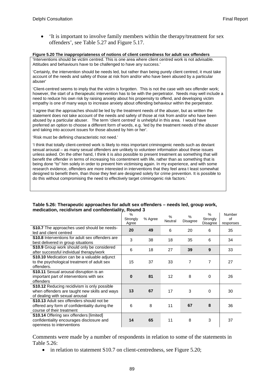• 'It is important to involve family members within the therapy/treatment for sex offenders', see Table 5.27 and Figure 5.17.

#### **Figure 5.20 The inappropriateness of notions of client centredness for adult sex offenders**

'Interventions should be victim centred. This is one area where client centred work is not advisable. Attitudes and behaviours have to be challenged to have any success.'

'Certainly, the intervention should be needs led, but rather than being purely client centred, it must take account of the needs and safety of those at risk from and/or who have been abused by a particular abuser'

'Client-centred seems to imply that the victim is forgotten. This is not the case with sex offender work; however, the start of a therapeutic intervention has to be with the perpetrator. Needs may well include a need to reduce his own risk by raising anxiety about his propensity to offend, and developing victim empathy is one of many ways to increase anxiety about offending behaviour within the perpetrator.

'I agree that the approaches should be led by the treatment needs of the abuser, but as written the statement does not take account of the needs and safety of those at risk from and/or who have been abused by a particular abuser. The term 'client centred' is unhelpful in this area. I would have preferred an option to choose a different form of words, e.g. 'led by the treatment needs of the abuser and taking into account issues for those abused by him or her'.

'Risk must be defining characteristic not need.'

'I think that totally client-centred work is likely to miss important criminogenic needs such as deviant sexual arousal – as many sexual offenders are unlikely to volunteer information about these issues unless asked. On the other hand, I think it is also possible to present treatment as something that will benefit the offender in terms of increasing his contentment with life, rather than as something that is being done "to" him solely in order to prevent him victimising again. In my experience, and with some research evidence, offenders are more interested in interventions that they feel area t least somewhat designed to benefit them, than those they feel are designed solely for crime prevention. It is possible to do this without compromising the need to effectively target criminogenic risk factors.'

|                                                                                                                                | %<br>Strongly<br>Agree | % Agree | $\%$<br>Neutral   | $\%$<br><b>Disagree</b> | $\%$<br>Strongly<br>Disagree | Number<br>of<br>responses |
|--------------------------------------------------------------------------------------------------------------------------------|------------------------|---------|-------------------|-------------------------|------------------------------|---------------------------|
| <b>S10.7</b> The approaches used should be needs-<br>led and client centred                                                    | 20                     | 49      | 6                 | 20                      | 6                            | 35                        |
| <b>S10.8</b> Interventions for adult sex offenders are<br>best delivered in group situations                                   | 3                      | 38      | 18                | 35                      | 6                            | 34                        |
| <b>S10.9</b> Group work should only be considered<br>after successful individual therapy/work                                  | 6                      | 18      | 27                | 39                      | 9                            | 33                        |
| <b>S10.10</b> Medication can be a valuable adjunct<br>to the psychological treatment of adult sex<br>offenders.                | 15                     | 37      | 33                | 7                       | 7                            | 27                        |
| <b>S10.11</b> Sexual arousal disruption is an<br>important part of interventions with sex<br>offenders                         | 0                      | 81      | $12 \overline{ }$ | 8                       | 0                            | 26                        |
| S10.12 Reducing recidivism is only possible<br>when offenders are taught new skills and ways<br>of dealing with sexual arousal | 13                     | 67      | 17                | 3                       | $\Omega$                     | 30                        |
| <b>S10.13</b> Adult sex offenders should not be<br>offered any form of confidentiality during the<br>course of their treatment | 6                      | 8       | 11                | 67                      | 8                            | 36                        |
| <b>S10.14 Offering sex offenders [limited]</b><br>confidentiality encourages disclosure and<br>openness to interventions       | 14                     | 65      | 11                | 8                       | 3                            | 37                        |

## **Table 5.26: Therapeutic approaches for adult sex offenders – needs led, group work, medication, recidivism and confidentiality, Round 3**

Comments were made by a number of respondents in relation to some of the statements in Table 5.26:

• in relation to statement S10.7 on client-centredness, see Figure 5.20;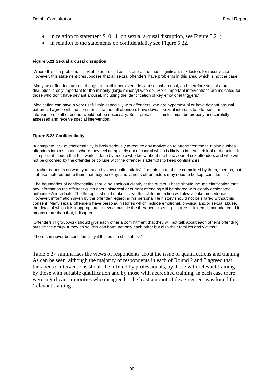- in relation to statement S10.11 on sexual arousal disruption, see Figure 5.21;
- in relation to the statements on confidentiality see Figure 5.22.

## **Figure 5.21 Sexual arousal disruption**

'Where this is a problem, it is vital to address it as it is one of the most significant risk factors for reconviction. However, this statement presupposes that all sexual offenders have problems in this area, which is not the case.'

'Many sex offenders are not thought to exhibit persistent deviant sexual arousal, and therefore sexual arousal disruption is only important for the minority (large minority) who do. More important interventions are indicated for those who don't have deviant arousal, including the identification of key emotional triggers.'

'Medication can have a very useful role especially with offenders who are hypersexual or have deviant arousal patterns. I agree with the comments that not all offenders have deviant sexual interests to offer such an intervention to all offenders would not be necessary. But if present – I think it must be properly and carefully assessed and receive special intervention.'

## **Figure 5.22 Confidentiality**

'A complete lack of confidentiality is likely seriously to reduce any motivation to attend treatment. It also pushes offenders into a situation where they feel completely out of control which is likely to increase risk of reoffending. It is important though that this work is done by people who know about the behaviour of sex offenders and who will not be groomed by the offender or collude with the offender's attempts to keep confidences.'

'It rather depends on what you mean by' any confidentiality' if pertaining to abuse committed by them, then no, but if abuse metered out to them that may be okay, and various other factors may need to be kept confidential.'

'The boundaries of confidentiality should be spelt out clearly at the outset. These should include clarification that any information the offender gives about historical or current offending will be shared with clearly designated authorities/individuals. The therapist should make it clear that child protection will always take precedence. However, information given by the offender regarding his personal life history should not be shared without his consent. Many sexual offenders have personal histories which include emotional, physical and/or sexual abuse, the detail of which it is inappropriate to reveal outside the therapeutic setting. I agree if 'limited' is boundaried. If it means more than that, I disagree.'

'Offenders in groupwork should give each other a commitment that they will not talk about each other's offending outside the group. If they do so, this can harm not only each other but also their families and victims.'

'There can never be confidentiality if this puts a child at risk'

Table 5.27 summarises the views of respondents about the issue of qualifications and training. As can be seen, although the majority of respondents in each of Round 2 and 3 agreed that therapeutic interventions should be offered by professionals, by those with relevant training, by those with suitable qualification and by those with accredited training, in each case there were significant minorities who disagreed. The least amount of disagreement was found for 'relevant training'.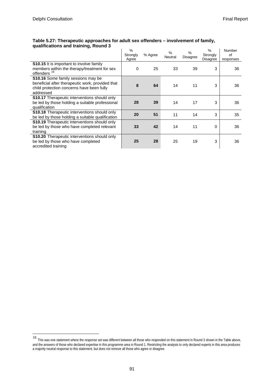|                                                                                                                                                  | $\frac{0}{0}$<br>Strongly<br>Agree | % Agree | %<br>Neutral | $\%$<br><b>Disagree</b> | $\frac{0}{0}$<br>Strongly<br>Disagree | Number<br>Ωf<br>responses |
|--------------------------------------------------------------------------------------------------------------------------------------------------|------------------------------------|---------|--------------|-------------------------|---------------------------------------|---------------------------|
| <b>S10.15</b> It is important to involve family<br>members within the therapy/treatment for sex<br>18<br>offenders                               | 0                                  | 25      | 33           | 39                      | 3                                     | 36                        |
| S10.16 Some family sessions may be<br>beneficial after therapeutic work, provided that<br>child protection concerns have been fully<br>addressed | 8                                  | 64      | 14           | 11                      | 3                                     | 36                        |
| <b>S10.17</b> Therapeutic interventions should only<br>be led by those holding a suitable professional<br>qualification                          | 28                                 | 39      | 14           | 17                      | 3                                     | 36                        |
| <b>S10.18</b> Therapeutic interventions should only<br>be led by those holding a suitable qualification                                          | 20                                 | 51      | 11           | 14                      | 3                                     | 35                        |
| <b>S10.19</b> Therapeutic interventions should only<br>be led by those who have completed relevant<br>training                                   | 33                                 | 42      | 14           | 11                      | 0                                     | 36                        |
| <b>S10.20</b> Therapeutic interventions should only<br>be led by those who have completed<br>accredited training                                 | 25                                 | 28      | 25           | 19                      | 3                                     | 36                        |

## **Table 5.27: Therapeutic approaches for adult sex offenders – involvement of family, qualifications and training, Round 3**

<span id="page-106-0"></span><sup>18</sup> This was one statement where the response set was different between all those who responded on this statement in Round 3 shown in the Table above, and the answers of those who declared expertise in this programme area in Round 1. Restricting the analysis to only declared experts in this area produces a majority neutral response to this statement, but does not remove all those who agree or disagree.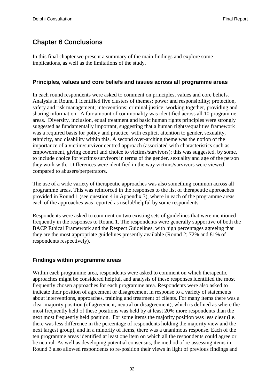# Chapter 6 Conclusions

In this final chapter we present a summary of the main findings and explore some implications, as well as the limitations of the study.

## **Principles, values and core beliefs and issues across all programme areas**

In each round respondents were asked to comment on principles, values and core beliefs. Analysis in Round 1 identified five clusters of themes: power and responsibility; protection, safety and risk management; interventions; criminal justice; working together, providing and sharing information. A fair amount of commonality was identified across all 10 programme areas. Diversity, inclusion, equal treatment and basic human rights principles were strongly suggested as fundamentally important, suggesting that a human rights/equalities framework was a required basis for policy and practice, with explicit attention to gender, sexuality, ethnicity, and disability within this. A second over-arching theme was the notion of the importance of a victim/survivor centred approach (associated with characteristics such as empowerment, giving control and choice to victims/survivors); this was suggested, by some, to include choice for victims/survivors in terms of the gender, sexuality and age of the person they work with. Differences were identified in the way victims/survivors were viewed compared to abusers/perpetrators.

The use of a wide variety of therapeutic approaches was also something common across all programme areas. This was reinforced in the responses to the list of therapeutic approaches provided in Round 1 (see question 4 in Appendix 3), where in each of the programme areas each of the approaches was reported as useful/helpful by some respondents.

Respondents were asked to comment on two existing sets of guidelines that were mentioned frequently in the responses to Round 1. The respondents were generally supportive of both the BACP Ethical Framework and the Respect Guidelines, with high percentages agreeing that they are the most appropriate guidelines presently available (Round 2; 72% and 81% of respondents respectively).

## **Findings within programme areas**

Within each programme area, respondents were asked to comment on which therapeutic approaches might be considered helpful, and analysis of these responses identified the most frequently chosen approaches for each programme area. Respondents were also asked to indicate their position of agreement or disagreement in response to a variety of statements about interventions, approaches, training and treatment of clients. For many items there was a clear majority position (of agreement, neutral or disagreement), which is defined as where the most frequently held of these positions was held by at least 20% more respondents than the next most frequently held position. For some items the majority position was less clear (i.e. there was less difference in the percentage of respondents holding the majority view and the next largest group), and in a minority of items, there was a unanimous response. Each of the ten programme areas identified at least one item on which all the respondents could agree or be netural. As well as developing potential consensus, the method of re-assessing items in Round 3 also allowed respondents to re-position their views in light of previous findings and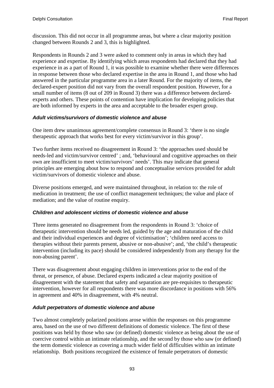discussion. This did not occur in all programme areas, but where a clear majority position changed between Rounds 2 and 3, this is highlighted.

Respondents in Rounds 2 and 3 were asked to comment only in areas in which they had experience and expertise. By identifying which areas respondents had declared that they had experience in as a part of Round 1, it was possible to examine whether there were differences in response between those who declared expertise in the area in Round 1, and those who had answered in the particular programme area in a later Round. For the majority of items, the declared-expert position did not vary from the overall respondent position. However, for a small number of items (8 out of 209 in Round 3) there was a difference between declaredexperts and others. These points of contention have implication for developing policies that are both informed by experts in the area and acceptable to the broader expert group.

# *Adult victims/survivors of domestic violence and abuse*

One item drew unanimous agreement/complete consensus in Round 3: 'there is no single therapeutic approach that works best for every victim/survivor in this group'.

Two further items received no disagreement in Round 3: 'the approaches used should be needs-led and victim/survivor centred' ; and, 'behavioural and cognitive approaches on their own are insufficient to meet victim/survivors' needs'. This may indicate that general principles are emerging about how to respond and conceptualise services provided for adult victim/survivors of domestic violence and abuse.

Diverse positions emerged, and were maintained throughout, in relation to: the role of medication in treatment; the use of conflict management techniques; the value and place of mediation; and the value of routine enquiry.

# *Children and adolescent victims of domestic violence and abuse*

Three items generated no disagreement from the respondents in Round 3: 'choice of therapeutic intervention should be needs led, guided by the age and maturation of the child and their individual experiences and degree of victimisation'; 'children need access to therapies without their parents present, abusive or non-abusive'; and, 'the child's therapeutic intervention (including its pace) should be considered independently from any therapy for the non-abusing parent'.

There was disagreement about engaging children in interventions prior to the end of the threat, or presence, of abuse. Declared experts indicated a clear majority position of disagreement with the statement that safety and separation are pre-requisites to therapeutic intervention, however for all respondents there was more discordance in positions with 56% in agreement and 40% in disagreement, with 4% neutral.

#### *Adult perpetrators of domestic violence and abuse*

Two almost completely polarized positions arose within the responses on this programme area, based on the use of two different definitions of domestic violence. The first of these positions was held by those who saw (or defined) domestic violence as being about the use of coercive control within an intimate relationship, and the second by those who saw (or defined) the term domestic violence as covering a much wider field of difficulties within an intimate relationship. Both positions recognized the existence of female perpetrators of domestic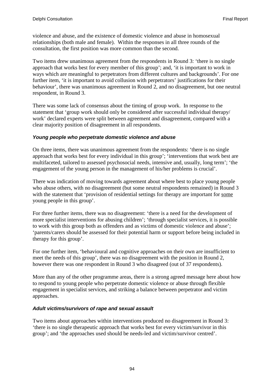violence and abuse, and the existence of domestic violence and abuse in homosexual relationships (both male and female). Within the responses in all three rounds of the consultation, the first position was more common than the second.

Two items drew unanimous agreement from the respondents in Round 3: 'there is no single approach that works best for every member of this group'; and, 'it is important to work in ways which are meaningful to perpetrators from different cultures and backgrounds'. For one further item, 'it is important to avoid collusion with perpetrators' justifications for their behaviour', there was unanimous agreement in Round 2, and no disagreement, but one neutral respondent, in Round 3.

There was some lack of consensus about the timing of group work. In response to the statement that 'group work should only be considered after successful individual therapy/ work' declared experts were split between agreement and disagreement, compared with a clear majority position of disagreement in all respondents.

### *Young people who perpetrate domestic violence and abuse*

On three items, there was unanimous agreement from the respondents: 'there is no single approach that works best for every individual in this group'; 'interventions that work best are multifaceted, tailored to assessed psychosocial needs, intensive and, usually, long term'; 'the engagement of the young person in the management of his/her problems is crucial'.

There was indication of moving towards agreement about where best to place young people who abuse others, with no disagreement (but some neutral respondents remained) in Round 3 with the statement that 'provision of residential settings for therapy are important for some young people in this group'.

For three further items, there was no disagreement: 'there is a need for the development of more specialist interventions for abusing children'; 'through specialist services, it is possible to work with this group both as offenders and as victims of domestic violence and abuse'; 'parents/carers should be assessed for their potential harm or support before being included in therapy for this group'.

For one further item, 'behavioural and cognitive approaches on their own are insufficient to meet the needs of this group', there was no disagreement with the position in Round 2, however there was one respondent in Round 3 who disagreed (out of 37 respondents).

More than any of the other programme areas, there is a strong agreed message here about how to respond to young people who perpetrate domestic violence or abuse through flexible engagement in specialist services, and striking a balance between perpetrator and victim approaches.

#### *Adult victims/survivors of rape and sexual assault*

Two items about approaches within interventions produced no disagreement in Round 3: 'there is no single therapeutic approach that works best for every victim/survivor in this group'; and 'the approaches used should be needs-led and victim/survivor centred'.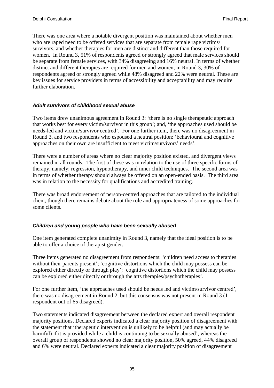There was one area where a notable divergent position was maintained about whether men who are raped need to be offered services that are separate from female rape victims/ survivors, and whether therapies for men are distinct and different than those required for women. In Round 3, 51% of respondents agreed or strongly agreed that male services should be separate from female services, with 34% disagreeing and 16% neutral. In terms of whether distinct and different therapies are required for men and women, in Round 3, 30% of respondents agreed or strongly agreed while 48% disagreed and 22% were neutral. These are key issues for service providers in terms of accessibility and acceptability and may require further elaboration.

# *Adult survivors of childhood sexual abuse*

Two items drew unanimous agreement in Round 3: 'there is no single therapeutic approach that works best for every victim/survivor in this group'; and, 'the approaches used should be needs-led and victim/survivor centred'. For one further item, there was no disagreement in Round 3, and two respondents who espoused a neutral position: 'behavioural and cognitive approaches on their own are insufficient to meet victim/survivors' needs'.

There were a number of areas where no clear majority position existed, and divergent views remained in all rounds. The first of these was in relation to the use of three specific forms of therapy, namely: regression, hypnotherapy, and inner child techniques. The second area was in terms of whether therapy should always be offered on an open-ended basis. The third area was in relation to the necessity for qualifications and accredited training.

There was broad endorsement of person-centred approaches that are tailored to the individual client, though there remains debate about the role and appropriateness of some approaches for some clients.

# *Children and young people who have been sexually abused*

One item generated complete unanimity in Round 3, namely that the ideal position is to be able to offer a choice of therapist gender.

Three items generated no disagreement from respondents: 'children need access to therapies without their parents present'; 'cognitive distortions which the child may possess can be explored either directly or through play'; 'cognitive distortions which the child may possess can be explored either directly or through the arts therapies/psychotherapies'.

For one further item, 'the approaches used should be needs led and victim/survivor centred', there was no disagreement in Round 2, but this consensus was not present in Round 3 (1 respondent out of 65 disagreed).

Two statements indicated disagreement between the declared expert and overall respondent majority positions. Declared experts indicated a clear majority position of disagreement with the statement that 'therapeutic intervention is unlikely to be helpful (and may actually be harmful) if it is provided while a child is continuing to be sexually abused', whereas the overall group of respondents showed no clear majority position, 50% agreed, 44% disagreed and 6% were neutral. Declared experts indicated a clear majority position of disagreement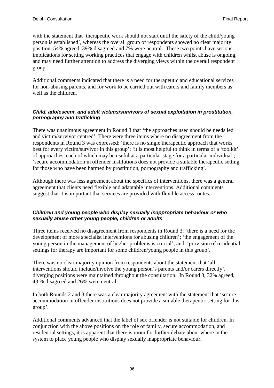with the statement that 'therapeutic work should not start until the safety of the child/young person is established', whereas the overall group of respondents showed no clear majority position, 54% agreed, 39% disagreed and 7% were neutral. These two points have serious implications for setting working practices that engage with children whilst abuse is ongoing, and may need further attention to address the diverging views within the overall respondent group.

Additional comments indicated that there is a need for therapeutic and educational services for non-abusing parents, and for work to be carried out with carers and family members as well as the children.

# *Child, adolescent, and adult victims/survivors of sexual exploitation in prostitution, pornography and trafficking*

There was unanimous agreement in Round 3 that 'the approaches used should be needs led and victim/survivor centred'. There were three items where no disagreement from the respondents in Round 3 was expressed: 'there is no single therapeutic approach that works best for every victim/survivor in this group'; 'it is most helpful to think in terms of a 'toolkit' of approaches, each of which may be useful at a particular stage for a particular individual'; 'secure accommodation in offender institutions does not provide a suitable therapeutic setting for those who have been harmed by prostitution, pornography and trafficking'.

Although there was less agreement about the specifics of interventions, there was a general agreement that clients need flexible and adaptable interventions. Additional comments suggest that it is important that services are provided with flexible access routes.

# *Children and young people who display sexually inappropriate behaviour or who sexually abuse other young people, children or adults*

Three items received no disagreement from respondents in Round 3: 'there is a need for the development of more specialist interventions for abusing children'; 'the engagement of the young person in the management of his/her problems is crucial'; and, 'provision of residential settings for therapy are important for some children/young people in this group'.

There was no clear majority opinion from respondents about the statement that 'all interventions should include/involve the young person's parents and/or carers directly', diverging positions were maintained throughout the consultation. In Round 3, 32% agreed, 43 % disagreed and 26% were neutral.

In both Rounds 2 and 3 there was a clear majority agreement with the statement that 'secure accommodation in offender institutions does not provide a suitable therapeutic setting for this group'.

Additional comments advanced that the label of sex offender is not suitable for children. In conjunction with the above positions on the role of family, secure accommodation, and residential settings, it is apparent that there is room for further debate about where in the system to place young people who display sexually inappropriate behaviour.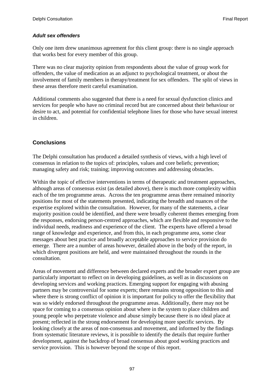### *Adult sex offenders*

Only one item drew unanimous agreement for this client group: there is no single approach that works best for every member of this group.

There was no clear majority opinion from respondents about the value of group work for offenders, the value of medication as an adjunct to psychological treatment, or about the involvement of family members in therapy/treatment for sex offenders. The split of views in these areas therefore merit careful examination.

Additional comments also suggested that there is a need for sexual dysfunction clinics and services for people who have no criminal record but are concerned about their behaviour or desire to act, and potential for confidential telephone lines for those who have sexual interest in children.

# **Conclusions**

The Delphi consultation has produced a detailed synthesis of views, with a high level of consensus in relation to the topics of: principles, values and core beliefs; prevention; managing safety and risk; training; improving outcomes and addressing obstacles.

Within the topic of effective interventions in terms of therapeutic and treatment approaches, although areas of consensus exist (as detailed above), there is much more complexity within each of the ten programme areas. Across the ten programme areas there remained minority positions for most of the statements presented, indicating the breadth and nuances of the expertise explored within the consultation. However, for many of the statements, a clear majority position could be identified, and there were broadly coherent themes emerging from the responses, endorsing person-centred approaches, which are flexible and responsive to the individual needs, readiness and experience of the client. The experts have offered a broad range of knowledge and experience, and from this, in each programme area, some clear messages about best practice and broadly acceptable approaches to service provision do emerge. There are a number of areas however, detailed above in the body of the report, in which divergent positions are held, and were maintained throughout the rounds in the consultation.

Areas of movement and difference between declared experts and the broader expert group are particularly important to reflect on in developing guidelines, as well as in discussions on developing services and working practices. Emerging support for engaging with abusing partners may be controversial for some experts; there remains strong opposition to this and where there is strong conflict of opinion it is important for policy to offer the flexibility that was so widely endorsed throughout the programme areas. Additionally, there may not be space for coming to a consensus opinion about where in the system to place children and young people who perpetrate violence and abuse simply because there is no ideal place at present; reflected in the strong endorsement for developing more specific services. By looking closely at the areas of non-consensus and movement, and informed by the findings from systematic literature reviews, it is possible to identify the details that require further development, against the backdrop of broad consensus about good working practices and service provision. This is however beyond the scope of this report.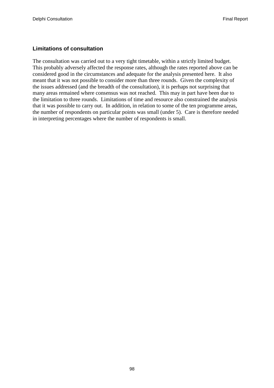# **Limitations of consultation**

The consultation was carried out to a very tight timetable, within a strictly limited budget. This probably adversely affected the response rates, although the rates reported above can be considered good in the circumstances and adequate for the analysis presented here. It also meant that it was not possible to consider more than three rounds. Given the complexity of the issues addressed (and the breadth of the consultation), it is perhaps not surprising that many areas remained where consensus was not reached. This may in part have been due to the limitation to three rounds. Limitations of time and resource also constrained the analysis that it was possible to carry out. In addition, in relation to some of the ten programme areas, the number of respondents on particular points was small (under 5). Care is therefore needed in interpreting percentages where the number of respondents is small.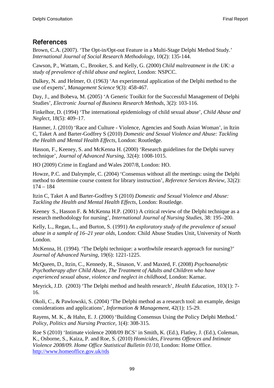# References

Brown, C.A. (2007). 'The Opt-in/Opt-out Feature in a Multi-Stage Delphi Method Study.' *International Journal of Social Research Methodology*, 10(2): 135-144.

Cawson, P., Wattam, C., Brooker, S. and Kelly, G. (2000) *Child maltreatment in the UK: a study of prevalence of child abuse and neglect*, London: NSPCC.

Dalkey, N. and Helmer, O. (1963) 'An experimental application of the Delphi method to the use of experts', *Management Science* 9(3): 458-467.

Day, J., and Bobeva, M. (2005) 'A Generic Toolkit for the Successful Management of Delphi Studies', *Electronic Journal of Business Research Methods*, 3(2): 103-116.

Finkelhor, D. (1994) 'The international epidemiology of child sexual abuse', *Child Abuse and Neglect*, 18(5): 409–17.

Hanmer, J. (2010) 'Race and Culture - Violence, Agencies and South Asian Woman', in Itzin C, Taket A and Barter-Godfrey S (2010) *Domestic and Sexual Violence and Abuse: Tackling the Health and Mental Health Effects*, London: Routledge.

Hasson, F., Keeney, S. and McKenna H. (2000) 'Research guidelines for the Delphi survey technique', *Journal of Advanced Nursing*, 32(4): 1008-1015.

HO (2009) Crime in England and Wales 2007/8, London: HO.

Howze, P.C. and Dalrymple, C. (2004) 'Consensus without all the meetings: using the Delphi method to determine course content for library instruction', *Reference Services Review*, 32(2): 174 – 184

Itzin C, Taket A and Barter-Godfrey S (2010) *Domestic and Sexual Violence and Abuse: Tackling the Health and Mental Health Effects*, London: Routledge.

Keeney S., Hasson F. & McKenna H.P. (2001) A critical review of the Delphi technique as a research methodology for nursing', *International Journal of Nursing Studies*, 38: 195–200.

Kelly, L., Regan, L., and Burton, S. (1991) *An exploratory study of the prevalence of sexual abuse in a sample of 16–21 year olds*, London: Child Abuse Studies Unit, University of North London.

McKenna, H. (1994). 'The Delphi technique: a worthwhile research approach for nursing?' *Journal of Advanced Nursing*, 19(6): 1221-1225.

McQueen, D., Itzin, C., Kennedy, R., Sinason, V. and Maxted, F. (2008) *Psychoanalytic Psychotherapy after Child Abuse, The Treatment of Adults and Children who have experienced sexual abuse, violence and neglect in childhood*, London: Karnac.

Meyrick, J.D. (2003) 'The Delphi method and health research', *Health Education*, 103(1): 7- 16.

Okoli, C., & Pawlowski, S. (2004) 'The Delphi method as a research tool: an example, design considerations and applications', *Information & Management*, 42(1): 15-29.

Rayens, M. K., & Hahn, E. J. (2000) 'Building Consensus Using the Policy Delphi Method.' *Policy, Politics and Nursing Practice*, 1(4): 308-315.

Roe S (2010) 'Intimate violence 2008/09 BCS' in Smith, K. (Ed.), Flatley, J. (Ed.), Coleman, K., Osborne, S., Kaiza, P. and Roe, S. (2010) *Homicides, Firearms Offences and Intimate Violence 2008/09. Home Office Statistical Bulletin 01/10*, London: Home Office. <http://www.homeoffice.gov.uk/rds>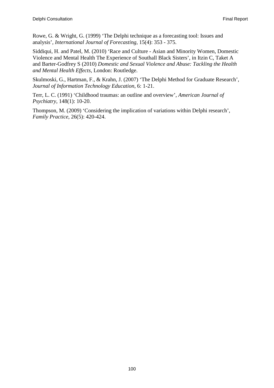Rowe, G. & Wright, G. (1999) 'The Delphi technique as a forecasting tool: Issues and analysis', *International Journal of Forecasting*, 15(4): 353 - 375.

Siddiqui, H. and Patel, M. (2010) 'Race and Culture - Asian and Minority Women, Domestic Violence and Mental Health The Experience of Southall Black Sisters', in Itzin C, Taket A and Barter-Godfrey S (2010) *Domestic and Sexual Violence and Abuse: Tackling the Health and Mental Health Effects*, London: Routledge.

Skulmoski, G., Hartman, F., & Krahn, J. (2007) 'The Delphi Method for Graduate Research', *Journal of Information Technology Education*, 6: 1-21.

Terr, L. C. (1991) 'Childhood traumas: an outline and overview', *American Journal of Psychiatry*, 148(1): 10-20.

Thompson, M. (2009) 'Considering the implication of variations within Delphi research', *Family Practice*, 26(5): 420-424.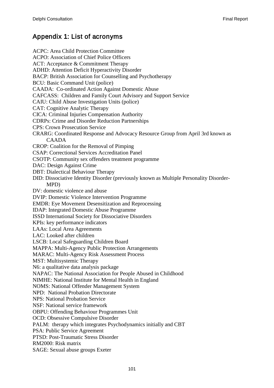# Appendix 1: List of acronyms

ACPC: Area Child Protection Committee ACPO: Association of Chief Police Officers ACT: Acceptance & Commitment Therapy ADHD: Attention Deficit Hyperactivity Disorder BACP: British Association for Counselling and Psychotherapy BCU: Basic Command Unit (police) CAADA: Co-ordinated Action Against Domestic Abuse CAFCASS: Children and Family Court Advisory and Support Service CAIU: Child Abuse Investigation Units (police) CAT: Cognitive Analytic Therapy CICA: Criminal Injuries Compensation Authority CDRPs: Crime and Disorder Reduction Partnerships CPS: Crown Prosecution Service CRARG: Coordinated Response and Advocacy Resource Group from April 3rd known as CAADA CROP: Coalition for the Removal of Pimping CSAP: Correctional Services Accreditation Panel CSOTP: Community sex offenders treatment programme DAC: Design Against Crime DBT: Dialectical Behaviour Therapy DID: Dissociative Identity Disorder (previously known as Multiple Personality Disorder-MPD) DV: domestic violence and abuse DVIP: Domestic Violence Intervention Programme EMDR: Eye Movement Desensitization and Reprocessing IDAP: Integrated Domestic Abuse Programme ISSD International Society for Dissociative Disorders KPIs: key performance indicators LAAs: Local Area Agreements LAC: Looked after children LSCB: Local Safeguarding Children Board MAPPA: Multi-Agency Public Protection Arrangements MARAC: Multi-Agency Risk Assessment Process MST: Multisystemic Therapy N6: a qualitative data analysis package NAPAC: The National Association for People Abused in Childhood NIMHE: National Institute for Mental Health in England NOMS: National Offender Management System NPD: National Probation Directorate NPS: National Probation Service NSF: National service framework OBPU: Offending Behaviour Programmes Unit OCD: Obsessive Compulsive Disorder PALM: therapy which integrates Psychodynamics initially and CBT PSA: Public Service Agreement PTSD: Post-Traumatic Stress Disorder RM2000: Risk matrix SAGE: Sexual abuse groups Exeter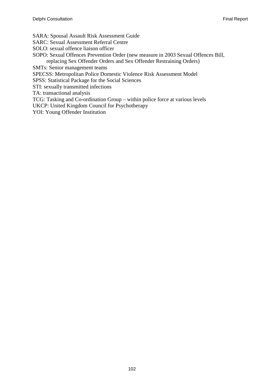SARA: Spousal Assault Risk Assessment Guide

SARC: Sexual Assessment Referral Centre

SOLO: sexual offence liaison officer

SOPO: Sexual Offences Prevention Order (new measure in 2003 Sexual Offences Bill, replacing Sex Offender Orders and Sex Offender Restraining Orders)

SMTs: Senior management teams

SPECSS: Metropolitan Police Domestic Violence Risk Assessment Model

SPSS: Statistical Package for the Social Sciences

STI: sexually transmitted infections

TA: transactional analysis

TCG: Tasking and Co-ordination Group – within police force at various levels

UKCP: United Kingdom Council for Psychotherapy

YOI: Young Offender Institution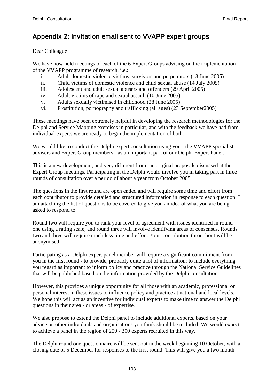# Appendix 2: Invitation email sent to VVAPP expert groups

### Dear Colleague

We have now held meetings of each of the 6 Expert Groups advising on the implementation of the VVAPP programme of research, i.e.:

- i. Adult domestic violence victims, survivors and perpetrators (13 June 2005)
- ii. Child victims of domestic violence and child sexual abuse (14 July 2005)
- iii. Adolescent and adult sexual abusers and offenders (29 April 2005)
- iv. Adult victims of rape and sexual assault (10 June 2005)
- v. Adults sexually victimised in childhood (28 June 2005)
- vi. Prostitution, pornography and trafficking (all ages) (23 September2005)

These meetings have been extremely helpful in developing the research methodologies for the Delphi and Service Mapping exercises in particular, and with the feedback we have had from individual experts we are ready to begin the implementation of both.

We would like to conduct the Delphi expert consultation using you - the VVAPP specialist advisers and Expert Group members - as an important part of our Delphi Expert Panel.

This is a new development, and very different from the original proposals discussed at the Expert Group meetings. Participating in the Delphi would involve you in taking part in three rounds of consultation over a period of about a year from October 2005.

The questions in the first round are open ended and will require some time and effort from each contributor to provide detailed and structured information in response to each question. I am attaching the list of questions to be covered to give you an idea of what you are being asked to respond to.

Round two will require you to rank your level of agreement with issues identified in round one using a rating scale, and round three will involve identifying areas of consensus. Rounds two and three will require much less time and effort. Your contribution throughout will be anonymised.

Participating as a Delphi expert panel member will require a significant commitment from you in the first round - to provide, probably quite a lot of information: to include everything you regard as important to inform policy and practice through the National Service Guidelines that will be published based on the information provided by the Delphi consultation.

However, this provides a unique opportunity for all those with an academic, professional or personal interest in these issues to influence policy and practice at national and local levels. We hope this will act as an incentive for individual experts to make time to answer the Delphi questions in their area - or areas - of expertise.

We also propose to extend the Delphi panel to include additional experts, based on your advice on other individuals and organisations you think should be included. We would expect to achieve a panel in the region of 250 - 300 experts recruited in this way.

The Delphi round one questionnaire will be sent out in the week beginning 10 October, with a closing date of 5 December for responses to the first round. This will give you a two month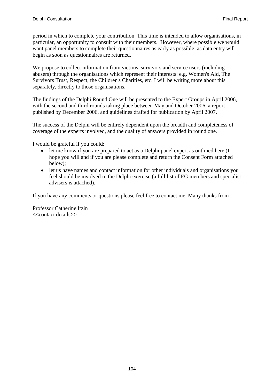period in which to complete your contribution. This time is intended to allow organisations, in particular, an opportunity to consult with their members. However, where possible we would want panel members to complete their questionnaires as early as possible, as data entry will begin as soon as questionnaires are returned.

We propose to collect information from victims, survivors and service users (including abusers) through the organisations which represent their interests: e.g. Women's Aid, The Survivors Trust, Respect, the Children's Charities, etc. I will be writing more about this separately, directly to those organisations.

The findings of the Delphi Round One will be presented to the Expert Groups in April 2006, with the second and third rounds taking place between May and October 2006, a report published by December 2006, and guidelines drafted for publication by April 2007.

The success of the Delphi will be entirely dependent upon the breadth and completeness of coverage of the experts involved, and the quality of answers provided in round one.

I would be grateful if you could:

- let me know if you are prepared to act as a Delphi panel expert as outlined here (I hope you will and if you are please complete and return the Consent Form attached below);
- let us have names and contact information for other individuals and organisations you feel should be involved in the Delphi exercise (a full list of EG members and specialist advisers is attached).

If you have any comments or questions please feel free to contact me. Many thanks from

Professor Catherine Itzin <<contact details>>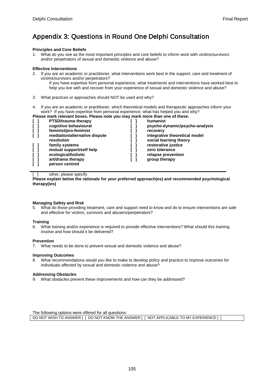# Appendix 3: Questions in Round One Delphi Consultation

#### **Principles and Core Beliefs**

1. What do you see as the most important principles and core beliefs to inform work with victims/survivors and/or perpetrators of sexual and domestic violence and abuse?

#### **Effective Interventions**

- 2. If you are an academic or practitioner, what interventions work best in the support, care and treatment of victims/survivors and/or perpetrators?
	- If you have expertise from personal experience, what treatments and interventions have worked best to help you live with and recover from your experience of sexual and domestic violence and abuse?
- 3. What practices or approaches should NOT be used and why?
- 4. If you are an academic or practitioner, which theoretical models and therapeutic approaches inform your work? If you have expertise from personal experience, what has helped you and why?

**Please mark relevant boxes. Please note you may mark more than one of these.**

| <b>PTSD/trauma therapy</b><br>cognitive behavioural<br>feminist/pro-feminist<br>mediation/alternative dispute          | humanist<br>psycho-dynamic/psycho-analysis<br>recovery<br>integrative theoretical model                |
|------------------------------------------------------------------------------------------------------------------------|--------------------------------------------------------------------------------------------------------|
| resolution<br>family systems<br>mutual support/self help<br>ecological/holistic<br>art/drama therapy<br>person centred | social learning theory<br>restorative justice<br>zero tolerance<br>relapse prevention<br>group therapy |

1 other, please specify

**Please explain below the rationale for your preferred approach(es) and recommended psychological therapy(ies)** 

#### **Managing Safety and Risk**

5. What do those providing treatment, care and support need to know and do to ensure interventions are safe and effective for victims, survivors and abusers/perpetrators?

#### **Training**

6. What training and/or experience is required to provide effective interventions? What should this training involve and how should it be delivered?

#### **Prevention**

7. What needs to be done to prevent sexual and domestic violence and abuse?

#### **Improving Outcomes**

8. What recommendations would you like to make to develop policy and practice to improve outcomes for individuals affected by sexual and domestic violence and abuse?

#### **Addressing Obstacles**

9. What obstacles prevent these improvements and how can they be addressed?

The following options were offered for all questions: DO NOT WISH TO ANSWER [ ] DO NOT KNOW THE ANSWER [ ] NOT APPLICABLE TO MY EXPERIENCE [ ]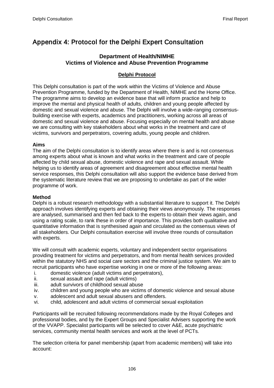# Appendix 4: Protocol for the Delphi Expert Consultation

### **Department of Health/NIMHE Victims of Violence and Abuse Prevention Programme**

# **Delphi Protocol**

This Delphi consultation is part of the work within the Victims of Violence and Abuse Prevention Programme, funded by the Department of Health, NIMHE and the Home Office. The programme aims to develop an evidence base that will inform practice and help to improve the mental and physical health of adults, children and young people affected by domestic and sexual violence and abuse. The Delphi will involve a wide-ranging consensusbuilding exercise with experts, academics and practitioners, working across all areas of domestic and sexual violence and abuse. Focusing especially on mental health and abuse we are consulting with key stakeholders about what works in the treatment and care of victims, survivors and perpetrators, covering adults, young people and children.

#### **Aims**

The aim of the Delphi consultation is to identify areas where there is and is not consensus among experts about what is known and what works in the treatment and care of people affected by child sexual abuse, domestic violence and rape and sexual assault. While helping us to identify areas of agreement and disagreement about effective mental health service responses, this Delphi consultation will also support the evidence base derived from the systematic literature review that we are proposing to undertake as part of the wider programme of work.

#### **Method**

Delphi is a robust research methodology with a substantial literature to support it. The Delphi approach involves identifying experts and obtaining their views anonymously. The responses are analysed, summarised and then fed back to the experts to obtain their views again, and using a rating scale, to rank these in order of importance. This provides both qualitative and quantitative information that is synthesised again and circulated as the consensus views of all stakeholders. Our Delphi consultation exercise will involve three rounds of consultation with experts.

We will consult with academic experts, voluntary and independent sector organisations providing treatment for victims and perpetrators, and from mental health services provided within the statutory NHS and social care sectors and the criminal justice system. We aim to recruit participants who have expertise working in one or more of the following areas:

- i. domestic violence (adult victims and perpetrators),
- ii. sexual assault and rape (adult victims)<br>iii. adult survivors of childhood sexual abu
- adult survivors of childhood sexual abuse
- iv. children and young people who are victims of domestic violence and sexual abuse
- v. adolescent and adult sexual abusers and offenders.<br>vi. child adolescent and adult victims of commercial services
- child, adolescent and adult victims of commercial sexual exploitation

Participants will be recruited following recommendations made by the Royal Colleges and professional bodies, and by the Expert Groups and Specialist Advisers supporting the work of the VVAPP. Specialist participants will be selected to cover A&E, acute psychiatric services, community mental health services and work at the level of PCTs.

The selection criteria for panel membership (apart from academic members) will take into account: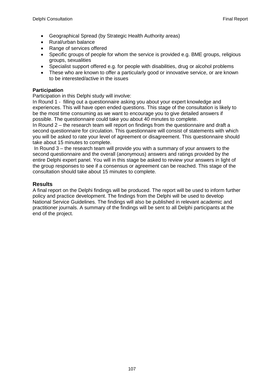- Geographical Spread (by Strategic Health Authority areas)
- Rural/urban balance
- Range of services offered
- Specific groups of people for whom the service is provided e.g. BME groups, religious groups, sexualities
- Specialist support offered e.g. for people with disabilities, drug or alcohol problems
- These who are known to offer a particularly good or innovative service, or are known to be interested/active in the issues

#### **Participation**

Participation in this Delphi study will involve:

In Round 1 - filling out a questionnaire asking you about your expert knowledge and experiences. This will have open ended questions. This stage of the consultation is likely to be the most time consuming as we want to encourage you to give detailed answers if possible. The questionnaire could take you about 40 minutes to complete.

In Round 2 – the research team will report on findings from the questionnaire and draft a second questionnaire for circulation. This questionnaire will consist of statements with which you will be asked to rate your level of agreement or disagreement. This questionnaire should take about 15 minutes to complete.

In Round 3 – the research team will provide you with a summary of your answers to the second questionnaire and the overall (anonymous) answers and ratings provided by the entire Delphi expert panel. You will in this stage be asked to review your answers in light of the group responses to see if a consensus or agreement can be reached. This stage of the consultation should take about 15 minutes to complete.

# **Results**

A final report on the Delphi findings will be produced. The report will be used to inform further policy and practice development. The findings from the Delphi will be used to develop National Service Guidelines. The findings will also be published in relevant academic and practitioner journals. A summary of the findings will be sent to all Delphi participants at the end of the project.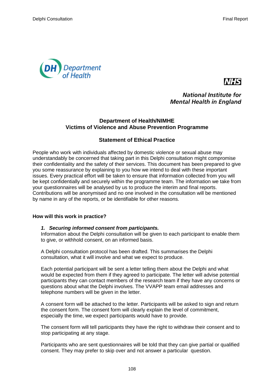



# **National Institute for Mental Health in England**

### **Department of Health/NIMHE Victims of Violence and Abuse Prevention Programme**

# **Statement of Ethical Practice**

People who work with individuals affected by domestic violence or sexual abuse may understandably be concerned that taking part in this Delphi consultation might compromise their confidentiality and the safety of their services. This document has been prepared to give you some reassurance by explaining to you how we intend to deal with these important issues. Every practical effort will be taken to ensure that information collected from you will be kept confidentially and securely within the programme team. The information we take from your questionnaires will be analysed by us to produce the interim and final reports. Contributions will be anonymised and no one involved in the consultation will be mentioned by name in any of the reports, or be identifiable for other reasons.

#### **How will this work in practice?**

#### *1. Securing informed consent from participants.*

Information about the Delphi consultation will be given to each participant to enable them to give, or withhold consent, on an informed basis.

A Delphi consultation protocol has been drafted. This summarises the Delphi consultation, what it will involve and what we expect to produce.

Each potential participant will be sent a letter telling them about the Delphi and what would be expected from them if they agreed to participate. The letter will advise potential participants they can contact members of the research team if they have any concerns or questions about what the Delphi involves. The VVAPP team email addresses and telephone numbers will be given in the letter.

A consent form will be attached to the letter. Participants will be asked to sign and return the consent form. The consent form will clearly explain the level of commitment, especially the time, we expect participants would have to provide.

The consent form will tell participants they have the right to withdraw their consent and to stop participating at any stage.

Participants who are sent questionnaires will be told that they can give partial or qualified consent. They may prefer to skip over and not answer a particular question.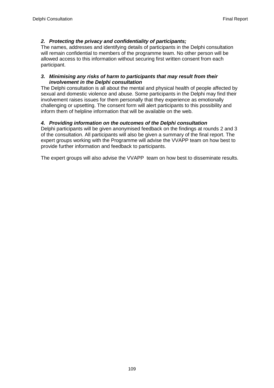### *2. Protecting the privacy and confidentiality of participants;*

The names, addresses and identifying details of participants in the Delphi consultation will remain confidential to members of the programme team. No other person will be allowed access to this information without securing first written consent from each participant.

#### *3. Minimising any risks of harm to participants that may result from their involvement in the Delphi consultation*

The Delphi consultation is all about the mental and physical health of people affected by sexual and domestic violence and abuse. Some participants in the Delphi may find their involvement raises issues for them personally that they experience as emotionally challenging or upsetting. The consent form will alert participants to this possibility and inform them of helpline information that will be available on the web.

### *4. Providing information on the outcomes of the Delphi consultation*

Delphi participants will be given anonymised feedback on the findings at rounds 2 and 3 of the consultation. All participants will also be given a summary of the final report. The expert groups working with the Programme will advise the VVAPP team on how best to provide further information and feedback to participants.

The expert groups will also advise the VVAPP team on how best to disseminate results.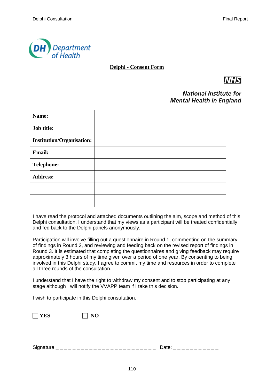

# **Delphi - Consent Form**

MHS

# **National Institute for Mental Health in England**

| Name:                            |  |
|----------------------------------|--|
| Job title:                       |  |
| <b>Institution/Organisation:</b> |  |
| Email:                           |  |
| <b>Telephone:</b>                |  |
| <b>Address:</b>                  |  |
|                                  |  |
|                                  |  |

I have read the protocol and attached documents outlining the aim, scope and method of this Delphi consultation. I understand that my views as a participant will be treated confidentially and fed back to the Delphi panels anonymously.

Participation will involve filling out a questionnaire in Round 1, commenting on the summary of findings in Round 2, and reviewing and feeding back on the revised report of findings in Round 3. It is estimated that completing the questionnaires and giving feedback may require approximately 3 hours of my time given over a period of one year. By consenting to being involved in this Delphi study, I agree to commit my time and resources in order to complete all three rounds of the consultation.

I understand that I have the right to withdraw my consent and to stop participating at any stage although I will notify the VVAPP team if I take this decision.

I wish to participate in this Delphi consultation.

| <b>TYES</b> | NO |
|-------------|----|
|-------------|----|

Signature:\_ \_ \_ \_ \_ \_ \_ \_ \_ \_ \_ \_ \_ \_ \_ \_ \_ \_ \_ \_ \_ \_ \_ \_ Date: \_ \_ \_ \_ \_ \_ \_ \_ \_ \_ \_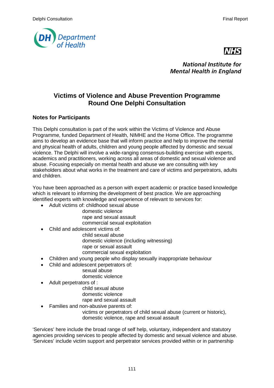

**NHS** 

**National Institute for Mental Health in England** 

# **Victims of Violence and Abuse Prevention Programme Round One Delphi Consultation**

# **Notes for Participants**

This Delphi consultation is part of the work within the Victims of Violence and Abuse Programme, funded Department of Health, NIMHE and the Home Office. The programme aims to develop an evidence base that will inform practice and help to improve the mental and physical health of adults, children and young people affected by domestic and sexual violence. The Delphi will involve a wide-ranging consensus-building exercise with experts, academics and practitioners, working across all areas of domestic and sexual violence and abuse. Focusing especially on mental health and abuse we are consulting with key stakeholders about what works in the treatment and care of victims and perpetrators, adults and children.

You have been approached as a person with expert academic or practice based knowledge which is relevant to informing the development of best practice. We are approaching identified experts with knowledge and experience of relevant to services for:

• Adult victims of: childhood sexual abuse

domestic violence rape and sexual assault commercial sexual exploitation

• Child and adolescent victims of:

child sexual abuse domestic violence (including witnessing) rape or sexual assault

- commercial sexual exploitation
- Children and young people who display sexually inappropriate behaviour
- Child and adolescent perpetrators of:

sexual abuse domestic violence

- 
- Adult perpetrators of :

child sexual abuse

domestic violence

rape and sexual assault

• Families and non-abusive parents of:

victims or perpetrators of child sexual abuse (current or historic), domestic violence, rape and sexual assault

'Services' here include the broad range of self help, voluntary, independent and statutory agencies providing services to people affected by domestic and sexual violence and abuse. 'Services' include victim support and perpetrator services provided within or in partnership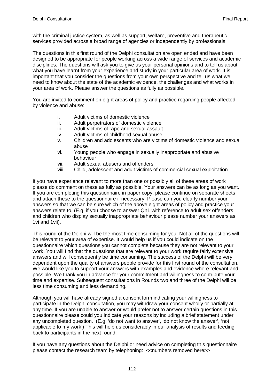with the criminal justice system, as well as support, welfare, preventive and therapeutic services provided across a broad range of agencies or independently by professionals.

The questions in this first round of the Delphi consultation are open ended and have been designed to be appropriate for people working across a wide range of services and academic disciplines. The questions will ask you to give us your personal opinions and to tell us about what you have learnt from your experience and study in your particular area of work. It is important that you consider the questions from your own perspective and tell us what we need to know about the state of the academic evidence, the challenges and what works in your area of work. Please answer the questions as fully as possible.

You are invited to comment on eight areas of policy and practice regarding people affected by violence and abuse:

- i. Adult victims of domestic violence
- ii. Adult perpetrators of domestic violence<br>iii. Adult victims of rape and sexual assault
- Adult victims of rape and sexual assault
- iv. Adult victims of childhood sexual abuse
- v. Children and adolescents who are victims of domestic violence and sexual abuse
- vi. Young people who engage in sexually inappropriate and abusive behaviour
- vii. Adult sexual abusers and offenders<br>viii. Child. adolescent and adult victims
- Child, adolescent and adult victims of commercial sexual exploitation

If you have experience relevant to more than one or possibly all of these areas of work please do comment on these as fully as possible. Your answers can be as long as you want. If you are completing this questionnaire in paper copy, please continue on separate sheets and attach these to the questionnaire if necessary. Please can you clearly number your answers so that we can be sure which of the above eight areas of policy and practice your answers relate to. (E.g. if you choose to answer Qn1 with reference to adult sex offenders and children who display sexually inappropriate behaviour please number your answers as 1vi and 1vii).

This round of the Delphi will be the most time consuming for you. Not all of the questions will be relevant to your area of expertise. It would help us if you could indicate on the questionnaire which questions you cannot complete because they are not relevant to your work. You will find that the questions that are relevant to your work require fairly extensive answers and will consequently be time consuming. The success of the Delphi will be very dependent upon the quality of answers people provide for this first round of the consultation. We would like you to support your answers with examples and evidence where relevant and possible. We thank you in advance for your commitment and willingness to contribute your time and expertise. Subsequent consultations in Rounds two and three of the Delphi will be less time consuming and less demanding.

Although you will have already signed a consent form indicating your willingness to participate in the Delphi consultation, you may withdraw your consent wholly or partially at any time. If you are unable to answer or would prefer not to answer certain questions in this questionnaire please could you indicate your reasons by including a brief statement under any uncompleted question. (E.g. 'do not want to answer', 'do not know the answer', 'not applicable to my work') This will help us considerably in our analysis of results and feeding back to participants in the next round.

If you have any questions about the Delphi or need advice on completing this questionnaire please contact the research team by telephoning: << numbers removed here>>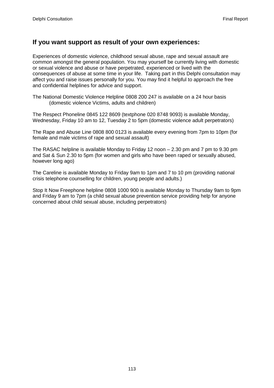# **If you want support as result of your own experiences:**

Experiences of domestic violence, childhood sexual abuse, rape and sexual assault are common amongst the general population. You may yourself be currently living with domestic or sexual violence and abuse or have perpetrated, experienced or lived with the consequences of abuse at some time in your life. Taking part in this Delphi consultation may affect you and raise issues personally for you. You may find it helpful to approach the free and confidential helplines for advice and support.

The National Domestic Violence Helpline 0808 200 247 is available on a 24 hour basis (domestic violence Victims, adults and children)

The Respect Phoneline 0845 122 8609 (textphone 020 8748 9093) is available Monday, Wednesday, Friday 10 am to 12, Tuesday 2 to 5pm (domestic violence adult perpetrators)

The Rape and Abuse Line 0808 800 0123 is available every evening from 7pm to 10pm (for female and male victims of rape and sexual assault)

The RASAC helpline is available Monday to Friday 12 noon – 2.30 pm and 7 pm to 9.30 pm and Sat & Sun 2.30 to 5pm (for women and girls who have been raped or sexually abused, however long ago)

The Careline is available Monday to Friday 9am to 1pm and 7 to 10 pm (providing national crisis telephone counselling for children, young people and adults.)

Stop It Now Freephone helpline 0808 1000 900 is available Monday to Thursday 9am to 9pm and Friday 9 am to 7pm (a child sexual abuse prevention service providing help for anyone concerned about child sexual abuse, including perpetrators)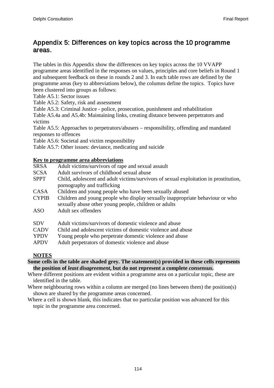# Appendix 5: Differences on key topics across the 10 programme areas.

The tables in this Appendix show the differences on key topics across the 10 VVAPP programme areas identified in the responses on values, principles and core beliefs in Round 1 and subsequent feedback on these in rounds 2 and 3. In each table rows are defined by the programme areas (key to abbreviations below), the columns define the topics. Topics have been clustered into groups as follows:

Table A5.1: Sector issues

Table A5.2: Safety, risk and assessment

Table A5.3: Criminal Justice - police, prosecution, punishment and rehabilitation

Table A5.4a and A5.4b: Maintaining links, creating distance between perpetrators and victims

Table A5.5: Approaches to perpetrators/abusers – responsibility, offending and mandated responses to offences

Table A5.6: Societal and victim responsibility

Table A5.7: Other issues: deviance, medicating and suicide

### **Key to programme area abbreviations**

| <b>SRSA</b>                | Adult victims/survivors of rape and sexual assault                                                                                     |
|----------------------------|----------------------------------------------------------------------------------------------------------------------------------------|
| <b>SCSA</b>                | Adult survivors of childhood sexual abuse                                                                                              |
| <b>SPPT</b>                | Child, adolescent and adult victims/survivors of sexual exploitation in prostitution,<br>pornography and trafficking                   |
| CASA                       | Children and young people who have been sexually abused                                                                                |
| <b>CYPIB</b>               | Children and young people who display sexually inappropriate behaviour or who<br>sexually abuse other young people, children or adults |
| ASO                        | Adult sex offenders                                                                                                                    |
| <b>SDV</b>                 | Adult victims/survivors of domestic violence and abuse                                                                                 |
| <b>CADV</b>                | Child and adolescent victims of domestic violence and abuse                                                                            |
| <b>YPDV</b><br><b>APDV</b> | Young people who perpetrate domestic violence and abuse<br>Adult perpetrators of domestic violence and abuse                           |
|                            |                                                                                                                                        |

# **NOTES**

- **Some cells in the table are shaded grey. The statement(s) provided in these cells represents the position of** *least disagreement***, but do not represent a complete** *consensus***.**
- Where different positions are evident within a programme area on a particular topic, these are identified in the table.

Where neighbouring rows within a column are merged (no lines between them) the position(s) shown are shared by the programme areas concerned.

Where a cell is shown blank, this indicates that no particular position was advanced for this topic in the programme area concerned.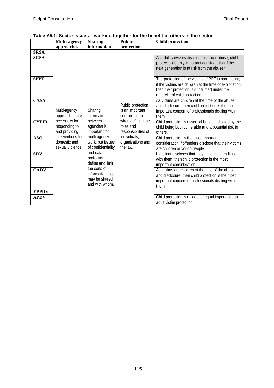|              | Multi-agency                                          | <b>Sharing</b>                                                      | <b>Public</b>                                         | <b>Child protection</b>                                                                                                                                                                       |
|--------------|-------------------------------------------------------|---------------------------------------------------------------------|-------------------------------------------------------|-----------------------------------------------------------------------------------------------------------------------------------------------------------------------------------------------|
|              | approaches                                            | information                                                         | protection                                            |                                                                                                                                                                                               |
| <b>SRSA</b>  |                                                       |                                                                     |                                                       |                                                                                                                                                                                               |
| <b>SCSA</b>  |                                                       |                                                                     |                                                       | As adult survivors disclose historical abuse, child<br>protection is only important consideration if the<br>next generation is at risk from the abuser.                                       |
| <b>SPPT</b>  |                                                       |                                                                     |                                                       | The protection of the victims of PPT is paramount;<br>if the victims are children at the time of exploitation<br>then their protection is subsumed under the<br>umbrella of child protection. |
| <b>CASA</b>  | Multi-agency<br>approaches are                        | Sharing<br>information                                              | Public protection<br>is an important<br>consideration | As victims are children at the time of the abuse<br>and disclosure, then child protection is the most<br>important concern of professionals dealing with<br>them.                             |
| <b>CYPIB</b> | necessary for<br>responding to<br>and providing       | between<br>agencies is<br>important for                             | when defining the<br>roles and<br>responsibilities of | Child protection is essential but complicated by the<br>child being both vulnerable and a potential risk to<br>others.                                                                        |
| <b>ASO</b>   | interventions for<br>domestic and<br>sexual violence. | multi-agency<br>work, but issues<br>of confidentiality              | individuals,<br>organisations and<br>the law.         | Child protection is the most important<br>consideration if offenders disclose that their victims<br>are children or young people.                                                             |
| <b>SDV</b>   |                                                       | and data<br>protection<br>define and limit                          |                                                       | If a client discloses that they have children living<br>with them, then child protection is the most<br>important consideration.                                                              |
| <b>CADV</b>  |                                                       | the sorts of<br>information that<br>may be shared<br>and with whom. |                                                       | As victims are children at the time of the abuse<br>and disclosure, then child protection is the most<br>important concern of professionals dealing with<br>them.                             |
| <b>YPPDV</b> |                                                       |                                                                     |                                                       |                                                                                                                                                                                               |
| <b>APDV</b>  |                                                       |                                                                     |                                                       | Child protection is at least of equal importance to<br>adult victim protection.                                                                                                               |

# **Table A5.1: Sector issues – working together for the benefit of others in the sector**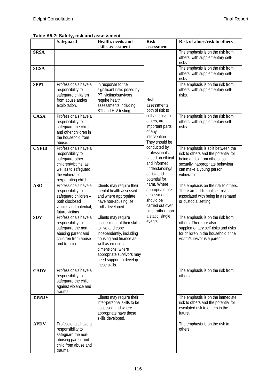#### **Table A5.2: Safety, risk and assessment**

|              | Safeguard                                                                                                                                             | Health, needs and                                                                                                                                                                                                                              | <b>Risk</b>                                                                                                          | Risk of abuse/risk to others                                                                                                                                                             |
|--------------|-------------------------------------------------------------------------------------------------------------------------------------------------------|------------------------------------------------------------------------------------------------------------------------------------------------------------------------------------------------------------------------------------------------|----------------------------------------------------------------------------------------------------------------------|------------------------------------------------------------------------------------------------------------------------------------------------------------------------------------------|
| <b>SRSA</b>  |                                                                                                                                                       | skills assessment                                                                                                                                                                                                                              | assessment                                                                                                           |                                                                                                                                                                                          |
|              |                                                                                                                                                       |                                                                                                                                                                                                                                                |                                                                                                                      | The emphasis is on the risk from<br>others, with supplementary self-<br>risks.                                                                                                           |
| <b>SCSA</b>  |                                                                                                                                                       |                                                                                                                                                                                                                                                |                                                                                                                      | The emphasis is on the risk from<br>others, with supplementary self-<br>risks.                                                                                                           |
| <b>SPPT</b>  | Professionals have a<br>responsibility to<br>safeguard child/ren<br>from abuse and/or<br>exploitation.                                                | In response to the<br>significant risks posed by<br>PT, victims/survivors<br>require health<br>assessments including<br>STI and HIV testing.                                                                                                   | <b>Risk</b><br>assessments,<br>both of risk to                                                                       | The emphasis is on the risk from<br>others, with supplementary self-<br>risks.                                                                                                           |
| <b>CASA</b>  | Professionals have a<br>responsibility to<br>safeguard the child<br>and other children in<br>the household from<br>abuse.                             |                                                                                                                                                                                                                                                | self and risk to<br>others, are<br>important parts<br>of any<br>intervention.<br>They should be                      | The emphasis is on the risk from<br>others, with supplementary self-<br>risks.                                                                                                           |
| <b>CYPIB</b> | Professionals have a<br>responsibility to<br>safeguard other<br>children/victims, as<br>well as to safeguard<br>the vulnerable<br>perpetrating child. |                                                                                                                                                                                                                                                | conducted by<br>professionals,<br>based on ethical<br>and informed<br>understandings<br>of risk and<br>potential for | The emphasis is split between the<br>risk to others and the potential for<br>being at risk from others, as<br>sexually inappropriate behaviour<br>can make a young person<br>vulnerable. |
| <b>ASO</b>   | Professionals have a<br>responsibility to<br>safeguard children -<br>both disclosed<br>victims and potential,<br>future victims                       | Clients may require their<br>mental health assessed<br>and where appropriate<br>have non-abusing life<br>skills developed.                                                                                                                     | harm. Where<br>appropriate risk<br>assessments<br>should be<br>carried out over<br>time, rather than                 | The emphasis on the risk to others.<br>There are additional self-risks<br>associated with being in a remand<br>or custodial setting.                                                     |
| <b>SDV</b>   | Professionals have a<br>responsibility to<br>safeguard the non-<br>abusing parent and<br>child/ren from abuse<br>and trauma.                          | Clients may require<br>assessment of their skills<br>to live and cope<br>independently, including<br>housing and finance as<br>well as emotional<br>dimensions; where<br>appropriate survivors may<br>need support to develop<br>these skills. | a static, single<br>events.                                                                                          | The emphasis is on the risk from<br>others. There are also<br>supplementary self-risks and risks<br>for children in the household if the<br>victim/survivor is a parent.                 |
| <b>CADV</b>  | Professionals have a<br>responsibility to<br>safeguard the child<br>against violence and<br>trauma.                                                   |                                                                                                                                                                                                                                                |                                                                                                                      | The emphasis is on the risk from<br>others.                                                                                                                                              |
| <b>YPPDV</b> |                                                                                                                                                       | Clients may require their<br>inter-personal skills to be<br>assessed and where<br>appropriate have these<br>skills developed.                                                                                                                  |                                                                                                                      | The emphasis is on the immediate<br>risk to others and the potential for<br>escalated risk to others in the<br>future.                                                                   |
| <b>APDV</b>  | Professionals have a<br>responsibility to<br>safeguard the non-<br>abusing parent and<br>child from abuse and<br>trauma                               |                                                                                                                                                                                                                                                |                                                                                                                      | The emphasis is on the risk to<br>others.                                                                                                                                                |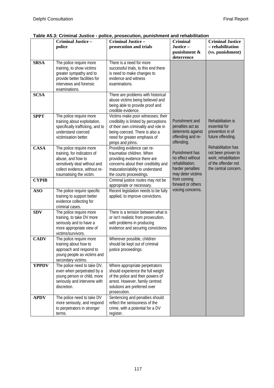|              | Criminal Justice -                                                                                                                                                       | rable A3.3. Criminal Justice - police, prosecution, pumsimient and renabilitation<br>Criminal Justice -                                                                                                   | <b>Criminal</b>                                                                                        | <b>Criminal Justice</b>                                                                                         |
|--------------|--------------------------------------------------------------------------------------------------------------------------------------------------------------------------|-----------------------------------------------------------------------------------------------------------------------------------------------------------------------------------------------------------|--------------------------------------------------------------------------------------------------------|-----------------------------------------------------------------------------------------------------------------|
|              | police                                                                                                                                                                   | prosecution and trials                                                                                                                                                                                    | Justice-                                                                                               | - rehabilitation                                                                                                |
|              |                                                                                                                                                                          |                                                                                                                                                                                                           | punishment &                                                                                           | (vs. punishment)                                                                                                |
|              |                                                                                                                                                                          |                                                                                                                                                                                                           | deterrence                                                                                             |                                                                                                                 |
| <b>SRSA</b>  | The police require more<br>training, to show victims<br>greater sympathy and to<br>provide better facilities for<br>interviews and forensic<br>examinations.             | There is a need for more<br>successful trials, to this end there<br>is need to make changes to<br>evidence and witness<br>examinations.                                                                   |                                                                                                        |                                                                                                                 |
| <b>SCSA</b>  |                                                                                                                                                                          | There are problems with historical<br>abuse victims being believed and<br>being able to provide proof and<br>credible evidence.                                                                           |                                                                                                        |                                                                                                                 |
| <b>SPPT</b>  | The police require more<br>training about exploitation,<br>specifically trafficking, and to<br>understand coerced<br>victimisation better.                               | Victims make poor witnesses; their<br>credibility is limited by perceptions<br>of their own criminality and role in<br>being coerced. There is also a<br>need for greater emphasis of<br>pimps and johns. | Punishment and<br>penalties act as<br>deterrents against<br>offending and re-<br>offending.            | Rehabilitation is<br>essential for<br>prevention in of<br>future offending.                                     |
| <b>CASA</b>  | The police require more<br>training, for indicators of<br>abuse, and how to<br>sensitively deal without and<br>collect evidence, without re-<br>traumatising the victim. | Providing evidence can re-<br>traumatise children. When<br>providing evidence there are<br>concerns about their credibility and<br>maturation/ability to understand<br>the courts proceedings.            | <b>Punishment has</b><br>no effect without<br>rehabilitation;<br>harder penalties<br>may deter victims | Rehabilitation has<br>not been proven to<br>work; rehabilitation<br>of the offender not<br>the central concern. |
| <b>CYPIB</b> |                                                                                                                                                                          | Criminal justice routes may not be<br>appropriate or necessary.                                                                                                                                           | from coming<br>forward or others                                                                       |                                                                                                                 |
| <b>ASO</b>   | The police require specific<br>training to support better<br>evidence collecting for<br>criminal cases.                                                                  | Recent legislation needs to be fully<br>applied, to improve convictions.                                                                                                                                  | voicing concerns.                                                                                      |                                                                                                                 |
| <b>SDV</b>   | The police require more<br>training, to take DV more<br>seriously and to have a<br>more appropriate view of<br>victims/survivors.                                        | There is a tension between what is<br>or isn't realistic from prosecution,<br>with problems in producing<br>evidence and securing convictions                                                             |                                                                                                        |                                                                                                                 |
| <b>CADV</b>  | The police require more<br>training about how to<br>approach and respond to<br>young people as victims and<br>secondary victims.                                         | Wherever possible, children<br>should be kept out of criminal<br>justice proceedings.                                                                                                                     |                                                                                                        |                                                                                                                 |
| <b>YPPDV</b> | The police need to take DV,<br>even when perpetrated by a<br>young person or child, more<br>seriously and intervene with<br>discretion.                                  | Where appropriate perpetrators<br>should experience the full weight<br>of the police and their powers of<br>arrest. However, family centred<br>solutions are preferred over<br>prosecution.               |                                                                                                        |                                                                                                                 |
| <b>APDV</b>  | The police need to take DV<br>more seriously, and respond<br>to perpetrators in stronger<br>terms.                                                                       | Sentencing and penalties should<br>reflect the seriousness of the<br>crime, with a potential for a DV<br>register.                                                                                        |                                                                                                        |                                                                                                                 |

#### **Table A5.3: Criminal Justice - police, prosecution, punishment and rehabilitation**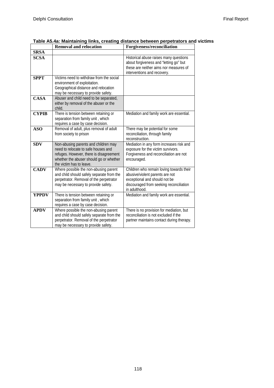|              | <b>Removal and relocation</b>                                                                                                                                                                 | Forgiveness/reconciliation                                                                                                                                               |
|--------------|-----------------------------------------------------------------------------------------------------------------------------------------------------------------------------------------------|--------------------------------------------------------------------------------------------------------------------------------------------------------------------------|
| <b>SRSA</b>  |                                                                                                                                                                                               |                                                                                                                                                                          |
| <b>SCSA</b>  |                                                                                                                                                                                               | Historical abuse raises many questions<br>about forgiveness and "letting go" but<br>these are neither aims nor measures of<br>interventions and recovery.                |
| <b>SPPT</b>  | Victims need to withdraw from the social<br>environment of exploitation.<br>Geographical distance and relocation<br>may be necessary to provide safety.                                       |                                                                                                                                                                          |
| <b>CASA</b>  | Abuser and child need to be separated,<br>either by removal of the abuser or the<br>child.                                                                                                    |                                                                                                                                                                          |
| <b>CYPIB</b> | There is tension between retaining or<br>separation from family unit, which<br>requires a case by case decision.                                                                              | Mediation and family work are essential.                                                                                                                                 |
| <b>ASO</b>   | Removal of adult, plus removal of adult<br>from society to prison                                                                                                                             | There may be potential for some<br>reconciliation, through family<br>reconstruction.                                                                                     |
| <b>SDV</b>   | Non-abusing parents and children may<br>need to relocate to safe houses and<br>refuges. However, there is disagreement<br>whether the abuser should go or whether<br>the victim has to leave. | Mediation in any form increases risk and<br>exposure for the victim survivors.<br>Forgiveness and reconciliation are not<br>encouraged.                                  |
| <b>CADV</b>  | Where possible the non-abusing parent<br>and child should safely separate from the<br>perpetrator. Removal of the perpetrator<br>may be necessary to provide safety.                          | Children who remain loving towards their<br>abusive/violent parents are not<br>exceptional and should not be<br>discouraged from seeking reconciliation<br>in adulthood. |
| <b>YPPDV</b> | There is tension between retaining or<br>separation from family unit, which<br>requires a case by case decision.                                                                              | Mediation and family work are essential.                                                                                                                                 |
| <b>APDV</b>  | Where possible the non-abusing parent<br>and child should safely separate from the<br>perpetrator. Removal of the perpetrator<br>may be necessary to provide safety.                          | There is no provision for mediation, but<br>reconciliation is not excluded if the<br>partner maintains contact during therapy.                                           |

#### **Table A5.4a: Maintaining links, creating distance between perpetrators and victims**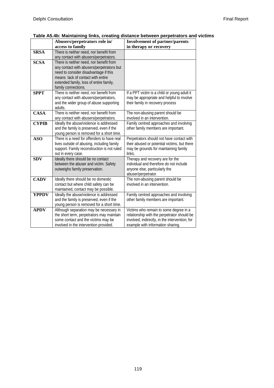|              | Abusers/perpetrators role in/                                                   | <b>Involvement of partner/parents</b>                                          |  |
|--------------|---------------------------------------------------------------------------------|--------------------------------------------------------------------------------|--|
|              | access to family                                                                | in therapy or recovery                                                         |  |
| <b>SRSA</b>  | There is neither need, nor benefit from                                         |                                                                                |  |
|              | any contact with abusers/perpetrators.                                          |                                                                                |  |
| <b>SCSA</b>  | There is neither need, nor benefit from                                         |                                                                                |  |
|              | any contact with abusers/perpetrators but                                       |                                                                                |  |
|              | need to consider disadvantage if this                                           |                                                                                |  |
|              | means lack of contact with entire                                               |                                                                                |  |
|              | extended family, loss of entire family,                                         |                                                                                |  |
|              | family connections.                                                             |                                                                                |  |
| <b>SPPT</b>  | There is neither need, nor benefit from                                         | If a PPT victim is a child or young adult it                                   |  |
|              | any contact with abusers/perpetrators,                                          | may be appropriate and helpful to involve                                      |  |
|              | and the wider group of abuse supporting                                         | their family in recovery process                                               |  |
|              | adults.                                                                         |                                                                                |  |
| <b>CASA</b>  | There is neither need, nor benefit from                                         | The non-abusing parent should be                                               |  |
|              | any contact with abusers/perpetrators.                                          | involved in an intervention.                                                   |  |
| <b>CYPIB</b> | Ideally the abuse/violence is addressed                                         | Family centred approaches and involving                                        |  |
|              | and the family is preserved, even if the                                        | other family members are important.                                            |  |
|              | young person is removed for a short time.                                       |                                                                                |  |
| <b>ASO</b>   | There is a need for offenders to have real                                      | Perpetrators should not have contact with                                      |  |
|              | lives outside of abusing, including family                                      | their abused or potential victims, but there                                   |  |
|              | support. Family reconstruction is not ruled                                     | may be grounds for maintaining family                                          |  |
|              | out in every case.                                                              | links.                                                                         |  |
| <b>SDV</b>   | Ideally there should be no contact                                              | Therapy and recovery are for the                                               |  |
|              | between the abuser and victim. Safety                                           | individual and therefore do not include                                        |  |
|              | outweighs family preservation.                                                  | anyone else, particularly the                                                  |  |
|              |                                                                                 | abuser/perpetrator.                                                            |  |
| <b>CADV</b>  | Ideally there should be no domestic                                             | The non-abusing parent should be<br>involved in an intervention.               |  |
|              | contact but where child safety can be                                           |                                                                                |  |
| <b>YPPDV</b> | maintained, contact may be possible.<br>Ideally the abuse/violence is addressed |                                                                                |  |
|              | and the family is preserved, even if the                                        | Family centred approaches and involving<br>other family members are important. |  |
|              | young person is removed for a short time.                                       |                                                                                |  |
| <b>APDV</b>  | Although separation may be necessary in                                         | Victims who remain to some degree in a                                         |  |
|              | the short term, perpetrators may maintain                                       | relationship with the perpetrator should be                                    |  |
|              | some contact and the victims may be                                             | involved, indirectly, in the intervention; for                                 |  |
|              | involved in the intervention provided.                                          | example with information sharing.                                              |  |
|              |                                                                                 |                                                                                |  |

# **Table A5.4b: Maintaining links, creating distance between perpetrators and victims**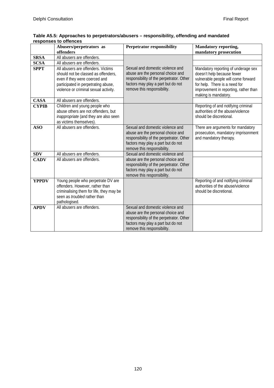|              | Abusers/perpetrators as                                                                                                                                                                    | <b>Perpetrator responsibility</b>                                                                                                                                                      | <b>Mandatory reporting,</b>                                                                                                                                                                                |
|--------------|--------------------------------------------------------------------------------------------------------------------------------------------------------------------------------------------|----------------------------------------------------------------------------------------------------------------------------------------------------------------------------------------|------------------------------------------------------------------------------------------------------------------------------------------------------------------------------------------------------------|
|              | offenders                                                                                                                                                                                  |                                                                                                                                                                                        | mandatory prosecution                                                                                                                                                                                      |
| <b>SRSA</b>  | All abusers are offenders.                                                                                                                                                                 |                                                                                                                                                                                        |                                                                                                                                                                                                            |
| <b>SCSA</b>  | All abusers are offenders.                                                                                                                                                                 |                                                                                                                                                                                        |                                                                                                                                                                                                            |
| <b>SPPT</b>  | All abusers are offenders. Victims<br>should not be classed as offenders,<br>even if they were coerced and<br>participated in perpetrating abuse,<br>violence or criminal sexual activity. | Sexual and domestic violence and<br>abuse are the personal choice and<br>responsibility of the perpetrator. Other<br>factors may play a part but do not<br>remove this responsibility. | Mandatory reporting of underage sex<br>doesn't help because fewer<br>vulnerable people will come forward<br>for help. There is a need for<br>improvement in reporting, rather than<br>making is mandatory. |
| <b>CASA</b>  | All abusers are offenders.                                                                                                                                                                 |                                                                                                                                                                                        |                                                                                                                                                                                                            |
| <b>CYPIB</b> | Children and young people who<br>abuse others are not offenders, but<br>inappropriate (and they are also seen<br>as victims themselves).                                                   |                                                                                                                                                                                        | Reporting of and notifying criminal<br>authorities of the abuse/violence<br>should be discretional.                                                                                                        |
| <b>ASO</b>   | All abusers are offenders.                                                                                                                                                                 | Sexual and domestic violence and<br>abuse are the personal choice and<br>responsibility of the perpetrator. Other<br>factors may play a part but do not<br>remove this responsibility. | There are arguments for mandatory<br>prosecution, mandatory imprisonment<br>and mandatory therapy.                                                                                                         |
| <b>SDV</b>   | All abusers are offenders.                                                                                                                                                                 | Sexual and domestic violence and                                                                                                                                                       |                                                                                                                                                                                                            |
| <b>CADV</b>  | All abusers are offenders.                                                                                                                                                                 | abuse are the personal choice and<br>responsibility of the perpetrator. Other<br>factors may play a part but do not<br>remove this responsibility.                                     |                                                                                                                                                                                                            |
| <b>YPPDV</b> | Young people who perpetrate DV are<br>offenders. However, rather than<br>criminalising them for life, they may be<br>seen as troubled rather than<br>pathologised.                         |                                                                                                                                                                                        | Reporting of and notifying criminal<br>authorities of the abuse/violence<br>should be discretional.                                                                                                        |
| <b>APDV</b>  | All abusers are offenders.                                                                                                                                                                 | Sexual and domestic violence and<br>abuse are the personal choice and<br>responsibility of the perpetrator. Other<br>factors may play a part but do not<br>remove this responsibility. |                                                                                                                                                                                                            |

#### **Table A5.5: Approaches to perpetrators/abusers – responsibility, offending and mandated responses to offences**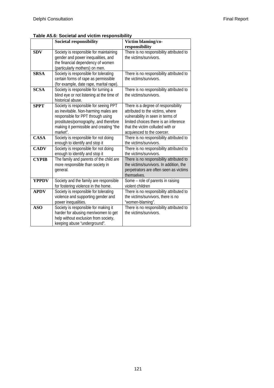|              | <b>Societal responsibility</b>                                              | Victim blaming/co-                                                         |
|--------------|-----------------------------------------------------------------------------|----------------------------------------------------------------------------|
|              |                                                                             | responsibility                                                             |
| <b>SDV</b>   | Society is responsible for maintaining                                      | There is no responsibility attributed to                                   |
|              | gender and power inequalities, and                                          | the victims/survivors.                                                     |
|              | the financial dependency of women                                           |                                                                            |
|              | (particularly mothers) on men.                                              |                                                                            |
| <b>SRSA</b>  | Society is responsible for tolerating                                       | There is no responsibility attributed to                                   |
|              | certain forms of rape as permissible                                        | the victims/survivors.                                                     |
|              | (for example, date rape, marital rape).                                     |                                                                            |
| <b>SCSA</b>  | Society is responsible for turning a                                        | There is no responsibility attributed to                                   |
|              | blind eye or not listening at the time of                                   | the victims/survivors.                                                     |
|              | historical abuse.                                                           |                                                                            |
| <b>SPPT</b>  | Society is responsible for seeing PPT                                       | There is a degree of responsibility                                        |
|              | as inevitable. Non-harming males are                                        | attributed to the victims, where                                           |
|              | responsible for PPT through using<br>prostitutes/pornography, and therefore | vulnerability in seen in terms of<br>limited choices there is an inference |
|              | making it permissible and creating "the                                     | that the victim colluded with or                                           |
|              | market".                                                                    | acquiesced to the coercer.                                                 |
| <b>CASA</b>  | Society is responsible for not doing                                        | There is no responsibility attributed to                                   |
|              | enough to identify and stop it                                              | the victims/survivors.                                                     |
| <b>CADV</b>  | Society is responsible for not doing                                        | There is no responsibility attributed to                                   |
|              | enough to identify and stop it                                              | the victims/survivors.                                                     |
| <b>CYPIB</b> | The family and parents of the child are                                     | There is no responsibility attributed to                                   |
|              | more responsible than society in                                            | the victims/survivors. In addition, the                                    |
|              | general.                                                                    | perpetrators are often seen as victims                                     |
|              |                                                                             | themselves.                                                                |
| <b>YPPDV</b> | Society and the family are responsible                                      | Some - role of parents in raising                                          |
|              | for fostering violence in the home.                                         | violent children                                                           |
| <b>APDV</b>  | Society is responsible for tolerating                                       | There is no responsibility attributed to                                   |
|              | violence and supporting gender and                                          | the victims/survivors, there is no                                         |
|              | power inequalities.                                                         | "women-blaming".                                                           |
| <b>ASO</b>   | Society is responsible for making it                                        | There is no responsibility attributed to                                   |
|              | harder for abusing men/women to get                                         | the victims/survivors.                                                     |
|              | help without exclusion from society,                                        |                                                                            |
|              | keeping abuse "underground".                                                |                                                                            |

**Table A5.6: Societal and victim responsibility**